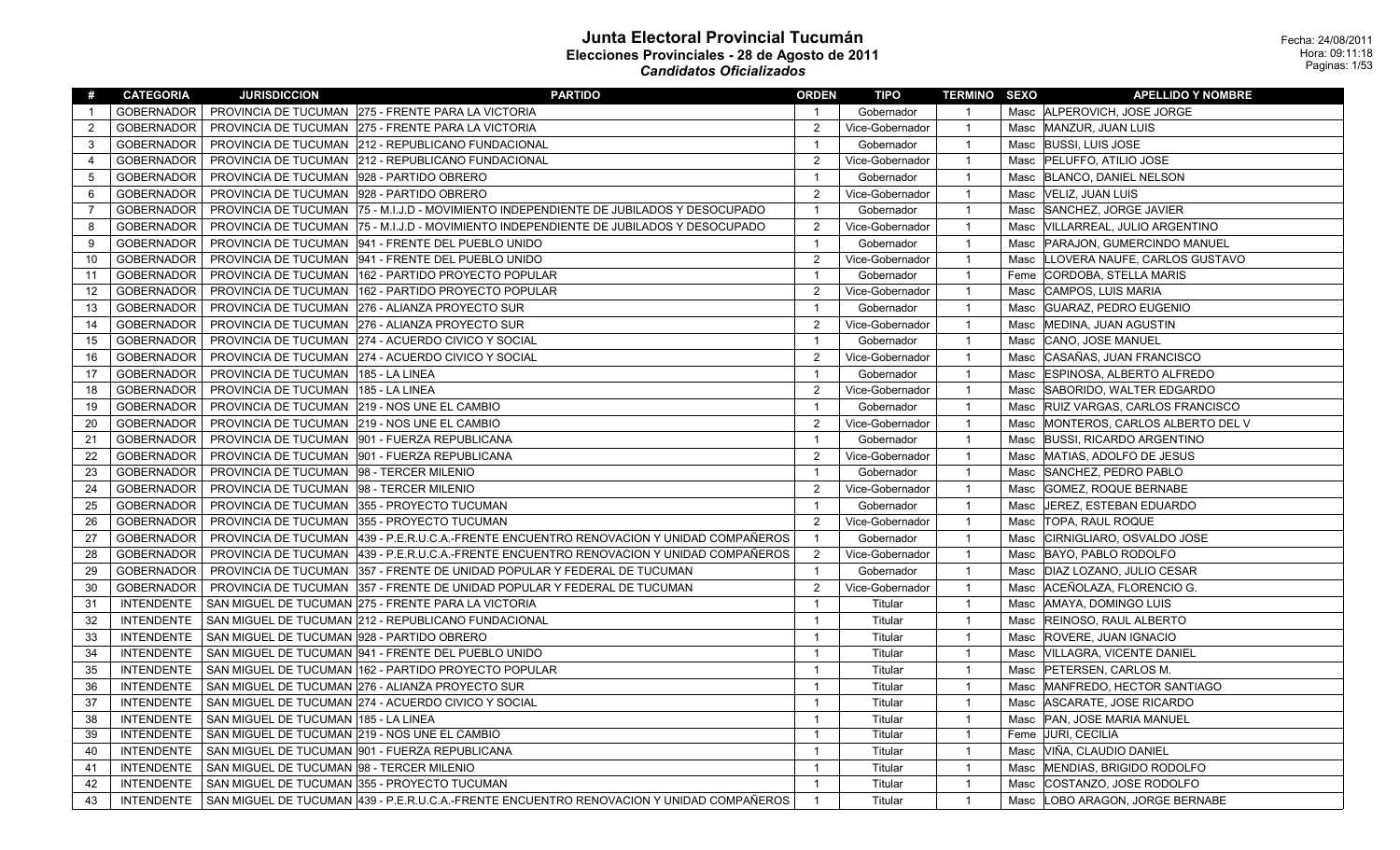| #                 | <b>CATEGORIA</b>  | <b>JURISDICCION</b>                         | <b>PARTIDO</b>                                                                                      | <b>ORDEN</b>   | <b>TIPO</b>     | <b>TERMINO SEXO</b> |      | <b>APELLIDO Y NOMBRE</b>           |
|-------------------|-------------------|---------------------------------------------|-----------------------------------------------------------------------------------------------------|----------------|-----------------|---------------------|------|------------------------------------|
| $\mathbf{1}$      | <b>GOBERNADOR</b> |                                             | PROVINCIA DE TUCUMAN 275 - FRENTE PARA LA VICTORIA                                                  | $\mathbf{1}$   | Gobernador      | $\overline{1}$      |      | Masc ALPEROVICH, JOSE JORGE        |
| $\overline{2}$    | <b>GOBERNADOR</b> |                                             | PROVINCIA DE TUCUMAN 275 - FRENTE PARA LA VICTORIA                                                  | $\overline{2}$ | Vice-Gobernador | $\overline{1}$      |      | Masc MANZUR, JUAN LUIS             |
| 3                 | <b>GOBERNADOR</b> |                                             | PROVINCIA DE TUCUMAN 212 - REPUBLICANO FUNDACIONAL                                                  | $\overline{1}$ | Gobernador      | $\overline{1}$      | Masc | <b>BUSSI, LUIS JOSE</b>            |
| 4                 | <b>GOBERNADOR</b> |                                             | PROVINCIA DE TUCUMAN 212 - REPUBLICANO FUNDACIONAL                                                  | $\overline{2}$ | Vice-Gobernador | $\overline{1}$      |      | Masc   PELUFFO, ATILIO JOSE        |
| $\overline{5}$    | <b>GOBERNADOR</b> | PROVINCIA DE TUCUMAN   928 - PARTIDO OBRERO |                                                                                                     | $\overline{1}$ | Gobernador      | $\overline{1}$      |      | Masc   BLANCO, DANIEL NELSON       |
| 6                 | <b>GOBERNADOR</b> | PROVINCIA DE TUCUMAN   928 - PARTIDO OBRERO |                                                                                                     | $\overline{2}$ | Vice-Gobernador | $\overline{1}$      | Masc | VELIZ, JUAN LUIS                   |
| $\overline{7}$    | <b>GOBERNADOR</b> |                                             | PROVINCIA DE TUCUMAN 75 - M.I.J.D - MOVIMIENTO INDEPENDIENTE DE JUBILADOS Y DESOCUPADO              | $\overline{1}$ | Gobernador      | $\overline{1}$      | Masc | SANCHEZ, JORGE JAVIER              |
| 8                 | <b>GOBERNADOR</b> |                                             | PROVINCIA DE TUCUMAN 75 - M.I.J.D - MOVIMIENTO INDEPENDIENTE DE JUBILADOS Y DESOCUPADO              | $\overline{2}$ | Vice-Gobernador | $\overline{1}$      | Masc | VILLARREAL, JULIO ARGENTINO        |
| 9                 | <b>GOBERNADOR</b> |                                             | PROVINCIA DE TUCUMAN  941 - FRENTE DEL PUEBLO UNIDO                                                 | $\overline{1}$ | Gobernador      | $\overline{1}$      |      | Masc   PARAJON, GUMERCINDO MANUEL  |
| 10                | <b>GOBERNADOR</b> |                                             | PROVINCIA DE TUCUMAN  941 - FRENTE DEL PUEBLO UNIDO                                                 | $\overline{2}$ | Vice-Gobernador | $\overline{1}$      | Masc | LLOVERA NAUFE, CARLOS GUSTAVO      |
| 11                | <b>GOBERNADOR</b> |                                             | PROVINCIA DE TUCUMAN   162 - PARTIDO PROYECTO POPULAR                                               | $\overline{1}$ | Gobernador      | $\overline{1}$      |      | Feme CORDOBA, STELLA MARIS         |
| $12 \overline{ }$ | <b>GOBERNADOR</b> |                                             | PROVINCIA DE TUCUMAN   162 - PARTIDO PROYECTO POPULAR                                               | 2              | Vice-Gobernador | $\overline{1}$      |      | Masc CAMPOS, LUIS MARIA            |
| 13                | <b>GOBERNADOR</b> |                                             | PROVINCIA DE TUCUMAN 276 - ALIANZA PROYECTO SUR                                                     | $\overline{1}$ | Gobernador      | $\overline{1}$      | Masc | GUARAZ, PEDRO EUGENIO              |
| 14                | <b>GOBERNADOR</b> |                                             | PROVINCIA DE TUCUMAN 276 - ALIANZA PROYECTO SUR                                                     | $\overline{2}$ | Vice-Gobernador | $\overline{1}$      | Masc | MEDINA, JUAN AGUSTIN               |
| 15                | <b>GOBERNADOR</b> |                                             | PROVINCIA DE TUCUMAN 274 - ACUERDO CIVICO Y SOCIAL                                                  | $\overline{1}$ | Gobernador      | $\overline{1}$      | Masc | CANO, JOSE MANUEL                  |
| 16                | <b>GOBERNADOR</b> |                                             | PROVINCIA DE TUCUMAN 274 - ACUERDO CIVICO Y SOCIAL                                                  | $\overline{2}$ | Vice-Gobernador | $\overline{1}$      | Masc | CASAÑAS, JUAN FRANCISCO            |
| 17                | GOBERNADOR        | PROVINCIA DE TUCUMAN   185 - LA LINEA       |                                                                                                     | $\overline{1}$ | Gobernador      | $\overline{1}$      | Masc | <b>ESPINOSA, ALBERTO ALFREDO</b>   |
| 18                | <b>GOBERNADOR</b> | PROVINCIA DE TUCUMAN   185 - LA LINEA       |                                                                                                     | $\overline{2}$ | Vice-Gobernador | $\overline{1}$      | Masc | SABORIDO, WALTER EDGARDO           |
| 19                | <b>GOBERNADOR</b> |                                             | PROVINCIA DE TUCUMAN 219 - NOS UNE EL CAMBIO                                                        | $\overline{1}$ | Gobernador      | $\overline{1}$      |      | Masc RUIZ VARGAS, CARLOS FRANCISCO |
| 20                | <b>GOBERNADOR</b> |                                             | PROVINCIA DE TUCUMAN 219 - NOS UNE EL CAMBIO                                                        | 2              | Vice-Gobernador | $\overline{1}$      | Masc | MONTEROS, CARLOS ALBERTO DEL V     |
| 21                | <b>GOBERNADOR</b> |                                             | PROVINCIA DE TUCUMAN   901 - FUERZA REPUBLICANA                                                     | $\mathbf{1}$   | Gobernador      | $\overline{1}$      | Masc | <b>BUSSI, RICARDO ARGENTINO</b>    |
| 22                | <b>GOBERNADOR</b> |                                             | PROVINCIA DE TUCUMAN   901 - FUERZA REPUBLICANA                                                     | $\overline{2}$ | Vice-Gobernador | $\overline{1}$      |      | Masc MATIAS, ADOLFO DE JESUS       |
| 23                | <b>GOBERNADOR</b> | PROVINCIA DE TUCUMAN  98 - TERCER MILENIO   |                                                                                                     | $\overline{1}$ | Gobernador      | $\overline{1}$      | Masc | SANCHEZ, PEDRO PABLO               |
| 24                | <b>GOBERNADOR</b> | PROVINCIA DE TUCUMAN  98 - TERCER MILENIO   |                                                                                                     | $\overline{2}$ | Vice-Gobernador | $\overline{1}$      |      | Masc GOMEZ, ROQUE BERNABE          |
| 25                | <b>GOBERNADOR</b> |                                             | PROVINCIA DE TUCUMAN 355 - PROYECTO TUCUMAN                                                         | $\overline{1}$ | Gobernador      | $\overline{1}$      | Masc | <b>JEREZ, ESTEBAN EDUARDO</b>      |
| 26                | <b>GOBERNADOR</b> |                                             | PROVINCIA DE TUCUMAN 355 - PROYECTO TUCUMAN                                                         | $\overline{2}$ | Vice-Gobernador | $\overline{1}$      | Masc | <b>TOPA, RAUL ROQUE</b>            |
| 27                | <b>GOBERNADOR</b> |                                             | PROVINCIA DE TUCUMAN 439 - P.E.R.U.C.A.-FRENTE ENCUENTRO RENOVACION Y UNIDAD COMPAÑEROS             | $\overline{1}$ | Gobernador      | $\overline{1}$      | Masc | CIRNIGLIARO, OSVALDO JOSE          |
| 28                | <b>GOBERNADOR</b> |                                             | PROVINCIA DE TUCUMAN 439 - P.E.R.U.C.A.-FRENTE ENCUENTRO RENOVACION Y UNIDAD COMPAÑEROS             | $\overline{2}$ | Vice-Gobernador | $\overline{1}$      | Masc | BAYO, PABLO RODOLFO                |
| 29                | <b>GOBERNADOR</b> |                                             | PROVINCIA DE TUCUMAN 357 - FRENTE DE UNIDAD POPULAR Y FEDERAL DE TUCUMAN                            | $\mathbf{1}$   | Gobernador      | $\overline{1}$      |      | Masc   DIAZ LOZANO, JULIO CESAR    |
| 30                | <b>GOBERNADOR</b> |                                             | PROVINCIA DE TUCUMAN 357 - FRENTE DE UNIDAD POPULAR Y FEDERAL DE TUCUMAN                            | $\overline{2}$ | Vice-Gobernador | $\overline{1}$      | Masc | ACEÑOLAZA, FLORENCIO G.            |
| 31                | <b>INTENDENTE</b> |                                             | SAN MIGUEL DE TUCUMAN 275 - FRENTE PARA LA VICTORIA                                                 | $\overline{1}$ | Titular         | $\overline{1}$      | Masc | AMAYA, DOMINGO LUIS                |
| 32                | <b>INTENDENTE</b> |                                             | SAN MIGUEL DE TUCUMAN 212 - REPUBLICANO FUNDACIONAL                                                 | $\overline{1}$ | Titular         | $\overline{1}$      |      | Masc REINOSO, RAUL ALBERTO         |
| 33                | <b>INTENDENTE</b> | SAN MIGUEL DE TUCUMAN  928 - PARTIDO OBRERO |                                                                                                     | $\overline{1}$ | Titular         | $\overline{1}$      | Masc | <b>ROVERE, JUAN IGNACIO</b>        |
| 34                | <b>INTENDENTE</b> |                                             | SAN MIGUEL DE TUCUMAN  941 - FRENTE DEL PUEBLO UNIDO                                                | $\overline{1}$ | Titular         | $\overline{1}$      | Masc | VILLAGRA, VICENTE DANIEL           |
| 35                | <b>INTENDENTE</b> |                                             | SAN MIGUEL DE TUCUMAN 162 - PARTIDO PROYECTO POPULAR                                                | $\overline{1}$ | Titular         | $\overline{1}$      | Masc | PETERSEN, CARLOS M.                |
| 36                | <b>INTENDENTE</b> |                                             | SAN MIGUEL DE TUCUMAN 276 - ALIANZA PROYECTO SUR                                                    | $\overline{1}$ | Titular         | $\overline{1}$      | Masc | MANFREDO, HECTOR SANTIAGO          |
| 37                | <b>INTENDENTE</b> |                                             | SAN MIGUEL DE TUCUMAN 274 - ACUERDO CIVICO Y SOCIAL                                                 | $\overline{1}$ | Titular         | $\overline{1}$      |      | Masc   ASCARATE, JOSE RICARDO      |
| 38                | <b>INTENDENTE</b> | SAN MIGUEL DE TUCUMAN   185 - LA LINEA      |                                                                                                     | $\overline{1}$ | Titular         | $\overline{1}$      | Masc | <b>PAN, JOSE MARIA MANUEL</b>      |
| 39                | <b>INTENDENTE</b> |                                             | SAN MIGUEL DE TUCUMAN 219 - NOS UNE EL CAMBIO                                                       | $\overline{1}$ | Titular         | $\overline{1}$      |      | Feme JURI, CECILIA                 |
| 40                | <b>INTENDENTE</b> |                                             | SAN MIGUEL DE TUCUMAN  901 - FUERZA REPUBLICANA                                                     | $\overline{1}$ | Titular         | $\overline{1}$      | Masc | VIÑA, CLAUDIO DANIEL               |
| 41                | <b>INTENDENTE</b> | SAN MIGUEL DE TUCUMAN  98 - TERCER MILENIO  |                                                                                                     | $\mathbf{1}$   | Titular         | $\overline{1}$      | Masc | MENDIAS, BRIGIDO RODOLFO           |
| 42                | <b>INTENDENTE</b> |                                             | SAN MIGUEL DE TUCUMAN 355 - PROYECTO TUCUMAN                                                        | $\overline{1}$ | Titular         | $\overline{1}$      |      | Masc COSTANZO, JOSE RODOLFO        |
| 43                |                   |                                             | INTENDENTE SAN MIGUEL DE TUCUMAN 439 - P.E.R.U.C.A.-FRENTE ENCUENTRO RENOVACION Y UNIDAD COMPAÑEROS | $\mathbf{1}$   | Titular         | $\overline{1}$      |      | Masc  LOBO ARAGON, JORGE BERNABE   |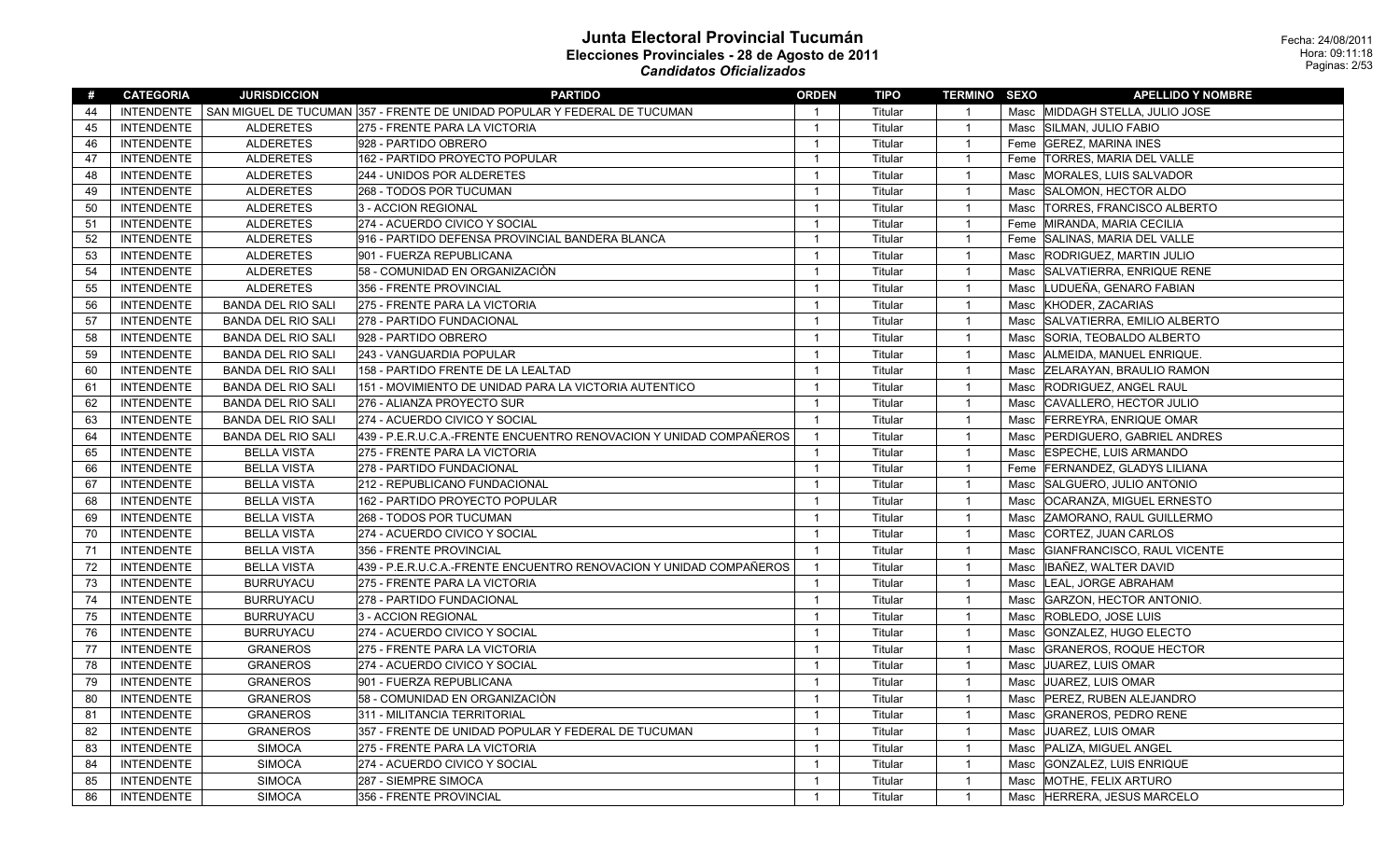| #  | <b>CATEGORIA</b>  | <b>JURISDICCION</b>       | <b>PARTIDO</b>                                                            | <b>ORDEN</b>   | TIPO    | <b>TERMINO SEXO</b> |      | <b>APELLIDO Y NOMBRE</b>          |
|----|-------------------|---------------------------|---------------------------------------------------------------------------|----------------|---------|---------------------|------|-----------------------------------|
| 44 | INTENDENTE        |                           | SAN MIGUEL DE TUCUMAN 357 - FRENTE DE UNIDAD POPULAR Y FEDERAL DE TUCUMAN | $\overline{1}$ | Titular | $\overline{1}$      |      | Masc MIDDAGH STELLA. JULIO JOSE   |
| 45 | <b>INTENDENTE</b> | <b>ALDERETES</b>          | 275 - FRENTE PARA LA VICTORIA                                             | $\overline{1}$ | Titular | $\overline{1}$      |      | Masc SILMAN, JULIO FABIO          |
| 46 | <b>INTENDENTE</b> | <b>ALDERETES</b>          | 928 - PARTIDO OBRERO                                                      | $\overline{1}$ | Titular | $\overline{1}$      |      | Feme GEREZ, MARINA INES           |
| 47 | <b>INTENDENTE</b> | <b>ALDERETES</b>          | 162 - PARTIDO PROYECTO POPULAR                                            | $\mathbf{1}$   | Titular | $\overline{1}$      |      | Feme  TORRES, MARIA DEL VALLE     |
| 48 | <b>INTENDENTE</b> | <b>ALDERETES</b>          | 244 - UNIDOS POR ALDERETES                                                | $\overline{1}$ | Titular | $\overline{1}$      | Masc | MORALES, LUIS SALVADOR            |
| 49 | <b>INTENDENTE</b> | <b>ALDERETES</b>          | 268 - TODOS POR TUCUMAN                                                   | $\overline{1}$ | Titular | $\overline{1}$      | Masc | SALOMON, HECTOR ALDO              |
| 50 | <b>INTENDENTE</b> | <b>ALDERETES</b>          | 3 - ACCION REGIONAL                                                       | $\mathbf{1}$   | Titular | $\overline{1}$      | Masc | <b>TORRES, FRANCISCO ALBERTO</b>  |
| 51 | <b>INTENDENTE</b> | <b>ALDERETES</b>          | 274 - ACUERDO CIVICO Y SOCIAL                                             | $\overline{1}$ | Titular | $\overline{1}$      |      | Feme MIRANDA, MARIA CECILIA       |
| 52 | <b>INTENDENTE</b> | <b>ALDERETES</b>          | 916 - PARTIDO DEFENSA PROVINCIAL BANDERA BLANCA                           | $\mathbf{1}$   | Titular | $\overline{1}$      |      | Feme SALINAS, MARIA DEL VALLE     |
| 53 | <b>INTENDENTE</b> | <b>ALDERETES</b>          | 901 - FUERZA REPUBLICANA                                                  | $\overline{1}$ | Titular | $\overline{1}$      | Masc | <b>RODRIGUEZ, MARTIN JULIO</b>    |
| 54 | <b>INTENDENTE</b> | <b>ALDERETES</b>          | 58 - COMUNIDAD EN ORGANIZACIÒN                                            | $\overline{1}$ | Titular | $\overline{1}$      | Masc | SALVATIERRA, ENRIQUE RENE         |
| 55 | <b>INTENDENTE</b> | <b>ALDERETES</b>          | 356 - FRENTE PROVINCIAL                                                   | $\mathbf{1}$   | Titular | $\overline{1}$      | Masc | LUDUEÑA, GENARO FABIAN            |
| 56 | <b>INTENDENTE</b> | <b>BANDA DEL RIO SALI</b> | 275 - FRENTE PARA LA VICTORIA                                             | $\overline{1}$ | Titular | $\overline{1}$      | Masc | KHODER, ZACARIAS                  |
| 57 | <b>INTENDENTE</b> | <b>BANDA DEL RIO SALI</b> | 278 - PARTIDO FUNDACIONAL                                                 | $\overline{1}$ | Titular | $\overline{1}$      | Masc | SALVATIERRA, EMILIO ALBERTO       |
| 58 | <b>INTENDENTE</b> | <b>BANDA DEL RIO SALI</b> | 928 - PARTIDO OBRERO                                                      | $\overline{1}$ | Titular | $\overline{1}$      | Masc | SORIA, TEOBALDO ALBERTO           |
| 59 | <b>INTENDENTE</b> | <b>BANDA DEL RIO SALI</b> | 243 - VANGUARDIA POPULAR                                                  | $\overline{1}$ | Titular | $\overline{1}$      | Masc | ALMEIDA, MANUEL ENRIQUE.          |
| 60 | <b>INTENDENTE</b> | <b>BANDA DEL RIO SALI</b> | 158 - PARTIDO FRENTE DE LA LEALTAD                                        | $\overline{1}$ | Titular | $\overline{1}$      | Masc | <b>ZELARAYAN, BRAULIO RAMON</b>   |
| 61 | <b>INTENDENTE</b> | <b>BANDA DEL RIO SALI</b> | 151 - MOVIMIENTO DE UNIDAD PARA LA VICTORIA AUTENTICO                     | $\overline{1}$ | Titular | $\overline{1}$      | Masc | <b>RODRIGUEZ, ANGEL RAUL</b>      |
| 62 | <b>INTENDENTE</b> | <b>BANDA DEL RIO SALI</b> | 276 - ALIANZA PROYECTO SUR                                                | $\overline{1}$ | Titular | $\overline{1}$      | Masc | CAVALLERO, HECTOR JULIO           |
| 63 | <b>INTENDENTE</b> | <b>BANDA DEL RIO SALI</b> | 274 - ACUERDO CIVICO Y SOCIAL                                             | $\overline{1}$ | Titular | $\overline{1}$      | Masc | <b>FERREYRA, ENRIQUE OMAR</b>     |
| 64 | <b>INTENDENTE</b> | <b>BANDA DEL RIO SALI</b> | 439 - P.E.R.U.C.A.-FRENTE ENCUENTRO RENOVACION Y UNIDAD COMPAÑEROS        | $\overline{1}$ | Titular | $\overline{1}$      |      | Masc   PERDIGUERO, GABRIEL ANDRES |
| 65 | <b>INTENDENTE</b> | <b>BELLA VISTA</b>        | 275 - FRENTE PARA LA VICTORIA                                             | $\overline{1}$ | Titular | $\overline{1}$      | Masc | <b>ESPECHE, LUIS ARMANDO</b>      |
| 66 | <b>INTENDENTE</b> | <b>BELLA VISTA</b>        | 278 - PARTIDO FUNDACIONAL                                                 | $\mathbf{1}$   | Titular | $\overline{1}$      |      | Feme FERNANDEZ, GLADYS LILIANA    |
| 67 | <b>INTENDENTE</b> | <b>BELLA VISTA</b>        | 212 - REPUBLICANO FUNDACIONAL                                             | $\overline{1}$ | Titular | $\overline{1}$      | Masc | SALGUERO, JULIO ANTONIO           |
| 68 | <b>INTENDENTE</b> | <b>BELLA VISTA</b>        | 162 - PARTIDO PROYECTO POPULAR                                            | $\overline{1}$ | Titular | $\overline{1}$      | Masc | <b>OCARANZA, MIGUEL ERNESTO</b>   |
| 69 | <b>INTENDENTE</b> | <b>BELLA VISTA</b>        | 268 - TODOS POR TUCUMAN                                                   | $\overline{1}$ | Titular | $\overline{1}$      | Masc | <b>ZAMORANO, RAUL GUILLERMO</b>   |
| 70 | <b>INTENDENTE</b> | <b>BELLA VISTA</b>        | 274 - ACUERDO CIVICO Y SOCIAL                                             | $\overline{1}$ | Titular | $\overline{1}$      | Masc | CORTEZ, JUAN CARLOS               |
| 71 | <b>INTENDENTE</b> | <b>BELLA VISTA</b>        | 356 - FRENTE PROVINCIAL                                                   | $\overline{1}$ | Titular | $\overline{1}$      | Masc | GIANFRANCISCO, RAUL VICENTE       |
| 72 | <b>INTENDENTE</b> | <b>BELLA VISTA</b>        | 439 - P.E.R.U.C.A.-FRENTE ENCUENTRO RENOVACION Y UNIDAD COMPAÑEROS        | $\overline{1}$ | Titular | $\overline{1}$      | Masc | IBAÑEZ, WALTER DAVID              |
| 73 | <b>INTENDENTE</b> | <b>BURRUYACU</b>          | 275 - FRENTE PARA LA VICTORIA                                             | $\mathbf{1}$   | Titular | $\overline{1}$      | Masc | LEAL, JORGE ABRAHAM               |
| 74 | <b>INTENDENTE</b> | <b>BURRUYACU</b>          | 278 - PARTIDO FUNDACIONAL                                                 | $\mathbf{1}$   | Titular | $\overline{1}$      | Masc | GARZON, HECTOR ANTONIO.           |
| 75 | <b>INTENDENTE</b> | <b>BURRUYACU</b>          | 3 - ACCION REGIONAL                                                       | $\overline{1}$ | Titular | $\overline{1}$      | Masc | <b>ROBLEDO, JOSE LUIS</b>         |
| 76 | <b>INTENDENTE</b> | <b>BURRUYACU</b>          | 274 - ACUERDO CIVICO Y SOCIAL                                             | $\overline{1}$ | Titular | $\overline{1}$      | Masc | GONZALEZ, HUGO ELECTO             |
| 77 | <b>INTENDENTE</b> | <b>GRANEROS</b>           | 275 - FRENTE PARA LA VICTORIA                                             | $\overline{1}$ | Titular | $\overline{1}$      | Masc | <b>GRANEROS, ROQUE HECTOR</b>     |
| 78 | <b>INTENDENTE</b> | <b>GRANEROS</b>           | 274 - ACUERDO CIVICO Y SOCIAL                                             | $\mathbf{1}$   | Titular | $\overline{1}$      | Masc | JUAREZ, LUIS OMAR                 |
| 79 | <b>INTENDENTE</b> | <b>GRANEROS</b>           | 901 - FUERZA REPUBLICANA                                                  | $\overline{1}$ | Titular | $\overline{1}$      | Masc | JUAREZ, LUIS OMAR                 |
| 80 | <b>INTENDENTE</b> | <b>GRANEROS</b>           | 58 - COMUNIDAD EN ORGANIZACIÓN                                            | $\mathbf{1}$   | Titular | $\overline{1}$      | Masc | <b>PEREZ, RUBEN ALEJANDRO</b>     |
| 81 | <b>INTENDENTE</b> | <b>GRANEROS</b>           | 311 - MILITANCIA TERRITORIAL                                              | $\overline{1}$ | Titular | $\overline{1}$      | Masc | <b>GRANEROS, PEDRO RENE</b>       |
| 82 | <b>INTENDENTE</b> | <b>GRANEROS</b>           | 357 - FRENTE DE UNIDAD POPULAR Y FEDERAL DE TUCUMAN                       | $\overline{1}$ | Titular | $\overline{1}$      | Masc | JUAREZ, LUIS OMAR                 |
| 83 | <b>INTENDENTE</b> | <b>SIMOCA</b>             | 275 - FRENTE PARA LA VICTORIA                                             | $\overline{1}$ | Titular | $\overline{1}$      | Masc | PALIZA, MIGUEL ANGEL              |
| 84 | <b>INTENDENTE</b> | <b>SIMOCA</b>             | 274 - ACUERDO CIVICO Y SOCIAL                                             | $\overline{1}$ | Titular | $\overline{1}$      | Masc | GONZALEZ, LUIS ENRIQUE            |
| 85 | <b>INTENDENTE</b> | <b>SIMOCA</b>             | 287 - SIEMPRE SIMOCA                                                      | $\overline{1}$ | Titular | $\overline{1}$      | Masc | MOTHE, FELIX ARTURO               |
| 86 | <b>INTENDENTE</b> | <b>SIMOCA</b>             | 356 - FRENTE PROVINCIAL                                                   | $\mathbf{1}$   | Titular | $\overline{1}$      | Masc | HERRERA, JESUS MARCELO            |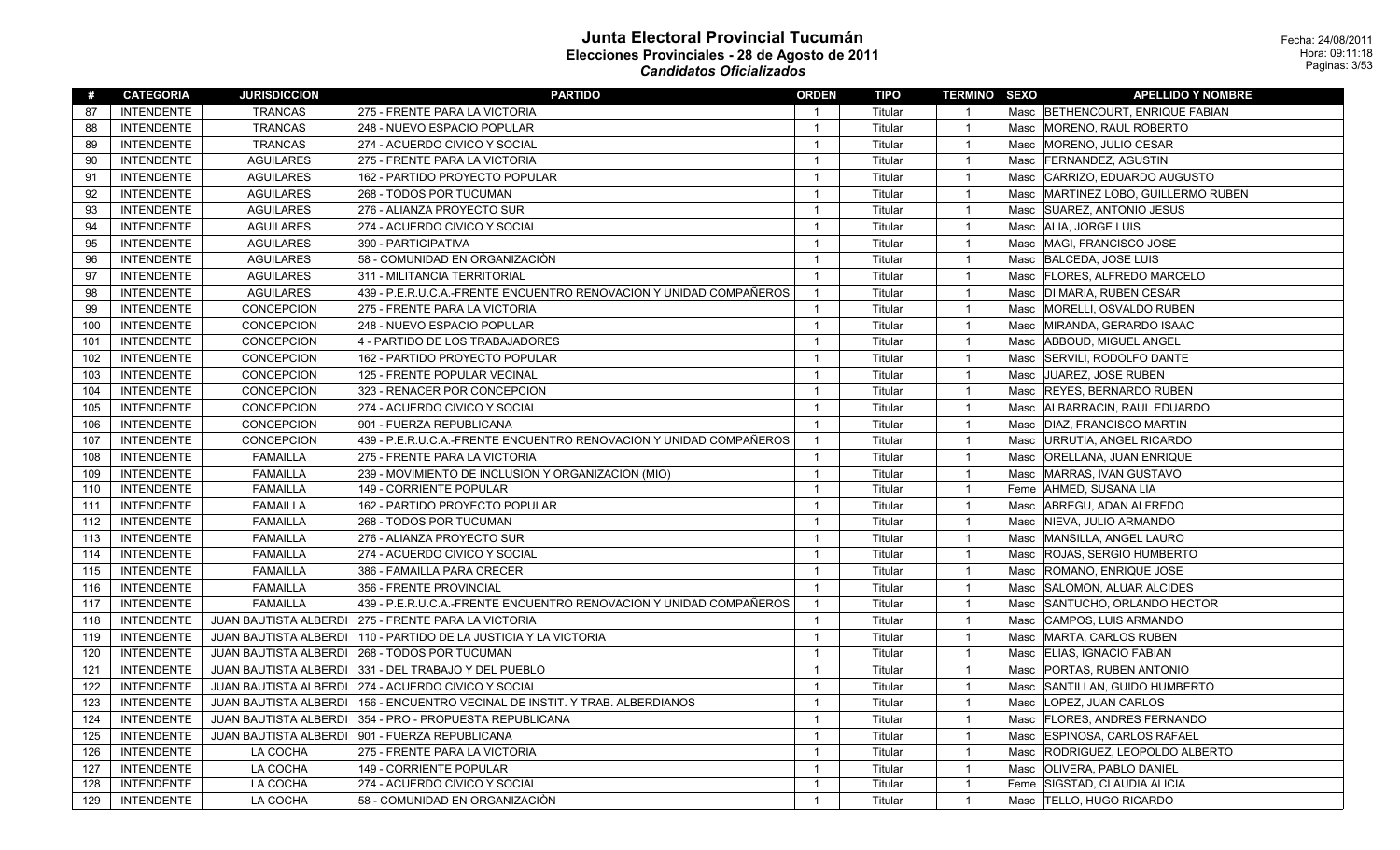| #   | <b>CATEGORIA</b>  | <b>JURISDICCION</b>   | <b>PARTIDO</b>                                                     | <b>ORDEN</b>   | TIPO    | <b>TERMINO SEXO</b> |      | <b>APELLIDO Y NOMBRE</b>            |
|-----|-------------------|-----------------------|--------------------------------------------------------------------|----------------|---------|---------------------|------|-------------------------------------|
| 87  | <b>INTENDENTE</b> | <b>TRANCAS</b>        | 275 - FRENTE PARA LA VICTORIA                                      | $\overline{1}$ | Titular | $\overline{1}$      |      | Masc BETHENCOURT, ENRIQUE FABIAN    |
| 88  | <b>INTENDENTE</b> | <b>TRANCAS</b>        | 248 - NUEVO ESPACIO POPULAR                                        | $\overline{1}$ | Titular | $\overline{1}$      |      | Masc MORENO, RAUL ROBERTO           |
| 89  | <b>INTENDENTE</b> | <b>TRANCAS</b>        | 274 - ACUERDO CIVICO Y SOCIAL                                      | $\mathbf{1}$   | Titular | $\overline{1}$      |      | Masc MORENO, JULIO CESAR            |
| 90  | <b>INTENDENTE</b> | <b>AGUILARES</b>      | 275 - FRENTE PARA LA VICTORIA                                      | $\mathbf{1}$   | Titular | $\overline{1}$      |      | Masc FERNANDEZ, AGUSTIN             |
| 91  | <b>INTENDENTE</b> | <b>AGUILARES</b>      | 162 - PARTIDO PROYECTO POPULAR                                     | $\overline{1}$ | Titular | $\overline{1}$      |      | Masc CARRIZO, EDUARDO AUGUSTO       |
| 92  | <b>INTENDENTE</b> | <b>AGUILARES</b>      | 268 - TODOS POR TUCUMAN                                            | $\mathbf{1}$   | Titular | $\overline{1}$      |      | Masc MARTINEZ LOBO, GUILLERMO RUBEN |
| 93  | <b>INTENDENTE</b> | <b>AGUILARES</b>      | 276 - ALIANZA PROYECTO SUR                                         | $\mathbf{1}$   | Titular | $\overline{1}$      |      | Masc SUAREZ, ANTONIO JESUS          |
| 94  | <b>INTENDENTE</b> | <b>AGUILARES</b>      | 274 - ACUERDO CIVICO Y SOCIAL                                      | $\mathbf{1}$   | Titular | $\overline{1}$      |      | Masc   ALIA, JORGE LUIS             |
| 95  | <b>INTENDENTE</b> | <b>AGUILARES</b>      | 390 - PARTICIPATIVA                                                | $\mathbf{1}$   | Titular | $\overline{1}$      |      | Masc MAGI, FRANCISCO JOSE           |
| 96  | <b>INTENDENTE</b> | <b>AGUILARES</b>      | 58 - COMUNIDAD EN ORGANIZACIÒN                                     | $\overline{1}$ | Titular | $\overline{1}$      |      | Masc   BALCEDA, JOSE LUIS           |
| 97  | <b>INTENDENTE</b> | <b>AGUILARES</b>      | 311 - MILITANCIA TERRITORIAL                                       | $\overline{1}$ | Titular | $\overline{1}$      |      | Masc   FLORES, ALFREDO MARCELO      |
| 98  | <b>INTENDENTE</b> | <b>AGUILARES</b>      | 439 - P.E.R.U.C.A.-FRENTE ENCUENTRO RENOVACION Y UNIDAD COMPAÑEROS | $\overline{1}$ | Titular | $\overline{1}$      |      | Masc  DI MARIA, RUBEN CESAR         |
| 99  | <b>INTENDENTE</b> | CONCEPCION            | 275 - FRENTE PARA LA VICTORIA                                      | $\overline{1}$ | Titular | $\overline{1}$      |      | Masc MORELLI, OSVALDO RUBEN         |
| 100 | <b>INTENDENTE</b> | CONCEPCION            | 248 - NUEVO ESPACIO POPULAR                                        | $\overline{1}$ | Titular | $\overline{1}$      |      | Masc MIRANDA, GERARDO ISAAC         |
| 101 | <b>INTENDENTE</b> | CONCEPCION            | 4 - PARTIDO DE LOS TRABAJADORES                                    | $\mathbf{1}$   | Titular | $\overline{1}$      |      | Masc   ABBOUD, MIGUEL ANGEL         |
| 102 | <b>INTENDENTE</b> | CONCEPCION            | 162 - PARTIDO PROYECTO POPULAR                                     | $\overline{1}$ | Titular | $\overline{1}$      |      | Masc  SERVILI, RODOLFO DANTE        |
| 103 | <b>INTENDENTE</b> | <b>CONCEPCION</b>     | 125 - FRENTE POPULAR VECINAL                                       | $\overline{1}$ | Titular | $\overline{1}$      |      | Masc JUAREZ, JOSE RUBEN             |
| 104 | <b>INTENDENTE</b> | <b>CONCEPCION</b>     | 323 - RENACER POR CONCEPCION                                       | $\mathbf{1}$   | Titular | $\overline{1}$      |      | Masc REYES, BERNARDO RUBEN          |
| 105 | <b>INTENDENTE</b> | CONCEPCION            | 274 - ACUERDO CIVICO Y SOCIAL                                      | $\overline{1}$ | Titular | $\overline{1}$      |      | Masc   ALBARRACIN, RAUL EDUARDO     |
| 106 | <b>INTENDENTE</b> | CONCEPCION            | 901 - FUERZA REPUBLICANA                                           | $\overline{1}$ | Titular | $\overline{1}$      | Masc | DIAZ, FRANCISCO MARTIN              |
| 107 | <b>INTENDENTE</b> | <b>CONCEPCION</b>     | 439 - P.E.R.U.C.A.-FRENTE ENCUENTRO RENOVACION Y UNIDAD COMPAÑEROS | $\overline{1}$ | Titular | $\overline{1}$      | Masc | URRUTIA, ANGEL RICARDO              |
| 108 | <b>INTENDENTE</b> | <b>FAMAILLA</b>       | 275 - FRENTE PARA LA VICTORIA                                      | $\overline{1}$ | Titular | $\overline{1}$      |      | Masc   ORELLANA, JUAN ENRIQUE       |
| 109 | <b>INTENDENTE</b> | <b>FAMAILLA</b>       | 239 - MOVIMIENTO DE INCLUSION Y ORGANIZACION (MIO)                 | $\overline{1}$ | Titular | $\overline{1}$      |      | Masc MARRAS, IVAN GUSTAVO           |
| 110 | <b>INTENDENTE</b> | <b>FAMAILLA</b>       | 149 - CORRIENTE POPULAR                                            | $\mathbf{1}$   | Titular | $\overline{1}$      |      | Feme   AHMED, SUSANA LIA            |
| 111 | <b>INTENDENTE</b> | <b>FAMAILLA</b>       | 162 - PARTIDO PROYECTO POPULAR                                     | $\mathbf{1}$   | Titular | $\overline{1}$      |      | Masc   ABREGU, ADAN ALFREDO         |
| 112 | <b>INTENDENTE</b> | <b>FAMAILLA</b>       | 268 - TODOS POR TUCUMAN                                            | $\mathbf{1}$   | Titular | $\overline{1}$      |      | Masc   NIEVA, JULIO ARMANDO         |
| 113 | <b>INTENDENTE</b> | <b>FAMAILLA</b>       | 276 - ALIANZA PROYECTO SUR                                         | $\overline{1}$ | Titular | $\overline{1}$      |      | Masc MANSILLA, ANGEL LAURO          |
| 114 | <b>INTENDENTE</b> | <b>FAMAILLA</b>       | 274 - ACUERDO CIVICO Y SOCIAL                                      | $\overline{1}$ | Titular | $\overline{1}$      |      | Masc ROJAS, SERGIO HUMBERTO         |
| 115 | <b>INTENDENTE</b> | <b>FAMAILLA</b>       | 386 - FAMAILLA PARA CRECER                                         | $\overline{1}$ | Titular | $\overline{1}$      |      | Masc ROMANO, ENRIQUE JOSE           |
| 116 | <b>INTENDENTE</b> | <b>FAMAILLA</b>       | 356 - FRENTE PROVINCIAL                                            | $\overline{1}$ | Titular | $\overline{1}$      |      | Masc SALOMON, ALUAR ALCIDES         |
| 117 | <b>INTENDENTE</b> | <b>FAMAILLA</b>       | 439 - P.E.R.U.C.A.-FRENTE ENCUENTRO RENOVACION Y UNIDAD COMPAÑEROS | $\overline{1}$ | Titular | $\overline{1}$      |      | Masc SANTUCHO, ORLANDO HECTOR       |
| 118 | <b>INTENDENTE</b> | JUAN BAUTISTA ALBERDI | 275 - FRENTE PARA LA VICTORIA                                      | $\overline{1}$ | Titular | $\overline{1}$      |      | Masc CAMPOS, LUIS ARMANDO           |
| 119 | <b>INTENDENTE</b> | JUAN BAUTISTA ALBERDI | 110 - PARTIDO DE LA JUSTICIA Y LA VICTORIA                         | $\overline{1}$ | Titular | $\overline{1}$      |      | Masc   MARTA, CARLOS RUBEN          |
| 120 | <b>INTENDENTE</b> |                       | JUAN BAUTISTA ALBERDI 268 - TODOS POR TUCUMAN                      | $\overline{1}$ | Titular | $\overline{1}$      |      | Masc ELIAS, IGNACIO FABIAN          |
| 121 | <b>INTENDENTE</b> |                       | JUAN BAUTISTA ALBERDI 331 - DEL TRABAJO Y DEL PUEBLO               | $\mathbf{1}$   | Titular | $\overline{1}$      |      | Masc PORTAS, RUBEN ANTONIO          |
| 122 | <b>INTENDENTE</b> |                       | JUAN BAUTISTA ALBERDI 274 - ACUERDO CIVICO Y SOCIAL                | $\overline{1}$ | Titular | $\overline{1}$      |      | Masc SANTILLAN, GUIDO HUMBERTO      |
| 123 | <b>INTENDENTE</b> | JUAN BAUTISTA ALBERDI | 156 - ENCUENTRO VECINAL DE INSTIT. Y TRAB. ALBERDIANOS             | $\overline{1}$ | Titular | $\overline{1}$      |      | Masc  LOPEZ, JUAN CARLOS            |
| 124 | <b>INTENDENTE</b> |                       | JUAN BAUTISTA ALBERDI 354 - PRO - PROPUESTA REPUBLICANA            | $\overline{1}$ | Titular | $\overline{1}$      |      | Masc   FLORES, ANDRES FERNANDO      |
| 125 | <b>INTENDENTE</b> |                       | JUAN BAUTISTA ALBERDI   901 - FUERZA REPUBLICANA                   | $\mathbf{1}$   | Titular | $\overline{1}$      |      | Masc ESPINOSA, CARLOS RAFAEL        |
| 126 | <b>INTENDENTE</b> | LA COCHA              | 275 - FRENTE PARA LA VICTORIA                                      | $\mathbf{1}$   | Titular | $\overline{1}$      |      | Masc RODRIGUEZ, LEOPOLDO ALBERTO    |
| 127 | <b>INTENDENTE</b> | LA COCHA              | 149 - CORRIENTE POPULAR                                            | $\mathbf{1}$   | Titular | $\overline{1}$      |      | Masc   OLIVERA, PABLO DANIEL        |
| 128 | <b>INTENDENTE</b> | LA COCHA              | 274 - ACUERDO CIVICO Y SOCIAL                                      | $\mathbf{1}$   | Titular | $\overline{1}$      |      | Feme SIGSTAD, CLAUDIA ALICIA        |
| 129 | <b>INTENDENTE</b> | LA COCHA              | 58 - COMUNIDAD EN ORGANIZACIÓN                                     | $\mathbf{1}$   | Titular | $\overline{1}$      |      | Masc  TELLO, HUGO RICARDO           |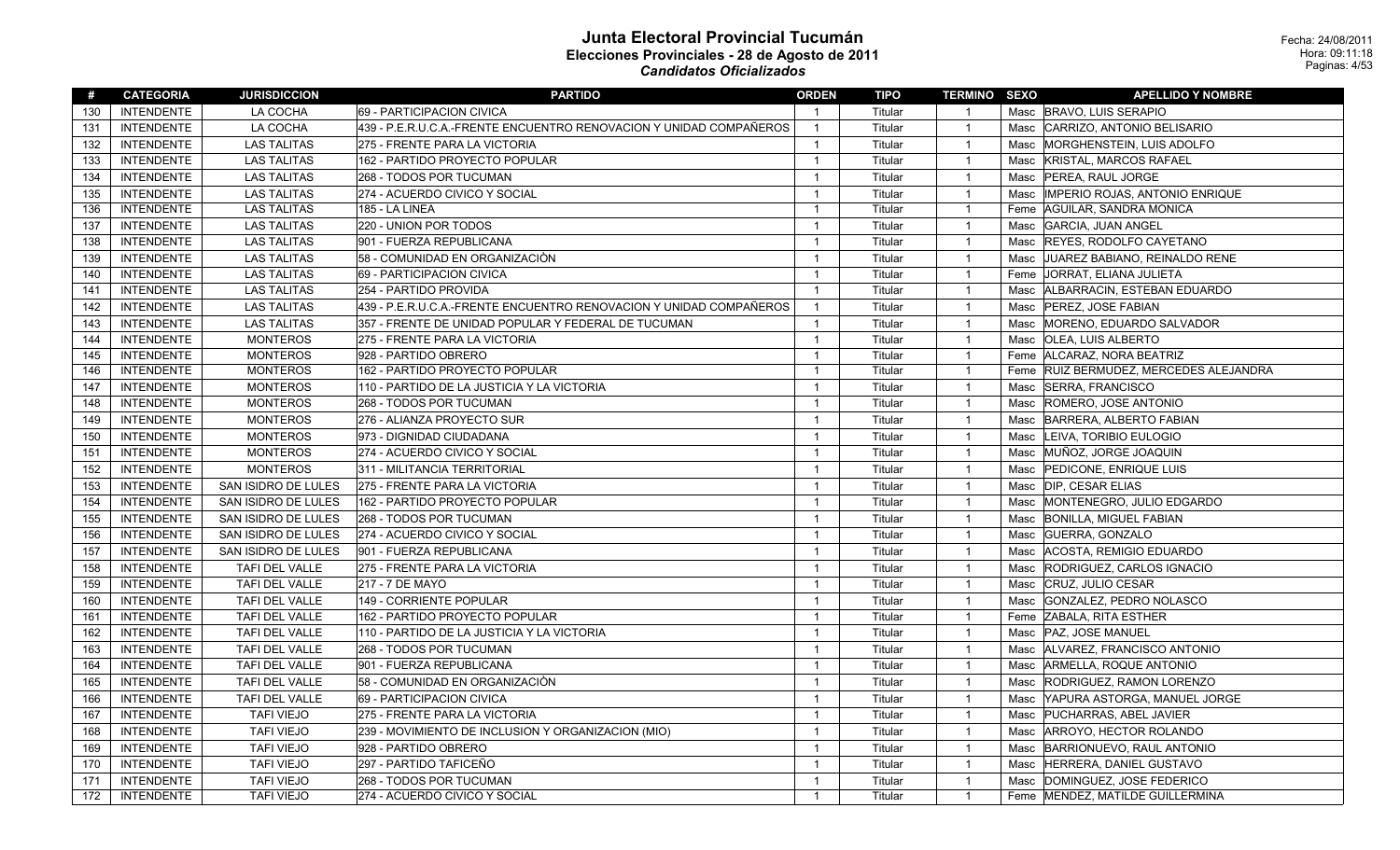| #   | <b>CATEGORIA</b>  | <b>JURISDICCION</b> | <b>PARTIDO</b>                                                     | <b>ORDEN</b>   | TIPO    | <b>TERMINO SEXO</b> |      | <b>APELLIDO Y NOMBRE</b>              |
|-----|-------------------|---------------------|--------------------------------------------------------------------|----------------|---------|---------------------|------|---------------------------------------|
| 130 | <b>INTENDENTE</b> | LA COCHA            | 69 - PARTICIPACION CIVICA                                          | $\overline{1}$ | Titular | $\overline{1}$      |      | Masc BRAVO, LUIS SERAPIO              |
| 131 | <b>INTENDENTE</b> | LA COCHA            | 439 - P.E.R.U.C.A.-FRENTE ENCUENTRO RENOVACION Y UNIDAD COMPAÑEROS | $\overline{1}$ | Titular | $\overline{1}$      |      | Masc CARRIZO, ANTONIO BELISARIO       |
| 132 | <b>INTENDENTE</b> | <b>LAS TALITAS</b>  | 275 - FRENTE PARA LA VICTORIA                                      | $\overline{1}$ | Titular | $\overline{1}$      | Masc | MORGHENSTEIN, LUIS ADOLFO             |
| 133 | <b>INTENDENTE</b> | <b>LAS TALITAS</b>  | 162 - PARTIDO PROYECTO POPULAR                                     | $\overline{1}$ | Titular | $\overline{1}$      | Masc | KRISTAL, MARCOS RAFAEL                |
| 134 | <b>INTENDENTE</b> | <b>LAS TALITAS</b>  | 268 - TODOS POR TUCUMAN                                            | $\overline{1}$ | Titular | $\overline{1}$      | Masc | PEREA, RAUL JORGE                     |
| 135 | <b>INTENDENTE</b> | <b>LAS TALITAS</b>  | 274 - ACUERDO CIVICO Y SOCIAL                                      | $\mathbf{1}$   | Titular | $\overline{1}$      | Masc | <b>IMPERIO ROJAS, ANTONIO ENRIQUE</b> |
| 136 | <b>INTENDENTE</b> | <b>LAS TALITAS</b>  | 185 - LA LINEA                                                     | $\overline{1}$ | Titular | $\overline{1}$      | Feme | AGUILAR, SANDRA MONICA                |
| 137 | <b>INTENDENTE</b> | <b>LAS TALITAS</b>  | 220 - UNION POR TODOS                                              | $\overline{1}$ | Titular | $\overline{1}$      | Masc | GARCIA, JUAN ANGEL                    |
| 138 | <b>INTENDENTE</b> | <b>LAS TALITAS</b>  | 901 - FUERZA REPUBLICANA                                           | $\overline{1}$ | Titular | $\overline{1}$      | Masc | <b>REYES, RODOLFO CAYETANO</b>        |
| 139 | <b>INTENDENTE</b> | <b>LAS TALITAS</b>  | 58 - COMUNIDAD EN ORGANIZACIÒN                                     | $\overline{1}$ | Titular | $\overline{1}$      | Masc | <b>JUAREZ BABIANO, REINALDO RENE</b>  |
| 140 | <b>INTENDENTE</b> | <b>LAS TALITAS</b>  | 69 - PARTICIPACION CIVICA                                          | $\mathbf{1}$   | Titular | $\overline{1}$      | Feme | JORRAT, ELIANA JULIETA                |
| 141 | <b>INTENDENTE</b> | <b>LAS TALITAS</b>  | 254 - PARTIDO PROVIDA                                              | $\overline{1}$ | Titular | $\overline{1}$      | Masc | ALBARRACIN, ESTEBAN EDUARDO           |
| 142 | <b>INTENDENTE</b> | <b>LAS TALITAS</b>  | 439 - P.E.R.U.C.A.-FRENTE ENCUENTRO RENOVACION Y UNIDAD COMPAÑEROS | $\overline{1}$ | Titular | $\overline{1}$      | Masc | PEREZ, JOSE FABIAN                    |
| 143 | <b>INTENDENTE</b> | <b>LAS TALITAS</b>  | 357 - FRENTE DE UNIDAD POPULAR Y FEDERAL DE TUCUMAN                | $\overline{1}$ | Titular | $\overline{1}$      | Masc | MORENO, EDUARDO SALVADOR              |
| 144 | <b>INTENDENTE</b> | <b>MONTEROS</b>     | 275 - FRENTE PARA LA VICTORIA                                      | $\overline{1}$ | Titular | $\overline{1}$      |      | Masc   OLEA, LUIS ALBERTO             |
| 145 | <b>INTENDENTE</b> | <b>MONTEROS</b>     | 928 - PARTIDO OBRERO                                               | $\mathbf{1}$   | Titular | $\overline{1}$      | Feme | ALCARAZ, NORA BEATRIZ                 |
| 146 | <b>INTENDENTE</b> | <b>MONTEROS</b>     | 162 - PARTIDO PROYECTO POPULAR                                     | $\mathbf{1}$   | Titular | $\overline{1}$      | Feme | RUIZ BERMUDEZ, MERCEDES ALEJANDRA     |
| 147 | <b>INTENDENTE</b> | <b>MONTEROS</b>     | 110 - PARTIDO DE LA JUSTICIA Y LA VICTORIA                         | $\overline{1}$ | Titular | $\overline{1}$      | Masc | SERRA, FRANCISCO                      |
| 148 | <b>INTENDENTE</b> | <b>MONTEROS</b>     | 268 - TODOS POR TUCUMAN                                            | $\overline{1}$ | Titular | $\overline{1}$      | Masc | <b>ROMERO, JOSE ANTONIO</b>           |
| 149 | <b>INTENDENTE</b> | <b>MONTEROS</b>     | 276 - ALIANZA PROYECTO SUR                                         | $\overline{1}$ | Titular | $\overline{1}$      | Masc | BARRERA, ALBERTO FABIAN               |
| 150 | <b>INTENDENTE</b> | <b>MONTEROS</b>     | 973 - DIGNIDAD CIUDADANA                                           | $\mathbf{1}$   | Titular | $\overline{1}$      | Masc | LEIVA, TORIBIO EULOGIO                |
| 151 | <b>INTENDENTE</b> | <b>MONTEROS</b>     | 274 - ACUERDO CIVICO Y SOCIAL                                      | $\overline{1}$ | Titular | $\overline{1}$      | Masc | MUÑOZ, JORGE JOAQUIN                  |
| 152 | <b>INTENDENTE</b> | <b>MONTEROS</b>     | 311 - MILITANCIA TERRITORIAL                                       | $\overline{1}$ | Titular | $\overline{1}$      | Masc | PEDICONE, ENRIQUE LUIS                |
| 153 | <b>INTENDENTE</b> | SAN ISIDRO DE LULES | 275 - FRENTE PARA LA VICTORIA                                      | $\overline{1}$ | Titular | $\overline{1}$      | Masc | DIP, CESAR ELIAS                      |
| 154 | <b>INTENDENTE</b> | SAN ISIDRO DE LULES | 162 - PARTIDO PROYECTO POPULAR                                     | $\overline{1}$ | Titular | $\overline{1}$      |      | Masc MONTENEGRO, JULIO EDGARDO        |
| 155 | <b>INTENDENTE</b> | SAN ISIDRO DE LULES | 268 - TODOS POR TUCUMAN                                            | $\overline{1}$ | Titular | $\overline{1}$      | Masc | <b>BONILLA, MIGUEL FABIAN</b>         |
| 156 | <b>INTENDENTE</b> | SAN ISIDRO DE LULES | 274 - ACUERDO CIVICO Y SOCIAL                                      | $\overline{1}$ | Titular | $\overline{1}$      | Masc | <b>GUERRA, GONZALO</b>                |
| 157 | <b>INTENDENTE</b> | SAN ISIDRO DE LULES | 901 - FUERZA REPUBLICANA                                           | $\mathbf{1}$   | Titular | $\overline{1}$      | Masc | ACOSTA, REMIGIO EDUARDO               |
| 158 | <b>INTENDENTE</b> | TAFI DEL VALLE      | 275 - FRENTE PARA LA VICTORIA                                      | $\overline{1}$ | Titular | $\overline{1}$      | Masc | RODRIGUEZ, CARLOS IGNACIO             |
| 159 | <b>INTENDENTE</b> | TAFI DEL VALLE      | 217 - 7 DE MAYO                                                    | $\overline{1}$ | Titular | $\overline{1}$      | Masc | CRUZ, JULIO CESAR                     |
| 160 | <b>INTENDENTE</b> | TAFI DEL VALLE      | 149 - CORRIENTE POPULAR                                            | $\overline{1}$ | Titular | $\overline{1}$      | Masc | GONZALEZ, PEDRO NOLASCO               |
| 161 | <b>INTENDENTE</b> | TAFI DEL VALLE      | 162 - PARTIDO PROYECTO POPULAR                                     | $\mathbf{1}$   | Titular | $\overline{1}$      |      | Feme ZABALA, RITA ESTHER              |
| 162 | <b>INTENDENTE</b> | TAFI DEL VALLE      | 110 - PARTIDO DE LA JUSTICIA Y LA VICTORIA                         | $\overline{1}$ | Titular | $\overline{1}$      | Masc | <b>PAZ, JOSE MANUEL</b>               |
| 163 | <b>INTENDENTE</b> | TAFI DEL VALLE      | 268 - TODOS POR TUCUMAN                                            | $\overline{1}$ | Titular | $\overline{1}$      | Masc | ALVAREZ, FRANCISCO ANTONIO            |
| 164 | <b>INTENDENTE</b> | TAFI DEL VALLE      | 901 - FUERZA REPUBLICANA                                           | $\mathbf{1}$   | Titular | $\overline{1}$      | Masc | ARMELLA, ROQUE ANTONIO                |
| 165 | <b>INTENDENTE</b> | TAFI DEL VALLE      | 58 - COMUNIDAD EN ORGANIZACIÒN                                     | $\overline{1}$ | Titular | $\overline{1}$      | Masc | RODRIGUEZ, RAMON LORENZO              |
| 166 | <b>INTENDENTE</b> | TAFI DEL VALLE      | 69 - PARTICIPACION CIVICA                                          | $\overline{1}$ | Titular | $\overline{1}$      | Masc | YAPURA ASTORGA, MANUEL JORGE          |
| 167 | <b>INTENDENTE</b> | <b>TAFI VIEJO</b>   | 275 - FRENTE PARA LA VICTORIA                                      | $\overline{1}$ | Titular | $\overline{1}$      | Masc | <b>PUCHARRAS, ABEL JAVIER</b>         |
| 168 | <b>INTENDENTE</b> | <b>TAFI VIEJO</b>   | 239 - MOVIMIENTO DE INCLUSION Y ORGANIZACION (MIO)                 | $\overline{1}$ | Titular | $\overline{1}$      | Masc | ARROYO, HECTOR ROLANDO                |
| 169 | <b>INTENDENTE</b> | <b>TAFI VIEJO</b>   | 928 - PARTIDO OBRERO                                               | $\overline{1}$ | Titular | $\overline{1}$      | Masc | BARRIONUEVO, RAUL ANTONIO             |
| 170 | <b>INTENDENTE</b> | <b>TAFI VIEJO</b>   | 297 - PARTIDO TAFICEÑO                                             | $\overline{1}$ | Titular | $\overline{1}$      | Masc | HERRERA, DANIEL GUSTAVO               |
| 171 | <b>INTENDENTE</b> | <b>TAFI VIEJO</b>   | 268 - TODOS POR TUCUMAN                                            | $\mathbf{1}$   | Titular | $\overline{1}$      | Masc | DOMINGUEZ, JOSE FEDERICO              |
| 172 | <b>INTENDENTE</b> | <b>TAFI VIEJO</b>   | 274 - ACUERDO CIVICO Y SOCIAL                                      | $\mathbf{1}$   | Titular | $\overline{1}$      |      | Feme MENDEZ, MATILDE GUILLERMINA      |
|     |                   |                     |                                                                    |                |         |                     |      |                                       |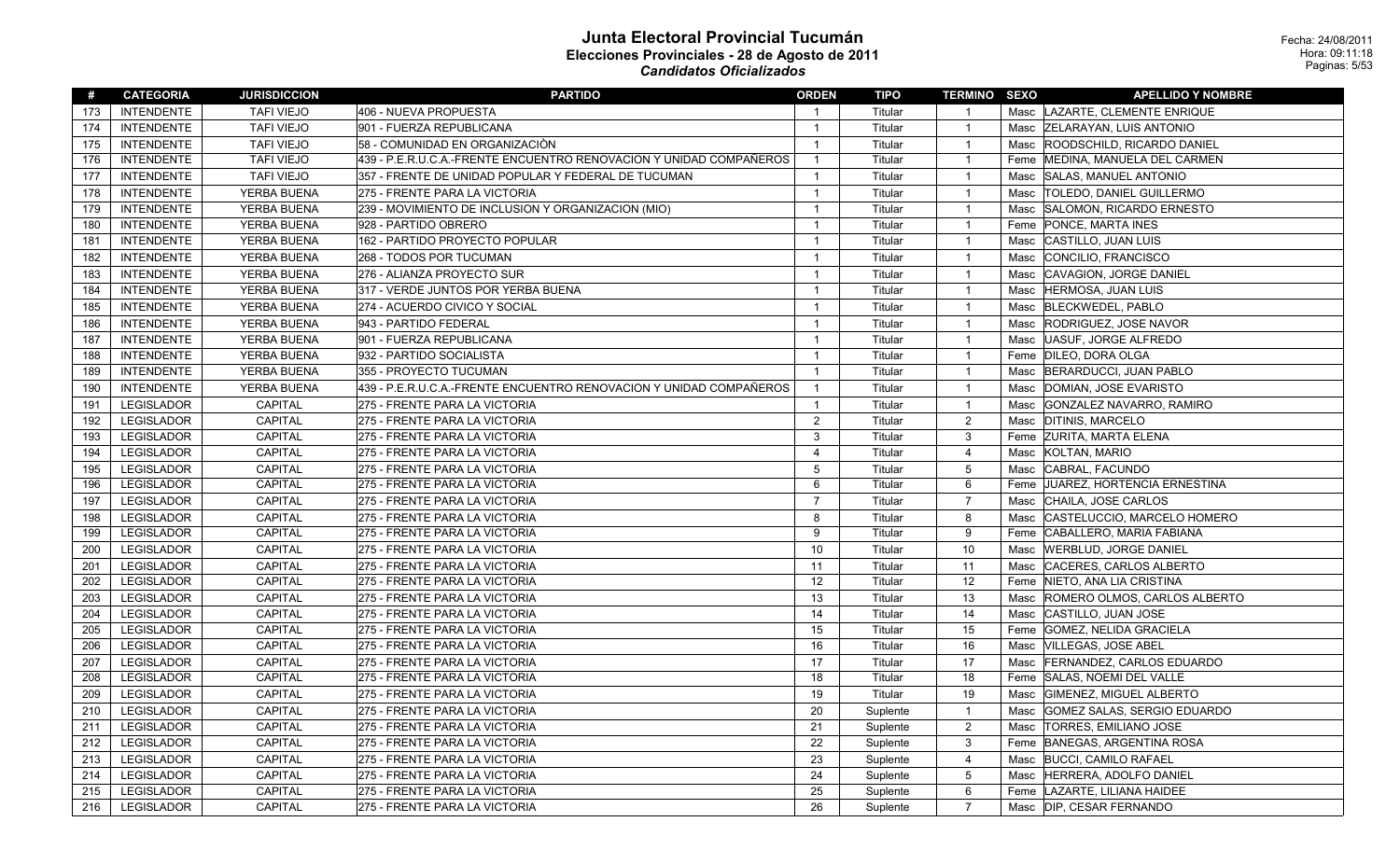| #   | <b>CATEGORIA</b>  | <b>JURISDICCION</b> | <b>PARTIDO</b>                                                     | <b>ORDEN</b>   | <b>TIPO</b> | <b>TERMINO SEXO</b> |      | <b>APELLIDO Y NOMBRE</b>           |
|-----|-------------------|---------------------|--------------------------------------------------------------------|----------------|-------------|---------------------|------|------------------------------------|
| 173 | <b>INTENDENTE</b> | <b>TAFI VIEJO</b>   | 406 - NUEVA PROPUESTA                                              | $\mathbf{1}$   | Titular     | $\overline{1}$      |      | Masc LAZARTE, CLEMENTE ENRIQUE     |
| 174 | <b>INTENDENTE</b> | <b>TAFI VIEJO</b>   | 901 - FUERZA REPUBLICANA                                           | $\overline{1}$ | Titular     | $\overline{1}$      |      | Masc ZELARAYAN, LUIS ANTONIO       |
| 175 | <b>INTENDENTE</b> | <b>TAFI VIEJO</b>   | 58 - COMUNIDAD EN ORGANIZACIÒN                                     | $\overline{1}$ | Titular     | $\overline{1}$      | Masc | ROODSCHILD, RICARDO DANIEL         |
| 176 | <b>INTENDENTE</b> | <b>TAFI VIEJO</b>   | 439 - P.E.R.U.C.A.-FRENTE ENCUENTRO RENOVACION Y UNIDAD COMPAÑEROS | $\mathbf{1}$   | Titular     | $\overline{1}$      | Feme | MEDINA, MANUELA DEL CARMEN         |
| 177 | <b>INTENDENTE</b> | <b>TAFI VIEJO</b>   | 357 - FRENTE DE UNIDAD POPULAR Y FEDERAL DE TUCUMAN                | $\mathbf{1}$   | Titular     | $\overline{1}$      | Masc | <b>SALAS, MANUEL ANTONIO</b>       |
| 178 | <b>INTENDENTE</b> | YERBA BUENA         | 275 - FRENTE PARA LA VICTORIA                                      | $\mathbf{1}$   | Titular     | $\overline{1}$      | Masc | <b>TOLEDO, DANIEL GUILLERMO</b>    |
| 179 | <b>INTENDENTE</b> | YERBA BUENA         | 239 - MOVIMIENTO DE INCLUSION Y ORGANIZACION (MIO)                 | $\mathbf{1}$   | Titular     | $\overline{1}$      | Masc | SALOMON, RICARDO ERNESTO           |
| 180 | <b>INTENDENTE</b> | YERBA BUENA         | 928 - PARTIDO OBRERO                                               | $\mathbf{1}$   | Titular     | $\overline{1}$      | Feme | PONCE, MARTA INES                  |
| 181 | <b>INTENDENTE</b> | YERBA BUENA         | 162 - PARTIDO PROYECTO POPULAR                                     | $\overline{1}$ | Titular     | $\overline{1}$      | Masc | CASTILLO, JUAN LUIS                |
| 182 | <b>INTENDENTE</b> | YERBA BUENA         | 268 - TODOS POR TUCUMAN                                            | $\mathbf{1}$   | Titular     | $\overline{1}$      | Masc | CONCILIO, FRANCISCO                |
| 183 | <b>INTENDENTE</b> | YERBA BUENA         | 276 - ALIANZA PROYECTO SUR                                         | $\mathbf{1}$   | Titular     | $\overline{1}$      | Masc | CAVAGION, JORGE DANIEL             |
| 184 | <b>INTENDENTE</b> | YERBA BUENA         | 317 - VERDE JUNTOS POR YERBA BUENA                                 | $\mathbf{1}$   | Titular     | $\overline{1}$      | Masc | HERMOSA, JUAN LUIS                 |
| 185 | <b>INTENDENTE</b> | YERBA BUENA         | 274 - ACUERDO CIVICO Y SOCIAL                                      | $\mathbf{1}$   | Titular     | $\overline{1}$      | Masc | <b>BLECKWEDEL, PABLO</b>           |
| 186 | <b>INTENDENTE</b> | YERBA BUENA         | 943 - PARTIDO FEDERAL                                              | $\mathbf{1}$   | Titular     | $\overline{1}$      | Masc | RODRIGUEZ, JOSE NAVOR              |
| 187 | <b>INTENDENTE</b> | YERBA BUENA         | 901 - FUERZA REPUBLICANA                                           | $\mathbf{1}$   | Titular     | $\overline{1}$      | Masc | UASUF, JORGE ALFREDO               |
| 188 | <b>INTENDENTE</b> | YERBA BUENA         | 932 - PARTIDO SOCIALISTA                                           | $\mathbf{1}$   | Titular     | $\overline{1}$      |      | Feme DILEO, DORA OLGA              |
| 189 | <b>INTENDENTE</b> | YERBA BUENA         | 355 - PROYECTO TUCUMAN                                             | $\overline{1}$ | Titular     | $\overline{1}$      | Masc | BERARDUCCI, JUAN PABLO             |
| 190 | <b>INTENDENTE</b> | YERBA BUENA         | 439 - P.E.R.U.C.A.-FRENTE ENCUENTRO RENOVACION Y UNIDAD COMPAÑEROS | $\overline{1}$ | Titular     | $\overline{1}$      | Masc | DOMIAN, JOSE EVARISTO              |
| 191 | <b>LEGISLADOR</b> | <b>CAPITAL</b>      | 275 - FRENTE PARA LA VICTORIA                                      | $\mathbf{1}$   | Titular     | $\overline{1}$      | Masc | GONZALEZ NAVARRO, RAMIRO           |
| 192 | <b>LEGISLADOR</b> | <b>CAPITAL</b>      | 275 - FRENTE PARA LA VICTORIA                                      | $\overline{c}$ | Titular     | $\overline{2}$      |      | Masc DITINIS, MARCELO              |
| 193 | <b>LEGISLADOR</b> | <b>CAPITAL</b>      | 275 - FRENTE PARA LA VICTORIA                                      | 3              | Titular     | 3                   |      | Feme ZURITA, MARTA ELENA           |
| 194 | <b>LEGISLADOR</b> | <b>CAPITAL</b>      | 275 - FRENTE PARA LA VICTORIA                                      | $\overline{4}$ | Titular     | $\overline{4}$      | Masc | KOLTAN, MARIO                      |
| 195 | <b>LEGISLADOR</b> | CAPITAL             | 275 - FRENTE PARA LA VICTORIA                                      | 5              | Titular     | $\overline{5}$      | Masc | CABRAL, FACUNDO                    |
| 196 | <b>LEGISLADOR</b> | CAPITAL             | 275 - FRENTE PARA LA VICTORIA                                      | 6              | Titular     | 6                   | Feme | <b>JUAREZ, HORTENCIA ERNESTINA</b> |
| 197 | <b>LEGISLADOR</b> | CAPITAL             | 275 - FRENTE PARA LA VICTORIA                                      | $\overline{7}$ | Titular     | $\overline{7}$      | Masc | CHAILA, JOSE CARLOS                |
| 198 | <b>LEGISLADOR</b> | CAPITAL             | 275 - FRENTE PARA LA VICTORIA                                      | 8              | Titular     | 8                   | Masc | CASTELUCCIO, MARCELO HOMERO        |
| 199 | <b>LEGISLADOR</b> | CAPITAL             | 275 - FRENTE PARA LA VICTORIA                                      | 9              | Titular     | 9                   |      | Feme CABALLERO, MARIA FABIANA      |
| 200 | <b>LEGISLADOR</b> | CAPITAL             | 275 - FRENTE PARA LA VICTORIA                                      | 10             | Titular     | 10                  | Masc | <b>WERBLUD, JORGE DANIEL</b>       |
| 201 | <b>LEGISLADOR</b> | CAPITAL             | 275 - FRENTE PARA LA VICTORIA                                      | 11             | Titular     | 11                  | Masc | CACERES, CARLOS ALBERTO            |
| 202 | <b>LEGISLADOR</b> | CAPITAL             | 275 - FRENTE PARA LA VICTORIA                                      | 12             | Titular     | 12                  |      | Feme NIETO, ANA LIA CRISTINA       |
| 203 | <b>LEGISLADOR</b> | CAPITAL             | 275 - FRENTE PARA LA VICTORIA                                      | 13             | Titular     | 13                  | Masc | ROMERO OLMOS, CARLOS ALBERTO       |
| 204 | <b>LEGISLADOR</b> | CAPITAL             | 275 - FRENTE PARA LA VICTORIA                                      | 14             | Titular     | 14                  | Masc | CASTILLO, JUAN JOSE                |
| 205 | LEGISLADOR        | CAPITAL             | 275 - FRENTE PARA LA VICTORIA                                      | 15             | Titular     | 15                  | Feme | GOMEZ, NELIDA GRACIELA             |
| 206 | <b>LEGISLADOR</b> | CAPITAL             | 275 - FRENTE PARA LA VICTORIA                                      | 16             | Titular     | 16                  | Masc | VILLEGAS, JOSE ABEL                |
| 207 | <b>LEGISLADOR</b> | <b>CAPITAL</b>      | 275 - FRENTE PARA LA VICTORIA                                      | 17             | Titular     | 17                  | Masc | <b>FERNANDEZ, CARLOS EDUARDO</b>   |
| 208 | LEGISLADOR        | CAPITAL             | 275 - FRENTE PARA LA VICTORIA                                      | 18             | Titular     | 18                  | Feme | SALAS, NOEMI DEL VALLE             |
| 209 | <b>LEGISLADOR</b> | CAPITAL             | 275 - FRENTE PARA LA VICTORIA                                      | 19             | Titular     | 19                  | Masc | <b>GIMENEZ, MIGUEL ALBERTO</b>     |
| 210 | <b>LEGISLADOR</b> | <b>CAPITAL</b>      | 275 - FRENTE PARA LA VICTORIA                                      | 20             | Suplente    | $\overline{1}$      | Masc | <b>GOMEZ SALAS, SERGIO EDUARDO</b> |
| 211 | <b>LEGISLADOR</b> | <b>CAPITAL</b>      | 275 - FRENTE PARA LA VICTORIA                                      | 21             | Suplente    | $\overline{2}$      | Masc | <b>TORRES, EMILIANO JOSE</b>       |
| 212 | <b>LEGISLADOR</b> | CAPITAL             | 275 - FRENTE PARA LA VICTORIA                                      | 22             | Suplente    | 3                   |      | Feme BANEGAS, ARGENTINA ROSA       |
| 213 | <b>LEGISLADOR</b> | <b>CAPITAL</b>      | 275 - FRENTE PARA LA VICTORIA                                      | 23             | Suplente    | $\overline{4}$      | Masc | <b>BUCCI, CAMILO RAFAEL</b>        |
| 214 | LEGISLADOR        | CAPITAL             | 275 - FRENTE PARA LA VICTORIA                                      | 24             | Suplente    | 5                   | Masc | HERRERA, ADOLFO DANIEL             |
| 215 | <b>LEGISLADOR</b> | CAPITAL             | 275 - FRENTE PARA LA VICTORIA                                      | 25             | Suplente    | 6                   |      | Feme   LAZARTE, LILIANA HAIDEE     |
| 216 | <b>LEGISLADOR</b> | <b>CAPITAL</b>      | 275 - FRENTE PARA LA VICTORIA                                      | 26             | Suplente    | $\overline{7}$      |      | Masc  DIP, CESAR FERNANDO          |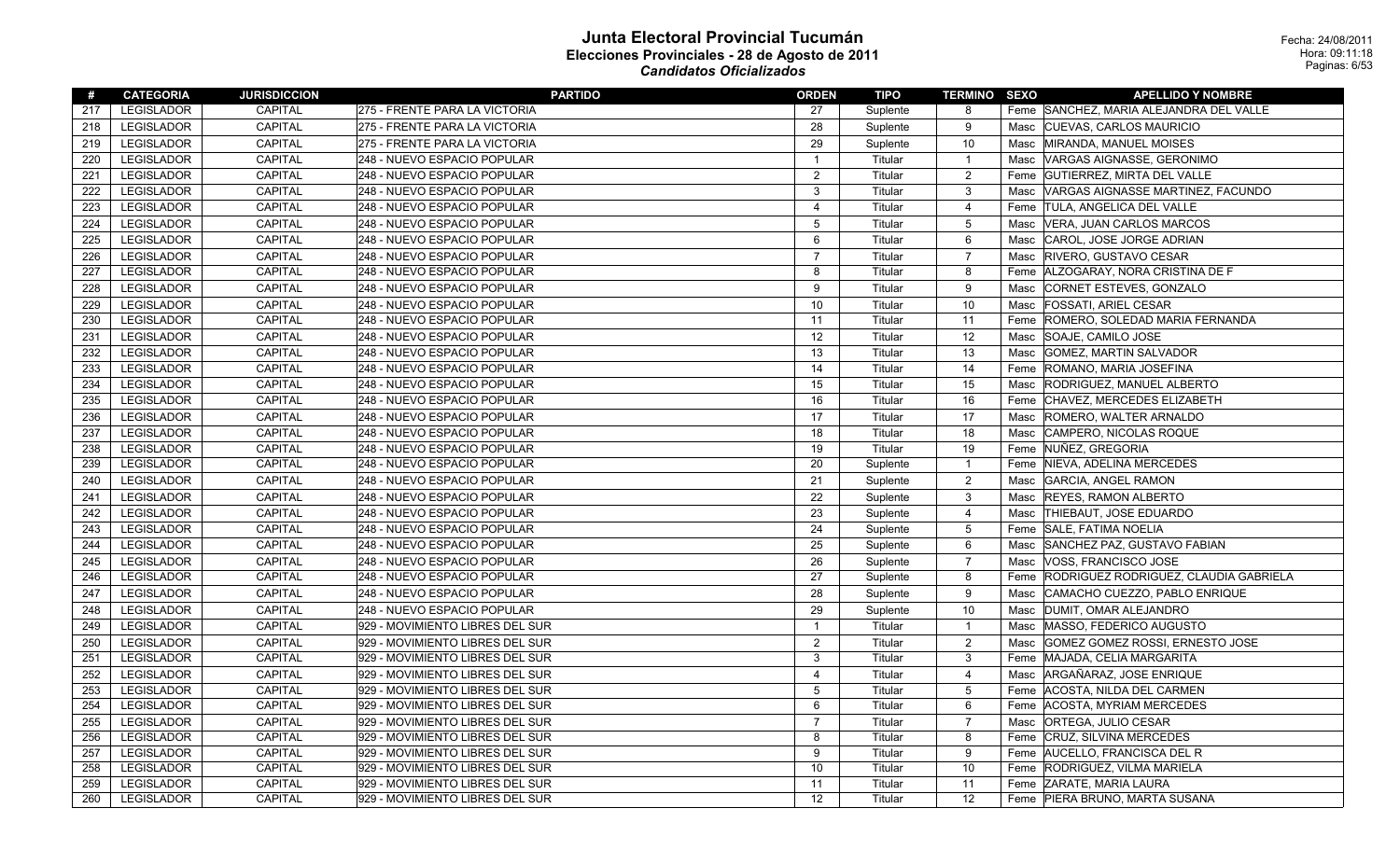| #   | <b>CATEGORIA</b>  | <b>JURISDICCION</b> | <b>PARTIDO</b>                  | <b>ORDEN</b>            | TIPO     | <b>TERMINO SEXO</b> |      | <b>APELLIDO Y NOMBRE</b>                |
|-----|-------------------|---------------------|---------------------------------|-------------------------|----------|---------------------|------|-----------------------------------------|
| 217 | LEGISLADOR        | CAPITAL             | 275 - FRENTE PARA LA VICTORIA   | 27                      | Suplente | 8                   |      | Feme SANCHEZ, MARIA ALEJANDRA DEL VALLE |
| 218 | <b>LEGISLADOR</b> | <b>CAPITAL</b>      | 275 - FRENTE PARA LA VICTORIA   | 28                      | Suplente | 9                   |      | Masc CUEVAS, CARLOS MAURICIO            |
| 219 | LEGISLADOR        | CAPITAL             | 275 - FRENTE PARA LA VICTORIA   | 29                      | Suplente | 10                  |      | Masc MIRANDA, MANUEL MOISES             |
| 220 | <b>LEGISLADOR</b> | CAPITAL             | 248 - NUEVO ESPACIO POPULAR     | $\overline{\mathbf{1}}$ | Titular  | $\overline{1}$      | Masc | VARGAS AIGNASSE, GERONIMO               |
| 221 | <b>LEGISLADOR</b> | CAPITAL             | 248 - NUEVO ESPACIO POPULAR     | $\overline{c}$          | Titular  | $\overline{c}$      |      | Feme GUTIERREZ, MIRTA DEL VALLE         |
| 222 | <b>LEGISLADOR</b> | CAPITAL             | 248 - NUEVO ESPACIO POPULAR     | 3                       | Titular  | 3                   | Masc | VARGAS AIGNASSE MARTINEZ, FACUNDO       |
| 223 | LEGISLADOR        | CAPITAL             | 248 - NUEVO ESPACIO POPULAR     | 4                       | Titular  | 4                   |      | Feme  TULA, ANGELICA DEL VALLE          |
| 224 | <b>LEGISLADOR</b> | CAPITAL             | 248 - NUEVO ESPACIO POPULAR     | 5                       | Titular  | $\overline{5}$      | Masc | VERA, JUAN CARLOS MARCOS                |
| 225 | <b>LEGISLADOR</b> | CAPITAL             | 248 - NUEVO ESPACIO POPULAR     | 6                       | Titular  | 6                   | Masc | CAROL, JOSE JORGE ADRIAN                |
| 226 | <b>LEGISLADOR</b> | <b>CAPITAL</b>      | 248 - NUEVO ESPACIO POPULAR     | $\overline{7}$          | Titular  | $\overline{7}$      | Masc | <b>RIVERO, GUSTAVO CESAR</b>            |
| 227 | <b>LEGISLADOR</b> | CAPITAL             | 248 - NUEVO ESPACIO POPULAR     | 8                       | Titular  | 8                   |      | Feme   ALZOGARAY, NORA CRISTINA DE F    |
| 228 | <b>LEGISLADOR</b> | <b>CAPITAL</b>      | 248 - NUEVO ESPACIO POPULAR     | 9                       | Titular  | 9                   | Masc | CORNET ESTEVES, GONZALO                 |
| 229 | LEGISLADOR        | CAPITAL             | 248 - NUEVO ESPACIO POPULAR     | 10                      | Titular  | 10                  | Masc | <b>FOSSATI, ARIEL CESAR</b>             |
| 230 | LEGISLADOR        | CAPITAL             | 248 - NUEVO ESPACIO POPULAR     | 11                      | Titular  | 11                  |      | Feme ROMERO, SOLEDAD MARIA FERNANDA     |
| 231 | <b>LEGISLADOR</b> | <b>CAPITAL</b>      | 248 - NUEVO ESPACIO POPULAR     | 12                      | Titular  | 12                  | Masc | SOAJE, CAMILO JOSE                      |
| 232 | <b>LEGISLADOR</b> | CAPITAL             | 248 - NUEVO ESPACIO POPULAR     | 13                      | Titular  | 13                  | Masc | <b>GOMEZ, MARTIN SALVADOR</b>           |
| 233 | LEGISLADOR        | CAPITAL             | 248 - NUEVO ESPACIO POPULAR     | 14                      | Titular  | 14                  |      | Feme ROMANO, MARIA JOSEFINA             |
| 234 | <b>LEGISLADOR</b> | <b>CAPITAL</b>      | 248 - NUEVO ESPACIO POPULAR     | 15                      | Titular  | 15                  | Masc | <b>RODRIGUEZ, MANUEL ALBERTO</b>        |
| 235 | LEGISLADOR        | CAPITAL             | 248 - NUEVO ESPACIO POPULAR     | 16                      | Titular  | 16                  | Feme | CHAVEZ, MERCEDES ELIZABETH              |
| 236 | <b>LEGISLADOR</b> | CAPITAL             | 248 - NUEVO ESPACIO POPULAR     | 17                      | Titular  | 17                  |      | Masc ROMERO, WALTER ARNALDO             |
| 237 | <b>LEGISLADOR</b> | <b>CAPITAL</b>      | 248 - NUEVO ESPACIO POPULAR     | 18                      | Titular  | 18                  | Masc | CAMPERO, NICOLAS ROQUE                  |
| 238 | LEGISLADOR        | <b>CAPITAL</b>      | 248 - NUEVO ESPACIO POPULAR     | 19                      | Titular  | 19                  |      | Feme NUÑEZ, GREGORIA                    |
| 239 | <b>LEGISLADOR</b> | CAPITAL             | 248 - NUEVO ESPACIO POPULAR     | 20                      | Suplente | $\overline{1}$      |      | Feme   NIEVA, ADELINA MERCEDES          |
| 240 | <b>LEGISLADOR</b> | <b>CAPITAL</b>      | 248 - NUEVO ESPACIO POPULAR     | 21                      | Suplente | $\overline{2}$      | Masc | <b>GARCIA, ANGEL RAMON</b>              |
| 241 | LEGISLADOR        | CAPITAL             | 248 - NUEVO ESPACIO POPULAR     | 22                      | Suplente | 3                   | Masc | <b>REYES, RAMON ALBERTO</b>             |
| 242 | <b>LEGISLADOR</b> | CAPITAL             | 248 - NUEVO ESPACIO POPULAR     | 23                      | Suplente | $\overline{4}$      |      | Masc  THIEBAUT, JOSE EDUARDO            |
| 243 | <b>LEGISLADOR</b> | CAPITAL             | 248 - NUEVO ESPACIO POPULAR     | 24                      | Suplente | 5                   |      | Feme SALE, FATIMA NOELIA                |
| 244 | <b>LEGISLADOR</b> | CAPITAL             | 248 - NUEVO ESPACIO POPULAR     | 25                      | Suplente | 6                   |      | Masc SANCHEZ PAZ, GUSTAVO FABIAN        |
| 245 | <b>LEGISLADOR</b> | CAPITAL             | 248 - NUEVO ESPACIO POPULAR     | 26                      | Suplente | $\overline{7}$      | Masc | <b>VOSS, FRANCISCO JOSE</b>             |
| 246 | <b>LEGISLADOR</b> | CAPITAL             | 248 - NUEVO ESPACIO POPULAR     | 27                      | Suplente | 8                   | Feme | RODRIGUEZ RODRIGUEZ, CLAUDIA GABRIELA   |
| 247 | LEGISLADOR        | <b>CAPITAL</b>      | 248 - NUEVO ESPACIO POPULAR     | 28                      | Suplente | 9                   | Masc | CAMACHO CUEZZO, PABLO ENRIQUE           |
| 248 | LEGISLADOR        | CAPITAL             | 248 - NUEVO ESPACIO POPULAR     | 29                      | Suplente | 10                  | Masc | DUMIT, OMAR ALEJANDRO                   |
| 249 | <b>LEGISLADOR</b> | CAPITAL             | 929 - MOVIMIENTO LIBRES DEL SUR | $\overline{1}$          | Titular  | $\overline{1}$      |      | Masc MASSO, FEDERICO AUGUSTO            |
| 250 | <b>LEGISLADOR</b> | CAPITAL             | 929 - MOVIMIENTO LIBRES DEL SUR | $\overline{2}$          | Titular  | 2                   | Masc | GOMEZ GOMEZ ROSSI, ERNESTO JOSE         |
| 251 | <b>LEGISLADOR</b> | CAPITAL             | 929 - MOVIMIENTO LIBRES DEL SUR | 3                       | Titular  | $\mathbf{3}$        |      | Feme MAJADA, CELIA MARGARITA            |
| 252 | <b>LEGISLADOR</b> | CAPITAL             | 929 - MOVIMIENTO LIBRES DEL SUR | $\overline{4}$          | Titular  | $\overline{4}$      | Masc | ARGAÑARAZ, JOSE ENRIQUE                 |
| 253 | LEGISLADOR        | CAPITAL             | 929 - MOVIMIENTO LIBRES DEL SUR | $5\phantom{.0}$         | Titular  | $\overline{5}$      |      | Feme   ACOSTA, NILDA DEL CARMEN         |
| 254 | <b>LEGISLADOR</b> | CAPITAL             | 929 - MOVIMIENTO LIBRES DEL SUR | 6                       | Titular  | 6                   |      | Feme   ACOSTA, MYRIAM MERCEDES          |
| 255 | <b>LEGISLADOR</b> | CAPITAL             | 929 - MOVIMIENTO LIBRES DEL SUR | $\overline{7}$          | Titular  | $\overline{7}$      | Masc | ORTEGA, JULIO CESAR                     |
| 256 | <b>LEGISLADOR</b> | CAPITAL             | 929 - MOVIMIENTO LIBRES DEL SUR | 8                       | Titular  | 8                   |      | Feme CRUZ, SILVINA MERCEDES             |
| 257 | <b>LEGISLADOR</b> | CAPITAL             | 929 - MOVIMIENTO LIBRES DEL SUR | 9                       | Titular  | 9                   |      | Feme AUCELLO, FRANCISCA DEL R           |
| 258 | LEGISLADOR        | CAPITAL             | 929 - MOVIMIENTO LIBRES DEL SUR | 10                      | Titular  | 10                  |      | Feme RODRIGUEZ, VILMA MARIELA           |
| 259 | <b>LEGISLADOR</b> | CAPITAL             | 929 - MOVIMIENTO LIBRES DEL SUR | 11                      | Titular  | 11                  |      | Feme ZARATE, MARIA LAURA                |
| 260 | LEGISLADOR        | CAPITAL             | 929 - MOVIMIENTO LIBRES DEL SUR | 12                      | Titular  | 12                  |      | Feme   PIERA BRUNO, MARTA SUSANA        |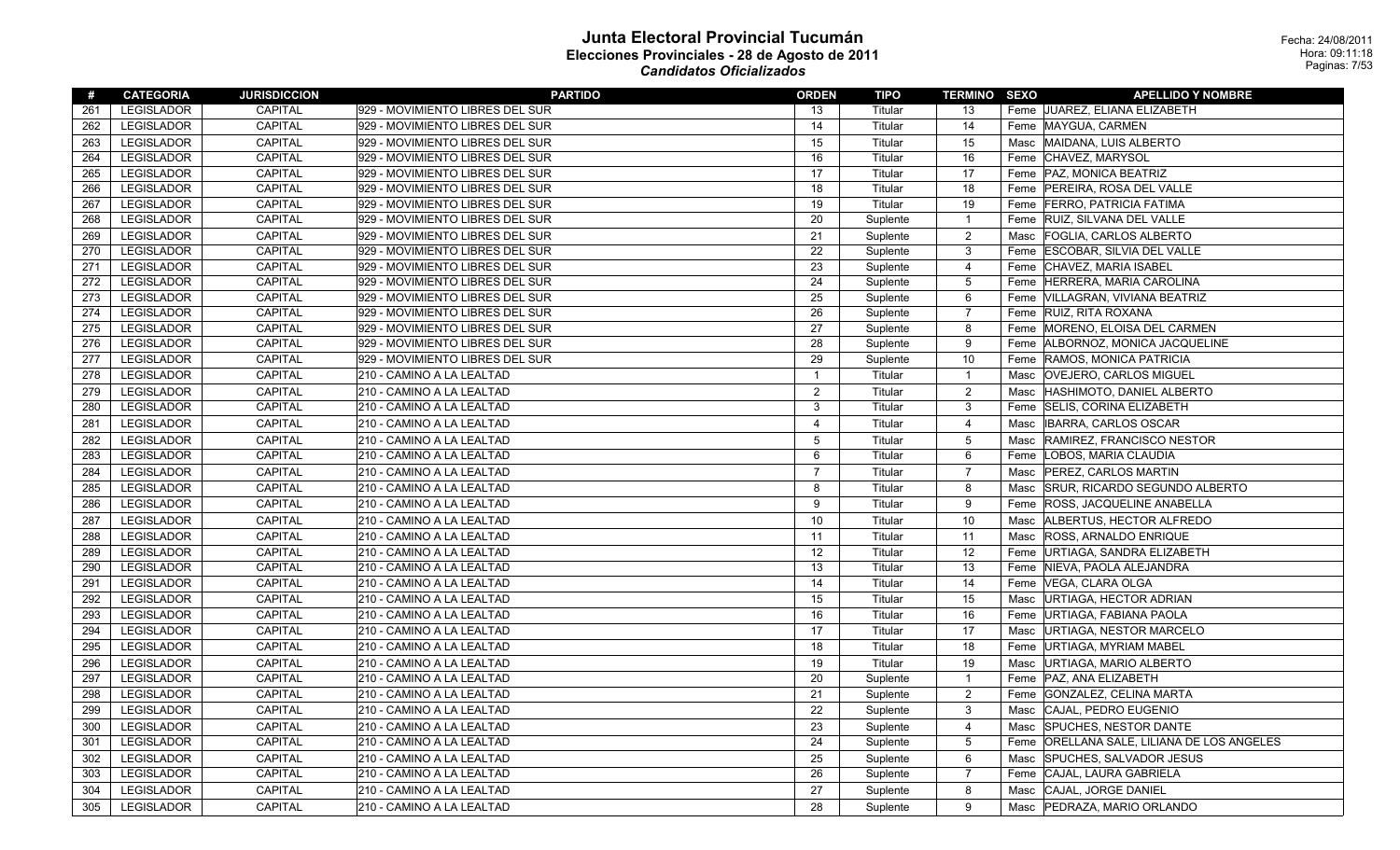| #   | <b>CATEGORIA</b>  | <b>JURISDICCION</b> | <b>PARTIDO</b>                  | <b>ORDEN</b>   | TIPO     | <b>TERMINO SEXO</b> |      | <b>APELLIDO Y NOMBRE</b>                   |
|-----|-------------------|---------------------|---------------------------------|----------------|----------|---------------------|------|--------------------------------------------|
| 261 | LEGISLADOR        | CAPITAL             | 929 - MOVIMIENTO LIBRES DEL SUR | 13             | Titular  | 13                  |      | Feme JUAREZ, ELIANA ELIZABETH              |
| 262 | LEGISLADOR        | CAPITAL             | 929 - MOVIMIENTO LIBRES DEL SUR | 14             | Titular  | 14                  |      | Feme   MAYGUA, CARMEN                      |
| 263 | LEGISLADOR        | <b>CAPITAL</b>      | 929 - MOVIMIENTO LIBRES DEL SUR | 15             | Titular  | 15                  | Masc | MAIDANA, LUIS ALBERTO                      |
| 264 | LEGISLADOR        | CAPITAL             | 929 - MOVIMIENTO LIBRES DEL SUR | 16             | Titular  | 16                  |      | Feme CHAVEZ, MARYSOL                       |
| 265 | LEGISLADOR        | CAPITAL             | 929 - MOVIMIENTO LIBRES DEL SUR | 17             | Titular  | 17                  |      | Feme   PAZ, MONICA BEATRIZ                 |
| 266 | LEGISLADOR        | CAPITAL             | 929 - MOVIMIENTO LIBRES DEL SUR | 18             | Titular  | 18                  |      | Feme PEREIRA, ROSA DEL VALLE               |
| 267 | LEGISLADOR        | CAPITAL             | 929 - MOVIMIENTO LIBRES DEL SUR | 19             | Titular  | 19                  | Feme | <b>FERRO, PATRICIA FATIMA</b>              |
| 268 | LEGISLADOR        | CAPITAL             | 929 - MOVIMIENTO LIBRES DEL SUR | 20             | Suplente | $\overline{1}$      |      | Feme RUIZ, SILVANA DEL VALLE               |
| 269 | LEGISLADOR        | CAPITAL             | 929 - MOVIMIENTO LIBRES DEL SUR | 21             | Suplente | $\overline{2}$      | Masc | <b>FOGLIA, CARLOS ALBERTO</b>              |
| 270 | LEGISLADOR        | CAPITAL             | 929 - MOVIMIENTO LIBRES DEL SUR | 22             | Suplente | $\mathbf{3}$        |      | Feme ESCOBAR, SILVIA DEL VALLE             |
| 271 | LEGISLADOR        | CAPITAL             | 929 - MOVIMIENTO LIBRES DEL SUR | 23             | Suplente | $\overline{4}$      |      | Feme CHAVEZ, MARIA ISABEL                  |
| 272 | LEGISLADOR        | CAPITAL             | 929 - MOVIMIENTO LIBRES DEL SUR | 24             | Suplente | $5\phantom{.0}$     | Feme | HERRERA, MARIA CAROLINA                    |
| 273 | LEGISLADOR        | CAPITAL             | 929 - MOVIMIENTO LIBRES DEL SUR | 25             | Suplente | 6                   |      | Feme VILLAGRAN, VIVIANA BEATRIZ            |
| 274 | LEGISLADOR        | CAPITAL             | 929 - MOVIMIENTO LIBRES DEL SUR | 26             | Suplente | $\overline{7}$      |      | Feme RUIZ, RITA ROXANA                     |
| 275 | LEGISLADOR        | CAPITAL             | 929 - MOVIMIENTO LIBRES DEL SUR | 27             | Suplente | 8                   |      | Feme  MORENO, ELOISA DEL CARMEN            |
| 276 | LEGISLADOR        | CAPITAL             | 929 - MOVIMIENTO LIBRES DEL SUR | 28             | Suplente | 9                   |      | Feme   ALBORNOZ, MONICA JACQUELINE         |
| 277 | LEGISLADOR        | CAPITAL             | 929 - MOVIMIENTO LIBRES DEL SUR | 29             | Suplente | 10                  |      | Feme RAMOS, MONICA PATRICIA                |
| 278 | LEGISLADOR        | <b>CAPITAL</b>      | 210 - CAMINO A LA LEALTAD       | $\mathbf{1}$   | Titular  | $\overline{1}$      | Masc | <b>OVEJERO, CARLOS MIGUEL</b>              |
| 279 | LEGISLADOR        | CAPITAL             | 210 - CAMINO A LA LEALTAD       | $\overline{2}$ | Titular  | $\overline{2}$      | Masc | HASHIMOTO, DANIEL ALBERTO                  |
| 280 | LEGISLADOR        | CAPITAL             | 210 - CAMINO A LA LEALTAD       | 3              | Titular  | $\mathbf{3}$        | Feme | <b>SELIS, CORINA ELIZABETH</b>             |
| 281 | LEGISLADOR        | CAPITAL             | 210 - CAMINO A LA LEALTAD       | 4              | Titular  | $\overline{4}$      | Masc | <b>IBARRA, CARLOS OSCAR</b>                |
| 282 | LEGISLADOR        | CAPITAL             | 210 - CAMINO A LA LEALTAD       | 5              | Titular  | $5\phantom{.0}$     | Masc | <b>RAMIREZ, FRANCISCO NESTOR</b>           |
| 283 | LEGISLADOR        | CAPITAL             | 210 - CAMINO A LA LEALTAD       | 6              | Titular  | 6                   | Feme | LOBOS, MARIA CLAUDIA                       |
| 284 | LEGISLADOR        | CAPITAL             | 210 - CAMINO A LA LEALTAD       | $\overline{7}$ | Titular  | $\overline{7}$      | Masc | <b>PEREZ, CARLOS MARTIN</b>                |
| 285 | LEGISLADOR        | CAPITAL             | 210 - CAMINO A LA LEALTAD       | 8              | Titular  | 8                   | Masc | <b>SRUR, RICARDO SEGUNDO ALBERTO</b>       |
| 286 | LEGISLADOR        | CAPITAL             | 210 - CAMINO A LA LEALTAD       | 9              | Titular  | 9                   | Feme | <b>ROSS, JACQUELINE ANABELLA</b>           |
| 287 | LEGISLADOR        | CAPITAL             | 210 - CAMINO A LA LEALTAD       | 10             | Titular  | 10                  | Masc | ALBERTUS, HECTOR ALFREDO                   |
| 288 | <b>LEGISLADOR</b> | CAPITAL             | 210 - CAMINO A LA LEALTAD       | 11             | Titular  | 11                  | Masc | <b>ROSS, ARNALDO ENRIQUE</b>               |
| 289 | LEGISLADOR        | CAPITAL             | 210 - CAMINO A LA LEALTAD       | 12             | Titular  | 12                  |      | Feme URTIAGA, SANDRA ELIZABETH             |
| 290 | LEGISLADOR        | CAPITAL             | 210 - CAMINO A LA LEALTAD       | 13             | Titular  | 13                  |      | Feme   NIEVA, PAOLA ALEJANDRA              |
| 291 | LEGISLADOR        | CAPITAL             | 210 - CAMINO A LA LEALTAD       | 14             | Titular  | 14                  | Feme | VEGA, CLARA OLGA                           |
| 292 | LEGISLADOR        | CAPITAL             | 210 - CAMINO A LA LEALTAD       | 15             | Titular  | 15                  | Masc | URTIAGA, HECTOR ADRIAN                     |
| 293 | LEGISLADOR        | CAPITAL             | 210 - CAMINO A LA LEALTAD       | 16             | Titular  | 16                  |      | Feme URTIAGA, FABIANA PAOLA                |
| 294 | LEGISLADOR        | CAPITAL             | 210 - CAMINO A LA LEALTAD       | 17             | Titular  | 17                  | Masc | URTIAGA, NESTOR MARCELO                    |
| 295 | LEGISLADOR        | CAPITAL             | 210 - CAMINO A LA LEALTAD       | 18             | Titular  | 18                  | Feme | URTIAGA, MYRIAM MABEL                      |
| 296 | LEGISLADOR        | CAPITAL             | 210 - CAMINO A LA LEALTAD       | 19             | Titular  | 19                  | Masc | URTIAGA, MARIO ALBERTO                     |
| 297 | LEGISLADOR        | CAPITAL             | 210 - CAMINO A LA LEALTAD       | 20             | Suplente | $\overline{1}$      |      | Feme   PAZ, ANA ELIZABETH                  |
| 298 | LEGISLADOR        | CAPITAL             | 210 - CAMINO A LA LEALTAD       | 21             | Suplente | $\overline{2}$      | Feme | <b>GONZALEZ, CELINA MARTA</b>              |
| 299 | LEGISLADOR        | <b>CAPITAL</b>      | 210 - CAMINO A LA LEALTAD       | 22             | Suplente | $\mathbf{3}$        | Masc | CAJAL, PEDRO EUGENIO                       |
| 300 | LEGISLADOR        | CAPITAL             | 210 - CAMINO A LA LEALTAD       | 23             | Suplente | $\overline{4}$      | Masc | <b>SPUCHES, NESTOR DANTE</b>               |
| 301 | LEGISLADOR        | CAPITAL             | 210 - CAMINO A LA LEALTAD       | 24             | Suplente | 5                   |      | Feme ORELLANA SALE, LILIANA DE LOS ANGELES |
| 302 | LEGISLADOR        | CAPITAL             | 210 - CAMINO A LA LEALTAD       | 25             | Suplente | 6                   | Masc | SPUCHES, SALVADOR JESUS                    |
| 303 | LEGISLADOR        | CAPITAL             | 210 - CAMINO A LA LEALTAD       | 26             | Suplente | $\overline{7}$      |      | Feme CAJAL, LAURA GABRIELA                 |
| 304 | LEGISLADOR        | CAPITAL             | 210 - CAMINO A LA LEALTAD       | 27             | Suplente | 8                   |      | Masc CAJAL, JORGE DANIEL                   |
| 305 | LEGISLADOR        | CAPITAL             | 210 - CAMINO A LA LEALTAD       | 28             | Suplente | 9                   | Masc | PEDRAZA, MARIO ORLANDO                     |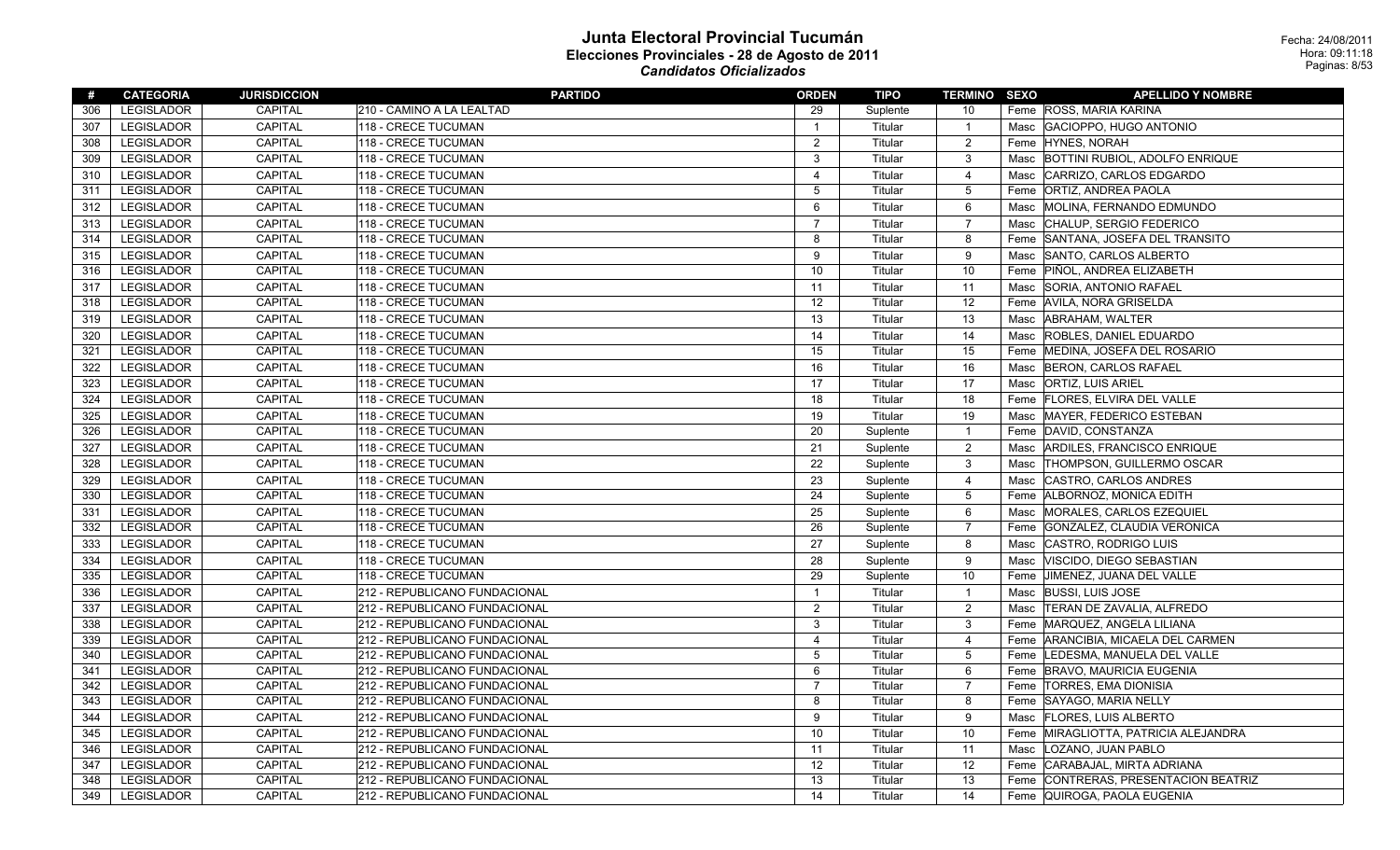| #   | <b>CATEGORIA</b>  | <b>JURISDICCION</b> | <b>PARTIDO</b>                | <b>ORDEN</b>   | TIPO     | <b>TERMINO SEXO</b> | <b>APELLIDO Y NOMBRE</b>                      |
|-----|-------------------|---------------------|-------------------------------|----------------|----------|---------------------|-----------------------------------------------|
| 306 | LEGISLADOR        | CAPITAL             | 210 - CAMINO A LA LEALTAD     | 29             | Suplente | 10                  | Feme ROSS, MARIA KARINA                       |
| 307 | <b>LEGISLADOR</b> | CAPITAL             | 118 - CRECE TUCUMAN           | $\overline{1}$ | Titular  | $\overline{1}$      | Masc GACIOPPO, HUGO ANTONIO                   |
| 308 | LEGISLADOR        | CAPITAL             | 118 - CRECE TUCUMAN           | $\overline{2}$ | Titular  | 2                   | Feme HYNES, NORAH                             |
| 309 | <b>LEGISLADOR</b> | CAPITAL             | 118 - CRECE TUCUMAN           | $\mathbf{3}$   | Titular  | $\mathbf{3}$        | <b>BOTTINI RUBIOL, ADOLFO ENRIQUE</b><br>Masc |
| 310 | <b>LEGISLADOR</b> | CAPITAL             | 118 - CRECE TUCUMAN           | $\overline{4}$ | Titular  | $\overline{4}$      | Masc CARRIZO, CARLOS EDGARDO                  |
| 311 | <b>LEGISLADOR</b> | CAPITAL             | 118 - CRECE TUCUMAN           | 5              | Titular  | $5\phantom{.0}$     | Feme ORTIZ, ANDREA PAOLA                      |
| 312 | <b>LEGISLADOR</b> | CAPITAL             | 118 - CRECE TUCUMAN           | 6              | Titular  | 6                   | MOLINA, FERNANDO EDMUNDO<br>Masc              |
| 313 | <b>LEGISLADOR</b> | CAPITAL             | 118 - CRECE TUCUMAN           | $\overline{7}$ | Titular  | $\overline{7}$      | Masc CHALUP, SERGIO FEDERICO                  |
| 314 | LEGISLADOR        | CAPITAL             | 118 - CRECE TUCUMAN           | 8              | Titular  | 8                   | Feme SANTANA, JOSEFA DEL TRANSITO             |
| 315 | <b>LEGISLADOR</b> | CAPITAL             | 118 - CRECE TUCUMAN           | 9              | Titular  | 9                   | SANTO, CARLOS ALBERTO<br>Masc                 |
| 316 | <b>LEGISLADOR</b> | <b>CAPITAL</b>      | 118 - CRECE TUCUMAN           | 10             | Titular  | 10                  | Feme PIÑOL, ANDREA ELIZABETH                  |
| 317 | <b>LEGISLADOR</b> | <b>CAPITAL</b>      | 118 - CRECE TUCUMAN           | 11             | Titular  | 11                  | SORIA, ANTONIO RAFAEL<br>Masc                 |
| 318 | LEGISLADOR        | CAPITAL             | 118 - CRECE TUCUMAN           | 12             | Titular  | 12                  | Feme AVILA, NORA GRISELDA                     |
| 319 | <b>LEGISLADOR</b> | CAPITAL             | 118 - CRECE TUCUMAN           | 13             | Titular  | 13                  | Masc ABRAHAM, WALTER                          |
| 320 | <b>LEGISLADOR</b> | <b>CAPITAL</b>      | 118 - CRECE TUCUMAN           | 14             | Titular  | 14                  | ROBLES, DANIEL EDUARDO<br>Masc                |
| 321 | LEGISLADOR        | CAPITAL             | 118 - CRECE TUCUMAN           | 15             | Titular  | 15                  | Feme MEDINA, JOSEFA DEL ROSARIO               |
| 322 | <b>LEGISLADOR</b> | CAPITAL             | 118 - CRECE TUCUMAN           | 16             | Titular  | 16                  | Masc BERON, CARLOS RAFAEL                     |
| 323 | <b>LEGISLADOR</b> | <b>CAPITAL</b>      | 118 - CRECE TUCUMAN           | 17             | Titular  | 17                  | <b>ORTIZ, LUIS ARIEL</b><br>Masc              |
| 324 | <b>LEGISLADOR</b> | CAPITAL             | 118 - CRECE TUCUMAN           | 18             | Titular  | 18                  | Feme   FLORES, ELVIRA DEL VALLE               |
| 325 | <b>LEGISLADOR</b> | CAPITAL             | 118 - CRECE TUCUMAN           | 19             | Titular  | 19                  | Masc MAYER, FEDERICO ESTEBAN                  |
| 326 | <b>LEGISLADOR</b> | CAPITAL             | 118 - CRECE TUCUMAN           | 20             | Suplente | $\overline{1}$      | DAVID, CONSTANZA<br>Feme                      |
| 327 | LEGISLADOR        | CAPITAL             | 118 - CRECE TUCUMAN           | 21             | Suplente | $\overline{2}$      | ARDILES, FRANCISCO ENRIQUE<br>Masc            |
| 328 | <b>LEGISLADOR</b> | CAPITAL             | 118 - CRECE TUCUMAN           | 22             | Suplente | $\mathbf{3}$        | <b>THOMPSON, GUILLERMO OSCAR</b><br>Masc      |
| 329 | <b>LEGISLADOR</b> | <b>CAPITAL</b>      | 118 - CRECE TUCUMAN           | 23             | Suplente | $\overline{4}$      | CASTRO, CARLOS ANDRES<br>Masc                 |
| 330 | LEGISLADOR        | CAPITAL             | 118 - CRECE TUCUMAN           | 24             | Suplente | $\mathbf 5$         | Feme ALBORNOZ, MONICA EDITH                   |
| 331 | <b>LEGISLADOR</b> | CAPITAL             | 118 - CRECE TUCUMAN           | 25             | Suplente | 6                   | Masc MORALES, CARLOS EZEQUIEL                 |
| 332 | <b>LEGISLADOR</b> | CAPITAL             | 118 - CRECE TUCUMAN           | 26             | Suplente | $\overline{7}$      | GONZALEZ, CLAUDIA VERONICA<br>Feme            |
| 333 | <b>LEGISLADOR</b> | CAPITAL             | 118 - CRECE TUCUMAN           | 27             | Suplente | 8                   | Masc CASTRO, RODRIGO LUIS                     |
| 334 | <b>LEGISLADOR</b> | CAPITAL             | 118 - CRECE TUCUMAN           | 28             | Suplente | 9                   | <b>VISCIDO, DIEGO SEBASTIAN</b><br>Masc       |
| 335 | <b>LEGISLADOR</b> | CAPITAL             | 118 - CRECE TUCUMAN           | 29             | Suplente | 10                  | JIMENEZ, JUANA DEL VALLE<br>Feme              |
| 336 | <b>LEGISLADOR</b> | CAPITAL             | 212 - REPUBLICANO FUNDACIONAL | $\overline{1}$ | Titular  | $\overline{1}$      | <b>BUSSI, LUIS JOSE</b><br>Masc               |
| 337 | <b>LEGISLADOR</b> | CAPITAL             | 212 - REPUBLICANO FUNDACIONAL | $\overline{2}$ | Titular  | $\overline{2}$      | TERAN DE ZAVALIA, ALFREDO<br>Masc             |
| 338 | <b>LEGISLADOR</b> | CAPITAL             | 212 - REPUBLICANO FUNDACIONAL | 3              | Titular  | $\mathbf{3}$        | Feme MARQUEZ, ANGELA LILIANA                  |
| 339 | <b>LEGISLADOR</b> | CAPITAL             | 212 - REPUBLICANO FUNDACIONAL | 4              | Titular  | $\overline{4}$      | Feme ARANCIBIA, MICAELA DEL CARMEN            |
| 340 | <b>LEGISLADOR</b> | CAPITAL             | 212 - REPUBLICANO FUNDACIONAL | 5              | Titular  | 5                   | Feme LEDESMA, MANUELA DEL VALLE               |
| 341 | <b>LEGISLADOR</b> | <b>CAPITAL</b>      | 212 - REPUBLICANO FUNDACIONAL | 6              | Titular  | 6                   | Feme BRAVO, MAURICIA EUGENIA                  |
| 342 | LEGISLADOR        | CAPITAL             | 212 - REPUBLICANO FUNDACIONAL | $\overline{7}$ | Titular  | $\overline{7}$      | Feme   TORRES, EMA DIONISIA                   |
| 343 | <b>LEGISLADOR</b> | <b>CAPITAL</b>      | 212 - REPUBLICANO FUNDACIONAL | 8              | Titular  | 8                   | Feme SAYAGO, MARIA NELLY                      |
| 344 | <b>LEGISLADOR</b> | CAPITAL             | 212 - REPUBLICANO FUNDACIONAL | 9              | Titular  | 9                   | <b>FLORES, LUIS ALBERTO</b><br>Masc           |
| 345 | LEGISLADOR        | CAPITAL             | 212 - REPUBLICANO FUNDACIONAL | 10             | Titular  | 10                  | Feme MIRAGLIOTTA, PATRICIA ALEJANDRA          |
| 346 | <b>LEGISLADOR</b> | CAPITAL             | 212 - REPUBLICANO FUNDACIONAL | 11             | Titular  | 11                  | Masc   LOZANO, JUAN PABLO                     |
| 347 | <b>LEGISLADOR</b> | CAPITAL             | 212 - REPUBLICANO FUNDACIONAL | 12             | Titular  | 12                  | Feme CARABAJAL, MIRTA ADRIANA                 |
| 348 | <b>LEGISLADOR</b> | CAPITAL             | 212 - REPUBLICANO FUNDACIONAL | 13             | Titular  | 13                  | CONTRERAS, PRESENTACION BEATRIZ<br>Feme       |
| 349 | <b>LEGISLADOR</b> | CAPITAL             | 212 - REPUBLICANO FUNDACIONAL | 14             | Titular  | 14                  | Feme   QUIROGA, PAOLA EUGENIA                 |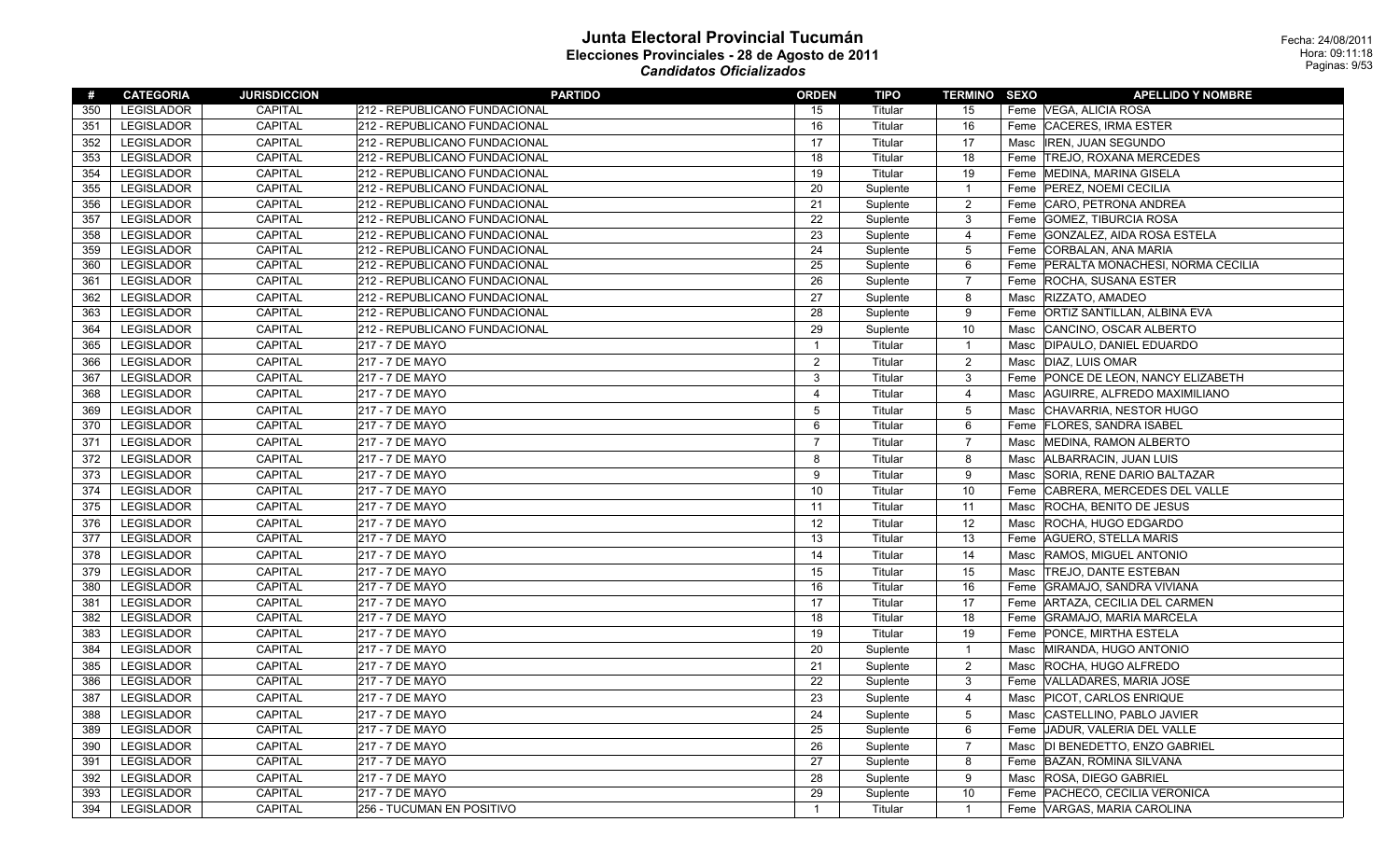| #   | <b>CATEGORIA</b>  | <b>JURISDICCION</b> | <b>PARTIDO</b>                | <b>ORDEN</b>   | <b>TIPO</b> | <b>TERMINO SEXO</b> | <b>APELLIDO Y NOMBRE</b>                |
|-----|-------------------|---------------------|-------------------------------|----------------|-------------|---------------------|-----------------------------------------|
| 350 | <b>LEGISLADOR</b> | CAPITAL             | 212 - REPUBLICANO FUNDACIONAL | 15             | Titular     | 15                  | Feme   VEGA, ALICIA ROSA                |
| 351 | LEGISLADOR        | <b>CAPITAL</b>      | 212 - REPUBLICANO FUNDACIONAL | 16             | Titular     | 16                  | Feme CACERES, IRMA ESTER                |
| 352 | <b>LEGISLADOR</b> | <b>CAPITAL</b>      | 212 - REPUBLICANO FUNDACIONAL | 17             | Titular     | 17                  | <b>IREN, JUAN SEGUNDO</b><br>Masc       |
| 353 | LEGISLADOR        | CAPITAL             | 212 - REPUBLICANO FUNDACIONAL | 18             | Titular     | 18                  | Feme TREJO, ROXANA MERCEDES             |
| 354 | LEGISLADOR        | CAPITAL             | 212 - REPUBLICANO FUNDACIONAL | 19             | Titular     | 19                  | Feme   MEDINA, MARINA GISELA            |
| 355 | <b>LEGISLADOR</b> | CAPITAL             | 212 - REPUBLICANO FUNDACIONAL | 20             | Suplente    | $\mathbf{1}$        | Feme   PEREZ, NOEMI CECILIA             |
| 356 | <b>LEGISLADOR</b> | CAPITAL             | 212 - REPUBLICANO FUNDACIONAL | 21             | Suplente    | $\boldsymbol{2}$    | CARO, PETRONA ANDREA<br>Feme            |
| 357 | <b>LEGISLADOR</b> | <b>CAPITAL</b>      | 212 - REPUBLICANO FUNDACIONAL | 22             | Suplente    | 3                   | Feme GOMEZ, TIBURCIA ROSA               |
| 358 | LEGISLADOR        | <b>CAPITAL</b>      | 212 - REPUBLICANO FUNDACIONAL | 23             | Suplente    | 4                   | GONZALEZ, AIDA ROSA ESTELA<br>Feme      |
| 359 | LEGISLADOR        | CAPITAL             | 212 - REPUBLICANO FUNDACIONAL | 24             | Suplente    | 5                   | Feme CORBALAN, ANA MARIA                |
| 360 | <b>LEGISLADOR</b> | CAPITAL             | 212 - REPUBLICANO FUNDACIONAL | 25             | Suplente    | 6                   | Feme   PERALTA MONACHESI, NORMA CECILIA |
| 361 | <b>LEGISLADOR</b> | CAPITAL             | 212 - REPUBLICANO FUNDACIONAL | 26             | Suplente    | $\overline{7}$      | Feme ROCHA, SUSANA ESTER                |
| 362 | <b>LEGISLADOR</b> | CAPITAL             | 212 - REPUBLICANO FUNDACIONAL | 27             | Suplente    | 8                   | <b>RIZZATO, AMADEO</b><br>Masc          |
| 363 | <b>LEGISLADOR</b> | CAPITAL             | 212 - REPUBLICANO FUNDACIONAL | 28             | Suplente    | 9                   | Feme ORTIZ SANTILLAN, ALBINA EVA        |
| 364 | <b>LEGISLADOR</b> | <b>CAPITAL</b>      | 212 - REPUBLICANO FUNDACIONAL | 29             | Suplente    | 10                  | CANCINO, OSCAR ALBERTO<br>Masc          |
| 365 | <b>LEGISLADOR</b> | <b>CAPITAL</b>      | 217 - 7 DE MAYO               | $\mathbf{1}$   | Titular     | $\mathbf{1}$        | DIPAULO, DANIEL EDUARDO<br>Masc         |
| 366 | LEGISLADOR        | <b>CAPITAL</b>      | 217 - 7 DE MAYO               | $\overline{2}$ | Titular     | $\overline{c}$      | Masc   DIAZ, LUIS OMAR                  |
| 367 | <b>LEGISLADOR</b> | CAPITAL             | 217 - 7 DE MAYO               | 3              | Titular     | 3                   | Feme PONCE DE LEON, NANCY ELIZABETH     |
| 368 | <b>LEGISLADOR</b> | <b>CAPITAL</b>      | 217 - 7 DE MAYO               | $\overline{4}$ | Titular     | $\overline{4}$      | AGUIRRE, ALFREDO MAXIMILIANO<br>Masc    |
| 369 | LEGISLADOR        | <b>CAPITAL</b>      | 217 - 7 DE MAYO               | 5              | Titular     | $\mathbf 5$         | CHAVARRIA, NESTOR HUGO<br>Masc          |
| 370 | <b>LEGISLADOR</b> | CAPITAL             | 217 - 7 DE MAYO               | 6              | Titular     | 6                   | Feme   FLORES, SANDRA ISABEL            |
| 371 | <b>LEGISLADOR</b> | CAPITAL             | 217 - 7 DE MAYO               | $\overline{7}$ | Titular     | $\overline{7}$      | Masc<br>MEDINA, RAMON ALBERTO           |
| 372 | <b>LEGISLADOR</b> | <b>CAPITAL</b>      | 217 - 7 DE MAYO               | 8              | Titular     | 8                   | ALBARRACIN, JUAN LUIS<br>Masc           |
| 373 | <b>LEGISLADOR</b> | <b>CAPITAL</b>      | 217 - 7 DE MAYO               | 9              | Titular     | 9                   | SORIA, RENE DARIO BALTAZAR<br>Masc      |
| 374 | LEGISLADOR        | CAPITAL             | 217 - 7 DE MAYO               | 10             | Titular     | 10                  | CABRERA, MERCEDES DEL VALLE<br>Feme     |
| 375 | <b>LEGISLADOR</b> | <b>CAPITAL</b>      | 217 - 7 DE MAYO               | 11             | Titular     | 11                  | <b>ROCHA, BENITO DE JESUS</b><br>Masc   |
| 376 | <b>LEGISLADOR</b> | CAPITAL             | 217 - 7 DE MAYO               | 12             | Titular     | 12                  | ROCHA, HUGO EDGARDO<br>Masc             |
| 377 | <b>LEGISLADOR</b> | <b>CAPITAL</b>      | 217 - 7 DE MAYO               | 13             | Titular     | 13                  | Feme AGUERO, STELLA MARIS               |
| 378 | <b>LEGISLADOR</b> | CAPITAL             | 217 - 7 DE MAYO               | 14             | Titular     | 14                  | <b>RAMOS, MIGUEL ANTONIO</b><br>Masc    |
| 379 | <b>LEGISLADOR</b> | <b>CAPITAL</b>      | 217 - 7 DE MAYO               | 15             | Titular     | 15                  | Masc TREJO, DANTE ESTEBAN               |
| 380 | <b>LEGISLADOR</b> | CAPITAL             | 217 - 7 DE MAYO               | 16             | Titular     | 16                  | Feme GRAMAJO, SANDRA VIVIANA            |
| 381 | LEGISLADOR        | CAPITAL             | 217 - 7 DE MAYO               | 17             | Titular     | 17                  | Feme   ARTAZA, CECILIA DEL CARMEN       |
| 382 | <b>LEGISLADOR</b> | CAPITAL             | 217 - 7 DE MAYO               | 18             | Titular     | 18                  | Feme GRAMAJO, MARIA MARCELA             |
| 383 | LEGISLADOR        | <b>CAPITAL</b>      | 217 - 7 DE MAYO               | 19             | Titular     | 19                  | Feme PONCE, MIRTHA ESTELA               |
| 384 | <b>LEGISLADOR</b> | CAPITAL             | 217 - 7 DE MAYO               | 20             | Suplente    | $\overline{1}$      | Masc<br>MIRANDA, HUGO ANTONIO           |
| 385 | <b>LEGISLADOR</b> | <b>CAPITAL</b>      | 217 - 7 DE MAYO               | 21             | Suplente    | $\boldsymbol{2}$    | ROCHA, HUGO ALFREDO<br>Masc             |
| 386 | <b>LEGISLADOR</b> | <b>CAPITAL</b>      | 217 - 7 DE MAYO               | 22             | Suplente    | 3                   | Feme VALLADARES, MARIA JOSE             |
| 387 | <b>LEGISLADOR</b> | CAPITAL             | 217 - 7 DE MAYO               | 23             | Suplente    | 4                   | Masc   PICOT, CARLOS ENRIQUE            |
| 388 | <b>LEGISLADOR</b> | <b>CAPITAL</b>      | 217 - 7 DE MAYO               | 24             | Suplente    | $\overline{5}$      | Masc CASTELLINO, PABLO JAVIER           |
| 389 | <b>LEGISLADOR</b> | CAPITAL             | 217 - 7 DE MAYO               | 25             | Suplente    | 6                   | Feme JJADUR, VALERIA DEL VALLE          |
| 390 | LEGISLADOR        | <b>CAPITAL</b>      | 217 - 7 DE MAYO               | 26             | Suplente    | $\overline{7}$      | Masc  DI BENEDETTO, ENZO GABRIEL        |
| 391 | <b>LEGISLADOR</b> | CAPITAL             | 217 - 7 DE MAYO               | 27             | Suplente    | 8                   | Feme BAZAN, ROMINA SILVANA              |
| 392 | LEGISLADOR        | <b>CAPITAL</b>      | 217 - 7 DE MAYO               | 28             | Suplente    | 9                   | <b>ROSA, DIEGO GABRIEL</b><br>Masc      |
| 393 | <b>LEGISLADOR</b> | <b>CAPITAL</b>      | 217 - 7 DE MAYO               | 29             | Suplente    | 10                  | Feme PACHECO, CECILIA VERONICA          |
| 394 | <b>LEGISLADOR</b> | <b>CAPITAL</b>      | 256 - TUCUMAN EN POSITIVO     | $\mathbf{1}$   | Titular     | $\mathbf{1}$        | Feme VARGAS, MARIA CAROLINA             |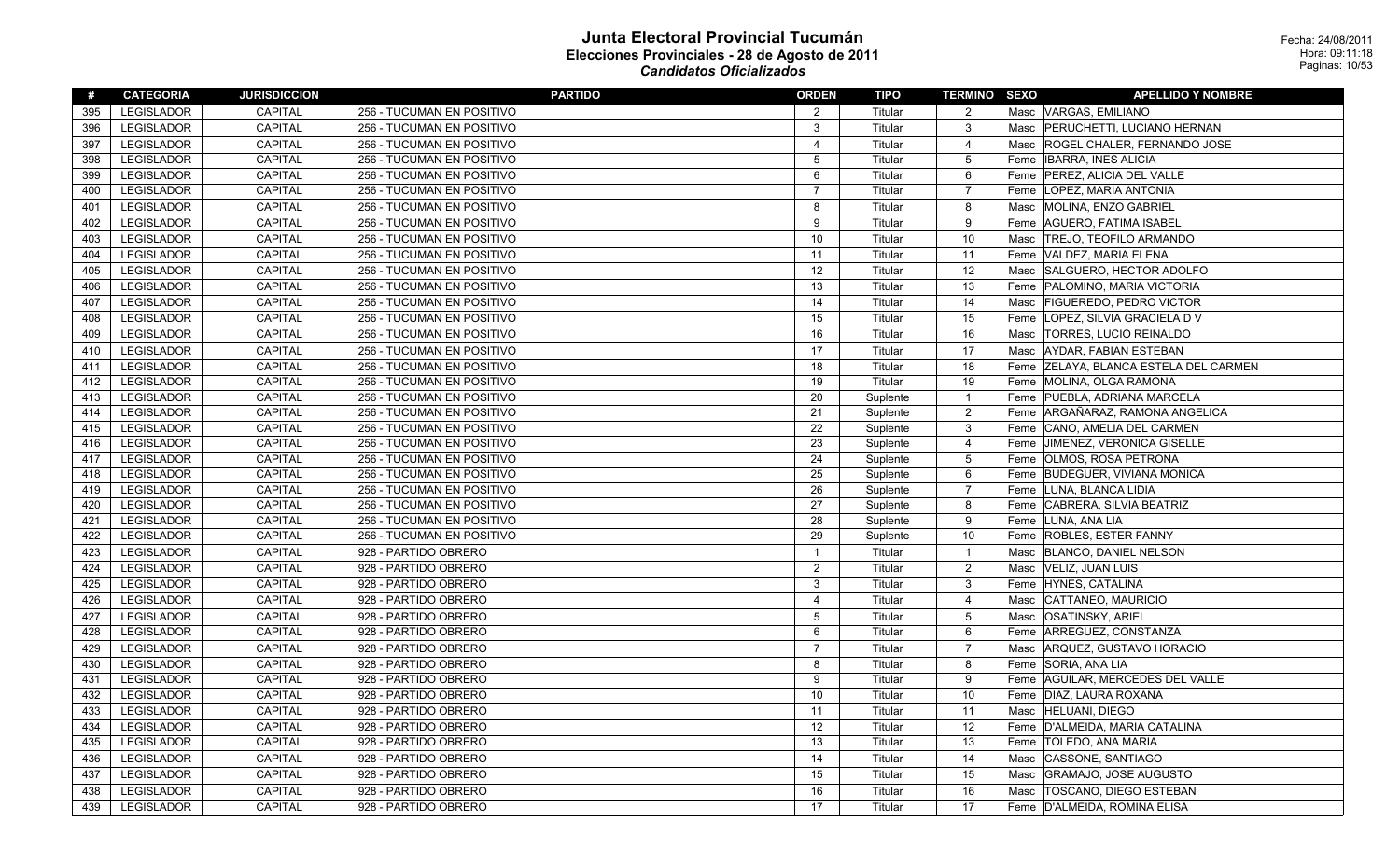| #   | <b>CATEGORIA</b>  | <b>JURISDICCION</b> | <b>PARTIDO</b>                   | <b>ORDEN</b>            | TIPO     | <b>TERMINO SEXO</b> |      | <b>APELLIDO Y NOMBRE</b>              |
|-----|-------------------|---------------------|----------------------------------|-------------------------|----------|---------------------|------|---------------------------------------|
| 395 | LEGISLADOR        | CAPITAL             | <b>256 - TUCUMAN EN POSITIVO</b> | 2                       | Titular  | 2                   |      | Masc VARGAS, EMILIANO                 |
| 396 | LEGISLADOR        | CAPITAL             | <b>256 - TUCUMAN EN POSITIVO</b> | 3                       | Titular  | $\mathbf{3}$        |      | Masc PERUCHETTI, LUCIANO HERNAN       |
| 397 | LEGISLADOR        | CAPITAL             | 256 - TUCUMAN EN POSITIVO        | $\overline{\mathbf{4}}$ | Titular  | $\overline{4}$      | Masc | ROGEL CHALER, FERNANDO JOSE           |
| 398 | LEGISLADOR        | CAPITAL             | 256 - TUCUMAN EN POSITIVO        | 5                       | Titular  | $5\phantom{.0}$     | Feme | <b>IBARRA, INES ALICIA</b>            |
| 399 | LEGISLADOR        | CAPITAL             | 256 - TUCUMAN EN POSITIVO        | 6                       | Titular  | 6                   | Feme | PEREZ, ALICIA DEL VALLE               |
| 400 | LEGISLADOR        | <b>CAPITAL</b>      | <b>256 - TUCUMAN EN POSITIVO</b> | 7                       | Titular  | $\overline{7}$      | Feme | LOPEZ, MARIA ANTONIA                  |
| 401 | LEGISLADOR        | CAPITAL             | 256 - TUCUMAN EN POSITIVO        | 8                       | Titular  | 8                   | Masc | MOLINA, ENZO GABRIEL                  |
| 402 | LEGISLADOR        | CAPITAL             | <b>256 - TUCUMAN EN POSITIVO</b> | 9                       | Titular  | 9                   |      | Feme   AGUERO, FATIMA ISABEL          |
| 403 | LEGISLADOR        | <b>CAPITAL</b>      | 256 - TUCUMAN EN POSITIVO        | 10                      | Titular  | 10                  | Masc | <b>TREJO, TEOFILO ARMANDO</b>         |
| 404 | LEGISLADOR        | CAPITAL             | 256 - TUCUMAN EN POSITIVO        | 11                      | Titular  | 11                  |      | Feme VALDEZ, MARIA ELENA              |
| 405 | LEGISLADOR        | CAPITAL             | <b>256 - TUCUMAN EN POSITIVO</b> | 12                      | Titular  | 12                  | Masc | SALGUERO, HECTOR ADOLFO               |
| 406 | LEGISLADOR        | CAPITAL             | <b>256 - TUCUMAN EN POSITIVO</b> | 13                      | Titular  | 13                  | Feme | PALOMINO, MARIA VICTORIA              |
| 407 | LEGISLADOR        | CAPITAL             | <b>256 - TUCUMAN EN POSITIVO</b> | 14                      | Titular  | 14                  | Masc | <b>FIGUEREDO, PEDRO VICTOR</b>        |
| 408 | LEGISLADOR        | CAPITAL             | 256 - TUCUMAN EN POSITIVO        | 15                      | Titular  | 15                  | Feme | LOPEZ, SILVIA GRACIELA D V            |
| 409 | LEGISLADOR        | CAPITAL             | <b>256 - TUCUMAN EN POSITIVO</b> | 16                      | Titular  | 16                  | Masc | TORRES, LUCIO REINALDO                |
| 410 | LEGISLADOR        | CAPITAL             | <b>256 - TUCUMAN EN POSITIVO</b> | 17                      | Titular  | 17                  | Masc | AYDAR, FABIAN ESTEBAN                 |
| 411 | LEGISLADOR        | CAPITAL             | 256 - TUCUMAN EN POSITIVO        | 18                      | Titular  | 18                  |      | Feme ZELAYA, BLANCA ESTELA DEL CARMEN |
| 412 | LEGISLADOR        | <b>CAPITAL</b>      | <b>256 - TUCUMAN EN POSITIVO</b> | 19                      | Titular  | 19                  |      | Feme MOLINA, OLGA RAMONA              |
| 413 | LEGISLADOR        | CAPITAL             | <b>256 - TUCUMAN EN POSITIVO</b> | 20                      | Suplente | $\overline{1}$      |      | Feme PUEBLA, ADRIANA MARCELA          |
| 414 | LEGISLADOR        | CAPITAL             | 256 - TUCUMAN EN POSITIVO        | 21                      | Suplente | $\overline{2}$      |      | Feme ARGAÑARAZ, RAMONA ANGELICA       |
| 415 | LEGISLADOR        | CAPITAL             | <b>256 - TUCUMAN EN POSITIVO</b> | 22                      | Suplente | $\mathbf{3}$        | Feme | CANO, AMELIA DEL CARMEN               |
| 416 | LEGISLADOR        | CAPITAL             | 256 - TUCUMAN EN POSITIVO        | 23                      | Suplente | $\overline{4}$      | Feme | <b>JIMENEZ, VERONICA GISELLE</b>      |
| 417 | <b>LEGISLADOR</b> | CAPITAL             | 256 - TUCUMAN EN POSITIVO        | 24                      | Suplente | $5\,$               |      | Feme   OLMOS, ROSA PETRONA            |
| 418 | LEGISLADOR        | CAPITAL             | 256 - TUCUMAN EN POSITIVO        | 25                      | Suplente | 6                   |      | Feme BUDEGUER, VIVIANA MONICA         |
| 419 | LEGISLADOR        | CAPITAL             | 256 - TUCUMAN EN POSITIVO        | 26                      | Suplente | $\overline{7}$      |      | Feme LUNA, BLANCA LIDIA               |
| 420 | LEGISLADOR        | CAPITAL             | <b>256 - TUCUMAN EN POSITIVO</b> | 27                      | Suplente | 8                   | Feme | CABRERA, SILVIA BEATRIZ               |
| 421 | LEGISLADOR        | CAPITAL             | 256 - TUCUMAN EN POSITIVO        | 28                      | Suplente | 9                   | Feme | LUNA, ANA LIA                         |
| 422 | LEGISLADOR        | CAPITAL             | 256 - TUCUMAN EN POSITIVO        | 29                      | Suplente | 10                  |      | Feme ROBLES, ESTER FANNY              |
| 423 | LEGISLADOR        | CAPITAL             | 928 - PARTIDO OBRERO             | $\overline{1}$          | Titular  | $\overline{1}$      | Masc | <b>BLANCO, DANIEL NELSON</b>          |
| 424 | LEGISLADOR        | CAPITAL             | 928 - PARTIDO OBRERO             | $\overline{c}$          | Titular  | $\overline{2}$      | Masc | VELIZ, JUAN LUIS                      |
| 425 | LEGISLADOR        | CAPITAL             | 928 - PARTIDO OBRERO             | 3                       | Titular  | 3                   |      | Feme HYNES, CATALINA                  |
| 426 | LEGISLADOR        | CAPITAL             | 928 - PARTIDO OBRERO             | 4                       | Titular  | $\overline{4}$      | Masc | CATTANEO, MAURICIO                    |
| 427 | LEGISLADOR        | <b>CAPITAL</b>      | 928 - PARTIDO OBRERO             | 5                       | Titular  | 5                   | Masc | <b>OSATINSKY, ARIEL</b>               |
| 428 | LEGISLADOR        | CAPITAL             | 928 - PARTIDO OBRERO             | 6                       | Titular  | 6                   | Feme | ARREGUEZ, CONSTANZA                   |
| 429 | LEGISLADOR        | CAPITAL             | 928 - PARTIDO OBRERO             | $\overline{7}$          | Titular  | $\overline{7}$      | Masc | ARQUEZ, GUSTAVO HORACIO               |
| 430 | LEGISLADOR        | CAPITAL             | 928 - PARTIDO OBRERO             | 8                       | Titular  | 8                   |      | Feme SORIA, ANA LIA                   |
| 431 | LEGISLADOR        | CAPITAL             | 928 - PARTIDO OBRERO             | 9                       | Titular  | 9                   | Feme | AGUILAR, MERCEDES DEL VALLE           |
| 432 | LEGISLADOR        | CAPITAL             | 928 - PARTIDO OBRERO             | 10                      | Titular  | 10                  | Feme | DIAZ, LAURA ROXANA                    |
| 433 | LEGISLADOR        | CAPITAL             | 928 - PARTIDO OBRERO             | 11                      | Titular  | 11                  |      | Masc HELUANI, DIEGO                   |
| 434 | LEGISLADOR        | CAPITAL             | 928 - PARTIDO OBRERO             | 12                      | Titular  | 12                  |      | Feme D'ALMEIDA, MARIA CATALINA        |
| 435 | LEGISLADOR        | CAPITAL             | 928 - PARTIDO OBRERO             | 13                      | Titular  | 13                  |      | Feme   TOLEDO, ANA MARIA              |
| 436 | LEGISLADOR        | CAPITAL             | 928 - PARTIDO OBRERO             | 14                      | Titular  | 14                  | Masc | CASSONE, SANTIAGO                     |
| 437 | LEGISLADOR        | CAPITAL             | 928 - PARTIDO OBRERO             | 15                      | Titular  | 15                  | Masc | GRAMAJO, JOSE AUGUSTO                 |
| 438 | LEGISLADOR        | CAPITAL             | 928 - PARTIDO OBRERO             | 16                      | Titular  | 16                  | Masc | <b>TOSCANO, DIEGO ESTEBAN</b>         |
| 439 | LEGISLADOR        | CAPITAL             | 928 - PARTIDO OBRERO             | 17                      | Titular  | 17                  |      | Feme D'ALMEIDA, ROMINA ELISA          |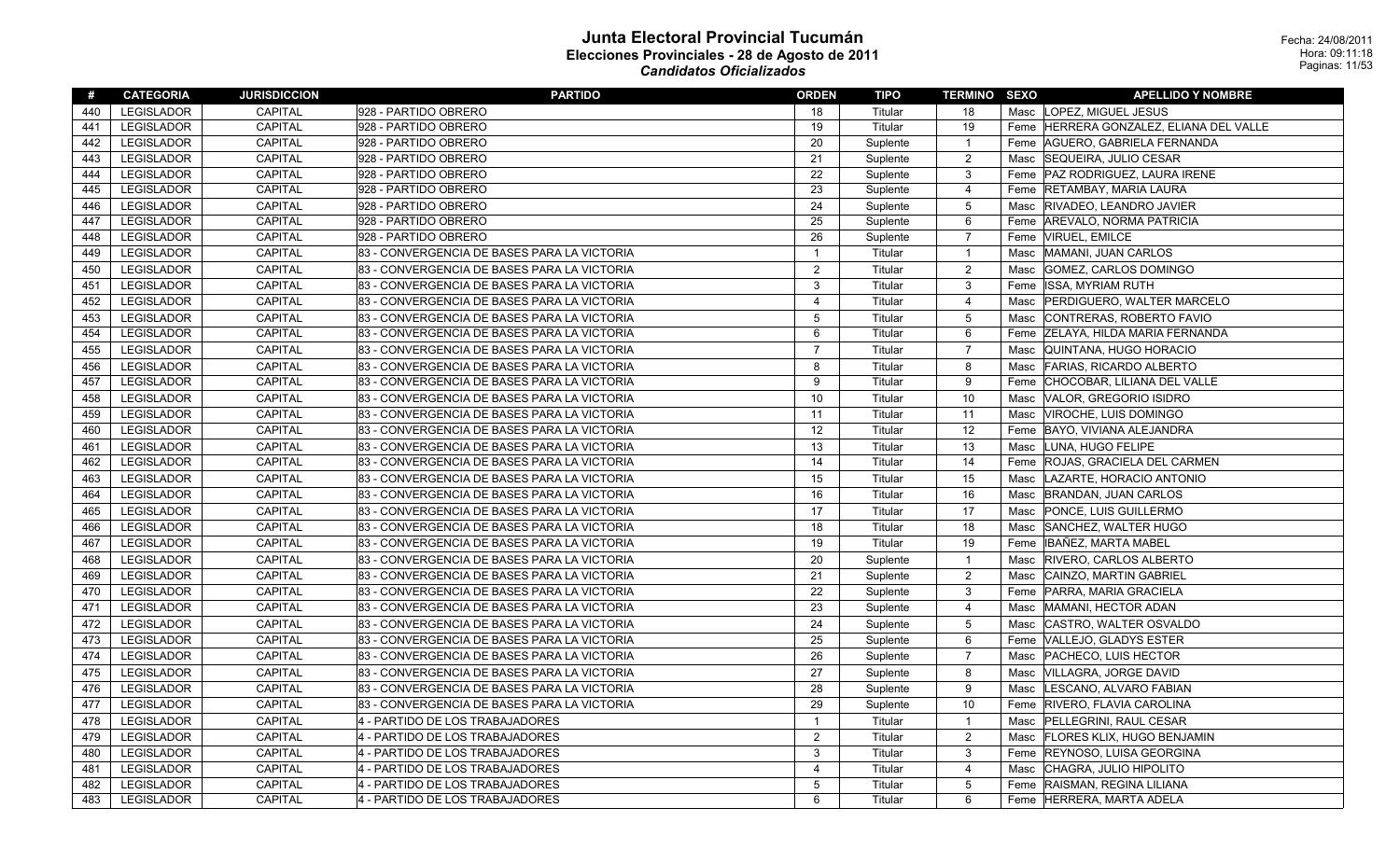| #   | <b>CATEGORIA</b>  | <b>JURISDICCION</b> | <b>PARTIDO</b>                              | <b>ORDEN</b>            | TIPO     | <b>TERMINO SEXO</b> |      | <b>APELLIDO Y NOMBRE</b>            |
|-----|-------------------|---------------------|---------------------------------------------|-------------------------|----------|---------------------|------|-------------------------------------|
| 440 | <b>LEGISLADOR</b> | <b>CAPITAL</b>      | 928 - PARTIDO OBRERO                        | 18                      | Titular  | 18                  |      | Masc LOPEZ, MIGUEL JESUS            |
| 441 | <b>LEGISLADOR</b> | <b>CAPITAL</b>      | 928 - PARTIDO OBRERO                        | 19                      | Titular  | 19                  | Feme | HERRERA GONZALEZ. ELIANA DEL VALLE  |
| 442 | <b>LEGISLADOR</b> | CAPITAL             | 928 - PARTIDO OBRERO                        | 20                      | Suplente | $\overline{1}$      |      | Feme AGUERO, GABRIELA FERNANDA      |
| 443 | <b>LEGISLADOR</b> | <b>CAPITAL</b>      | 928 - PARTIDO OBRERO                        | 21                      | Suplente | $\overline{2}$      | Masc | SEQUEIRA, JULIO CESAR               |
| 444 | <b>LEGISLADOR</b> | <b>CAPITAL</b>      | 928 - PARTIDO OBRERO                        | 22                      | Suplente | $\mathbf{3}$        | Feme | PAZ RODRIGUEZ, LAURA IRENE          |
| 445 | <b>LEGISLADOR</b> | <b>CAPITAL</b>      | 928 - PARTIDO OBRERO                        | 23                      | Suplente | $\overline{4}$      | Feme | <b>RETAMBAY, MARIA LAURA</b>        |
| 446 | <b>LEGISLADOR</b> | <b>CAPITAL</b>      | 928 - PARTIDO OBRERO                        | 24                      | Suplente | $5\,$               | Masc | <b>RIVADEO, LEANDRO JAVIER</b>      |
| 447 | LEGISLADOR        | <b>CAPITAL</b>      | 928 - PARTIDO OBRERO                        | 25                      | Suplente | 6                   | Feme | AREVALO, NORMA PATRICIA             |
| 448 | <b>LEGISLADOR</b> | <b>CAPITAL</b>      | 928 - PARTIDO OBRERO                        | 26                      | Suplente | $\overline{7}$      |      | Feme  VIRUEL, EMILCE                |
| 449 | LEGISLADOR        | <b>CAPITAL</b>      | 83 - CONVERGENCIA DE BASES PARA LA VICTORIA | $\overline{1}$          | Titular  | $\overline{1}$      | Masc | MAMANI, JUAN CARLOS                 |
| 450 | <b>LEGISLADOR</b> | CAPITAL             | 83 - CONVERGENCIA DE BASES PARA LA VICTORIA | $\overline{2}$          | Titular  | $\overline{2}$      | Masc | GOMEZ, CARLOS DOMINGO               |
| 451 | <b>LEGISLADOR</b> | <b>CAPITAL</b>      | 83 - CONVERGENCIA DE BASES PARA LA VICTORIA | 3                       | Titular  | 3                   | Feme | <b>ISSA, MYRIAM RUTH</b>            |
| 452 | <b>LEGISLADOR</b> | <b>CAPITAL</b>      | 83 - CONVERGENCIA DE BASES PARA LA VICTORIA | $\overline{4}$          | Titular  | 4                   | Masc | <b>PERDIGUERO, WALTER MARCELO</b>   |
| 453 | <b>LEGISLADOR</b> | <b>CAPITAL</b>      | 83 - CONVERGENCIA DE BASES PARA LA VICTORIA | 5                       | Titular  | $5\,$               | Masc | CONTRERAS, ROBERTO FAVIO            |
| 454 | <b>LEGISLADOR</b> | <b>CAPITAL</b>      | 83 - CONVERGENCIA DE BASES PARA LA VICTORIA | 6                       | Titular  | 6                   | Feme | <b>ZELAYA, HILDA MARIA FERNANDA</b> |
| 455 | <b>LEGISLADOR</b> | CAPITAL             | 83 - CONVERGENCIA DE BASES PARA LA VICTORIA | $\overline{7}$          | Titular  | $\overline{7}$      | Masc | QUINTANA, HUGO HORACIO              |
| 456 | <b>LEGISLADOR</b> | <b>CAPITAL</b>      | 83 - CONVERGENCIA DE BASES PARA LA VICTORIA | $\mathbf{8}$            | Titular  | 8                   | Masc | <b>FARIAS, RICARDO ALBERTO</b>      |
| 457 | <b>LEGISLADOR</b> | <b>CAPITAL</b>      | 83 - CONVERGENCIA DE BASES PARA LA VICTORIA | 9                       | Titular  | 9                   | Feme | CHOCOBAR, LILIANA DEL VALLE         |
| 458 | <b>LEGISLADOR</b> | <b>CAPITAL</b>      | 83 - CONVERGENCIA DE BASES PARA LA VICTORIA | 10                      | Titular  | 10                  | Masc | VALOR, GREGORIO ISIDRO              |
| 459 | <b>LEGISLADOR</b> | <b>CAPITAL</b>      | 83 - CONVERGENCIA DE BASES PARA LA VICTORIA | 11                      | Titular  | 11                  | Masc | VIROCHE, LUIS DOMINGO               |
| 460 | <b>LEGISLADOR</b> | <b>CAPITAL</b>      | 83 - CONVERGENCIA DE BASES PARA LA VICTORIA | 12                      | Titular  | 12                  |      | Feme BAYO, VIVIANA ALEJANDRA        |
| 461 | <b>LEGISLADOR</b> | <b>CAPITAL</b>      | 83 - CONVERGENCIA DE BASES PARA LA VICTORIA | 13                      | Titular  | 13                  | Masc | LUNA, HUGO FELIPE                   |
| 462 | <b>LEGISLADOR</b> | <b>CAPITAL</b>      | 83 - CONVERGENCIA DE BASES PARA LA VICTORIA | 14                      | Titular  | 14                  | Feme | ROJAS, GRACIELA DEL CARMEN          |
| 463 | LEGISLADOR        | <b>CAPITAL</b>      | 83 - CONVERGENCIA DE BASES PARA LA VICTORIA | 15                      | Titular  | 15                  | Masc | LAZARTE. HORACIO ANTONIO            |
| 464 | <b>LEGISLADOR</b> | <b>CAPITAL</b>      | 83 - CONVERGENCIA DE BASES PARA LA VICTORIA | 16                      | Titular  | 16                  | Masc | <b>BRANDAN, JUAN CARLOS</b>         |
| 465 | <b>LEGISLADOR</b> | <b>CAPITAL</b>      | 83 - CONVERGENCIA DE BASES PARA LA VICTORIA | 17                      | Titular  | 17                  | Masc | PONCE, LUIS GUILLERMO               |
| 466 | <b>LEGISLADOR</b> | <b>CAPITAL</b>      | 83 - CONVERGENCIA DE BASES PARA LA VICTORIA | 18                      | Titular  | 18                  | Masc | SANCHEZ, WALTER HUGO                |
| 467 | <b>LEGISLADOR</b> | <b>CAPITAL</b>      | 83 - CONVERGENCIA DE BASES PARA LA VICTORIA | 19                      | Titular  | 19                  | Feme | IBAÑEZ, MARTA MABEL                 |
| 468 | <b>LEGISLADOR</b> | <b>CAPITAL</b>      | 83 - CONVERGENCIA DE BASES PARA LA VICTORIA | 20                      | Suplente | $\overline{1}$      | Masc | <b>RIVERO, CARLOS ALBERTO</b>       |
| 469 | <b>LEGISLADOR</b> | <b>CAPITAL</b>      | 83 - CONVERGENCIA DE BASES PARA LA VICTORIA | 21                      | Suplente | $\overline{2}$      | Masc | CAINZO, MARTIN GABRIEL              |
| 470 | <b>LEGISLADOR</b> | CAPITAL             | 83 - CONVERGENCIA DE BASES PARA LA VICTORIA | 22                      | Suplente | $\mathbf{3}$        |      | Feme   PARRA, MARIA GRACIELA        |
| 471 | <b>LEGISLADOR</b> | <b>CAPITAL</b>      | 83 - CONVERGENCIA DE BASES PARA LA VICTORIA | 23                      | Suplente | $\overline{4}$      | Masc | MAMANI, HECTOR ADAN                 |
| 472 | <b>LEGISLADOR</b> | <b>CAPITAL</b>      | 83 - CONVERGENCIA DE BASES PARA LA VICTORIA | 24                      | Suplente | $5\,$               | Masc | CASTRO, WALTER OSVALDO              |
| 473 | <b>LEGISLADOR</b> | <b>CAPITAL</b>      | 83 - CONVERGENCIA DE BASES PARA LA VICTORIA | 25                      | Suplente | 6                   | Feme | VALLEJO, GLADYS ESTER               |
| 474 | <b>LEGISLADOR</b> | <b>CAPITAL</b>      | 83 - CONVERGENCIA DE BASES PARA LA VICTORIA | 26                      | Suplente | $\overline{7}$      | Masc | <b>PACHECO, LUIS HECTOR</b>         |
| 475 | <b>LEGISLADOR</b> | <b>CAPITAL</b>      | 83 - CONVERGENCIA DE BASES PARA LA VICTORIA | 27                      | Suplente | 8                   | Masc | <b>VILLAGRA, JORGE DAVID</b>        |
| 476 | <b>LEGISLADOR</b> | <b>CAPITAL</b>      | 83 - CONVERGENCIA DE BASES PARA LA VICTORIA | 28                      | Suplente | 9                   | Masc | LESCANO, ALVARO FABIAN              |
| 477 | LEGISLADOR        | CAPITAL             | 83 - CONVERGENCIA DE BASES PARA LA VICTORIA | 29                      | Suplente | 10                  |      | Feme RIVERO, FLAVIA CAROLINA        |
| 478 | LEGISLADOR        | <b>CAPITAL</b>      | 4 - PARTIDO DE LOS TRABAJADORES             | $\mathbf{1}$            | Titular  | $\overline{1}$      | Masc | PELLEGRINI, RAUL CESAR              |
| 479 | <b>LEGISLADOR</b> | <b>CAPITAL</b>      | 4 - PARTIDO DE LOS TRABAJADORES             | $\overline{2}$          | Titular  | $\overline{2}$      | Masc | <b>FLORES KLIX, HUGO BENJAMIN</b>   |
| 480 | LEGISLADOR        | CAPITAL             | 4 - PARTIDO DE LOS TRABAJADORES             | 3                       | Titular  | $\mathbf{3}$        |      | Feme REYNOSO, LUISA GEORGINA        |
| 481 | <b>LEGISLADOR</b> | <b>CAPITAL</b>      | 4 - PARTIDO DE LOS TRABAJADORES             | $\overline{\mathbf{4}}$ | Titular  | $\overline{4}$      | Masc | CHAGRA, JULIO HIPOLITO              |
| 482 | <b>LEGISLADOR</b> | <b>CAPITAL</b>      | 4 - PARTIDO DE LOS TRABAJADORES             | 5                       | Titular  | $5\,$               | Feme | RAISMAN, REGINA LILIANA             |
| 483 | <b>LEGISLADOR</b> | <b>CAPITAL</b>      | 4 - PARTIDO DE LOS TRABAJADORES             | 6                       | Titular  | 6                   |      | Feme HERRERA, MARTA ADELA           |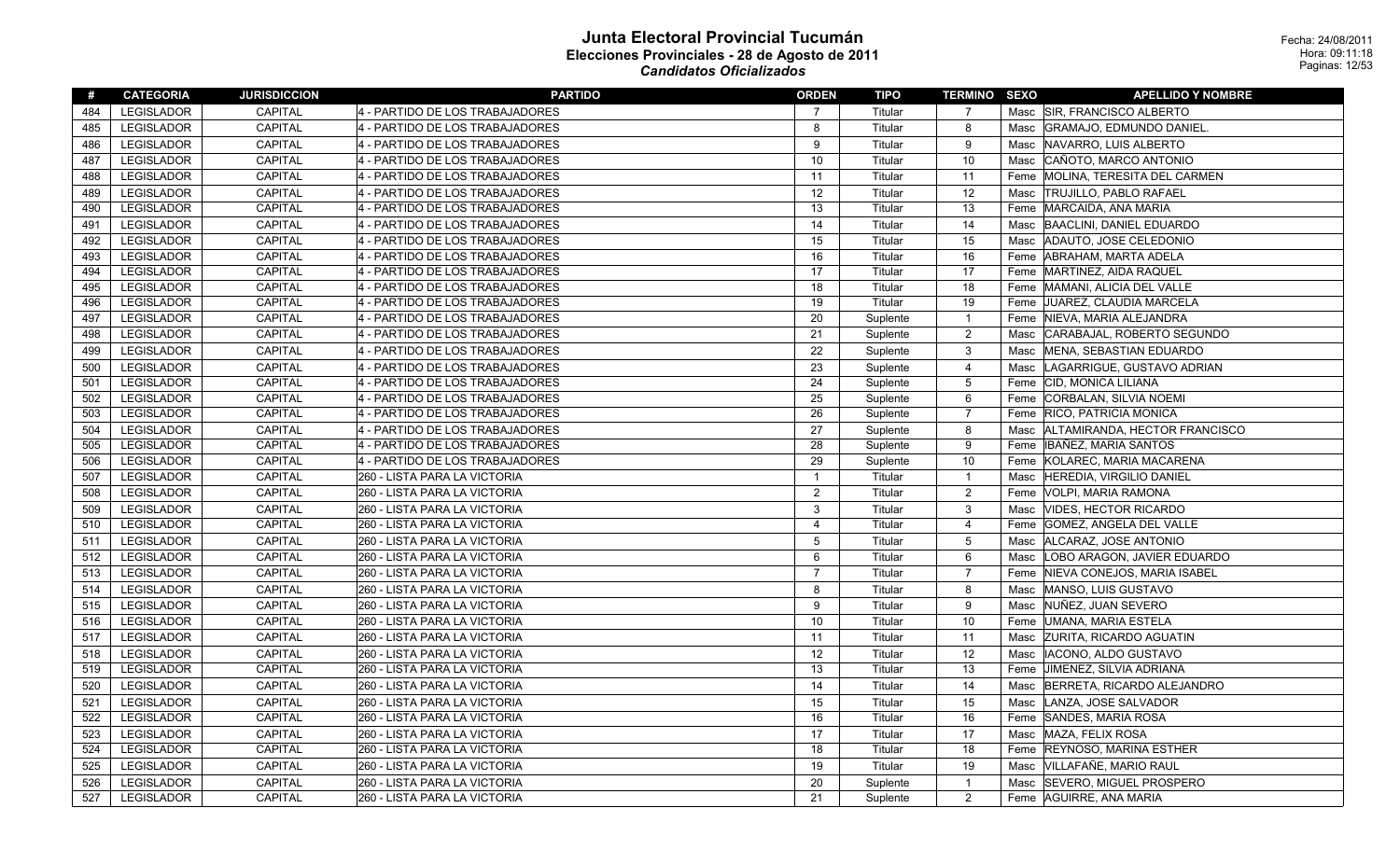| #   | <b>CATEGORIA</b>  | <b>JURISDICCION</b> | <b>PARTIDO</b>                  | <b>ORDEN</b>            | <b>TIPO</b> | <b>TERMINO SEXO</b> |      | <b>APELLIDO Y NOMBRE</b>             |
|-----|-------------------|---------------------|---------------------------------|-------------------------|-------------|---------------------|------|--------------------------------------|
| 484 | <b>LEGISLADOR</b> | <b>CAPITAL</b>      | 4 - PARTIDO DE LOS TRABAJADORES | 7                       | Titular     | 7                   |      | Masc SIR, FRANCISCO ALBERTO          |
| 485 | <b>LEGISLADOR</b> | <b>CAPITAL</b>      | 4 - PARTIDO DE LOS TRABAJADORES | 8                       | Titular     | 8                   |      | Masc GRAMAJO, EDMUNDO DANIEL.        |
| 486 | <b>LEGISLADOR</b> | <b>CAPITAL</b>      | 4 - PARTIDO DE LOS TRABAJADORES | 9                       | Titular     | 9                   | Masc | NAVARRO, LUIS ALBERTO                |
| 487 | <b>LEGISLADOR</b> | <b>CAPITAL</b>      | 4 - PARTIDO DE LOS TRABAJADORES | 10                      | Titular     | 10                  | Masc | CAÑOTO, MARCO ANTONIO                |
| 488 | <b>LEGISLADOR</b> | <b>CAPITAL</b>      | 4 - PARTIDO DE LOS TRABAJADORES | 11                      | Titular     | 11                  |      | Feme MOLINA, TERESITA DEL CARMEN     |
| 489 | <b>LEGISLADOR</b> | <b>CAPITAL</b>      | 4 - PARTIDO DE LOS TRABAJADORES | 12                      | Titular     | 12                  | Masc | <b>TRUJILLO, PABLO RAFAEL</b>        |
| 490 | <b>LEGISLADOR</b> | <b>CAPITAL</b>      | 4 - PARTIDO DE LOS TRABAJADORES | 13                      | Titular     | 13                  |      | Feme MARCAIDA, ANA MARIA             |
| 491 | <b>LEGISLADOR</b> | <b>CAPITAL</b>      | 4 - PARTIDO DE LOS TRABAJADORES | 14                      | Titular     | 14                  | Masc | BAACLINI, DANIEL EDUARDO             |
| 492 | <b>LEGISLADOR</b> | CAPITAL             | 4 - PARTIDO DE LOS TRABAJADORES | 15                      | Titular     | 15                  | Masc | ADAUTO, JOSE CELEDONIO               |
| 493 | LEGISLADOR        | <b>CAPITAL</b>      | 4 - PARTIDO DE LOS TRABAJADORES | 16                      | Titular     | 16                  | Feme | ABRAHAM, MARTA ADELA                 |
| 494 | <b>LEGISLADOR</b> | <b>CAPITAL</b>      | 4 - PARTIDO DE LOS TRABAJADORES | 17                      | Titular     | 17                  |      | Feme MARTINEZ, AIDA RAQUEL           |
| 495 | <b>LEGISLADOR</b> | <b>CAPITAL</b>      | 4 - PARTIDO DE LOS TRABAJADORES | 18                      | Titular     | 18                  |      | Feme MAMANI, ALICIA DEL VALLE        |
| 496 | <b>LEGISLADOR</b> | CAPITAL             | 4 - PARTIDO DE LOS TRABAJADORES | 19                      | Titular     | 19                  |      | Feme JUAREZ, CLAUDIA MARCELA         |
| 497 | <b>LEGISLADOR</b> | CAPITAL             | 4 - PARTIDO DE LOS TRABAJADORES | 20                      | Suplente    | $\mathbf{1}$        |      | Feme   NIEVA, MARIA ALEJANDRA        |
| 498 | LEGISLADOR        | CAPITAL             | 4 - PARTIDO DE LOS TRABAJADORES | 21                      | Suplente    | $\boldsymbol{2}$    | Masc | CARABAJAL, ROBERTO SEGUNDO           |
| 499 | <b>LEGISLADOR</b> | <b>CAPITAL</b>      | 4 - PARTIDO DE LOS TRABAJADORES | 22                      | Suplente    | 3                   | Masc | MENA, SEBASTIAN EDUARDO              |
| 500 | <b>LEGISLADOR</b> | <b>CAPITAL</b>      | 4 - PARTIDO DE LOS TRABAJADORES | 23                      | Suplente    | 4                   | Masc | LAGARRIGUE, GUSTAVO ADRIAN           |
| 501 | <b>LEGISLADOR</b> | <b>CAPITAL</b>      | 4 - PARTIDO DE LOS TRABAJADORES | 24                      | Suplente    | 5                   |      | Feme CID, MONICA LILIANA             |
| 502 | <b>LEGISLADOR</b> | <b>CAPITAL</b>      | 4 - PARTIDO DE LOS TRABAJADORES | 25                      | Suplente    | 6                   |      | Feme CORBALAN, SILVIA NOEMI          |
| 503 | LEGISLADOR        | CAPITAL             | 4 - PARTIDO DE LOS TRABAJADORES | 26                      | Suplente    | $\overline{7}$      |      | Feme RICO, PATRICIA MONICA           |
| 504 | <b>LEGISLADOR</b> | CAPITAL             | 4 - PARTIDO DE LOS TRABAJADORES | 27                      | Suplente    | 8                   |      | Masc   ALTAMIRANDA, HECTOR FRANCISCO |
| 505 | LEGISLADOR        | CAPITAL             | 4 - PARTIDO DE LOS TRABAJADORES | 28                      | Suplente    | 9                   |      | Feme   IBAÑEZ, MARIA SANTOS          |
| 506 | LEGISLADOR        | <b>CAPITAL</b>      | 4 - PARTIDO DE LOS TRABAJADORES | 29                      | Suplente    | 10                  |      | Feme KOLAREC, MARIA MACARENA         |
| 507 | <b>LEGISLADOR</b> | <b>CAPITAL</b>      | 260 - LISTA PARA LA VICTORIA    | $\mathbf{1}$            | Titular     | $\mathbf{1}$        | Masc | <b>HEREDIA, VIRGILIO DANIEL</b>      |
| 508 | LEGISLADOR        | CAPITAL             | 260 - LISTA PARA LA VICTORIA    | $\boldsymbol{2}$        | Titular     | $\overline{2}$      |      | Feme   VOLPI, MARIA RAMONA           |
| 509 | <b>LEGISLADOR</b> | CAPITAL             | 260 - LISTA PARA LA VICTORIA    | 3                       | Titular     | $\mathbf{3}$        | Masc | <b>VIDES, HECTOR RICARDO</b>         |
| 510 | <b>LEGISLADOR</b> | CAPITAL             | 260 - LISTA PARA LA VICTORIA    | $\overline{\mathbf{4}}$ | Titular     | $\overline{4}$      | Feme | GOMEZ, ANGELA DEL VALLE              |
| 511 | <b>LEGISLADOR</b> | CAPITAL             | 260 - LISTA PARA LA VICTORIA    | 5                       | Titular     | $\sqrt{5}$          |      | Masc ALCARAZ, JOSE ANTONIO           |
| 512 | <b>LEGISLADOR</b> | CAPITAL             | 260 - LISTA PARA LA VICTORIA    | 6                       | Titular     | 6                   | Masc | LOBO ARAGON, JAVIER EDUARDO          |
| 513 | LEGISLADOR        | <b>CAPITAL</b>      | 260 - LISTA PARA LA VICTORIA    | $\overline{7}$          | Titular     | $\overline{7}$      | Feme | NIEVA CONEJOS, MARIA ISABEL          |
| 514 | <b>LEGISLADOR</b> | CAPITAL             | 260 - LISTA PARA LA VICTORIA    | 8                       | Titular     | 8                   |      | Masc MANSO, LUIS GUSTAVO             |
| 515 | <b>LEGISLADOR</b> | <b>CAPITAL</b>      | 260 - LISTA PARA LA VICTORIA    | $\mathbf{Q}$            | Titular     | 9                   | Masc | NUÑEZ, JUAN SEVERO                   |
| 516 | LEGISLADOR        | <b>CAPITAL</b>      | 260 - LISTA PARA LA VICTORIA    | 10                      | Titular     | 10                  |      | Feme UMANA, MARIA ESTELA             |
| 517 | <b>LEGISLADOR</b> | <b>CAPITAL</b>      | 260 - LISTA PARA LA VICTORIA    | 11                      | Titular     | 11                  |      | Masc ZURITA, RICARDO AGUATIN         |
| 518 | <b>LEGISLADOR</b> | CAPITAL             | 260 - LISTA PARA LA VICTORIA    | 12                      | Titular     | 12                  | Masc | IACONO, ALDO GUSTAVO                 |
| 519 | <b>LEGISLADOR</b> | <b>CAPITAL</b>      | 260 - LISTA PARA LA VICTORIA    | 13                      | Titular     | 13                  |      | Feme JIMENEZ, SILVIA ADRIANA         |
| 520 | <b>LEGISLADOR</b> | <b>CAPITAL</b>      | 260 - LISTA PARA LA VICTORIA    | 14                      | Titular     | 14                  | Masc | BERRETA, RICARDO ALEJANDRO           |
| 521 | <b>LEGISLADOR</b> | <b>CAPITAL</b>      | 260 - LISTA PARA LA VICTORIA    | 15                      | Titular     | 15                  | Masc | LANZA, JOSE SALVADOR                 |
| 522 | LEGISLADOR        | CAPITAL             | 260 - LISTA PARA LA VICTORIA    | 16                      | Titular     | 16                  |      | Feme SANDES, MARIA ROSA              |
| 523 | <b>LEGISLADOR</b> | <b>CAPITAL</b>      | 260 - LISTA PARA LA VICTORIA    | 17                      | Titular     | 17                  | Masc | MAZA, FELIX ROSA                     |
| 524 | <b>LEGISLADOR</b> | <b>CAPITAL</b>      | 260 - LISTA PARA LA VICTORIA    | 18                      | Titular     | 18                  | Feme | <b>REYNOSO, MARINA ESTHER</b>        |
| 525 | <b>LEGISLADOR</b> | <b>CAPITAL</b>      | 260 - LISTA PARA LA VICTORIA    | 19                      | Titular     | 19                  | Masc | VILLAFAÑE, MARIO RAUL                |
| 526 | <b>LEGISLADOR</b> | <b>CAPITAL</b>      | 260 - LISTA PARA LA VICTORIA    | 20                      | Suplente    | $\mathbf{1}$        | Masc | <b>SEVERO, MIGUEL PROSPERO</b>       |
| 527 | <b>LEGISLADOR</b> | <b>CAPITAL</b>      | 260 - LISTA PARA LA VICTORIA    | 21                      | Suplente    | 2                   |      | Feme AGUIRRE, ANA MARIA              |
|     |                   |                     |                                 |                         |             |                     |      |                                      |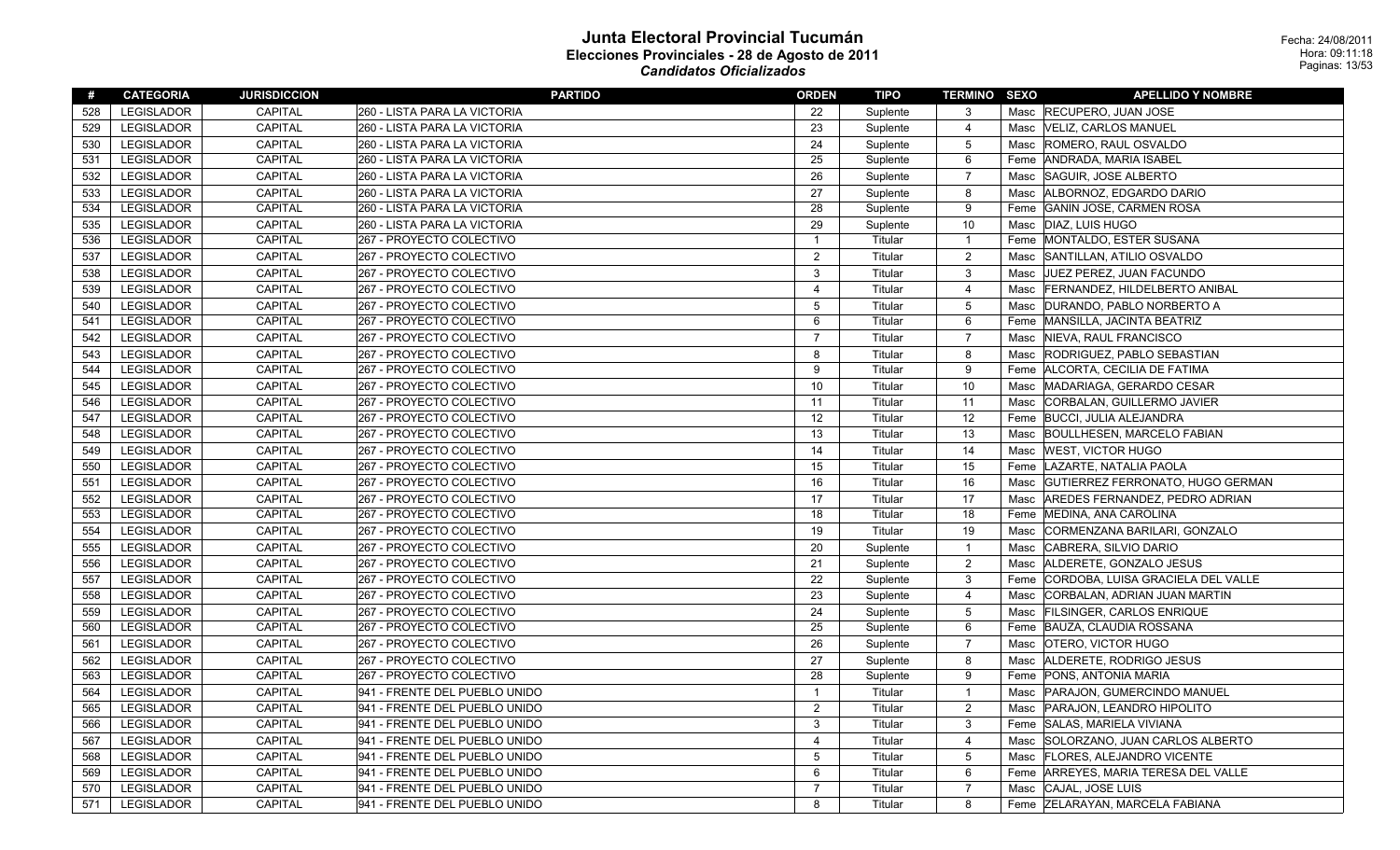| #   | <b>CATEGORIA</b>  | <b>JURISDICCION</b> | <b>PARTIDO</b>                | <b>ORDEN</b>            | <b>TIPO</b> | <b>TERMINO SEXO</b> |      | <b>APELLIDO Y NOMBRE</b>             |
|-----|-------------------|---------------------|-------------------------------|-------------------------|-------------|---------------------|------|--------------------------------------|
| 528 | <b>LEGISLADOR</b> | CAPITAL             | 260 - LISTA PARA LA VICTORIA  | 22                      | Suplente    | 3                   |      | Masc RECUPERO, JUAN JOSE             |
| 529 | <b>LEGISLADOR</b> | CAPITAL             | 260 - LISTA PARA LA VICTORIA  | 23                      | Suplente    | $\overline{4}$      |      | Masc  VELIZ, CARLOS MANUEL           |
| 530 | LEGISLADOR        | CAPITAL             | 260 - LISTA PARA LA VICTORIA  | 24                      | Suplente    | $\overline{5}$      | Masc | ROMERO, RAUL OSVALDO                 |
| 531 | LEGISLADOR        | CAPITAL             | 260 - LISTA PARA LA VICTORIA  | 25                      | Suplente    | 6                   |      | Feme ANDRADA, MARIA ISABEL           |
| 532 | <b>LEGISLADOR</b> | CAPITAL             | 260 - LISTA PARA LA VICTORIA  | 26                      | Suplente    | $\overline{7}$      |      | Masc SAGUIR, JOSE ALBERTO            |
| 533 | <b>LEGISLADOR</b> | CAPITAL             | 260 - LISTA PARA LA VICTORIA  | 27                      | Suplente    | 8                   | Masc | ALBORNOZ, EDGARDO DARIO              |
| 534 | <b>LEGISLADOR</b> | CAPITAL             | 260 - LISTA PARA LA VICTORIA  | 28                      | Suplente    | 9                   | Feme | GANIN JOSE, CARMEN ROSA              |
| 535 | LEGISLADOR        | CAPITAL             | 260 - LISTA PARA LA VICTORIA  | 29                      | Suplente    | 10                  |      | Masc   DIAZ, LUIS HUGO               |
| 536 | LEGISLADOR        | CAPITAL             | 267 - PROYECTO COLECTIVO      | $\overline{1}$          | Titular     | $\overline{1}$      |      | Feme MONTALDO, ESTER SUSANA          |
| 537 | LEGISLADOR        | CAPITAL             | 267 - PROYECTO COLECTIVO      | $\overline{2}$          | Titular     | $\overline{2}$      | Masc | SANTILLAN, ATILIO OSVALDO            |
| 538 | <b>LEGISLADOR</b> | CAPITAL             | 267 - PROYECTO COLECTIVO      | 3                       | Titular     | $\mathbf{3}$        | Masc | <b>JUEZ PEREZ, JUAN FACUNDO</b>      |
| 539 | LEGISLADOR        | CAPITAL             | 267 - PROYECTO COLECTIVO      | $\overline{\mathbf{4}}$ | Titular     | $\overline{4}$      | Masc | <b>FERNANDEZ, HILDELBERTO ANIBAL</b> |
| 540 | <b>LEGISLADOR</b> | CAPITAL             | 267 - PROYECTO COLECTIVO      | 5                       | Titular     | $5\phantom{.0}$     | Masc | DURANDO, PABLO NORBERTO A            |
| 541 | LEGISLADOR        | CAPITAL             | 267 - PROYECTO COLECTIVO      | 6                       | Titular     | 6                   |      | Feme MANSILLA, JACINTA BEATRIZ       |
| 542 | LEGISLADOR        | CAPITAL             | 267 - PROYECTO COLECTIVO      | $\overline{7}$          | Titular     | $\overline{7}$      | Masc | NIEVA, RAUL FRANCISCO                |
| 543 | LEGISLADOR        | CAPITAL             | 267 - PROYECTO COLECTIVO      | 8                       | Titular     | 8                   | Masc | RODRIGUEZ, PABLO SEBASTIAN           |
| 544 | LEGISLADOR        | CAPITAL             | 267 - PROYECTO COLECTIVO      | 9                       | Titular     | 9                   |      | Feme   ALCORTA, CECILIA DE FATIMA    |
| 545 | <b>LEGISLADOR</b> | CAPITAL             | 267 - PROYECTO COLECTIVO      | 10                      | Titular     | 10                  |      | Masc MADARIAGA, GERARDO CESAR        |
| 546 | LEGISLADOR        | <b>CAPITAL</b>      | 267 - PROYECTO COLECTIVO      | 11                      | Titular     | 11                  | Masc | CORBALAN, GUILLERMO JAVIER           |
| 547 | LEGISLADOR        | <b>CAPITAL</b>      | 267 - PROYECTO COLECTIVO      | 12                      | Titular     | 12                  |      | Feme  BUCCI, JULIA ALEJANDRA         |
| 548 | <b>LEGISLADOR</b> | CAPITAL             | 267 - PROYECTO COLECTIVO      | 13                      | Titular     | 13                  | Masc | BOULLHESEN, MARCELO FABIAN           |
| 549 | <b>LEGISLADOR</b> | CAPITAL             | 267 - PROYECTO COLECTIVO      | 14                      | Titular     | 14                  |      | Masc  WEST, VICTOR HUGO              |
| 550 | <b>LEGISLADOR</b> | CAPITAL             | 267 - PROYECTO COLECTIVO      | 15                      | Titular     | 15                  |      | Feme LAZARTE, NATALIA PAOLA          |
| 551 | <b>LEGISLADOR</b> | CAPITAL             | 267 - PROYECTO COLECTIVO      | 16                      | Titular     | 16                  | Masc | GUTIERREZ FERRONATO, HUGO GERMAN     |
| 552 | <b>LEGISLADOR</b> | CAPITAL             | 267 - PROYECTO COLECTIVO      | 17                      | Titular     | 17                  | Masc | AREDES FERNANDEZ, PEDRO ADRIAN       |
| 553 | LEGISLADOR        | CAPITAL             | 267 - PROYECTO COLECTIVO      | 18                      | Titular     | 18                  |      | Feme   MEDINA, ANA CAROLINA          |
| 554 | <b>LEGISLADOR</b> | <b>CAPITAL</b>      | 267 - PROYECTO COLECTIVO      | 19                      | Titular     | 19                  | Masc | CORMENZANA BARILARI, GONZALO         |
| 555 | <b>LEGISLADOR</b> | CAPITAL             | 267 - PROYECTO COLECTIVO      | 20                      | Suplente    | $\overline{1}$      | Masc | CABRERA, SILVIO DARIO                |
| 556 | <b>LEGISLADOR</b> | CAPITAL             | 267 - PROYECTO COLECTIVO      | 21                      | Suplente    | $\overline{2}$      |      | Masc ALDERETE, GONZALO JESUS         |
| 557 | <b>LEGISLADOR</b> | CAPITAL             | 267 - PROYECTO COLECTIVO      | 22                      | Suplente    | $\mathbf{3}$        | Feme | CORDOBA, LUISA GRACIELA DEL VALLE    |
| 558 | <b>LEGISLADOR</b> | CAPITAL             | 267 - PROYECTO COLECTIVO      | 23                      | Suplente    | $\overline{4}$      |      | Masc CORBALAN, ADRIAN JUAN MARTIN    |
| 559 | <b>LEGISLADOR</b> | CAPITAL             | 267 - PROYECTO COLECTIVO      | 24                      | Suplente    | 5                   |      | Masc FILSINGER, CARLOS ENRIQUE       |
| 560 | <b>LEGISLADOR</b> | CAPITAL             | 267 - PROYECTO COLECTIVO      | 25                      | Suplente    | 6                   |      | Feme BAUZA, CLAUDIA ROSSANA          |
| 561 | <b>LEGISLADOR</b> | CAPITAL             | 267 - PROYECTO COLECTIVO      | 26                      | Suplente    | $\overline{7}$      |      | Masc   OTERO, VICTOR HUGO            |
| 562 | LEGISLADOR        | CAPITAL             | 267 - PROYECTO COLECTIVO      | 27                      | Suplente    | 8                   |      | Masc   ALDERETE, RODRIGO JESUS       |
| 563 | LEGISLADOR        | CAPITAL             | 267 - PROYECTO COLECTIVO      | 28                      | Suplente    | 9                   | Feme | PONS, ANTONIA MARIA                  |
| 564 | LEGISLADOR        | CAPITAL             | 941 - FRENTE DEL PUEBLO UNIDO | $\overline{1}$          | Titular     | $\overline{1}$      | Masc | PARAJON, GUMERCINDO MANUEL           |
| 565 | <b>LEGISLADOR</b> | CAPITAL             | 941 - FRENTE DEL PUEBLO UNIDO | $\overline{2}$          | Titular     | 2                   | Masc | PARAJON, LEANDRO HIPOLITO            |
| 566 | <b>LEGISLADOR</b> | CAPITAL             | 941 - FRENTE DEL PUEBLO UNIDO | 3                       | Titular     | 3                   |      | Feme SALAS, MARIELA VIVIANA          |
| 567 | <b>LEGISLADOR</b> | CAPITAL             | 941 - FRENTE DEL PUEBLO UNIDO | 4                       | Titular     | $\overline{4}$      |      | Masc SOLORZANO, JUAN CARLOS ALBERTO  |
| 568 | <b>LEGISLADOR</b> | CAPITAL             | 941 - FRENTE DEL PUEBLO UNIDO | 5                       | Titular     | $5\,$               |      | Masc FLORES, ALEJANDRO VICENTE       |
| 569 | <b>LEGISLADOR</b> | CAPITAL             | 941 - FRENTE DEL PUEBLO UNIDO | 6                       | Titular     | 6                   | Feme | ARREYES, MARIA TERESA DEL VALLE      |
| 570 | <b>LEGISLADOR</b> | <b>CAPITAL</b>      | 941 - FRENTE DEL PUEBLO UNIDO | $\overline{7}$          | Titular     | $\overline{7}$      |      | Masc CAJAL, JOSE LUIS                |
| 571 | LEGISLADOR        | <b>CAPITAL</b>      | 941 - FRENTE DEL PUEBLO UNIDO | 8                       | Titular     | 8                   |      | Feme ZELARAYAN, MARCELA FABIANA      |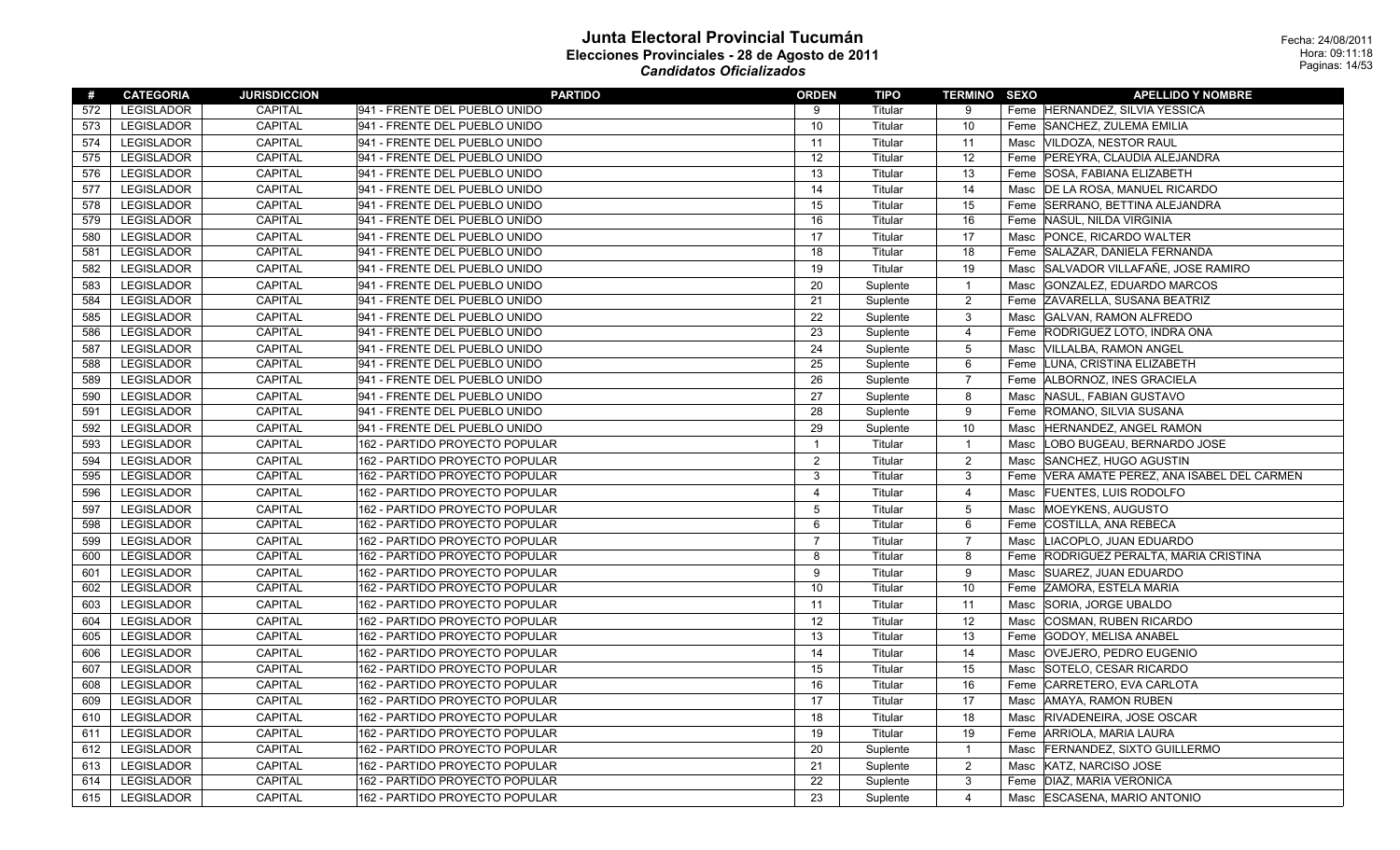| #   | <b>CATEGORIA</b>  | <b>JURISDICCION</b> | <b>PARTIDO</b>                 | <b>ORDEN</b>   | TIPO     | <b>TERMINO SEXO</b> |      | <b>APELLIDO Y NOMBRE</b>                |
|-----|-------------------|---------------------|--------------------------------|----------------|----------|---------------------|------|-----------------------------------------|
| 572 | <b>LEGISLADOR</b> | CAPITAL             | 941 - FRENTE DEL PUEBLO UNIDO  | 9              | Titular  | 9                   |      | Feme HERNANDEZ, SILVIA YESSICA          |
| 573 | LEGISLADOR        | CAPITAL             | 941 - FRENTE DEL PUEBLO UNIDO  | 10             | Titular  | 10                  |      | Feme SANCHEZ, ZULEMA EMILIA             |
| 574 | LEGISLADOR        | <b>CAPITAL</b>      | 941 - FRENTE DEL PUEBLO UNIDO  | 11             | Titular  | 11                  |      | Masc VILDOZA, NESTOR RAUL               |
| 575 | <b>LEGISLADOR</b> | CAPITAL             | 941 - FRENTE DEL PUEBLO UNIDO  | 12             | Titular  | 12                  |      | Feme PEREYRA, CLAUDIA ALEJANDRA         |
| 576 | LEGISLADOR        | CAPITAL             | 941 - FRENTE DEL PUEBLO UNIDO  | 13             | Titular  | 13                  |      | Feme SOSA, FABIANA ELIZABETH            |
| 577 | <b>LEGISLADOR</b> | <b>CAPITAL</b>      | 941 - FRENTE DEL PUEBLO UNIDO  | 14             | Titular  | 14                  |      | Masc   DE LA ROSA, MANUEL RICARDO       |
| 578 | <b>LEGISLADOR</b> | <b>CAPITAL</b>      | 941 - FRENTE DEL PUEBLO UNIDO  | 15             | Titular  | 15                  |      | Feme SERRANO, BETTINA ALEJANDRA         |
| 579 | <b>LEGISLADOR</b> | CAPITAL             | 941 - FRENTE DEL PUEBLO UNIDO  | 16             | Titular  | 16                  |      | Feme NASUL, NILDA VIRGINIA              |
| 580 | <b>LEGISLADOR</b> | CAPITAL             | 941 - FRENTE DEL PUEBLO UNIDO  | 17             | Titular  | 17                  | Masc | PONCE, RICARDO WALTER                   |
| 581 | LEGISLADOR        | <b>CAPITAL</b>      | 941 - FRENTE DEL PUEBLO UNIDO  | 18             | Titular  | 18                  |      | Feme SALAZAR, DANIELA FERNANDA          |
| 582 | LEGISLADOR        | <b>CAPITAL</b>      | 941 - FRENTE DEL PUEBLO UNIDO  | 19             | Titular  | 19                  | Masc | SALVADOR VILLAFAÑE, JOSE RAMIRO         |
| 583 | <b>LEGISLADOR</b> | <b>CAPITAL</b>      | 941 - FRENTE DEL PUEBLO UNIDO  | 20             | Suplente | $\overline{1}$      | Masc | GONZALEZ, EDUARDO MARCOS                |
| 584 | <b>LEGISLADOR</b> | <b>CAPITAL</b>      | 941 - FRENTE DEL PUEBLO UNIDO  | 21             | Suplente | $\overline{2}$      |      | Feme ZAVARELLA, SUSANA BEATRIZ          |
| 585 | <b>LEGISLADOR</b> | <b>CAPITAL</b>      | 941 - FRENTE DEL PUEBLO UNIDO  | 22             | Suplente | $\mathbf{3}$        | Masc | <b>GALVAN, RAMON ALFREDO</b>            |
| 586 | <b>LEGISLADOR</b> | CAPITAL             | 941 - FRENTE DEL PUEBLO UNIDO  | 23             | Suplente | $\overline{4}$      | Feme | RODRIGUEZ LOTO, INDRA ONA               |
| 587 | <b>LEGISLADOR</b> | CAPITAL             | 941 - FRENTE DEL PUEBLO UNIDO  | 24             | Suplente | $5\phantom{.0}$     |      | Masc VILLALBA, RAMON ANGEL              |
| 588 | <b>LEGISLADOR</b> | CAPITAL             | 941 - FRENTE DEL PUEBLO UNIDO  | 25             | Suplente | 6                   |      | Feme LUNA, CRISTINA ELIZABETH           |
| 589 | LEGISLADOR        | CAPITAL             | 941 - FRENTE DEL PUEBLO UNIDO  | 26             | Suplente | $\overline{7}$      |      | Feme ALBORNOZ, INES GRACIELA            |
| 590 | <b>LEGISLADOR</b> | CAPITAL             | 941 - FRENTE DEL PUEBLO UNIDO  | 27             | Suplente | 8                   | Masc | NASUL, FABIAN GUSTAVO                   |
| 591 | LEGISLADOR        | CAPITAL             | 941 - FRENTE DEL PUEBLO UNIDO  | 28             | Suplente | 9                   |      | Feme ROMANO, SILVIA SUSANA              |
| 592 | <b>LEGISLADOR</b> | <b>CAPITAL</b>      | 941 - FRENTE DEL PUEBLO UNIDO  | 29             | Suplente | 10                  | Masc | HERNANDEZ, ANGEL RAMON                  |
| 593 | LEGISLADOR        | CAPITAL             | 162 - PARTIDO PROYECTO POPULAR | $\overline{1}$ | Titular  | $\overline{1}$      | Masc | LOBO BUGEAU, BERNARDO JOSE              |
| 594 | <b>LEGISLADOR</b> | <b>CAPITAL</b>      | 162 - PARTIDO PROYECTO POPULAR | 2              | Titular  | $\overline{2}$      | Masc | SANCHEZ, HUGO AGUSTIN                   |
| 595 | <b>LEGISLADOR</b> | <b>CAPITAL</b>      | 162 - PARTIDO PROYECTO POPULAR | 3              | Titular  | 3                   | Feme | VERA AMATE PEREZ, ANA ISABEL DEL CARMEN |
| 596 | <b>LEGISLADOR</b> | <b>CAPITAL</b>      | 162 - PARTIDO PROYECTO POPULAR | $\overline{4}$ | Titular  | $\overline{4}$      | Masc | <b>FUENTES, LUIS RODOLFO</b>            |
| 597 | <b>LEGISLADOR</b> | <b>CAPITAL</b>      | 162 - PARTIDO PROYECTO POPULAR | 5              | Titular  | $5\phantom{.0}$     | Masc | MOEYKENS, AUGUSTO                       |
| 598 | <b>LEGISLADOR</b> | <b>CAPITAL</b>      | 162 - PARTIDO PROYECTO POPULAR | 6              | Titular  | 6                   |      | Feme COSTILLA, ANA REBECA               |
| 599 | <b>LEGISLADOR</b> | <b>CAPITAL</b>      | 162 - PARTIDO PROYECTO POPULAR | $\overline{7}$ | Titular  | $\overline{7}$      | Masc | LIACOPLO, JUAN EDUARDO                  |
| 600 | <b>LEGISLADOR</b> | <b>CAPITAL</b>      | 162 - PARTIDO PROYECTO POPULAR | 8              | Titular  | 8                   |      | Feme RODRIGUEZ PERALTA, MARIA CRISTINA  |
| 601 | <b>LEGISLADOR</b> | <b>CAPITAL</b>      | 162 - PARTIDO PROYECTO POPULAR | 9              | Titular  | 9                   | Masc | SUAREZ, JUAN EDUARDO                    |
| 602 | <b>LEGISLADOR</b> | <b>CAPITAL</b>      | 162 - PARTIDO PROYECTO POPULAR | 10             | Titular  | 10                  |      | Feme ZAMORA, ESTELA MARIA               |
| 603 | <b>LEGISLADOR</b> | <b>CAPITAL</b>      | 162 - PARTIDO PROYECTO POPULAR | 11             | Titular  | 11                  | Masc | SORIA, JORGE UBALDO                     |
| 604 | <b>LEGISLADOR</b> | <b>CAPITAL</b>      | 162 - PARTIDO PROYECTO POPULAR | 12             | Titular  | 12                  | Masc | <b>COSMAN, RUBEN RICARDO</b>            |
| 605 | <b>LEGISLADOR</b> | <b>CAPITAL</b>      | 162 - PARTIDO PROYECTO POPULAR | 13             | Titular  | 13                  |      | Feme GODOY, MELISA ANABEL               |
| 606 | <b>LEGISLADOR</b> | <b>CAPITAL</b>      | 162 - PARTIDO PROYECTO POPULAR | 14             | Titular  | 14                  | Masc | <b>OVEJERO, PEDRO EUGENIO</b>           |
| 607 | LEGISLADOR        | CAPITAL             | 162 - PARTIDO PROYECTO POPULAR | 15             | Titular  | 15                  | Masc | SOTELO, CESAR RICARDO                   |
| 608 | <b>LEGISLADOR</b> | <b>CAPITAL</b>      | 162 - PARTIDO PROYECTO POPULAR | 16             | Titular  | 16                  |      | Feme CARRETERO, EVA CARLOTA             |
| 609 | LEGISLADOR        | CAPITAL             | 162 - PARTIDO PROYECTO POPULAR | 17             | Titular  | 17                  | Masc | AMAYA, RAMON RUBEN                      |
| 610 | LEGISLADOR        | <b>CAPITAL</b>      | 162 - PARTIDO PROYECTO POPULAR | 18             | Titular  | 18                  | Masc | RIVADENEIRA, JOSE OSCAR                 |
| 611 | <b>LEGISLADOR</b> | CAPITAL             | 162 - PARTIDO PROYECTO POPULAR | 19             | Titular  | 19                  |      | Feme ARRIOLA, MARIA LAURA               |
| 612 | LEGISLADOR        | CAPITAL             | 162 - PARTIDO PROYECTO POPULAR | 20             | Suplente | $\overline{1}$      | Masc | <b>FERNANDEZ, SIXTO GUILLERMO</b>       |
| 613 | LEGISLADOR        | CAPITAL             | 162 - PARTIDO PROYECTO POPULAR | 21             | Suplente | $\overline{2}$      | Masc | KATZ, NARCISO JOSE                      |
| 614 | LEGISLADOR        | CAPITAL             | 162 - PARTIDO PROYECTO POPULAR | 22             | Suplente | $\mathbf{3}$        |      | Feme   DIAZ, MARIA VERONICA             |
| 615 | <b>LEGISLADOR</b> | <b>CAPITAL</b>      | 162 - PARTIDO PROYECTO POPULAR | 23             | Suplente | $\overline{4}$      | Masc | ESCASENA, MARIO ANTONIO                 |
|     |                   |                     |                                |                |          |                     |      |                                         |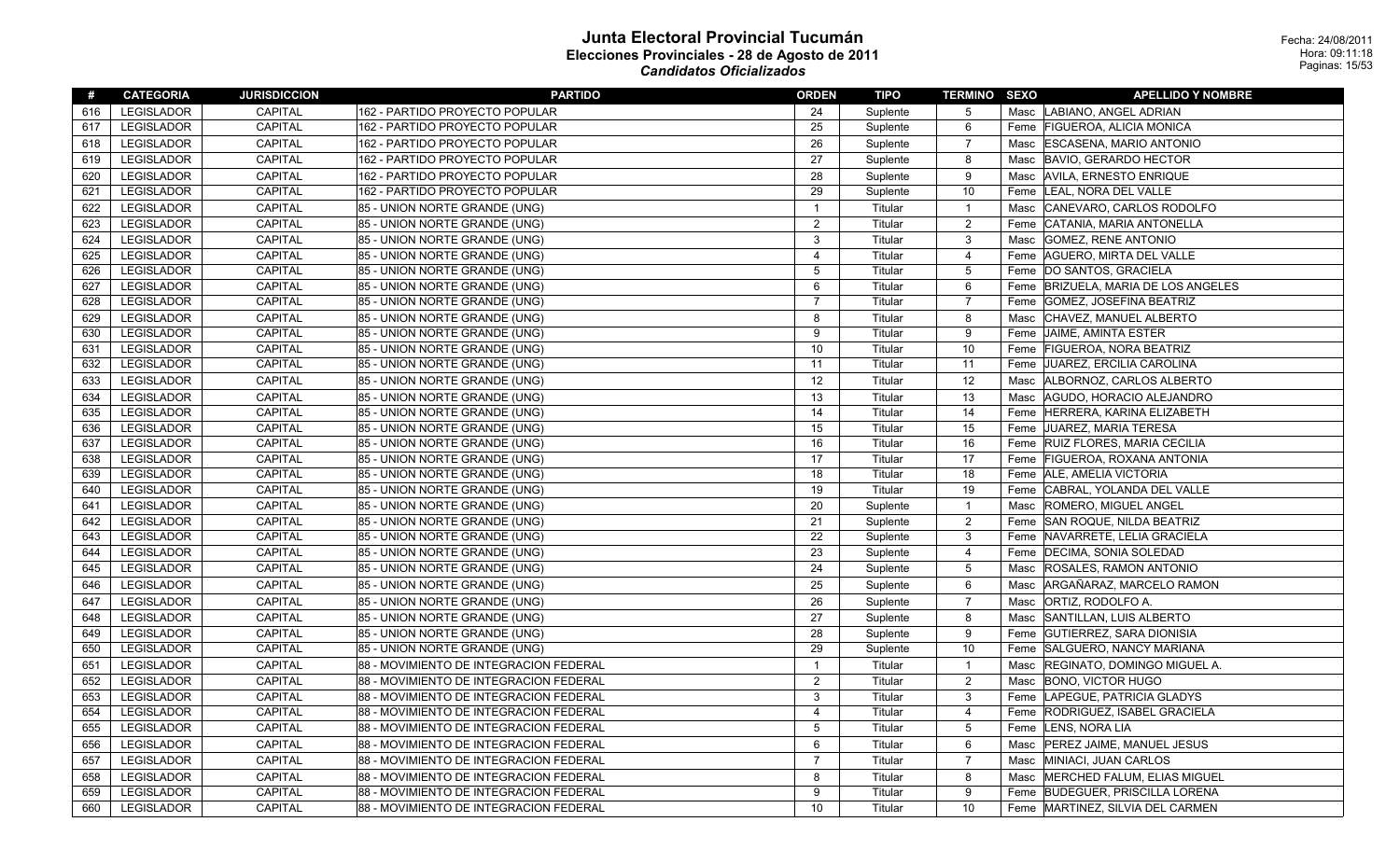| #   | <b>CATEGORIA</b>  | <b>JURISDICCION</b> | <b>PARTIDO</b>                         | <b>ORDEN</b>   | <b>TIPO</b> | <b>TERMINO SEXO</b> |      | <b>APELLIDO Y NOMBRE</b>            |
|-----|-------------------|---------------------|----------------------------------------|----------------|-------------|---------------------|------|-------------------------------------|
| 616 | LEGISLADOR        | <b>CAPITAL</b>      | 162 - PARTIDO PROYECTO POPULAR         | 24             | Suplente    | 5                   |      | Masc  LABIANO, ANGEL ADRIAN         |
| 617 | LEGISLADOR        | <b>CAPITAL</b>      | 162 - PARTIDO PROYECTO POPULAR         | 25             | Suplente    | 6                   |      | Feme FIGUEROA, ALICIA MONICA        |
| 618 | LEGISLADOR        | CAPITAL             | 162 - PARTIDO PROYECTO POPULAR         | 26             | Suplente    | 7                   |      | Masc ESCASENA, MARIO ANTONIO        |
| 619 | <b>LEGISLADOR</b> | <b>CAPITAL</b>      | 162 - PARTIDO PROYECTO POPULAR         | 27             | Suplente    | 8                   |      | Masc BAVIO, GERARDO HECTOR          |
| 620 | <b>LEGISLADOR</b> | <b>CAPITAL</b>      | 162 - PARTIDO PROYECTO POPULAR         | 28             | Suplente    | 9                   |      | Masc AVILA, ERNESTO ENRIQUE         |
| 621 | LEGISLADOR        | CAPITAL             | 162 - PARTIDO PROYECTO POPULAR         | 29             | Suplente    | 10                  |      | Feme  LEAL, NORA DEL VALLE          |
| 622 | <b>LEGISLADOR</b> | CAPITAL             | 85 - UNION NORTE GRANDE (UNG)          | -1             | Titular     | $\overline{1}$      | Masc | CANEVARO, CARLOS RODOLFO            |
| 623 | LEGISLADOR        | CAPITAL             | 85 - UNION NORTE GRANDE (UNG)          | $\overline{2}$ | Titular     | $\overline{2}$      |      | Feme CATANIA, MARIA ANTONELLA       |
| 624 | <b>LEGISLADOR</b> | <b>CAPITAL</b>      | 85 - UNION NORTE GRANDE (UNG)          | 3              | Titular     | 3                   |      | Masc GOMEZ, RENE ANTONIO            |
| 625 | LEGISLADOR        | CAPITAL             | 85 - UNION NORTE GRANDE (UNG)          | $\overline{4}$ | Titular     | $\overline{4}$      |      | Feme   AGUERO, MIRTA DEL VALLE      |
| 626 | LEGISLADOR        | <b>CAPITAL</b>      | 85 - UNION NORTE GRANDE (UNG)          | 5              | Titular     | $\overline{5}$      |      | Feme  DO SANTOS, GRACIELA           |
| 627 | LEGISLADOR        | CAPITAL             | 85 - UNION NORTE GRANDE (UNG)          | 6              | Titular     | 6                   |      | Feme BRIZUELA, MARIA DE LOS ANGELES |
| 628 | LEGISLADOR        | <b>CAPITAL</b>      | 85 - UNION NORTE GRANDE (UNG)          | -7             | Titular     | 7                   |      | Feme GOMEZ, JOSEFINA BEATRIZ        |
| 629 | <b>LEGISLADOR</b> | CAPITAL             | 85 - UNION NORTE GRANDE (UNG)          | 8              | Titular     | 8                   | Masc | CHAVEZ, MANUEL ALBERTO              |
| 630 | <b>LEGISLADOR</b> | <b>CAPITAL</b>      | 85 - UNION NORTE GRANDE (UNG)          | 9              | Titular     | 9                   |      | Feme JAIME, AMINTA ESTER            |
| 631 | LEGISLADOR        | CAPITAL             | 85 - UNION NORTE GRANDE (UNG)          | 10             | Titular     | 10                  |      | Feme FIGUEROA, NORA BEATRIZ         |
| 632 | LEGISLADOR        | CAPITAL             | 85 - UNION NORTE GRANDE (UNG)          | 11             | Titular     | 11                  |      | Feme JJUAREZ, ERCILIA CAROLINA      |
| 633 | LEGISLADOR        | CAPITAL             | 85 - UNION NORTE GRANDE (UNG)          | 12             | Titular     | 12                  |      | Masc   ALBORNOZ, CARLOS ALBERTO     |
| 634 | <b>LEGISLADOR</b> | <b>CAPITAL</b>      | 85 - UNION NORTE GRANDE (UNG)          | 13             | Titular     | 13                  |      | Masc AGUDO, HORACIO ALEJANDRO       |
| 635 | <b>LEGISLADOR</b> | <b>CAPITAL</b>      | 85 - UNION NORTE GRANDE (UNG)          | 14             | Titular     | 14                  |      | Feme HERRERA, KARINA ELIZABETH      |
| 636 | LEGISLADOR        | <b>CAPITAL</b>      | 85 - UNION NORTE GRANDE (UNG)          | 15             | Titular     | 15                  |      | Feme JUAREZ, MARIA TERESA           |
| 637 | LEGISLADOR        | CAPITAL             | 85 - UNION NORTE GRANDE (UNG)          | 16             | Titular     | 16                  |      | Feme RUIZ FLORES, MARIA CECILIA     |
| 638 | LEGISLADOR        | <b>CAPITAL</b>      | 85 - UNION NORTE GRANDE (UNG)          | 17             | Titular     | 17                  |      | Feme FIGUEROA, ROXANA ANTONIA       |
| 639 | LEGISLADOR        | CAPITAL             | 85 - UNION NORTE GRANDE (UNG)          | 18             | Titular     | 18                  |      | Feme ALE, AMELIA VICTORIA           |
| 640 | LEGISLADOR        | CAPITAL             | 85 - UNION NORTE GRANDE (UNG)          | 19             | Titular     | 19                  |      | Feme CABRAL, YOLANDA DEL VALLE      |
| 641 | LEGISLADOR        | CAPITAL             | 85 - UNION NORTE GRANDE (UNG)          | 20             | Suplente    | $\overline{1}$      |      | Masc ROMERO, MIGUEL ANGEL           |
| 642 | LEGISLADOR        | CAPITAL             | 85 - UNION NORTE GRANDE (UNG)          | 21             | Suplente    | $\overline{2}$      |      | Feme SAN ROQUE, NILDA BEATRIZ       |
| 643 | <b>LEGISLADOR</b> | <b>CAPITAL</b>      | 85 - UNION NORTE GRANDE (UNG)          | 22             | Suplente    | 3                   |      | Feme NAVARRETE, LELIA GRACIELA      |
| 644 | LEGISLADOR        | <b>CAPITAL</b>      | 85 - UNION NORTE GRANDE (UNG)          | 23             | Suplente    | $\overline{4}$      |      | Feme   DECIMA, SONIA SOLEDAD        |
| 645 | <b>LEGISLADOR</b> | CAPITAL             | 85 - UNION NORTE GRANDE (UNG)          | 24             | Suplente    | 5                   |      | Masc ROSALES, RAMON ANTONIO         |
| 646 | <b>LEGISLADOR</b> | <b>CAPITAL</b>      | 85 - UNION NORTE GRANDE (UNG)          | 25             | Suplente    | 6                   | Masc | ARGAÑARAZ, MARCELO RAMON            |
| 647 | <b>LEGISLADOR</b> | <b>CAPITAL</b>      | 85 - UNION NORTE GRANDE (UNG)          | 26             | Suplente    | 7                   | Masc | ORTIZ, RODOLFO A.                   |
| 648 | <b>LEGISLADOR</b> | <b>CAPITAL</b>      | 85 - UNION NORTE GRANDE (UNG)          | 27             | Suplente    | 8                   |      | Masc SANTILLAN, LUIS ALBERTO        |
| 649 | LEGISLADOR        | CAPITAL             | 85 - UNION NORTE GRANDE (UNG)          | 28             | Suplente    | 9                   |      | Feme GUTIERREZ, SARA DIONISIA       |
| 650 | LEGISLADOR        | CAPITAL             | 85 - UNION NORTE GRANDE (UNG)          | 29             | Suplente    | 10                  |      | Feme SALGUERO, NANCY MARIANA        |
| 651 | LEGISLADOR        | CAPITAL             | 88 - MOVIMIENTO DE INTEGRACION FEDERAL | -1             | Titular     | $\overline{1}$      |      | Masc REGINATO, DOMINGO MIGUEL A.    |
| 652 | <b>LEGISLADOR</b> | <b>CAPITAL</b>      | 88 - MOVIMIENTO DE INTEGRACION FEDERAL | 2              | Titular     | 2                   |      | Masc BONO, VICTOR HUGO              |
| 653 | LEGISLADOR        | <b>CAPITAL</b>      | 88 - MOVIMIENTO DE INTEGRACION FEDERAL | 3              | Titular     | 3                   |      | Feme LAPEGUE, PATRICIA GLADYS       |
| 654 | LEGISLADOR        | CAPITAL             | 88 - MOVIMIENTO DE INTEGRACION FEDERAL | 4              | Titular     | $\overline{4}$      |      | Feme RODRIGUEZ, ISABEL GRACIELA     |
| 655 | LEGISLADOR        | <b>CAPITAL</b>      | 88 - MOVIMIENTO DE INTEGRACION FEDERAL | 5              | Titular     | 5                   |      | Feme LENS, NORA LIA                 |
| 656 | LEGISLADOR        | CAPITAL             | 88 - MOVIMIENTO DE INTEGRACION FEDERAL | 6              | Titular     | 6                   |      | Masc   PEREZ JAIME, MANUEL JESUS    |
| 657 | LEGISLADOR        | CAPITAL             | 88 - MOVIMIENTO DE INTEGRACION FEDERAL | $\overline{7}$ | Titular     | $\overline{7}$      | Masc | MINIACI, JUAN CARLOS                |
| 658 | <b>LEGISLADOR</b> | CAPITAL             | 88 - MOVIMIENTO DE INTEGRACION FEDERAL | 8              | Titular     | 8                   |      | Masc MERCHED FALUM, ELIAS MIGUEL    |
| 659 | LEGISLADOR        | <b>CAPITAL</b>      | 88 - MOVIMIENTO DE INTEGRACION FEDERAL | 9              | Titular     | 9                   |      | Feme BUDEGUER, PRISCILLA LORENA     |
| 660 | LEGISLADOR        | CAPITAL             | 88 - MOVIMIENTO DE INTEGRACION FEDERAL | 10             | Titular     | 10                  |      | Feme MARTINEZ, SILVIA DEL CARMEN    |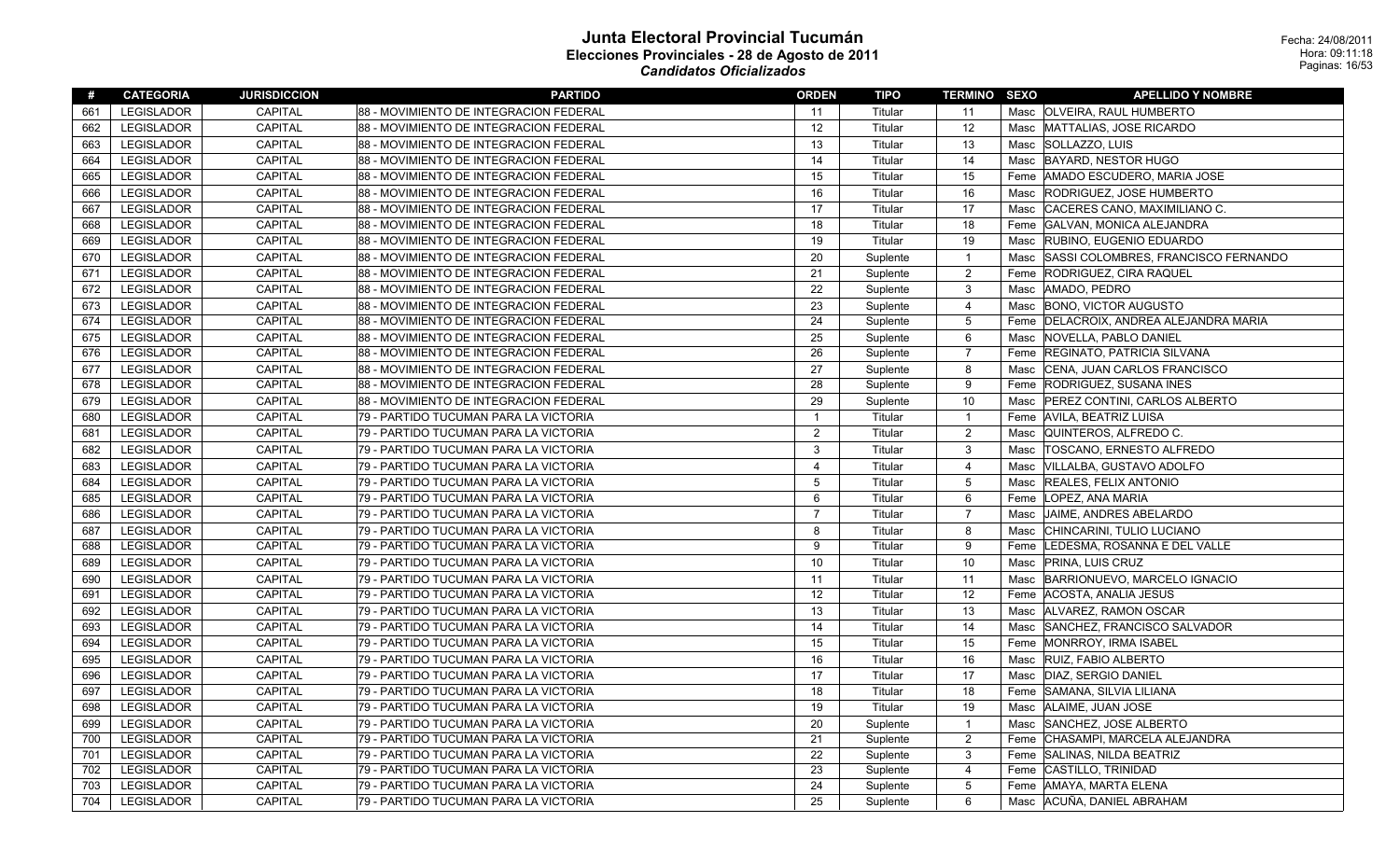| #   | <b>CATEGORIA</b>  | <b>JURISDICCION</b> | <b>PARTIDO</b>                         | <b>ORDEN</b>   | <b>TIPO</b> | <b>TERMINO SEXO</b> |      | <b>APELLIDO Y NOMBRE</b>                 |
|-----|-------------------|---------------------|----------------------------------------|----------------|-------------|---------------------|------|------------------------------------------|
| 661 | <b>LEGISLADOR</b> | <b>CAPITAL</b>      | 88 - MOVIMIENTO DE INTEGRACION FEDERAL | 11             | Titular     | 11                  |      | Masc   OLVEIRA, RAUL HUMBERTO            |
| 662 | <b>LEGISLADOR</b> | <b>CAPITAL</b>      | 88 - MOVIMIENTO DE INTEGRACION FEDERAL | 12             | Titular     | 12                  |      | Masc MATTALIAS, JOSE RICARDO             |
| 663 | <b>LEGISLADOR</b> | <b>CAPITAL</b>      | 88 - MOVIMIENTO DE INTEGRACION FEDERAL | 13             | Titular     | 13                  | Masc | SOLLAZZO, LUIS                           |
| 664 | <b>LEGISLADOR</b> | <b>CAPITAL</b>      | 88 - MOVIMIENTO DE INTEGRACION FEDERAL | 14             | Titular     | 14                  | Masc | <b>BAYARD, NESTOR HUGO</b>               |
| 665 | <b>LEGISLADOR</b> | <b>CAPITAL</b>      | 88 - MOVIMIENTO DE INTEGRACION FEDERAL | 15             | Titular     | 15                  | Feme | AMADO ESCUDERO, MARIA JOSE               |
| 666 | LEGISLADOR        | CAPITAL             | 88 - MOVIMIENTO DE INTEGRACION FEDERAL | 16             | Titular     | 16                  | Masc | RODRIGUEZ, JOSE HUMBERTO                 |
| 667 | <b>LEGISLADOR</b> | <b>CAPITAL</b>      | 88 - MOVIMIENTO DE INTEGRACION FEDERAL | 17             | Titular     | 17                  | Masc | CACERES CANO, MAXIMILIANO C.             |
| 668 | LEGISLADOR        | CAPITAL             | 88 - MOVIMIENTO DE INTEGRACION FEDERAL | 18             | Titular     | 18                  | Feme | GALVAN, MONICA ALEJANDRA                 |
| 669 | <b>LEGISLADOR</b> | CAPITAL             | 88 - MOVIMIENTO DE INTEGRACION FEDERAL | 19             | Titular     | 19                  | Masc | RUBINO, EUGENIO EDUARDO                  |
| 670 | <b>LEGISLADOR</b> | <b>CAPITAL</b>      | 88 - MOVIMIENTO DE INTEGRACION FEDERAL | 20             | Suplente    | $\overline{1}$      | Masc | SASSI COLOMBRES, FRANCISCO FERNANDO      |
| 671 | <b>LEGISLADOR</b> | CAPITAL             | 88 - MOVIMIENTO DE INTEGRACION FEDERAL | 21             | Suplente    | $\overline{2}$      | Feme | <b>RODRIGUEZ, CIRA RAQUEL</b>            |
| 672 | LEGISLADOR        | <b>CAPITAL</b>      | 88 - MOVIMIENTO DE INTEGRACION FEDERAL | 22             | Suplente    | 3                   | Masc | AMADO, PEDRO                             |
| 673 | <b>LEGISLADOR</b> | <b>CAPITAL</b>      | 88 - MOVIMIENTO DE INTEGRACION FEDERAL | 23             | Suplente    | $\overline{4}$      | Masc | <b>BONO, VICTOR AUGUSTO</b>              |
| 674 | <b>LEGISLADOR</b> | <b>CAPITAL</b>      | 88 - MOVIMIENTO DE INTEGRACION FEDERAL | 24             | Suplente    | $\overline{5}$      |      | Feme   DELACROIX, ANDREA ALEJANDRA MARIA |
| 675 | <b>LEGISLADOR</b> | <b>CAPITAL</b>      | 88 - MOVIMIENTO DE INTEGRACION FEDERAL | 25             | Suplente    | 6                   | Masc | NOVELLA, PABLO DANIEL                    |
| 676 | <b>LEGISLADOR</b> | <b>CAPITAL</b>      | 88 - MOVIMIENTO DE INTEGRACION FEDERAL | 26             | Suplente    | $\overline{7}$      | Feme | <b>REGINATO, PATRICIA SILVANA</b>        |
| 677 | LEGISLADOR        | CAPITAL             | 88 - MOVIMIENTO DE INTEGRACION FEDERAL | 27             | Suplente    | 8                   | Masc | CENA, JUAN CARLOS FRANCISCO              |
| 678 | <b>LEGISLADOR</b> | CAPITAL             | 88 - MOVIMIENTO DE INTEGRACION FEDERAL | 28             | Suplente    | 9                   | Feme | RODRIGUEZ, SUSANA INES                   |
| 679 | <b>LEGISLADOR</b> | CAPITAL             | 88 - MOVIMIENTO DE INTEGRACION FEDERAL | 29             | Suplente    | 10                  | Masc | PEREZ CONTINI, CARLOS ALBERTO            |
| 680 | <b>LEGISLADOR</b> | CAPITAL             | 79 - PARTIDO TUCUMAN PARA LA VICTORIA  | $\mathbf{1}$   | Titular     | $\overline{1}$      | Feme | <b>AVILA, BEATRIZ LUISA</b>              |
| 681 | LEGISLADOR        | CAPITAL             | 79 - PARTIDO TUCUMAN PARA LA VICTORIA  | 2              | Titular     | $\overline{2}$      | Masc | QUINTEROS, ALFREDO C.                    |
| 682 | <b>LEGISLADOR</b> | <b>CAPITAL</b>      | 79 - PARTIDO TUCUMAN PARA LA VICTORIA  | 3              | Titular     | 3                   | Masc | <b>TOSCANO, ERNESTO ALFREDO</b>          |
| 683 | LEGISLADOR        | CAPITAL             | 79 - PARTIDO TUCUMAN PARA LA VICTORIA  | $\overline{4}$ | Titular     | $\overline{4}$      | Masc | VILLALBA, GUSTAVO ADOLFO                 |
| 684 | <b>LEGISLADOR</b> | CAPITAL             | 79 - PARTIDO TUCUMAN PARA LA VICTORIA  | 5              | Titular     | $\overline{5}$      | Masc | <b>REALES, FELIX ANTONIO</b>             |
| 685 | <b>LEGISLADOR</b> | CAPITAL             | 79 - PARTIDO TUCUMAN PARA LA VICTORIA  | 6              | Titular     | 6                   | Feme | LOPEZ, ANA MARIA                         |
| 686 | <b>LEGISLADOR</b> | CAPITAL             | 79 - PARTIDO TUCUMAN PARA LA VICTORIA  | $\overline{7}$ | Titular     | $\overline{7}$      | Masc | JAIME, ANDRES ABELARDO                   |
| 687 | <b>LEGISLADOR</b> | <b>CAPITAL</b>      | 79 - PARTIDO TUCUMAN PARA LA VICTORIA  | 8              | Titular     | 8                   | Masc | CHINCARINI. TULIO LUCIANO                |
| 688 | <b>LEGISLADOR</b> | <b>CAPITAL</b>      | 79 - PARTIDO TUCUMAN PARA LA VICTORIA  | 9              | Titular     | 9                   | Feme | LEDESMA, ROSANNA E DEL VALLE             |
| 689 | <b>LEGISLADOR</b> | CAPITAL             | 79 - PARTIDO TUCUMAN PARA LA VICTORIA  | 10             | Titular     | 10                  | Masc | <b>PRINA, LUIS CRUZ</b>                  |
| 690 | <b>LEGISLADOR</b> | CAPITAL             | 79 - PARTIDO TUCUMAN PARA LA VICTORIA  | 11             | Titular     | 11                  | Masc | BARRIONUEVO, MARCELO IGNACIO             |
| 691 | <b>LEGISLADOR</b> | <b>CAPITAL</b>      | 79 - PARTIDO TUCUMAN PARA LA VICTORIA  | 12             | Titular     | 12                  | Feme | ACOSTA, ANALIA JESUS                     |
| 692 | <b>LEGISLADOR</b> | <b>CAPITAL</b>      | 79 - PARTIDO TUCUMAN PARA LA VICTORIA  | 13             | Titular     | 13                  | Masc | ALVAREZ, RAMON OSCAR                     |
| 693 | <b>LEGISLADOR</b> | CAPITAL             | 79 - PARTIDO TUCUMAN PARA LA VICTORIA  | 14             | Titular     | 14                  | Masc | SANCHEZ, FRANCISCO SALVADOR              |
| 694 | <b>LEGISLADOR</b> | <b>CAPITAL</b>      | 79 - PARTIDO TUCUMAN PARA LA VICTORIA  | 15             | Titular     | 15                  | Feme | MONRROY, IRMA ISABEL                     |
| 695 | LEGISLADOR        | <b>CAPITAL</b>      | 79 - PARTIDO TUCUMAN PARA LA VICTORIA  | 16             | Titular     | 16                  | Masc | <b>RUIZ, FABIO ALBERTO</b>               |
| 696 | <b>LEGISLADOR</b> | <b>CAPITAL</b>      | 79 - PARTIDO TUCUMAN PARA LA VICTORIA  | 17             | Titular     | 17                  | Masc | DIAZ, SERGIO DANIEL                      |
| 697 | <b>LEGISLADOR</b> | <b>CAPITAL</b>      | 79 - PARTIDO TUCUMAN PARA LA VICTORIA  | 18             | Titular     | 18                  | Feme | SAMANA, SILVIA LILIANA                   |
| 698 | <b>LEGISLADOR</b> | <b>CAPITAL</b>      | 79 - PARTIDO TUCUMAN PARA LA VICTORIA  | 19             | Titular     | 19                  |      | Masc ALAIME, JUAN JOSE                   |
| 699 | LEGISLADOR        | <b>CAPITAL</b>      | 79 - PARTIDO TUCUMAN PARA LA VICTORIA  | 20             | Suplente    | $\overline{1}$      | Masc | SANCHEZ, JOSE ALBERTO                    |
| 700 | <b>LEGISLADOR</b> | <b>CAPITAL</b>      | 79 - PARTIDO TUCUMAN PARA LA VICTORIA  | 21             | Suplente    | $\overline{2}$      | Feme | CHASAMPI, MARCELA ALEJANDRA              |
| 701 | <b>LEGISLADOR</b> | CAPITAL             | 79 - PARTIDO TUCUMAN PARA LA VICTORIA  | 22             | Suplente    | 3                   |      | Feme SALINAS, NILDA BEATRIZ              |
| 702 | <b>LEGISLADOR</b> | CAPITAL             | 79 - PARTIDO TUCUMAN PARA LA VICTORIA  | 23             | Suplente    | 4                   |      | Feme CASTILLO, TRINIDAD                  |
| 703 | <b>LEGISLADOR</b> | CAPITAL             | 79 - PARTIDO TUCUMAN PARA LA VICTORIA  | 24             | Suplente    | 5                   |      | Feme AMAYA, MARTA ELENA                  |
| 704 | <b>LEGISLADOR</b> | <b>CAPITAL</b>      | 79 - PARTIDO TUCUMAN PARA LA VICTORIA  | 25             | Suplente    | 6                   |      | Masc ACUÑA, DANIEL ABRAHAM               |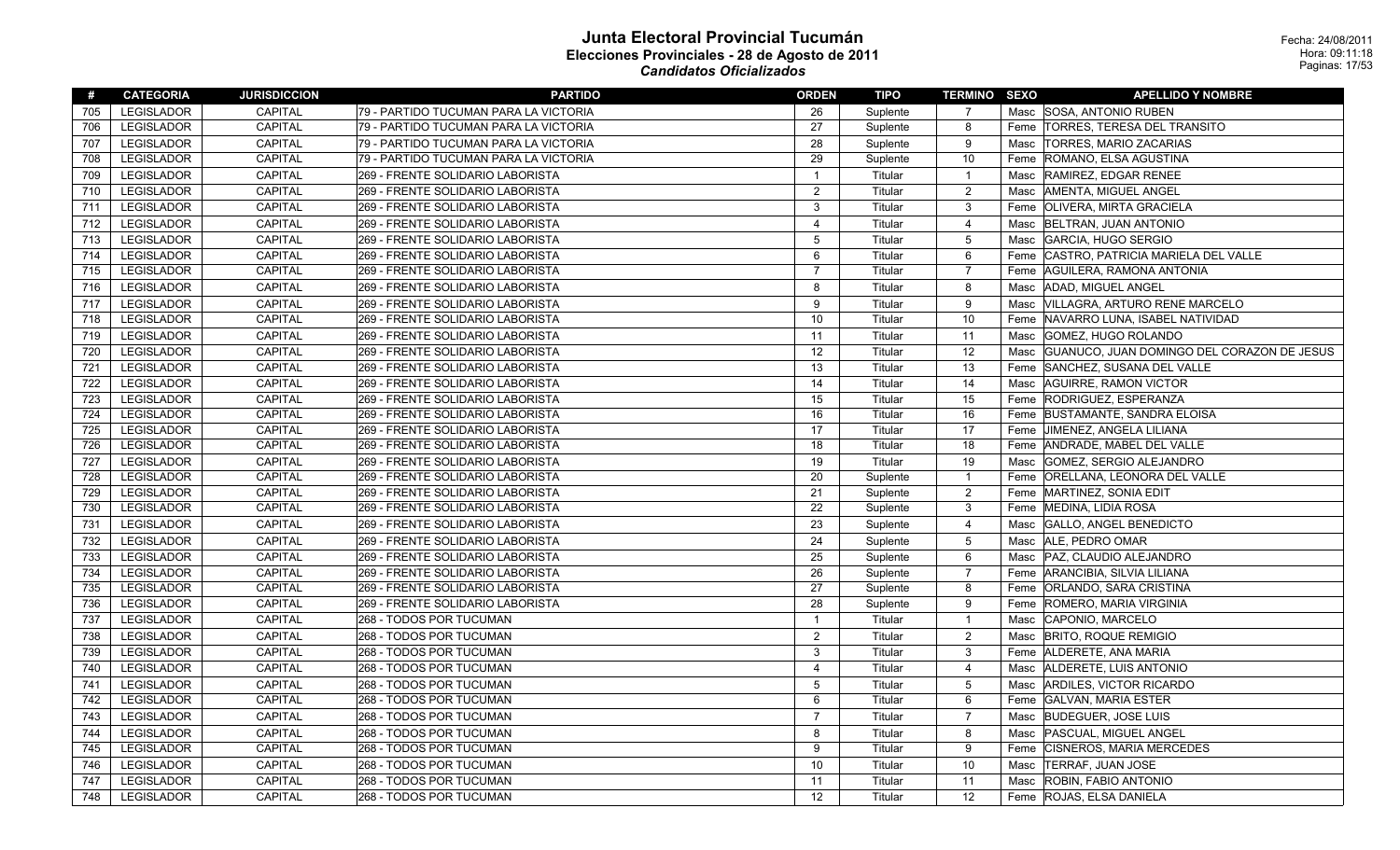| #   | <b>CATEGORIA</b>  | <b>JURISDICCION</b> | <b>PARTIDO</b>                        | <b>ORDEN</b>   | TIPO     | <b>TERMINO SEXO</b> | <b>APELLIDO Y NOMBRE</b>                           |  |
|-----|-------------------|---------------------|---------------------------------------|----------------|----------|---------------------|----------------------------------------------------|--|
| 705 | <b>LEGISLADOR</b> | <b>CAPITAL</b>      | 79 - PARTIDO TUCUMAN PARA LA VICTORIA | 26             | Suplente | $\overline{7}$      | Masc SOSA, ANTONIO RUBEN                           |  |
| 706 | <b>LEGISLADOR</b> | <b>CAPITAL</b>      | 79 - PARTIDO TUCUMAN PARA LA VICTORIA | 27             | Suplente | 8                   | Feme TORRES, TERESA DEL TRANSITO                   |  |
| 707 | <b>LEGISLADOR</b> | CAPITAL             | 79 - PARTIDO TUCUMAN PARA LA VICTORIA | 28             | Suplente | 9                   | <b>TORRES, MARIO ZACARIAS</b><br>Masc              |  |
| 708 | <b>LEGISLADOR</b> | <b>CAPITAL</b>      | 79 - PARTIDO TUCUMAN PARA LA VICTORIA | 29             | Suplente | 10                  | Feme<br>ROMANO, ELSA AGUSTINA                      |  |
| 709 | <b>LEGISLADOR</b> | <b>CAPITAL</b>      | 269 - FRENTE SOLIDARIO LABORISTA      | $\overline{1}$ | Titular  | $\overline{1}$      | <b>RAMIREZ, EDGAR RENEE</b><br>Masc                |  |
| 710 | <b>LEGISLADOR</b> | <b>CAPITAL</b>      | 269 - FRENTE SOLIDARIO LABORISTA      | 2              | Titular  | $\overline{2}$      | AMENTA, MIGUEL ANGEL<br>Masc                       |  |
| 711 | <b>LEGISLADOR</b> | <b>CAPITAL</b>      | 269 - FRENTE SOLIDARIO LABORISTA      | 3              | Titular  | $\mathbf{3}$        | Feme   OLIVERA, MIRTA GRACIELA                     |  |
| 712 | <b>LEGISLADOR</b> | <b>CAPITAL</b>      | 269 - FRENTE SOLIDARIO LABORISTA      | $\overline{4}$ | Titular  | $\overline{4}$      | <b>BELTRAN, JUAN ANTONIO</b><br>Masc               |  |
| 713 | <b>LEGISLADOR</b> | <b>CAPITAL</b>      | 269 - FRENTE SOLIDARIO LABORISTA      | 5              | Titular  | 5                   | GARCIA, HUGO SERGIO<br>Masc                        |  |
| 714 | <b>LEGISLADOR</b> | <b>CAPITAL</b>      | 269 - FRENTE SOLIDARIO LABORISTA      | 6              | Titular  | 6                   | Feme CASTRO, PATRICIA MARIELA DEL VALLE            |  |
| 715 | <b>LEGISLADOR</b> | CAPITAL             | 269 - FRENTE SOLIDARIO LABORISTA      | $\overline{7}$ | Titular  | $\overline{7}$      | AGUILERA, RAMONA ANTONIA<br>Feme                   |  |
| 716 | <b>LEGISLADOR</b> | <b>CAPITAL</b>      | 269 - FRENTE SOLIDARIO LABORISTA      | 8              | Titular  | 8                   | ADAD, MIGUEL ANGEL<br>Masc                         |  |
| 717 | <b>LEGISLADOR</b> | <b>CAPITAL</b>      | 269 - FRENTE SOLIDARIO LABORISTA      | 9              | Titular  | 9                   | VILLAGRA, ARTURO RENE MARCELO<br>Masc              |  |
| 718 | LEGISLADOR        | <b>CAPITAL</b>      | 269 - FRENTE SOLIDARIO LABORISTA      | 10             | Titular  | 10                  | Feme NAVARRO LUNA, ISABEL NATIVIDAD                |  |
| 719 | <b>LEGISLADOR</b> | <b>CAPITAL</b>      | 269 - FRENTE SOLIDARIO LABORISTA      | 11             | Titular  | 11                  | GOMEZ, HUGO ROLANDO<br>Masc                        |  |
| 720 | <b>LEGISLADOR</b> | <b>CAPITAL</b>      | 269 - FRENTE SOLIDARIO LABORISTA      | 12             | Titular  | 12                  | GUANUCO, JUAN DOMINGO DEL CORAZON DE JESUS<br>Masc |  |
| 721 | <b>LEGISLADOR</b> | <b>CAPITAL</b>      | 269 - FRENTE SOLIDARIO LABORISTA      | 13             | Titular  | 13                  | Feme SANCHEZ, SUSANA DEL VALLE                     |  |
| 722 | <b>LEGISLADOR</b> | <b>CAPITAL</b>      | 269 - FRENTE SOLIDARIO LABORISTA      | 14             | Titular  | 14                  | AGUIRRE, RAMON VICTOR<br>Masc                      |  |
| 723 | <b>LEGISLADOR</b> | <b>CAPITAL</b>      | 269 - FRENTE SOLIDARIO LABORISTA      | 15             | Titular  | 15                  | Feme RODRIGUEZ, ESPERANZA                          |  |
| 724 | <b>LEGISLADOR</b> | <b>CAPITAL</b>      | 269 - FRENTE SOLIDARIO LABORISTA      | 16             | Titular  | 16                  | Feme BUSTAMANTE, SANDRA ELOISA                     |  |
| 725 | <b>LEGISLADOR</b> | CAPITAL             | 269 - FRENTE SOLIDARIO LABORISTA      | 17             | Titular  | 17                  | Feme JIMENEZ, ANGELA LILIANA                       |  |
| 726 | <b>LEGISLADOR</b> | <b>CAPITAL</b>      | 269 - FRENTE SOLIDARIO LABORISTA      | 18             | Titular  | 18                  | Feme ANDRADE, MABEL DEL VALLE                      |  |
| 727 | <b>LEGISLADOR</b> | <b>CAPITAL</b>      | 269 - FRENTE SOLIDARIO LABORISTA      | 19             | Titular  | 19                  | Masc   GOMEZ, SERGIO ALEJANDRO                     |  |
| 728 | <b>LEGISLADOR</b> | <b>CAPITAL</b>      | 269 - FRENTE SOLIDARIO LABORISTA      | 20             | Suplente | $\overline{1}$      | Feme   ORELLANA, LEONORA DEL VALLE                 |  |
| 729 | <b>LEGISLADOR</b> | <b>CAPITAL</b>      | 269 - FRENTE SOLIDARIO LABORISTA      | 21             | Suplente | $\overline{2}$      | Feme MARTINEZ, SONIA EDIT                          |  |
| 730 | <b>LEGISLADOR</b> | <b>CAPITAL</b>      | 269 - FRENTE SOLIDARIO LABORISTA      | 22             | Suplente | $\mathbf{3}$        | Feme MEDINA, LIDIA ROSA                            |  |
| 731 | <b>LEGISLADOR</b> | <b>CAPITAL</b>      | 269 - FRENTE SOLIDARIO LABORISTA      | 23             | Suplente | $\overline{4}$      | Masc GALLO, ANGEL BENEDICTO                        |  |
| 732 | <b>LEGISLADOR</b> | <b>CAPITAL</b>      | 269 - FRENTE SOLIDARIO LABORISTA      | 24             | Suplente | 5                   | ALE, PEDRO OMAR<br>Masc                            |  |
| 733 | <b>LEGISLADOR</b> | <b>CAPITAL</b>      | 269 - FRENTE SOLIDARIO LABORISTA      | 25             | Suplente | 6                   | Masc   PAZ, CLAUDIO ALEJANDRO                      |  |
| 734 | <b>LEGISLADOR</b> | <b>CAPITAL</b>      | 269 - FRENTE SOLIDARIO LABORISTA      | 26             | Suplente | $\overline{7}$      | Feme ARANCIBIA, SILVIA LILIANA                     |  |
| 735 | <b>LEGISLADOR</b> | <b>CAPITAL</b>      | 269 - FRENTE SOLIDARIO LABORISTA      | 27             | Suplente | 8                   | Feme ORLANDO, SARA CRISTINA                        |  |
| 736 | <b>LEGISLADOR</b> | CAPITAL             | 269 - FRENTE SOLIDARIO LABORISTA      | 28             | Suplente | 9                   | Feme ROMERO, MARIA VIRGINIA                        |  |
| 737 | <b>LEGISLADOR</b> | <b>CAPITAL</b>      | 268 - TODOS POR TUCUMAN               | $\overline{1}$ | Titular  | $\overline{1}$      | Masc CAPONIO, MARCELO                              |  |
| 738 | <b>LEGISLADOR</b> | <b>CAPITAL</b>      | 268 - TODOS POR TUCUMAN               | 2              | Titular  | $\overline{2}$      | Masc  BRITO, ROQUE REMIGIO                         |  |
| 739 | <b>LEGISLADOR</b> | CAPITAL             | 268 - TODOS POR TUCUMAN               | $\mathbf{3}$   | Titular  | $\mathbf{3}$        | Feme ALDERETE, ANA MARIA                           |  |
| 740 | <b>LEGISLADOR</b> | <b>CAPITAL</b>      | 268 - TODOS POR TUCUMAN               | $\overline{4}$ | Titular  | $\overline{4}$      | ALDERETE, LUIS ANTONIO<br>Masc                     |  |
| 741 | <b>LEGISLADOR</b> | <b>CAPITAL</b>      | 268 - TODOS POR TUCUMAN               | 5              | Titular  | 5                   | ARDILES, VICTOR RICARDO<br>Masc                    |  |
| 742 | <b>LEGISLADOR</b> | CAPITAL             | 268 - TODOS POR TUCUMAN               | 6              | Titular  | $6\phantom{1}6$     | Feme GALVAN, MARIA ESTER                           |  |
| 743 | <b>LEGISLADOR</b> | <b>CAPITAL</b>      | 268 - TODOS POR TUCUMAN               | $\overline{7}$ | Titular  | $\overline{7}$      | Masc BUDEGUER, JOSE LUIS                           |  |
| 744 | <b>LEGISLADOR</b> | <b>CAPITAL</b>      | 268 - TODOS POR TUCUMAN               | 8              | Titular  | 8                   | Masc<br><b>PASCUAL, MIGUEL ANGEL</b>               |  |
| 745 | <b>LEGISLADOR</b> | <b>CAPITAL</b>      | 268 - TODOS POR TUCUMAN               | 9              | Titular  | 9                   | Feme<br><b>CISNEROS, MARIA MERCEDES</b>            |  |
| 746 | <b>LEGISLADOR</b> | <b>CAPITAL</b>      | 268 - TODOS POR TUCUMAN               | 10             | Titular  | 10                  | TERRAF, JUAN JOSE<br>Masc                          |  |
| 747 | <b>LEGISLADOR</b> | <b>CAPITAL</b>      | 268 - TODOS POR TUCUMAN               | 11             | Titular  | 11                  | ROBIN, FABIO ANTONIO<br>Masc                       |  |
| 748 | <b>LEGISLADOR</b> | <b>CAPITAL</b>      | 268 - TODOS POR TUCUMAN               | 12             | Titular  | 12                  | Feme ROJAS, ELSA DANIELA                           |  |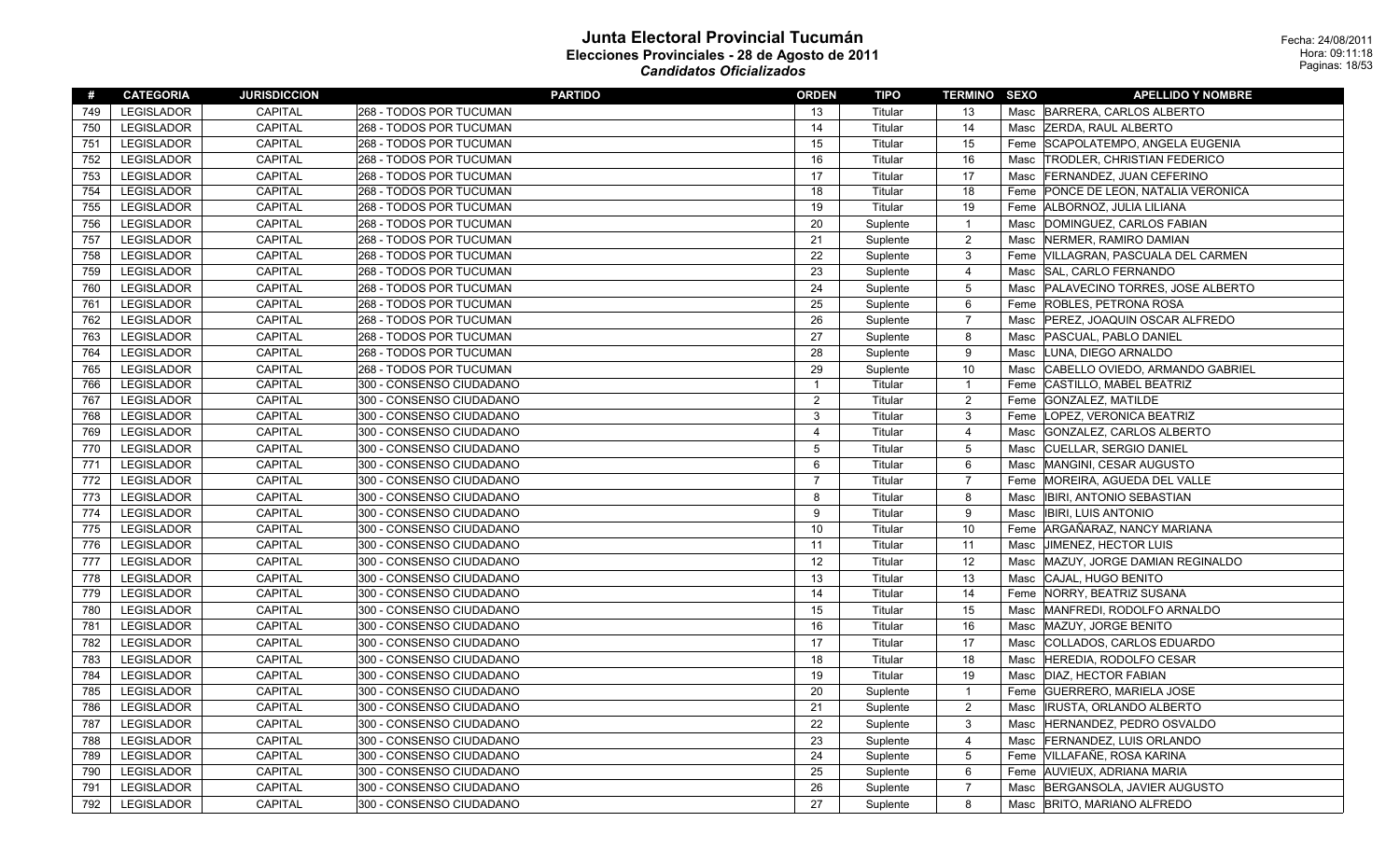| #   | <b>CATEGORIA</b>  | <b>JURISDICCION</b> | <b>PARTIDO</b>           | <b>ORDEN</b>   | <b>TIPO</b> | <b>TERMINO SEXO</b> |      | <b>APELLIDO Y NOMBRE</b>             |
|-----|-------------------|---------------------|--------------------------|----------------|-------------|---------------------|------|--------------------------------------|
| 749 | <b>LEGISLADOR</b> | <b>CAPITAL</b>      | 268 - TODOS POR TUCUMAN  | 13             | Titular     | 13                  |      | Masc BARRERA, CARLOS ALBERTO         |
| 750 | <b>LEGISLADOR</b> | CAPITAL             | 268 - TODOS POR TUCUMAN  | 14             | Titular     | 14                  |      | Masc ZERDA, RAUL ALBERTO             |
| 751 | LEGISLADOR        | CAPITAL             | 268 - TODOS POR TUCUMAN  | 15             | Titular     | 15                  |      | Feme SCAPOLATEMPO, ANGELA EUGENIA    |
| 752 | <b>LEGISLADOR</b> | <b>CAPITAL</b>      | 268 - TODOS POR TUCUMAN  | 16             | Titular     | 16                  | Masc | <b>TRODLER, CHRISTIAN FEDERICO</b>   |
| 753 | <b>LEGISLADOR</b> | CAPITAL             | 268 - TODOS POR TUCUMAN  | 17             | Titular     | 17                  |      | Masc FERNANDEZ, JUAN CEFERINO        |
| 754 | LEGISLADOR        | <b>CAPITAL</b>      | 268 - TODOS POR TUCUMAN  | 18             | Titular     | 18                  |      | Feme PONCE DE LEON, NATALIA VERONICA |
| 755 | <b>LEGISLADOR</b> | CAPITAL             | 268 - TODOS POR TUCUMAN  | 19             | Titular     | 19                  |      | Feme ALBORNOZ, JULIA LILIANA         |
| 756 | <b>LEGISLADOR</b> | <b>CAPITAL</b>      | 268 - TODOS POR TUCUMAN  | 20             | Suplente    | $\overline{1}$      | Masc | DOMINGUEZ, CARLOS FABIAN             |
| 757 | <b>LEGISLADOR</b> | CAPITAL             | 268 - TODOS POR TUCUMAN  | 21             | Suplente    | $\overline{2}$      | Masc | NERMER, RAMIRO DAMIAN                |
| 758 | <b>LEGISLADOR</b> | CAPITAL             | 268 - TODOS POR TUCUMAN  | 22             | Suplente    | $\mathbf{3}$        |      | Feme VILLAGRAN, PASCUALA DEL CARMEN  |
| 759 | <b>LEGISLADOR</b> | <b>CAPITAL</b>      | 268 - TODOS POR TUCUMAN  | 23             | Suplente    | $\overline{4}$      | Masc | SAL, CARLO FERNANDO                  |
| 760 | <b>LEGISLADOR</b> | <b>CAPITAL</b>      | 268 - TODOS POR TUCUMAN  | 24             | Suplente    | $5\phantom{.0}$     | Masc | PALAVECINO TORRES, JOSE ALBERTO      |
| 761 | <b>LEGISLADOR</b> | <b>CAPITAL</b>      | 268 - TODOS POR TUCUMAN  | 25             | Suplente    | 6                   |      | Feme ROBLES, PETRONA ROSA            |
| 762 | LEGISLADOR        | <b>CAPITAL</b>      | 268 - TODOS POR TUCUMAN  | 26             | Suplente    | $\overline{7}$      | Masc | PEREZ, JOAQUIN OSCAR ALFREDO         |
| 763 | <b>LEGISLADOR</b> | CAPITAL             | 268 - TODOS POR TUCUMAN  | 27             | Suplente    | 8                   | Masc | <b>PASCUAL, PABLO DANIEL</b>         |
| 764 | <b>LEGISLADOR</b> | <b>CAPITAL</b>      | 268 - TODOS POR TUCUMAN  | 28             | Suplente    | 9                   | Masc | LUNA, DIEGO ARNALDO                  |
| 765 | <b>LEGISLADOR</b> | CAPITAL             | 268 - TODOS POR TUCUMAN  | 29             | Suplente    | 10                  |      | Masc CABELLO OVIEDO, ARMANDO GABRIEL |
| 766 | LEGISLADOR        | <b>CAPITAL</b>      | 300 - CONSENSO CIUDADANO | $\overline{1}$ | Titular     | $\overline{1}$      |      | Feme CASTILLO, MABEL BEATRIZ         |
| 767 | <b>LEGISLADOR</b> | <b>CAPITAL</b>      | 300 - CONSENSO CIUDADANO | $\overline{2}$ | Titular     | $\overline{2}$      |      | Feme GONZALEZ, MATILDE               |
| 768 | LEGISLADOR        | <b>CAPITAL</b>      | 300 - CONSENSO CIUDADANO | $\mathbf{3}$   | Titular     | $\mathbf{3}$        | Feme | LOPEZ, VERONICA BEATRIZ              |
| 769 | <b>LEGISLADOR</b> | <b>CAPITAL</b>      | 300 - CONSENSO CIUDADANO | $\overline{4}$ | Titular     | $\overline{4}$      | Masc | GONZALEZ, CARLOS ALBERTO             |
| 770 | <b>LEGISLADOR</b> | <b>CAPITAL</b>      | 300 - CONSENSO CIUDADANO | 5              | Titular     | $5\overline{5}$     | Masc | CUELLAR, SERGIO DANIEL               |
| 771 | <b>LEGISLADOR</b> | <b>CAPITAL</b>      | 300 - CONSENSO CIUDADANO | 6              | Titular     | 6                   | Masc | MANGINI, CESAR AUGUSTO               |
| 772 | LEGISLADOR        | CAPITAL             | 300 - CONSENSO CIUDADANO | $\overline{7}$ | Titular     | $\overline{7}$      | Feme | MOREIRA, AGUEDA DEL VALLE            |
| 773 | <b>LEGISLADOR</b> | <b>CAPITAL</b>      | 300 - CONSENSO CIUDADANO | 8              | Titular     | 8                   | Masc | <b>IBIRI, ANTONIO SEBASTIAN</b>      |
| 774 | <b>LEGISLADOR</b> | <b>CAPITAL</b>      | 300 - CONSENSO CIUDADANO | 9              | Titular     | 9                   | Masc | <b>IBIRI, LUIS ANTONIO</b>           |
| 775 | LEGISLADOR        | CAPITAL             | 300 - CONSENSO CIUDADANO | 10             | Titular     | 10                  |      | Feme ARGAÑARAZ, NANCY MARIANA        |
| 776 | <b>LEGISLADOR</b> | <b>CAPITAL</b>      | 300 - CONSENSO CIUDADANO | 11             | Titular     | 11                  | Masc | <b>JIMENEZ, HECTOR LUIS</b>          |
| 777 | <b>LEGISLADOR</b> | <b>CAPITAL</b>      | 300 - CONSENSO CIUDADANO | 12             | Titular     | 12                  | Masc | MAZUY, JORGE DAMIAN REGINALDO        |
| 778 | <b>LEGISLADOR</b> | CAPITAL             | 300 - CONSENSO CIUDADANO | 13             | Titular     | 13                  | Masc | CAJAL, HUGO BENITO                   |
| 779 | <b>LEGISLADOR</b> | CAPITAL             | 300 - CONSENSO CIUDADANO | 14             | Titular     | 14                  |      | Feme   NORRY, BEATRIZ SUSANA         |
| 780 | <b>LEGISLADOR</b> | <b>CAPITAL</b>      | 300 - CONSENSO CIUDADANO | 15             | Titular     | 15                  | Masc | MANFREDI, RODOLFO ARNALDO            |
| 781 | <b>LEGISLADOR</b> | CAPITAL             | 300 - CONSENSO CIUDADANO | 16             | Titular     | 16                  | Masc | MAZUY, JORGE BENITO                  |
| 782 | <b>LEGISLADOR</b> | <b>CAPITAL</b>      | 300 - CONSENSO CIUDADANO | 17             | Titular     | 17                  | Masc | COLLADOS, CARLOS EDUARDO             |
| 783 | <b>LEGISLADOR</b> | CAPITAL             | 300 - CONSENSO CIUDADANO | 18             | Titular     | 18                  | Masc | HEREDIA, RODOLFO CESAR               |
| 784 | <b>LEGISLADOR</b> | <b>CAPITAL</b>      | 300 - CONSENSO CIUDADANO | 19             | Titular     | 19                  | Masc | <b>DIAZ. HECTOR FABIAN</b>           |
| 785 | <b>LEGISLADOR</b> | <b>CAPITAL</b>      | 300 - CONSENSO CIUDADANO | 20             | Suplente    | $\overline{1}$      | Feme | <b>GUERRERO, MARIELA JOSE</b>        |
| 786 | <b>LEGISLADOR</b> | CAPITAL             | 300 - CONSENSO CIUDADANO | 21             | Suplente    | $\overline{2}$      | Masc | <b>IRUSTA, ORLANDO ALBERTO</b>       |
| 787 | <b>LEGISLADOR</b> | <b>CAPITAL</b>      | 300 - CONSENSO CIUDADANO | 22             | Suplente    | $\mathbf{3}$        | Masc | HERNANDEZ, PEDRO OSVALDO             |
| 788 | <b>LEGISLADOR</b> | <b>CAPITAL</b>      | 300 - CONSENSO CIUDADANO | 23             | Suplente    | $\overline{4}$      | Masc | <b>FERNANDEZ, LUIS ORLANDO</b>       |
| 789 | <b>LEGISLADOR</b> | CAPITAL             | 300 - CONSENSO CIUDADANO | 24             | Suplente    | $5\phantom{.0}$     |      | Feme VILLAFAÑE, ROSA KARINA          |
| 790 | <b>LEGISLADOR</b> | CAPITAL             | 300 - CONSENSO CIUDADANO | 25             | Suplente    | 6                   |      | Feme AUVIEUX, ADRIANA MARIA          |
| 791 | <b>LEGISLADOR</b> | <b>CAPITAL</b>      | 300 - CONSENSO CIUDADANO | 26             | Suplente    | $\overline{7}$      | Masc | BERGANSOLA, JAVIER AUGUSTO           |
| 792 | <b>LEGISLADOR</b> | <b>CAPITAL</b>      | 300 - CONSENSO CIUDADANO | 27             | Suplente    | 8                   |      | Masc BRITO, MARIANO ALFREDO          |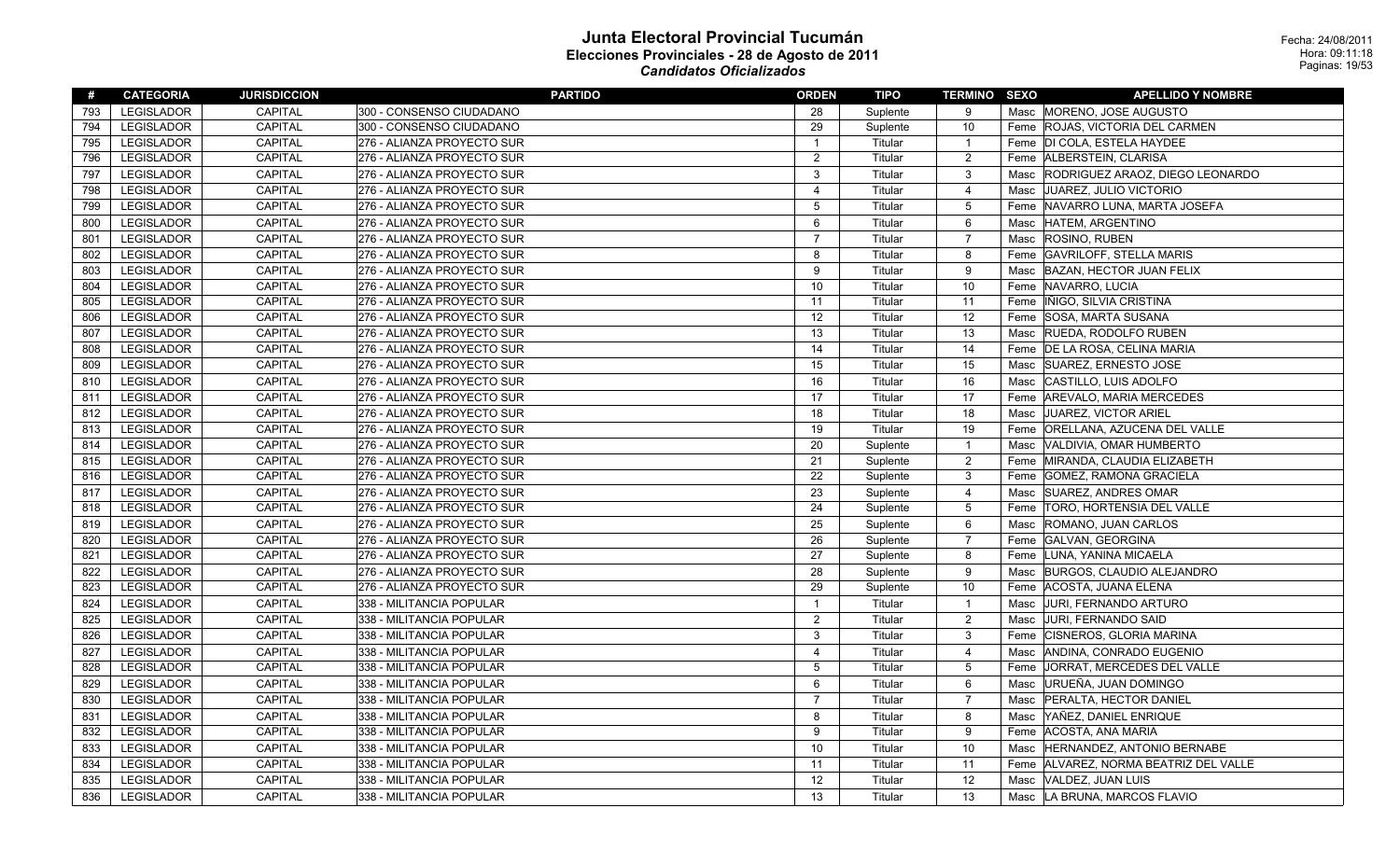| #   | <b>CATEGORIA</b>  | <b>JURISDICCION</b> | <b>PARTIDO</b>             | <b>ORDEN</b>   | TIPO     | <b>TERMINO SEXO</b> | <b>APELLIDO Y NOMBRE</b>                |
|-----|-------------------|---------------------|----------------------------|----------------|----------|---------------------|-----------------------------------------|
| 793 | <b>LEGISLADOR</b> | <b>CAPITAL</b>      | 300 - CONSENSO CIUDADANO   | 28             | Suplente | 9                   | Masc MORENO, JOSE AUGUSTO               |
| 794 | <b>LEGISLADOR</b> | <b>CAPITAL</b>      | 300 - CONSENSO CIUDADANO   | 29             | Suplente | 10                  | Feme ROJAS, VICTORIA DEL CARMEN         |
| 795 | <b>LEGISLADOR</b> | CAPITAL             | 276 - ALIANZA PROYECTO SUR | $\overline{1}$ | Titular  | $\overline{1}$      | Feme  DI COLA, ESTELA HAYDEE            |
| 796 | <b>LEGISLADOR</b> | CAPITAL             | 276 - ALIANZA PROYECTO SUR | $\overline{2}$ | Titular  | $\overline{2}$      | Feme ALBERSTEIN, CLARISA                |
| 797 | <b>LEGISLADOR</b> | CAPITAL             | 276 - ALIANZA PROYECTO SUR | 3              | Titular  | $\mathbf{3}$        | RODRIGUEZ ARAOZ, DIEGO LEONARDO<br>Masc |
| 798 | <b>LEGISLADOR</b> | CAPITAL             | 276 - ALIANZA PROYECTO SUR | 4              | Titular  | $\overline{4}$      | Masc JJUAREZ, JULIO VICTORIO            |
| 799 | <b>LEGISLADOR</b> | CAPITAL             | 276 - ALIANZA PROYECTO SUR | 5              | Titular  | $5\overline{)}$     | Feme NAVARRO LUNA, MARTA JOSEFA         |
| 800 | <b>LEGISLADOR</b> | CAPITAL             | 276 - ALIANZA PROYECTO SUR | 6              | Titular  | 6                   | HATEM, ARGENTINO<br>Masc                |
| 801 | <b>LEGISLADOR</b> | CAPITAL             | 276 - ALIANZA PROYECTO SUR | $\overline{7}$ | Titular  | $\overline{7}$      | Masc ROSINO, RUBEN                      |
| 802 | <b>LEGISLADOR</b> | <b>CAPITAL</b>      | 276 - ALIANZA PROYECTO SUR | 8              | Titular  | 8                   | Feme GAVRILOFF, STELLA MARIS            |
| 803 | <b>LEGISLADOR</b> | <b>CAPITAL</b>      | 276 - ALIANZA PROYECTO SUR | 9              | Titular  | 9                   | Masc BAZAN, HECTOR JUAN FELIX           |
| 804 | <b>LEGISLADOR</b> | CAPITAL             | 276 - ALIANZA PROYECTO SUR | 10             | Titular  | 10                  | Feme NAVARRO, LUCIA                     |
| 805 | <b>LEGISLADOR</b> | <b>CAPITAL</b>      | 276 - ALIANZA PROYECTO SUR | 11             | Titular  | 11                  | Feme   IÑIGO, SILVIA CRISTINA           |
| 806 | <b>LEGISLADOR</b> | <b>CAPITAL</b>      | 276 - ALIANZA PROYECTO SUR | 12             | Titular  | 12                  | SOSA, MARTA SUSANA<br>Feme              |
| 807 | <b>LEGISLADOR</b> | <b>CAPITAL</b>      | 276 - ALIANZA PROYECTO SUR | 13             | Titular  | 13                  | Masc RUEDA, RODOLFO RUBEN               |
| 808 | <b>LEGISLADOR</b> | CAPITAL             | 276 - ALIANZA PROYECTO SUR | 14             | Titular  | 14                  | Feme   DE LA ROSA, CELINA MARIA         |
| 809 | <b>LEGISLADOR</b> | <b>CAPITAL</b>      | 276 - ALIANZA PROYECTO SUR | 15             | Titular  | 15                  | <b>SUAREZ, ERNESTO JOSE</b><br>Masc     |
| 810 | <b>LEGISLADOR</b> | <b>CAPITAL</b>      | 276 - ALIANZA PROYECTO SUR | 16             | Titular  | 16                  | CASTILLO, LUIS ADOLFO<br>Masc           |
| 811 | <b>LEGISLADOR</b> | <b>CAPITAL</b>      | 276 - ALIANZA PROYECTO SUR | 17             | Titular  | 17                  | Feme AREVALO, MARIA MERCEDES            |
| 812 | <b>LEGISLADOR</b> | <b>CAPITAL</b>      | 276 - ALIANZA PROYECTO SUR | 18             | Titular  | 18                  | <b>JUAREZ, VICTOR ARIEL</b><br>Masc     |
| 813 | <b>LEGISLADOR</b> | <b>CAPITAL</b>      | 276 - ALIANZA PROYECTO SUR | 19             | Titular  | 19                  | Feme   ORELLANA, AZUCENA DEL VALLE      |
| 814 | <b>LEGISLADOR</b> | <b>CAPITAL</b>      | 276 - ALIANZA PROYECTO SUR | 20             | Suplente | $\overline{1}$      | Masc VALDIVIA, OMAR HUMBERTO            |
| 815 | <b>LEGISLADOR</b> | <b>CAPITAL</b>      | 276 - ALIANZA PROYECTO SUR | 21             | Suplente | $\overline{2}$      | Feme MIRANDA, CLAUDIA ELIZABETH         |
| 816 | <b>LEGISLADOR</b> | <b>CAPITAL</b>      | 276 - ALIANZA PROYECTO SUR | 22             | Suplente | 3                   | <b>GOMEZ, RAMONA GRACIELA</b><br>Feme   |
| 817 | <b>LEGISLADOR</b> | CAPITAL             | 276 - ALIANZA PROYECTO SUR | 23             | Suplente | $\overline{4}$      | <b>SUAREZ, ANDRES OMAR</b><br>Masc      |
| 818 | <b>LEGISLADOR</b> | CAPITAL             | 276 - ALIANZA PROYECTO SUR | 24             | Suplente | $5\,$               | Feme TORO, HORTENSIA DEL VALLE          |
| 819 | <b>LEGISLADOR</b> | <b>CAPITAL</b>      | 276 - ALIANZA PROYECTO SUR | 25             | Suplente | 6                   | ROMANO, JUAN CARLOS<br>Masc             |
| 820 | <b>LEGISLADOR</b> | <b>CAPITAL</b>      | 276 - ALIANZA PROYECTO SUR | 26             | Suplente | $\overline{7}$      | Feme GALVAN, GEORGINA                   |
| 821 | <b>LEGISLADOR</b> | CAPITAL             | 276 - ALIANZA PROYECTO SUR | 27             | Suplente | 8                   | Feme LUNA, YANINA MICAELA               |
| 822 | <b>LEGISLADOR</b> | CAPITAL             | 276 - ALIANZA PROYECTO SUR | 28             | Suplente | 9                   | BURGOS, CLAUDIO ALEJANDRO<br>Masc       |
| 823 | <b>LEGISLADOR</b> | <b>CAPITAL</b>      | 276 - ALIANZA PROYECTO SUR | 29             | Suplente | 10                  | Feme ACOSTA, JUANA ELENA                |
| 824 | <b>LEGISLADOR</b> | CAPITAL             | 338 - MILITANCIA POPULAR   | $\overline{1}$ | Titular  | $\overline{1}$      | Masc JURI, FERNANDO ARTURO              |
| 825 | <b>LEGISLADOR</b> | <b>CAPITAL</b>      | 338 - MILITANCIA POPULAR   | $\overline{2}$ | Titular  | $\overline{2}$      | <b>JURI, FERNANDO SAID</b><br>Masc      |
| 826 | <b>LEGISLADOR</b> | CAPITAL             | 338 - MILITANCIA POPULAR   | 3              | Titular  | $\mathbf{3}$        | Feme CISNEROS, GLORIA MARINA            |
| 827 | <b>LEGISLADOR</b> | CAPITAL             | 338 - MILITANCIA POPULAR   | $\overline{4}$ | Titular  | $\overline{4}$      | ANDINA, CONRADO EUGENIO<br>Masc         |
| 828 | <b>LEGISLADOR</b> | CAPITAL             | 338 - MILITANCIA POPULAR   | 5              | Titular  | 5                   | Feme JORRAT, MERCEDES DEL VALLE         |
| 829 | <b>LEGISLADOR</b> | CAPITAL             | 338 - MILITANCIA POPULAR   | $6\phantom{1}$ | Titular  | 6                   | URUEÑA, JUAN DOMINGO<br>Masc            |
| 830 | <b>LEGISLADOR</b> | CAPITAL             | 338 - MILITANCIA POPULAR   | $\overline{7}$ | Titular  | $\overline{7}$      | PERALTA, HECTOR DANIEL<br>Masc          |
| 831 | <b>LEGISLADOR</b> | <b>CAPITAL</b>      | 338 - MILITANCIA POPULAR   | 8              | Titular  | 8                   | YAÑEZ, DANIEL ENRIQUE<br>Masc           |
| 832 | <b>LEGISLADOR</b> | CAPITAL             | 338 - MILITANCIA POPULAR   | 9              | Titular  | 9                   | Feme ACOSTA, ANA MARIA                  |
| 833 | <b>LEGISLADOR</b> | CAPITAL             | 338 - MILITANCIA POPULAR   | 10             | Titular  | 10                  | HERNANDEZ, ANTONIO BERNABE<br>Masc      |
| 834 | LEGISLADOR        | CAPITAL             | 338 - MILITANCIA POPULAR   | 11             | Titular  | 11                  | Feme ALVAREZ, NORMA BEATRIZ DEL VALLE   |
| 835 | <b>LEGISLADOR</b> | CAPITAL             | 338 - MILITANCIA POPULAR   | 12             | Titular  | 12                  | Masc   VALDEZ, JUAN LUIS                |
| 836 | <b>LEGISLADOR</b> | <b>CAPITAL</b>      | 338 - MILITANCIA POPULAR   | 13             | Titular  | 13                  | Masc  LA BRUNA, MARCOS FLAVIO           |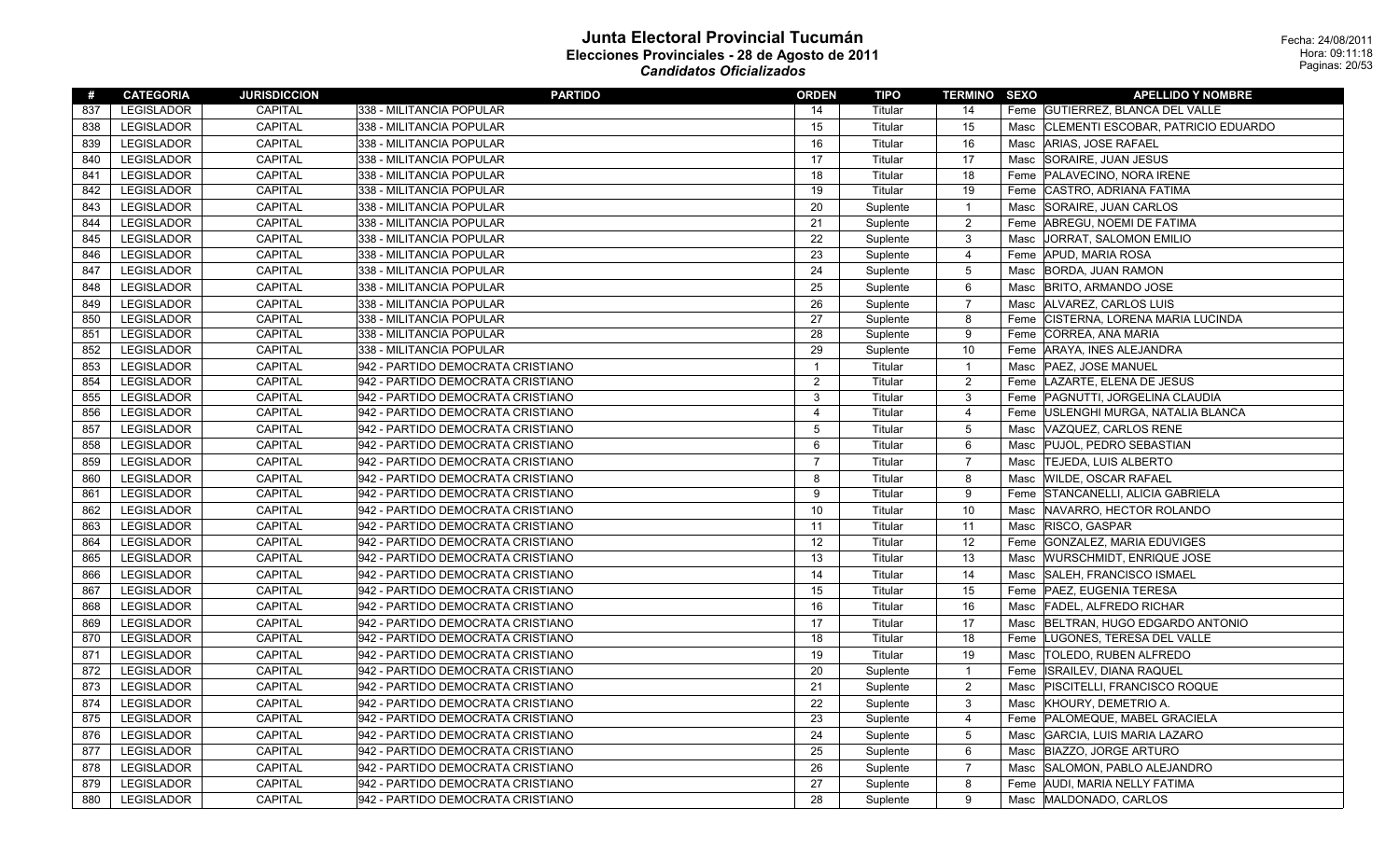| #   | <b>CATEGORIA</b>  | <b>JURISDICCION</b> | <b>PARTIDO</b>                    | <b>ORDEN</b>   | TIPO     | <b>TERMINO SEXO</b> |      | <b>APELLIDO Y NOMBRE</b>              |
|-----|-------------------|---------------------|-----------------------------------|----------------|----------|---------------------|------|---------------------------------------|
| 837 | LEGISLADOR        | CAPITAL             | 338 - MILITANCIA POPULAR          | 14             | Titular  | 14                  |      | Feme GUTIERREZ, BLANCA DEL VALLE      |
| 838 | <b>LEGISLADOR</b> | <b>CAPITAL</b>      | 338 - MILITANCIA POPULAR          | 15             | Titular  | 15                  | Masc | CLEMENTI ESCOBAR, PATRICIO EDUARDO    |
| 839 | <b>LEGISLADOR</b> | CAPITAL             | 338 - MILITANCIA POPULAR          | 16             | Titular  | 16                  | Masc | ARIAS, JOSE RAFAEL                    |
| 840 | <b>LEGISLADOR</b> | CAPITAL             | 338 - MILITANCIA POPULAR          | 17             | Titular  | 17                  | Masc | SORAIRE, JUAN JESUS                   |
| 841 | <b>LEGISLADOR</b> | <b>CAPITAL</b>      | 338 - MILITANCIA POPULAR          | 18             | Titular  | 18                  | Feme | PALAVECINO, NORA IRENE                |
| 842 | LEGISLADOR        | <b>CAPITAL</b>      | 338 - MILITANCIA POPULAR          | 19             | Titular  | 19                  | Feme | CASTRO, ADRIANA FATIMA                |
| 843 | <b>LEGISLADOR</b> | <b>CAPITAL</b>      | 338 - MILITANCIA POPULAR          | 20             | Suplente | $\overline{1}$      | Masc | SORAIRE, JUAN CARLOS                  |
| 844 | <b>LEGISLADOR</b> | CAPITAL             | 338 - MILITANCIA POPULAR          | 21             | Suplente | $\overline{2}$      | Feme | ABREGU, NOEMI DE FATIMA               |
| 845 | LEGISLADOR        | CAPITAL             | 338 - MILITANCIA POPULAR          | 22             | Suplente | 3                   | Masc | JORRAT, SALOMON EMILIO                |
| 846 | <b>LEGISLADOR</b> | CAPITAL             | 338 - MILITANCIA POPULAR          | 23             | Suplente | 4                   |      | Feme APUD, MARIA ROSA                 |
| 847 | <b>LEGISLADOR</b> | <b>CAPITAL</b>      | 338 - MILITANCIA POPULAR          | 24             | Suplente | $\overline{5}$      | Masc | <b>BORDA, JUAN RAMON</b>              |
| 848 | <b>LEGISLADOR</b> | CAPITAL             | 338 - MILITANCIA POPULAR          | 25             | Suplente | 6                   | Masc | <b>BRITO, ARMANDO JOSE</b>            |
| 849 | <b>LEGISLADOR</b> | <b>CAPITAL</b>      | 338 - MILITANCIA POPULAR          | 26             | Suplente | $\overline{7}$      | Masc | ALVAREZ, CARLOS LUIS                  |
| 850 | <b>LEGISLADOR</b> | <b>CAPITAL</b>      | 338 - MILITANCIA POPULAR          | 27             | Suplente | 8                   | Feme | <b>CISTERNA, LORENA MARIA LUCINDA</b> |
| 851 | <b>LEGISLADOR</b> | <b>CAPITAL</b>      | 338 - MILITANCIA POPULAR          | 28             | Suplente | 9                   | Feme | CORREA, ANA MARIA                     |
| 852 | <b>LEGISLADOR</b> | <b>CAPITAL</b>      | 338 - MILITANCIA POPULAR          | 29             | Suplente | 10                  |      | Feme   ARAYA, INES ALEJANDRA          |
| 853 | <b>LEGISLADOR</b> | <b>CAPITAL</b>      | 942 - PARTIDO DEMOCRATA CRISTIANO | -1             | Titular  | $\overline{1}$      | Masc | <b>PAEZ, JOSE MANUEL</b>              |
| 854 | <b>LEGISLADOR</b> | <b>CAPITAL</b>      | 942 - PARTIDO DEMOCRATA CRISTIANO | $\overline{2}$ | Titular  | 2                   | Feme | LAZARTE, ELENA DE JESUS               |
| 855 | <b>LEGISLADOR</b> | <b>CAPITAL</b>      | 942 - PARTIDO DEMOCRATA CRISTIANO | 3              | Titular  | 3                   |      | Feme PAGNUTTI, JORGELINA CLAUDIA      |
| 856 | <b>LEGISLADOR</b> | CAPITAL             | 942 - PARTIDO DEMOCRATA CRISTIANO | $\overline{4}$ | Titular  | 4                   |      | Feme   USLENGHI MURGA, NATALIA BLANCA |
| 857 | <b>LEGISLADOR</b> | <b>CAPITAL</b>      | 942 - PARTIDO DEMOCRATA CRISTIANO | 5              | Titular  | 5                   | Masc | VAZQUEZ, CARLOS RENE                  |
| 858 | <b>LEGISLADOR</b> | CAPITAL             | 942 - PARTIDO DEMOCRATA CRISTIANO | 6              | Titular  | 6                   | Masc | PUJOL, PEDRO SEBASTIAN                |
| 859 | <b>LEGISLADOR</b> | <b>CAPITAL</b>      | 942 - PARTIDO DEMOCRATA CRISTIANO | $\overline{7}$ | Titular  | $\overline{7}$      | Masc | <b>TEJEDA, LUIS ALBERTO</b>           |
| 860 | <b>LEGISLADOR</b> | <b>CAPITAL</b>      | 942 - PARTIDO DEMOCRATA CRISTIANO | 8              | Titular  | 8                   | Masc | <b>WILDE, OSCAR RAFAEL</b>            |
| 861 | LEGISLADOR        | CAPITAL             | 942 - PARTIDO DEMOCRATA CRISTIANO | 9              | Titular  | 9                   |      | Feme STANCANELLI, ALICIA GABRIELA     |
| 862 | <b>LEGISLADOR</b> | CAPITAL             | 942 - PARTIDO DEMOCRATA CRISTIANO | 10             | Titular  | 10                  | Masc | NAVARRO, HECTOR ROLANDO               |
| 863 | <b>LEGISLADOR</b> | <b>CAPITAL</b>      | 942 - PARTIDO DEMOCRATA CRISTIANO | 11             | Titular  | 11                  | Masc | <b>RISCO, GASPAR</b>                  |
| 864 | <b>LEGISLADOR</b> | CAPITAL             | 942 - PARTIDO DEMOCRATA CRISTIANO | 12             | Titular  | 12                  | Feme | GONZALEZ, MARIA EDUVIGES              |
| 865 | <b>LEGISLADOR</b> | <b>CAPITAL</b>      | 942 - PARTIDO DEMOCRATA CRISTIANO | 13             | Titular  | 13                  | Masc | <b>WURSCHMIDT, ENRIQUE JOSE</b>       |
| 866 | <b>LEGISLADOR</b> | CAPITAL             | 942 - PARTIDO DEMOCRATA CRISTIANO | 14             | Titular  | 14                  | Masc | SALEH, FRANCISCO ISMAEL               |
| 867 | LEGISLADOR        | CAPITAL             | 942 - PARTIDO DEMOCRATA CRISTIANO | 15             | Titular  | 15                  |      | Feme   PAEZ, EUGENIA TERESA           |
| 868 | <b>LEGISLADOR</b> | <b>CAPITAL</b>      | 942 - PARTIDO DEMOCRATA CRISTIANO | 16             | Titular  | 16                  | Masc | <b>FADEL, ALFREDO RICHAR</b>          |
| 869 | <b>LEGISLADOR</b> | <b>CAPITAL</b>      | 942 - PARTIDO DEMOCRATA CRISTIANO | 17             | Titular  | 17                  | Masc | BELTRAN, HUGO EDGARDO ANTONIO         |
| 870 | <b>LEGISLADOR</b> | <b>CAPITAL</b>      | 942 - PARTIDO DEMOCRATA CRISTIANO | 18             | Titular  | 18                  |      | Feme LUGONES, TERESA DEL VALLE        |
| 871 | <b>LEGISLADOR</b> | <b>CAPITAL</b>      | 942 - PARTIDO DEMOCRATA CRISTIANO | 19             | Titular  | 19                  | Masc | <b>TOLEDO, RUBEN ALFREDO</b>          |
| 872 | <b>LEGISLADOR</b> | <b>CAPITAL</b>      | 942 - PARTIDO DEMOCRATA CRISTIANO | 20             | Suplente | $\mathbf{1}$        | Feme | ISRAILEV, DIANA RAQUEL                |
| 873 | <b>LEGISLADOR</b> | CAPITAL             | 942 - PARTIDO DEMOCRATA CRISTIANO | 21             | Suplente | 2                   |      | Masc   PISCITELLI, FRANCISCO ROQUE    |
| 874 | <b>LEGISLADOR</b> | <b>CAPITAL</b>      | 942 - PARTIDO DEMOCRATA CRISTIANO | 22             | Suplente | 3                   | Masc | KHOURY, DEMETRIO A.                   |
| 875 | <b>LEGISLADOR</b> | <b>CAPITAL</b>      | 942 - PARTIDO DEMOCRATA CRISTIANO | 23             | Suplente | $\overline{4}$      |      | Feme PALOMEQUE, MABEL GRACIELA        |
| 876 | <b>LEGISLADOR</b> | CAPITAL             | 942 - PARTIDO DEMOCRATA CRISTIANO | 24             | Suplente | 5                   | Masc | GARCIA, LUIS MARIA LAZARO             |
| 877 | <b>LEGISLADOR</b> | <b>CAPITAL</b>      | 942 - PARTIDO DEMOCRATA CRISTIANO | 25             | Suplente | 6                   | Masc | BIAZZO, JORGE ARTURO                  |
| 878 | LEGISLADOR        | CAPITAL             | 942 - PARTIDO DEMOCRATA CRISTIANO | 26             | Suplente | $\overline{7}$      |      | Masc SALOMON, PABLO ALEJANDRO         |
| 879 | <b>LEGISLADOR</b> | <b>CAPITAL</b>      | 942 - PARTIDO DEMOCRATA CRISTIANO | 27             | Suplente | 8                   |      | Feme AUDI, MARIA NELLY FATIMA         |
| 880 | <b>LEGISLADOR</b> | <b>CAPITAL</b>      | 942 - PARTIDO DEMOCRATA CRISTIANO | 28             | Suplente | 9                   |      | Masc MALDONADO, CARLOS                |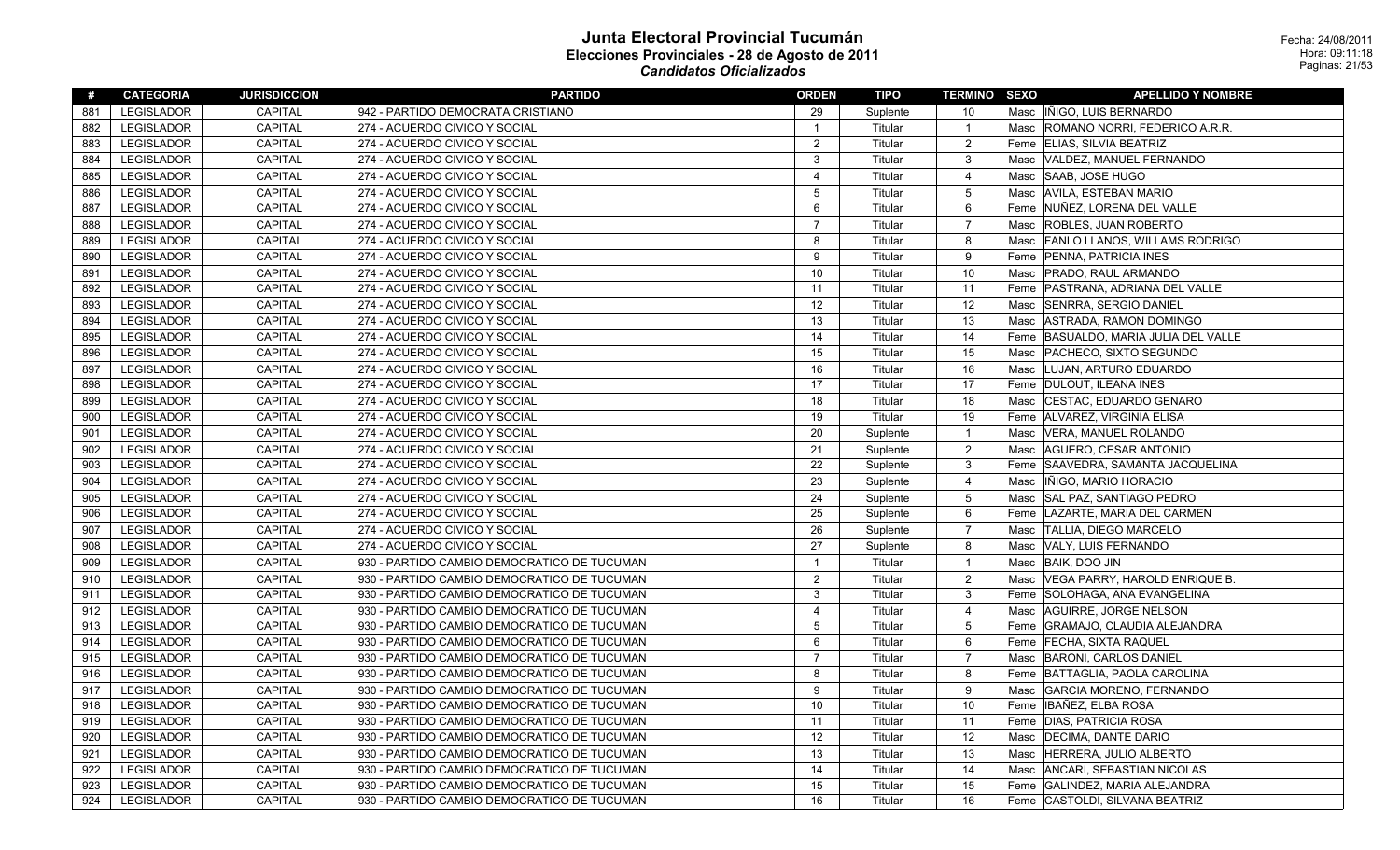| #   | <b>CATEGORIA</b>  | <b>JURISDICCION</b> | <b>PARTIDO</b>                              | <b>ORDEN</b>   | TIPO     | <b>TERMINO SEXO</b> |      | <b>APELLIDO Y NOMBRE</b>             |
|-----|-------------------|---------------------|---------------------------------------------|----------------|----------|---------------------|------|--------------------------------------|
| 881 | LEGISLADOR        | <b>CAPITAL</b>      | 942 - PARTIDO DEMOCRATA CRISTIANO           | 29             | Suplente | 10                  |      | Masc INIGO, LUIS BERNARDO            |
| 882 | <b>LEGISLADOR</b> | CAPITAL             | 274 - ACUERDO CIVICO Y SOCIAL               | $\overline{1}$ | Titular  | $\overline{1}$      |      | Masc ROMANO NORRI, FEDERICO A.R.R.   |
| 883 | LEGISLADOR        | CAPITAL             | 274 - ACUERDO CIVICO Y SOCIAL               | $\overline{2}$ | Titular  | $\overline{2}$      |      | Feme ELIAS, SILVIA BEATRIZ           |
| 884 | <b>LEGISLADOR</b> | CAPITAL             | 274 - ACUERDO CIVICO Y SOCIAL               | 3              | Titular  | $\mathbf{3}$        | Masc | VALDEZ, MANUEL FERNANDO              |
| 885 | <b>LEGISLADOR</b> | CAPITAL             | 274 - ACUERDO CIVICO Y SOCIAL               | $\overline{4}$ | Titular  | $\overline{4}$      |      | Masc SAAB, JOSE HUGO                 |
| 886 | LEGISLADOR        | <b>CAPITAL</b>      | 274 - ACUERDO CIVICO Y SOCIAL               | 5              | Titular  | $5\,$               |      | Masc   AVILA, ESTEBAN MARIO          |
| 887 | LEGISLADOR        | CAPITAL             | 274 - ACUERDO CIVICO Y SOCIAL               | 6              | Titular  | 6                   |      | Feme NUÑEZ, LORENA DEL VALLE         |
| 888 | LEGISLADOR        | CAPITAL             | 274 - ACUERDO CIVICO Y SOCIAL               | $\overline{7}$ | Titular  | $\overline{7}$      |      | Masc ROBLES, JUAN ROBERTO            |
| 889 | <b>LEGISLADOR</b> | CAPITAL             | 274 - ACUERDO CIVICO Y SOCIAL               | 8              | Titular  | 8                   | Masc | <b>FANLO LLANOS, WILLAMS RODRIGO</b> |
| 890 | LEGISLADOR        | CAPITAL             | 274 - ACUERDO CIVICO Y SOCIAL               | 9              | Titular  | 9                   |      | Feme PENNA, PATRICIA INES            |
| 891 | <b>LEGISLADOR</b> | CAPITAL             | 274 - ACUERDO CIVICO Y SOCIAL               | 10             | Titular  | 10                  |      | Masc   PRADO, RAUL ARMANDO           |
| 892 | <b>LEGISLADOR</b> | CAPITAL             | 274 - ACUERDO CIVICO Y SOCIAL               | 11             | Titular  | 11                  |      | Feme PASTRANA, ADRIANA DEL VALLE     |
| 893 | LEGISLADOR        | CAPITAL             | 274 - ACUERDO CIVICO Y SOCIAL               | 12             | Titular  | 12                  | Masc | SENRRA, SERGIO DANIEL                |
| 894 | <b>LEGISLADOR</b> | CAPITAL             | 274 - ACUERDO CIVICO Y SOCIAL               | 13             | Titular  | 13                  |      | Masc   ASTRADA, RAMON DOMINGO        |
| 895 | <b>LEGISLADOR</b> | <b>CAPITAL</b>      | 274 - ACUERDO CIVICO Y SOCIAL               | 14             | Titular  | 14                  |      | Feme BASUALDO, MARIA JULIA DEL VALLE |
| 896 | LEGISLADOR        | CAPITAL             | 274 - ACUERDO CIVICO Y SOCIAL               | 15             | Titular  | 15                  |      | Masc   PACHECO, SIXTO SEGUNDO        |
| 897 | <b>LEGISLADOR</b> | CAPITAL             | 274 - ACUERDO CIVICO Y SOCIAL               | 16             | Titular  | 16                  |      | Masc LUJAN, ARTURO EDUARDO           |
| 898 | <b>LEGISLADOR</b> | CAPITAL             | 274 - ACUERDO CIVICO Y SOCIAL               | 17             | Titular  | 17                  |      | Feme   DULOUT, ILEANA INES           |
| 899 | LEGISLADOR        | CAPITAL             | 274 - ACUERDO CIVICO Y SOCIAL               | 18             | Titular  | 18                  | Masc | CESTAC, EDUARDO GENARO               |
| 900 | LEGISLADOR        | CAPITAL             | 274 - ACUERDO CIVICO Y SOCIAL               | 19             | Titular  | 19                  |      | Feme ALVAREZ, VIRGINIA ELISA         |
| 901 | <b>LEGISLADOR</b> | CAPITAL             | 274 - ACUERDO CIVICO Y SOCIAL               | 20             | Suplente | $\overline{1}$      | Masc | VERA, MANUEL ROLANDO                 |
| 902 | <b>LEGISLADOR</b> | CAPITAL             | 274 - ACUERDO CIVICO Y SOCIAL               | 21             | Suplente | $\overline{2}$      | Masc | AGUERO, CESAR ANTONIO                |
| 903 | LEGISLADOR        | CAPITAL             | 274 - ACUERDO CIVICO Y SOCIAL               | 22             | Suplente | $\mathbf{3}$        |      | Feme SAAVEDRA, SAMANTA JACQUELINA    |
| 904 | <b>LEGISLADOR</b> | CAPITAL             | 274 - ACUERDO CIVICO Y SOCIAL               | 23             | Suplente | $\overline{4}$      | Masc | IÑIGO, MARIO HORACIO                 |
| 905 | LEGISLADOR        | CAPITAL             | 274 - ACUERDO CIVICO Y SOCIAL               | 24             | Suplente | $5\,$               |      | Masc SAL PAZ, SANTIAGO PEDRO         |
| 906 | LEGISLADOR        | CAPITAL             | 274 - ACUERDO CIVICO Y SOCIAL               | 25             | Suplente | 6                   |      | Feme   LAZARTE, MARIA DEL CARMEN     |
| 907 | LEGISLADOR        | CAPITAL             | 274 - ACUERDO CIVICO Y SOCIAL               | 26             | Suplente | $\overline{7}$      |      | Masc  TALLIA, DIEGO MARCELO          |
| 908 | <b>LEGISLADOR</b> | CAPITAL             | 274 - ACUERDO CIVICO Y SOCIAL               | 27             | Suplente | 8                   |      | Masc VALY, LUIS FERNANDO             |
| 909 | <b>LEGISLADOR</b> | CAPITAL             | 930 - PARTIDO CAMBIO DEMOCRATICO DE TUCUMAN | $\overline{1}$ | Titular  | $\overline{1}$      |      | Masc BAIK, DOO JIN                   |
| 910 | LEGISLADOR        | <b>CAPITAL</b>      | 930 - PARTIDO CAMBIO DEMOCRATICO DE TUCUMAN | 2              | Titular  | $\overline{2}$      | Masc | VEGA PARRY, HAROLD ENRIQUE B.        |
| 911 | LEGISLADOR        | CAPITAL             | 930 - PARTIDO CAMBIO DEMOCRATICO DE TUCUMAN | 3              | Titular  | $\mathbf{3}$        |      | Feme SOLOHAGA, ANA EVANGELINA        |
| 912 | <b>LEGISLADOR</b> | CAPITAL             | 930 - PARTIDO CAMBIO DEMOCRATICO DE TUCUMAN | $\overline{4}$ | Titular  | $\overline{4}$      |      | Masc AGUIRRE, JORGE NELSON           |
| 913 | LEGISLADOR        | CAPITAL             | 930 - PARTIDO CAMBIO DEMOCRATICO DE TUCUMAN | 5              | Titular  | $\overline{5}$      | Feme | GRAMAJO, CLAUDIA ALEJANDRA           |
| 914 | LEGISLADOR        | CAPITAL             | 930 - PARTIDO CAMBIO DEMOCRATICO DE TUCUMAN | 6              | Titular  | 6                   |      | Feme FECHA, SIXTA RAQUEL             |
| 915 | <b>LEGISLADOR</b> | CAPITAL             | 930 - PARTIDO CAMBIO DEMOCRATICO DE TUCUMAN | $\overline{7}$ | Titular  | $\overline{7}$      |      | Masc  BARONI, CARLOS DANIEL          |
| 916 | <b>LEGISLADOR</b> | CAPITAL             | 930 - PARTIDO CAMBIO DEMOCRATICO DE TUCUMAN | 8              | Titular  | 8                   |      | Feme BATTAGLIA, PAOLA CAROLINA       |
| 917 | <b>LEGISLADOR</b> | CAPITAL             | 930 - PARTIDO CAMBIO DEMOCRATICO DE TUCUMAN | 9              | Titular  | 9                   |      | Masc GARCIA MORENO, FERNANDO         |
| 918 | <b>LEGISLADOR</b> | CAPITAL             | 930 - PARTIDO CAMBIO DEMOCRATICO DE TUCUMAN | 10             | Titular  | 10                  |      | Feme IBAÑEZ, ELBA ROSA               |
| 919 | <b>LEGISLADOR</b> | CAPITAL             | 930 - PARTIDO CAMBIO DEMOCRATICO DE TUCUMAN | 11             | Titular  | 11                  |      | Feme   DIAS, PATRICIA ROSA           |
| 920 | LEGISLADOR        | CAPITAL             | 930 - PARTIDO CAMBIO DEMOCRATICO DE TUCUMAN | 12             | Titular  | 12                  | Masc | DECIMA, DANTE DARIO                  |
| 921 | <b>LEGISLADOR</b> | CAPITAL             | 930 - PARTIDO CAMBIO DEMOCRATICO DE TUCUMAN | 13             | Titular  | 13                  |      | Masc HERRERA, JULIO ALBERTO          |
| 922 | <b>LEGISLADOR</b> | CAPITAL             | 930 - PARTIDO CAMBIO DEMOCRATICO DE TUCUMAN | 14             | Titular  | 14                  | Masc | ANCARI, SEBASTIAN NICOLAS            |
| 923 | LEGISLADOR        | CAPITAL             | 930 - PARTIDO CAMBIO DEMOCRATICO DE TUCUMAN | 15             | Titular  | 15                  |      | Feme GALINDEZ, MARIA ALEJANDRA       |
| 924 | LEGISLADOR        | CAPITAL             | 930 - PARTIDO CAMBIO DEMOCRATICO DE TUCUMAN | 16             | Titular  | 16                  |      | Feme CASTOLDI, SILVANA BEATRIZ       |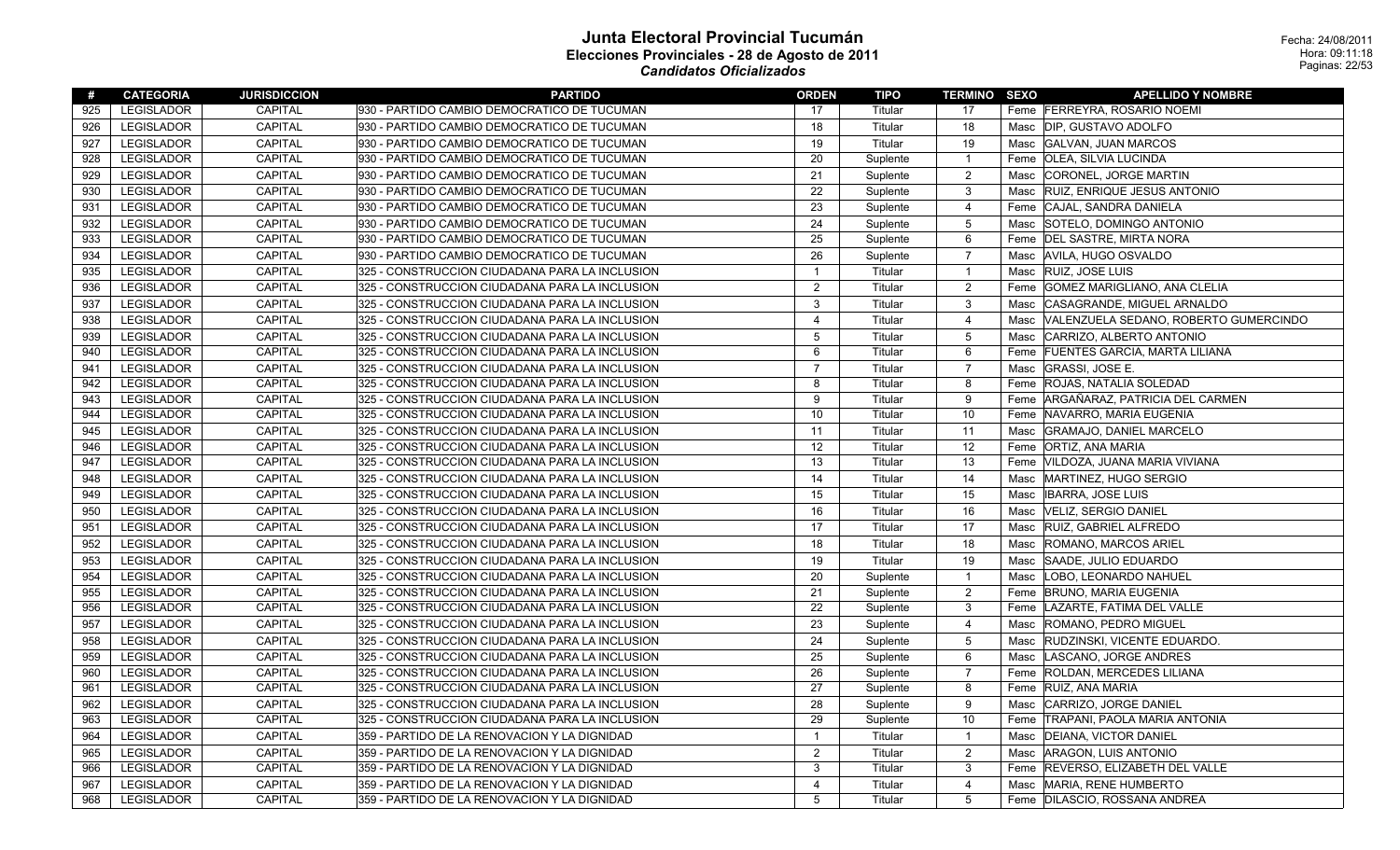| #   | <b>CATEGORIA</b>  | <b>JURISDICCION</b> | <b>PARTIDO</b>                                 | <b>ORDEN</b>   | TIPO     | <b>TERMINO SEXO</b> |      | <b>APELLIDO Y NOMBRE</b>              |
|-----|-------------------|---------------------|------------------------------------------------|----------------|----------|---------------------|------|---------------------------------------|
| 925 | <b>LEGISLADOR</b> | CAPITAL             | 930 - PARTIDO CAMBIO DEMOCRATICO DE TUCUMAN    | 17             | Titular  | 17                  |      | Feme FERREYRA, ROSARIO NOEMI          |
| 926 | <b>LEGISLADOR</b> | <b>CAPITAL</b>      | 930 - PARTIDO CAMBIO DEMOCRATICO DE TUCUMAN    | 18             | Titular  | 18                  |      | Masc   DIP, GUSTAVO ADOLFO            |
| 927 | <b>LEGISLADOR</b> | <b>CAPITAL</b>      | 930 - PARTIDO CAMBIO DEMOCRATICO DE TUCUMAN    | 19             | Titular  | 19                  |      | Masc GALVAN, JUAN MARCOS              |
| 928 | <b>LEGISLADOR</b> | <b>CAPITAL</b>      | 930 - PARTIDO CAMBIO DEMOCRATICO DE TUCUMAN    | 20             | Suplente | $\overline{1}$      |      | Feme   OLEA, SILVIA LUCINDA           |
| 929 | LEGISLADOR        | <b>CAPITAL</b>      | 930 - PARTIDO CAMBIO DEMOCRATICO DE TUCUMAN    | 21             | Suplente | $\sqrt{2}$          | Masc | CORONEL, JORGE MARTIN                 |
| 930 | <b>LEGISLADOR</b> | <b>CAPITAL</b>      | 930 - PARTIDO CAMBIO DEMOCRATICO DE TUCUMAN    | 22             | Suplente | 3                   | Masc | <b>RUIZ, ENRIQUE JESUS ANTONIO</b>    |
| 931 | <b>LEGISLADOR</b> | CAPITAL             | 930 - PARTIDO CAMBIO DEMOCRATICO DE TUCUMAN    | 23             | Suplente | $\overline{4}$      |      | Feme CAJAL, SANDRA DANIELA            |
| 932 | <b>LEGISLADOR</b> | <b>CAPITAL</b>      | 930 - PARTIDO CAMBIO DEMOCRATICO DE TUCUMAN    | 24             | Suplente | $\overline{5}$      | Masc | SOTELO, DOMINGO ANTONIO               |
| 933 | LEGISLADOR        | <b>CAPITAL</b>      | 930 - PARTIDO CAMBIO DEMOCRATICO DE TUCUMAN    | 25             | Suplente | 6                   |      | Feme   DEL SASTRE, MIRTA NORA         |
| 934 | <b>LEGISLADOR</b> | <b>CAPITAL</b>      | 930 - PARTIDO CAMBIO DEMOCRATICO DE TUCUMAN    | 26             | Suplente | $\overline{7}$      | Masc | AVILA, HUGO OSVALDO                   |
| 935 | <b>LEGISLADOR</b> | CAPITAL             | 325 - CONSTRUCCION CIUDADANA PARA LA INCLUSION | $\mathbf{1}$   | Titular  | $\mathbf{1}$        | Masc | <b>RUIZ, JOSE LUIS</b>                |
| 936 | <b>LEGISLADOR</b> | <b>CAPITAL</b>      | 325 - CONSTRUCCION CIUDADANA PARA LA INCLUSION | $\overline{c}$ | Titular  | $\overline{c}$      |      | Feme GOMEZ MARIGLIANO, ANA CLELIA     |
| 937 | <b>LEGISLADOR</b> | <b>CAPITAL</b>      | 325 - CONSTRUCCION CIUDADANA PARA LA INCLUSION | 3              | Titular  | 3                   | Masc | CASAGRANDE, MIGUEL ARNALDO            |
| 938 | <b>LEGISLADOR</b> | <b>CAPITAL</b>      | 325 - CONSTRUCCION CIUDADANA PARA LA INCLUSION | $\overline{4}$ | Titular  | 4                   | Masc | VALENZUELA SEDANO, ROBERTO GUMERCINDO |
| 939 | LEGISLADOR        | CAPITAL             | 325 - CONSTRUCCION CIUDADANA PARA LA INCLUSION | 5              | Titular  | $\mathbf 5$         | Masc | CARRIZO, ALBERTO ANTONIO              |
| 940 | <b>LEGISLADOR</b> | <b>CAPITAL</b>      | 325 - CONSTRUCCION CIUDADANA PARA LA INCLUSION | 6              | Titular  | 6                   | Feme | <b>FUENTES GARCIA, MARTA LILIANA</b>  |
| 941 | <b>LEGISLADOR</b> | CAPITAL             | 325 - CONSTRUCCION CIUDADANA PARA LA INCLUSION | $\overline{7}$ | Titular  | $\overline{7}$      | Masc | <b>GRASSI, JOSE E.</b>                |
| 942 | <b>LEGISLADOR</b> | <b>CAPITAL</b>      | 325 - CONSTRUCCION CIUDADANA PARA LA INCLUSION | 8              | Titular  | 8                   |      | Feme ROJAS, NATALIA SOLEDAD           |
| 943 | <b>LEGISLADOR</b> | <b>CAPITAL</b>      | 325 - CONSTRUCCION CIUDADANA PARA LA INCLUSION | 9              | Titular  | 9                   |      | Feme ARGAÑARAZ, PATRICIA DEL CARMEN   |
| 944 | <b>LEGISLADOR</b> | <b>CAPITAL</b>      | 325 - CONSTRUCCION CIUDADANA PARA LA INCLUSION | 10             | Titular  | 10                  |      | Feme NAVARRO, MARIA EUGENIA           |
| 945 | <b>LEGISLADOR</b> | <b>CAPITAL</b>      | 325 - CONSTRUCCION CIUDADANA PARA LA INCLUSION | 11             | Titular  | 11                  |      | Masc GRAMAJO, DANIEL MARCELO          |
| 946 | <b>LEGISLADOR</b> | <b>CAPITAL</b>      | 325 - CONSTRUCCION CIUDADANA PARA LA INCLUSION | 12             | Titular  | 12                  |      | Feme   ORTIZ, ANA MARIA               |
| 947 | <b>LEGISLADOR</b> | <b>CAPITAL</b>      | 325 - CONSTRUCCION CIUDADANA PARA LA INCLUSION | 13             | Titular  | 13                  | Feme | VILDOZA, JUANA MARIA VIVIANA          |
| 948 | <b>LEGISLADOR</b> | <b>CAPITAL</b>      | 325 - CONSTRUCCION CIUDADANA PARA LA INCLUSION | 14             | Titular  | 14                  | Masc | MARTINEZ, HUGO SERGIO                 |
| 949 | <b>LEGISLADOR</b> | CAPITAL             | 325 - CONSTRUCCION CIUDADANA PARA LA INCLUSION | 15             | Titular  | 15                  | Masc | <b>IBARRA, JOSE LUIS</b>              |
| 950 | <b>LEGISLADOR</b> | <b>CAPITAL</b>      | 325 - CONSTRUCCION CIUDADANA PARA LA INCLUSION | 16             | Titular  | 16                  | Masc | VELIZ, SERGIO DANIEL                  |
| 951 | <b>LEGISLADOR</b> | <b>CAPITAL</b>      | 325 - CONSTRUCCION CIUDADANA PARA LA INCLUSION | 17             | Titular  | 17                  | Masc | <b>RUIZ, GABRIEL ALFREDO</b>          |
| 952 | <b>LEGISLADOR</b> | <b>CAPITAL</b>      | 325 - CONSTRUCCION CIUDADANA PARA LA INCLUSION | 18             | Titular  | 18                  | Masc | <b>ROMANO, MARCOS ARIEL</b>           |
| 953 | <b>LEGISLADOR</b> | <b>CAPITAL</b>      | 325 - CONSTRUCCION CIUDADANA PARA LA INCLUSION | 19             | Titular  | 19                  |      | Masc SAADE, JULIO EDUARDO             |
| 954 | LEGISLADOR        | <b>CAPITAL</b>      | 325 - CONSTRUCCION CIUDADANA PARA LA INCLUSION | 20             | Suplente | $\mathbf{1}$        | Masc | LOBO, LEONARDO NAHUEL                 |
| 955 | <b>LEGISLADOR</b> | CAPITAL             | 325 - CONSTRUCCION CIUDADANA PARA LA INCLUSION | 21             | Suplente | $\overline{2}$      |      | Feme BRUNO, MARIA EUGENIA             |
| 956 | <b>LEGISLADOR</b> | <b>CAPITAL</b>      | 325 - CONSTRUCCION CIUDADANA PARA LA INCLUSION | 22             | Suplente | 3                   |      | Feme LAZARTE, FATIMA DEL VALLE        |
| 957 | LEGISLADOR        | CAPITAL             | 325 - CONSTRUCCION CIUDADANA PARA LA INCLUSION | 23             | Suplente | $\overline{4}$      | Masc | ROMANO, PEDRO MIGUEL                  |
| 958 | LEGISLADOR        | <b>CAPITAL</b>      | 325 - CONSTRUCCION CIUDADANA PARA LA INCLUSION | 24             | Suplente | $\overline{5}$      | Masc | RUDZINSKI, VICENTE EDUARDO.           |
| 959 | <b>LEGISLADOR</b> | CAPITAL             | 325 - CONSTRUCCION CIUDADANA PARA LA INCLUSION | 25             | Suplente | 6                   | Masc | LASCANO, JORGE ANDRES                 |
| 960 | <b>LEGISLADOR</b> | <b>CAPITAL</b>      | 325 - CONSTRUCCION CIUDADANA PARA LA INCLUSION | 26             | Suplente | $\overline{7}$      |      | Feme ROLDAN, MERCEDES LILIANA         |
| 961 | <b>LEGISLADOR</b> | CAPITAL             | 325 - CONSTRUCCION CIUDADANA PARA LA INCLUSION | 27             | Suplente | 8                   |      | Feme RUIZ, ANA MARIA                  |
| 962 | <b>LEGISLADOR</b> | <b>CAPITAL</b>      | 325 - CONSTRUCCION CIUDADANA PARA LA INCLUSION | 28             | Suplente | 9                   | Masc | CARRIZO, JORGE DANIEL                 |
| 963 | <b>LEGISLADOR</b> | CAPITAL             | 325 - CONSTRUCCION CIUDADANA PARA LA INCLUSION | 29             | Suplente | 10                  |      | Feme TRAPANI, PAOLA MARIA ANTONIA     |
| 964 | <b>LEGISLADOR</b> | <b>CAPITAL</b>      | 359 - PARTIDO DE LA RENOVACION Y LA DIGNIDAD   | $\mathbf 1$    | Titular  | $\overline{1}$      | Masc | DEIANA, VICTOR DANIEL                 |
| 965 | <b>LEGISLADOR</b> | <b>CAPITAL</b>      | 359 - PARTIDO DE LA RENOVACION Y LA DIGNIDAD   | $\overline{2}$ | Titular  | $\overline{2}$      |      | Masc ARAGON, LUIS ANTONIO             |
| 966 | <b>LEGISLADOR</b> | <b>CAPITAL</b>      | 359 - PARTIDO DE LA RENOVACION Y LA DIGNIDAD   | 3              | Titular  | 3                   |      | Feme REVERSO, ELIZABETH DEL VALLE     |
| 967 | <b>LEGISLADOR</b> | <b>CAPITAL</b>      | 359 - PARTIDO DE LA RENOVACION Y LA DIGNIDAD   | 4              | Titular  | 4                   | Masc | MARIA, RENE HUMBERTO                  |
| 968 | <b>LEGISLADOR</b> | <b>CAPITAL</b>      | 359 - PARTIDO DE LA RENOVACION Y LA DIGNIDAD   | 5              | Titular  | 5                   |      | Feme DILASCIO, ROSSANA ANDREA         |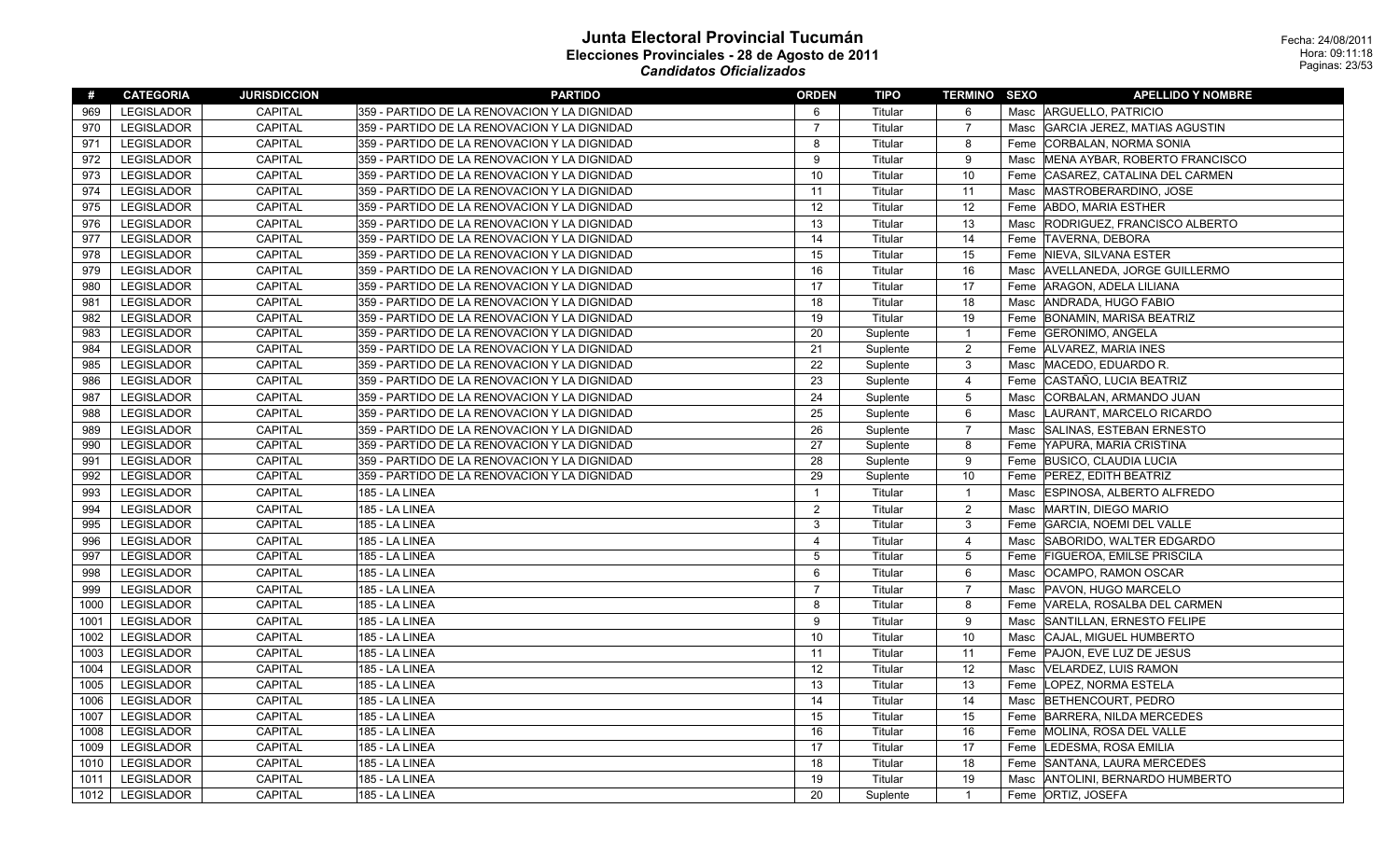| #    | <b>CATEGORIA</b>  | <b>JURISDICCION</b> | <b>PARTIDO</b>                               | <b>ORDEN</b>   | <b>TIPO</b> | <b>TERMINO SEXO</b> |      | <b>APELLIDO Y NOMBRE</b>          |
|------|-------------------|---------------------|----------------------------------------------|----------------|-------------|---------------------|------|-----------------------------------|
| 969  | <b>LEGISLADOR</b> | <b>CAPITAL</b>      | 359 - PARTIDO DE LA RENOVACION Y LA DIGNIDAD | 6              | Titular     | 6                   |      | Masc ARGUELLO, PATRICIO           |
| 970  | <b>LEGISLADOR</b> | CAPITAL             | 359 - PARTIDO DE LA RENOVACION Y LA DIGNIDAD | $\overline{7}$ | Titular     | $\overline{7}$      |      | Masc GARCIA JEREZ, MATIAS AGUSTIN |
| 971  | <b>LEGISLADOR</b> | CAPITAL             | 359 - PARTIDO DE LA RENOVACION Y LA DIGNIDAD | 8              | Titular     | 8                   |      | Feme CORBALAN, NORMA SONIA        |
| 972  | LEGISLADOR        | CAPITAL             | 359 - PARTIDO DE LA RENOVACION Y LA DIGNIDAD | 9              | Titular     | 9                   | Masc | MENA AYBAR, ROBERTO FRANCISCO     |
| 973  | LEGISLADOR        | <b>CAPITAL</b>      | 359 - PARTIDO DE LA RENOVACION Y LA DIGNIDAD | 10             | Titular     | 10                  | Feme | CASAREZ, CATALINA DEL CARMEN      |
| 974  | <b>LEGISLADOR</b> | CAPITAL             | 359 - PARTIDO DE LA RENOVACION Y LA DIGNIDAD | 11             | Titular     | 11                  | Masc | MASTROBERARDINO, JOSE             |
| 975  | <b>LEGISLADOR</b> | CAPITAL             | 359 - PARTIDO DE LA RENOVACION Y LA DIGNIDAD | 12             | Titular     | 12                  | Feme | <b>ABDO, MARIA ESTHER</b>         |
| 976  | <b>LEGISLADOR</b> | <b>CAPITAL</b>      | 359 - PARTIDO DE LA RENOVACION Y LA DIGNIDAD | 13             | Titular     | 13                  | Masc | RODRIGUEZ, FRANCISCO ALBERTO      |
| 977  | <b>LEGISLADOR</b> | <b>CAPITAL</b>      | 359 - PARTIDO DE LA RENOVACION Y LA DIGNIDAD | 14             | Titular     | 14                  |      | Feme TAVERNA, DEBORA              |
| 978  | <b>LEGISLADOR</b> | CAPITAL             | 359 - PARTIDO DE LA RENOVACION Y LA DIGNIDAD | 15             | Titular     | 15                  |      | Feme NIEVA, SILVANA ESTER         |
| 979  | LEGISLADOR        | CAPITAL             | 359 - PARTIDO DE LA RENOVACION Y LA DIGNIDAD | 16             | Titular     | 16                  | Masc | AVELLANEDA, JORGE GUILLERMO       |
| 980  | LEGISLADOR        | CAPITAL             | 359 - PARTIDO DE LA RENOVACION Y LA DIGNIDAD | 17             | Titular     | 17                  |      | Feme   ARAGON, ADELA LILIANA      |
| 981  | LEGISLADOR        | <b>CAPITAL</b>      | 359 - PARTIDO DE LA RENOVACION Y LA DIGNIDAD | 18             | Titular     | 18                  | Masc | ANDRADA, HUGO FABIO               |
| 982  | <b>LEGISLADOR</b> | <b>CAPITAL</b>      | 359 - PARTIDO DE LA RENOVACION Y LA DIGNIDAD | 19             | Titular     | 19                  |      | Feme BONAMIN, MARISA BEATRIZ      |
| 983  | <b>LEGISLADOR</b> | CAPITAL             | 359 - PARTIDO DE LA RENOVACION Y LA DIGNIDAD | 20             | Suplente    | $\mathbf{1}$        |      | Feme GERONIMO, ANGELA             |
| 984  | <b>LEGISLADOR</b> | <b>CAPITAL</b>      | 359 - PARTIDO DE LA RENOVACION Y LA DIGNIDAD | 21             | Suplente    | $\overline{2}$      |      | Feme ALVAREZ, MARIA INES          |
| 985  | <b>LEGISLADOR</b> | <b>CAPITAL</b>      | 359 - PARTIDO DE LA RENOVACION Y LA DIGNIDAD | 22             | Suplente    | 3                   | Masc | MACEDO, EDUARDO R.                |
| 986  | LEGISLADOR        | <b>CAPITAL</b>      | 359 - PARTIDO DE LA RENOVACION Y LA DIGNIDAD | 23             | Suplente    | $\overline{4}$      |      | Feme CASTAÑO, LUCIA BEATRIZ       |
| 987  | <b>LEGISLADOR</b> | <b>CAPITAL</b>      | 359 - PARTIDO DE LA RENOVACION Y LA DIGNIDAD | 24             | Suplente    | 5                   | Masc | CORBALAN, ARMANDO JUAN            |
| 988  | <b>LEGISLADOR</b> | <b>CAPITAL</b>      | 359 - PARTIDO DE LA RENOVACION Y LA DIGNIDAD | 25             | Suplente    | 6                   |      | Masc  LAURANT, MARCELO RICARDO    |
| 989  | <b>LEGISLADOR</b> | <b>CAPITAL</b>      | 359 - PARTIDO DE LA RENOVACION Y LA DIGNIDAD | 26             | Suplente    | $\overline{7}$      |      | Masc SALINAS, ESTEBAN ERNESTO     |
| 990  | <b>LEGISLADOR</b> | CAPITAL             | 359 - PARTIDO DE LA RENOVACION Y LA DIGNIDAD | 27             | Suplente    | 8                   |      | Feme YAPURA, MARIA CRISTINA       |
| 991  | <b>LEGISLADOR</b> | CAPITAL             | 359 - PARTIDO DE LA RENOVACION Y LA DIGNIDAD | 28             | Suplente    | 9                   |      | Feme BUSICO, CLAUDIA LUCIA        |
| 992  | LEGISLADOR        | CAPITAL             | 359 - PARTIDO DE LA RENOVACION Y LA DIGNIDAD | 29             | Suplente    | 10                  |      | Feme   PEREZ, EDITH BEATRIZ       |
| 993  | LEGISLADOR        | CAPITAL             | 185 - LA LINEA                               | $\overline{1}$ | Titular     | $\mathbf{1}$        | Masc | <b>ESPINOSA, ALBERTO ALFREDO</b>  |
| 994  | LEGISLADOR        | <b>CAPITAL</b>      | 185 - LA LINEA                               | $\overline{c}$ | Titular     | $\sqrt{2}$          |      | Masc MARTIN, DIEGO MARIO          |
| 995  | <b>LEGISLADOR</b> | CAPITAL             | 185 - LA LINEA                               | 3              | Titular     | 3                   |      | Feme GARCIA, NOEMI DEL VALLE      |
| 996  | <b>LEGISLADOR</b> | CAPITAL             | 185 - LA LINEA                               | $\overline{4}$ | Titular     | $\overline{4}$      | Masc | SABORIDO, WALTER EDGARDO          |
| 997  | <b>LEGISLADOR</b> | <b>CAPITAL</b>      | 185 - LA LINEA                               | 5              | Titular     | $\mathbf 5$         |      | Feme FIGUEROA, EMILSE PRISCILA    |
| 998  | <b>LEGISLADOR</b> | CAPITAL             | 185 - LA LINEA                               | 6              | Titular     | 6                   | Masc | <b>OCAMPO, RAMON OSCAR</b>        |
| 999  | <b>LEGISLADOR</b> | CAPITAL             | 185 - LA LINEA                               | $\overline{7}$ | Titular     | $\overline{7}$      | Masc | PAVON, HUGO MARCELO               |
| 1000 | LEGISLADOR        | <b>CAPITAL</b>      | 185 - LA LINEA                               | 8              | Titular     | 8                   |      | Feme VARELA, ROSALBA DEL CARMEN   |
| 1001 | <b>LEGISLADOR</b> | <b>CAPITAL</b>      | 185 - LA LINEA                               | 9              | Titular     | 9                   | Masc | SANTILLAN, ERNESTO FELIPE         |
| 1002 | LEGISLADOR        | <b>CAPITAL</b>      | 185 - LA LINEA                               | 10             | Titular     | 10                  | Masc | CAJAL, MIGUEL HUMBERTO            |
| 1003 | <b>LEGISLADOR</b> | <b>CAPITAL</b>      | 185 - LA LINEA                               | 11             | Titular     | 11                  |      | Feme PAJON, EVE LUZ DE JESUS      |
| 1004 | <b>LEGISLADOR</b> | CAPITAL             | 185 - LA LINEA                               | 12             | Titular     | 12                  | Masc | <b>VELARDEZ, LUIS RAMON</b>       |
| 1005 | LEGISLADOR        | <b>CAPITAL</b>      | 185 - LA LINEA                               | 13             | Titular     | 13                  |      | Feme   LOPEZ, NORMA ESTELA        |
| 1006 | <b>LEGISLADOR</b> | CAPITAL             | 185 - LA LINEA                               | 14             | Titular     | 14                  | Masc | BETHENCOURT, PEDRO                |
| 1007 | LEGISLADOR        | <b>CAPITAL</b>      | 185 - LA LINEA                               | 15             | Titular     | 15                  | Feme | BARRERA, NILDA MERCEDES           |
| 1008 | LEGISLADOR        | CAPITAL             | 185 - LA LINEA                               | 16             | Titular     | 16                  |      | Feme MOLINA, ROSA DEL VALLE       |
| 1009 | LEGISLADOR        | <b>CAPITAL</b>      | 185 - LA LINEA                               | 17             | Titular     | 17                  |      | Feme  LEDESMA, ROSA EMILIA        |
| 1010 | LEGISLADOR        | CAPITAL             | 185 - LA LINEA                               | 18             | Titular     | 18                  |      | Feme SANTANA, LAURA MERCEDES      |
| 1011 | <b>LEGISLADOR</b> | CAPITAL             | 185 - LA LINEA                               | 19             | Titular     | 19                  | Masc | ANTOLINI, BERNARDO HUMBERTO       |
| 1012 | LEGISLADOR        | CAPITAL             | 185 - LA LINEA                               | 20             | Suplente    | $\mathbf{1}$        |      | Feme   ORTIZ, JOSEFA              |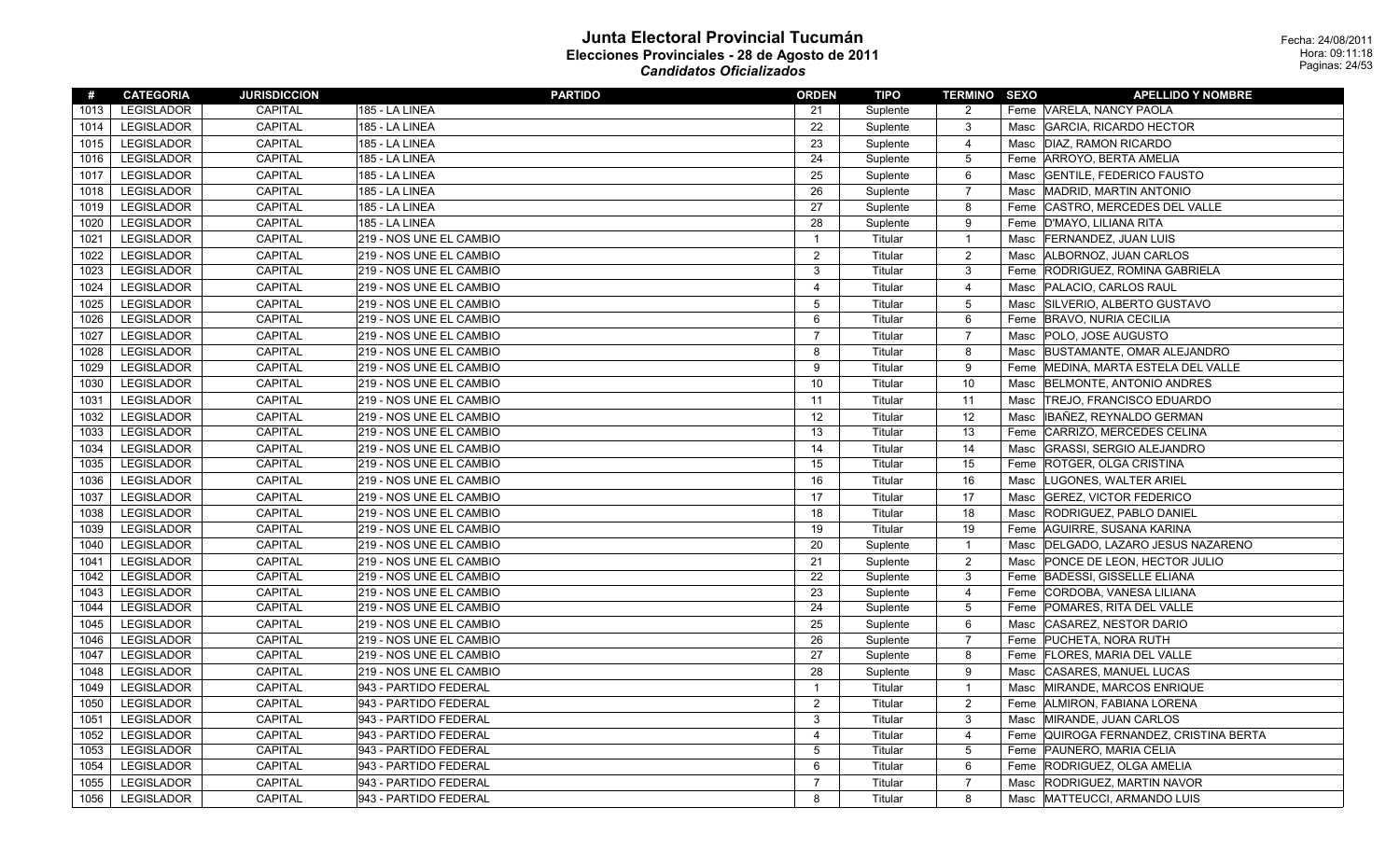| #    | <b>CATEGORIA</b>  | <b>JURISDICCION</b> | <b>PARTIDO</b>          | <b>ORDEN</b>   | TIPO     | <b>TERMINO SEXO</b> |      | <b>APELLIDO Y NOMBRE</b>            |
|------|-------------------|---------------------|-------------------------|----------------|----------|---------------------|------|-------------------------------------|
| 1013 | <b>LEGISLADOR</b> | CAPITAL             | 185 - LA LINEA          | 21             | Suplente | 2                   |      | Feme VARELA, NANCY PAOLA            |
| 1014 | <b>LEGISLADOR</b> | <b>CAPITAL</b>      | 185 - LA LINEA          | 22             | Suplente | 3                   | Masc | GARCIA, RICARDO HECTOR              |
| 1015 | <b>LEGISLADOR</b> | CAPITAL             | 185 - LA LINEA          | 23             | Suplente | $\overline{4}$      | Masc | DIAZ, RAMON RICARDO                 |
| 1016 | <b>LEGISLADOR</b> | <b>CAPITAL</b>      | 185 - LA LINEA          | 24             | Suplente | 5                   | Feme | ARROYO, BERTA AMELIA                |
| 1017 | <b>LEGISLADOR</b> | <b>CAPITAL</b>      | 185 - LA LINEA          | 25             | Suplente | 6                   | Masc | <b>GENTILE, FEDERICO FAUSTO</b>     |
| 1018 | <b>LEGISLADOR</b> | <b>CAPITAL</b>      | <b>185 - LA LINEA</b>   | 26             | Suplente | $\overline{7}$      | Masc | MADRID, MARTIN ANTONIO              |
| 1019 | <b>LEGISLADOR</b> | CAPITAL             | 185 - LA LINEA          | 27             | Suplente | 8                   | Feme | CASTRO, MERCEDES DEL VALLE          |
| 1020 | <b>LEGISLADOR</b> | <b>CAPITAL</b>      | 185 - LA LINEA          | 28             | Suplente | 9                   | Feme | D'MAYO, LILIANA RITA                |
| 1021 | <b>LEGISLADOR</b> | CAPITAL             | 219 - NOS UNE EL CAMBIO | $\overline{1}$ | Titular  | $\overline{1}$      | Masc | <b>FERNANDEZ, JUAN LUIS</b>         |
| 1022 | <b>LEGISLADOR</b> | <b>CAPITAL</b>      | 219 - NOS UNE EL CAMBIO | $\overline{2}$ | Titular  | $\overline{c}$      | Masc | ALBORNOZ, JUAN CARLOS               |
| 1023 | <b>LEGISLADOR</b> | <b>CAPITAL</b>      | 219 - NOS UNE EL CAMBIO | 3              | Titular  | 3                   | Feme | RODRIGUEZ, ROMINA GABRIELA          |
| 1024 | <b>LEGISLADOR</b> | <b>CAPITAL</b>      | 219 - NOS UNE EL CAMBIO | $\overline{4}$ | Titular  | $\overline{4}$      | Masc | PALACIO, CARLOS RAUL                |
| 1025 | <b>LEGISLADOR</b> | <b>CAPITAL</b>      | 219 - NOS UNE EL CAMBIO | 5              | Titular  | 5                   | Masc | SILVERIO, ALBERTO GUSTAVO           |
| 1026 | <b>LEGISLADOR</b> | CAPITAL             | 219 - NOS UNE EL CAMBIO | 6              | Titular  | 6                   |      | Feme BRAVO, NURIA CECILIA           |
| 1027 | <b>LEGISLADOR</b> | CAPITAL             | 219 - NOS UNE EL CAMBIO | $\overline{7}$ | Titular  | $\overline{7}$      | Masc | POLO, JOSE AUGUSTO                  |
| 1028 | <b>LEGISLADOR</b> | <b>CAPITAL</b>      | 219 - NOS UNE EL CAMBIO | 8              | Titular  | 8                   | Masc | BUSTAMANTE, OMAR ALEJANDRO          |
| 1029 | <b>LEGISLADOR</b> | <b>CAPITAL</b>      | 219 - NOS UNE EL CAMBIO | 9              | Titular  | 9                   |      | Feme MEDINA, MARTA ESTELA DEL VALLE |
| 1030 | <b>LEGISLADOR</b> | <b>CAPITAL</b>      | 219 - NOS UNE EL CAMBIO | 10             | Titular  | 10                  | Masc | BELMONTE, ANTONIO ANDRES            |
| 1031 | <b>LEGISLADOR</b> | <b>CAPITAL</b>      | 219 - NOS UNE EL CAMBIO | 11             | Titular  | 11                  | Masc | <b>TREJO, FRANCISCO EDUARDO</b>     |
| 1032 | <b>LEGISLADOR</b> | <b>CAPITAL</b>      | 219 - NOS UNE EL CAMBIO | 12             | Titular  | 12                  | Masc | IBAÑEZ, REYNALDO GERMAN             |
| 1033 | <b>LEGISLADOR</b> | <b>CAPITAL</b>      | 219 - NOS UNE EL CAMBIO | 13             | Titular  | 13                  | Feme | CARRIZO, MERCEDES CELINA            |
| 1034 | <b>LEGISLADOR</b> | <b>CAPITAL</b>      | 219 - NOS UNE EL CAMBIO | 14             | Titular  | 14                  | Masc | GRASSI, SERGIO ALEJANDRO            |
| 1035 | <b>LEGISLADOR</b> | CAPITAL             | 219 - NOS UNE EL CAMBIO | 15             | Titular  | 15                  |      | Feme ROTGER, OLGA CRISTINA          |
| 1036 | <b>LEGISLADOR</b> | CAPITAL             | 219 - NOS UNE EL CAMBIO | 16             | Titular  | 16                  | Masc | LUGONES, WALTER ARIEL               |
| 1037 | <b>LEGISLADOR</b> | <b>CAPITAL</b>      | 219 - NOS UNE EL CAMBIO | 17             | Titular  | 17                  | Masc | <b>GEREZ, VICTOR FEDERICO</b>       |
| 1038 | <b>LEGISLADOR</b> | <b>CAPITAL</b>      | 219 - NOS UNE EL CAMBIO | 18             | Titular  | 18                  | Masc | <b>RODRIGUEZ, PABLO DANIEL</b>      |
| 1039 | <b>LEGISLADOR</b> | <b>CAPITAL</b>      | 219 - NOS UNE EL CAMBIO | 19             | Titular  | 19                  | Feme | AGUIRRE, SUSANA KARINA              |
| 1040 | <b>LEGISLADOR</b> | <b>CAPITAL</b>      | 219 - NOS UNE EL CAMBIO | 20             | Suplente | $\overline{1}$      | Masc | DELGADO, LAZARO JESUS NAZARENO      |
| 1041 | <b>LEGISLADOR</b> | <b>CAPITAL</b>      | 219 - NOS UNE EL CAMBIO | 21             | Suplente | 2                   | Masc | PONCE DE LEON, HECTOR JULIO         |
| 1042 | <b>LEGISLADOR</b> | <b>CAPITAL</b>      | 219 - NOS UNE EL CAMBIO | 22             | Suplente | 3                   | Feme | <b>BADESSI, GISSELLE ELIANA</b>     |
| 1043 | <b>LEGISLADOR</b> | <b>CAPITAL</b>      | 219 - NOS UNE EL CAMBIO | 23             | Suplente | $\overline{4}$      |      | Feme CORDOBA, VANESA LILIANA        |
| 1044 | LEGISLADOR        | CAPITAL             | 219 - NOS UNE EL CAMBIO | 24             | Suplente | $\overline{5}$      |      | Feme POMARES, RITA DEL VALLE        |
| 1045 | <b>LEGISLADOR</b> | CAPITAL             | 219 - NOS UNE EL CAMBIO | 25             | Suplente | 6                   | Masc | CASAREZ, NESTOR DARIO               |
| 1046 | <b>LEGISLADOR</b> | <b>CAPITAL</b>      | 219 - NOS UNE EL CAMBIO | 26             | Suplente | $\overline{7}$      | Feme | <b>PUCHETA, NORA RUTH</b>           |
| 1047 | <b>LEGISLADOR</b> | CAPITAL             | 219 - NOS UNE EL CAMBIO | 27             | Suplente | 8                   |      | Feme   FLORES, MARIA DEL VALLE      |
| 1048 | <b>LEGISLADOR</b> | CAPITAL             | 219 - NOS UNE EL CAMBIO | 28             | Suplente | 9                   | Masc | <b>CASARES, MANUEL LUCAS</b>        |
| 1049 | <b>LEGISLADOR</b> | <b>CAPITAL</b>      | 943 - PARTIDO FEDERAL   | $\mathbf{1}$   | Titular  | $\overline{1}$      | Masc | MIRANDE, MARCOS ENRIQUE             |
| 1050 | LEGISLADOR        | <b>CAPITAL</b>      | 943 - PARTIDO FEDERAL   | $\overline{c}$ | Titular  | $\overline{2}$      |      | Feme ALMIRON, FABIANA LORENA        |
| 1051 | <b>LEGISLADOR</b> | <b>CAPITAL</b>      | 943 - PARTIDO FEDERAL   | 3              | Titular  | $\mathbf{3}$        |      | Masc MIRANDE, JUAN CARLOS           |
| 1052 | <b>LEGISLADOR</b> | <b>CAPITAL</b>      | 943 - PARTIDO FEDERAL   | $\overline{4}$ | Titular  | $\overline{4}$      | Feme | QUIROGA FERNANDEZ, CRISTINA BERTA   |
| 1053 | <b>LEGISLADOR</b> | CAPITAL             | 943 - PARTIDO FEDERAL   | 5              | Titular  | 5                   |      | Feme PAUNERO, MARIA CELIA           |
| 1054 | <b>LEGISLADOR</b> | CAPITAL             | 943 - PARTIDO FEDERAL   | 6              | Titular  | 6                   |      | Feme RODRIGUEZ, OLGA AMELIA         |
| 1055 | <b>LEGISLADOR</b> | <b>CAPITAL</b>      | 943 - PARTIDO FEDERAL   | $\overline{7}$ | Titular  | $\overline{7}$      | Masc | RODRIGUEZ, MARTIN NAVOR             |
| 1056 | <b>LEGISLADOR</b> | <b>CAPITAL</b>      | 943 - PARTIDO FEDERAL   | 8              | Titular  | 8                   | Masc | MATTEUCCI, ARMANDO LUIS             |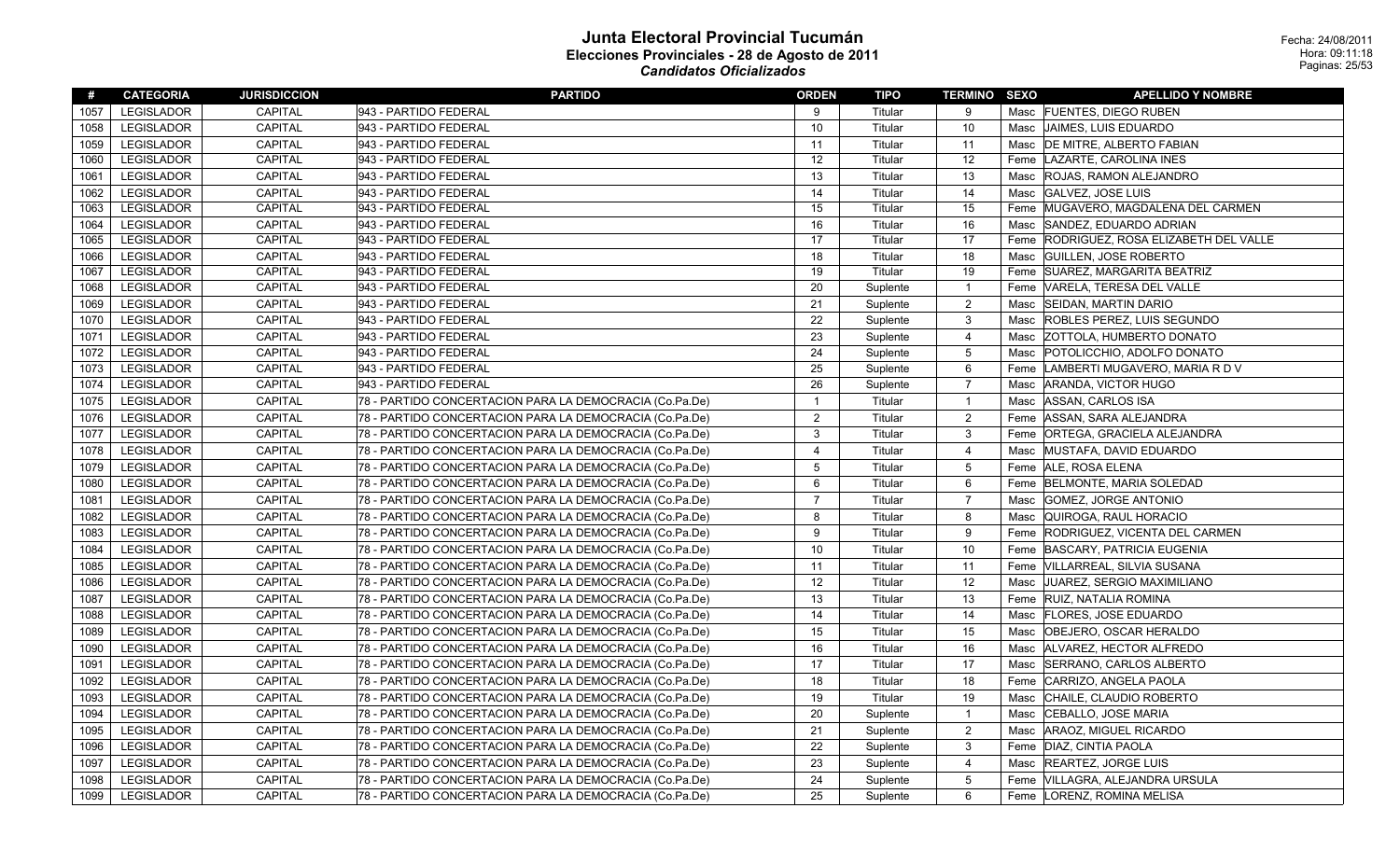| #    | <b>CATEGORIA</b>  | <b>JURISDICCION</b> | <b>PARTIDO</b>                                          | <b>ORDEN</b>   | <b>TIPO</b> | <b>TERMINO SEXO</b> |      | <b>APELLIDO Y NOMBRE</b>            |
|------|-------------------|---------------------|---------------------------------------------------------|----------------|-------------|---------------------|------|-------------------------------------|
| 1057 | <b>LEGISLADOR</b> | <b>CAPITAL</b>      | 943 - PARTIDO FEDERAL                                   | 9              | Titular     | -9                  | Masc | <b>FUENTES, DIEGO RUBEN</b>         |
| 1058 | <b>LEGISLADOR</b> | <b>CAPITAL</b>      | 943 - PARTIDO FEDERAL                                   | 10             | Titular     | 10                  | Masc | JAIMES, LUIS EDUARDO                |
| 1059 | <b>LEGISLADOR</b> | <b>CAPITAL</b>      | 943 - PARTIDO FEDERAL                                   | 11             | Titular     | 11                  | Masc | <b>DE MITRE, ALBERTO FABIAN</b>     |
| 1060 | LEGISLADOR        | <b>CAPITAL</b>      | 943 - PARTIDO FEDERAL                                   | 12             | Titular     | 12                  | Feme | LAZARTE, CAROLINA INES              |
| 1061 | <b>LEGISLADOR</b> | <b>CAPITAL</b>      | 943 - PARTIDO FEDERAL                                   | 13             | Titular     | 13                  | Masc | <b>ROJAS, RAMON ALEJANDRO</b>       |
| 1062 | <b>LEGISLADOR</b> | <b>CAPITAL</b>      | 943 - PARTIDO FEDERAL                                   | 14             | Titular     | 14                  | Masc | <b>GALVEZ, JOSE LUIS</b>            |
| 1063 | <b>LEGISLADOR</b> | <b>CAPITAL</b>      | 943 - PARTIDO FEDERAL                                   | 15             | Titular     | 15                  | Feme | MUGAVERO, MAGDALENA DEL CARMEN      |
| 1064 | <b>LEGISLADOR</b> | <b>CAPITAL</b>      | 943 - PARTIDO FEDERAL                                   | 16             | Titular     | 16                  | Masc | SANDEZ, EDUARDO ADRIAN              |
| 1065 | <b>LEGISLADOR</b> | CAPITAL             | 943 - PARTIDO FEDERAL                                   | 17             | Titular     | 17                  | Feme | RODRIGUEZ, ROSA ELIZABETH DEL VALLE |
| 1066 | <b>LEGISLADOR</b> | <b>CAPITAL</b>      | 943 - PARTIDO FEDERAL                                   | 18             | Titular     | 18                  | Masc | <b>GUILLEN, JOSE ROBERTO</b>        |
| 1067 | <b>LEGISLADOR</b> | <b>CAPITAL</b>      | 943 - PARTIDO FEDERAL                                   | 19             | Titular     | 19                  |      | Feme SUAREZ, MARGARITA BEATRIZ      |
| 1068 | LEGISLADOR        | CAPITAL             | 943 - PARTIDO FEDERAL                                   | 20             | Suplente    | $\overline{1}$      | Feme | VARELA, TERESA DEL VALLE            |
| 1069 | <b>LEGISLADOR</b> | CAPITAL             | 943 - PARTIDO FEDERAL                                   | 21             | Suplente    | 2                   | Masc | <b>SEIDAN, MARTIN DARIO</b>         |
| 1070 | LEGISLADOR        | CAPITAL             | 943 - PARTIDO FEDERAL                                   | 22             | Suplente    | 3                   | Masc | ROBLES PEREZ, LUIS SEGUNDO          |
| 1071 | <b>LEGISLADOR</b> | CAPITAL             | 943 - PARTIDO FEDERAL                                   | 23             | Suplente    | $\overline{4}$      | Masc | <b>ZOTTOLA, HUMBERTO DONATO</b>     |
| 1072 | <b>LEGISLADOR</b> | CAPITAL             | 943 - PARTIDO FEDERAL                                   | 24             | Suplente    | 5                   | Masc | POTOLICCHIO, ADOLFO DONATO          |
| 1073 | <b>LEGISLADOR</b> | CAPITAL             | 943 - PARTIDO FEDERAL                                   | 25             | Suplente    | 6                   | Feme | LAMBERTI MUGAVERO, MARIA R D V      |
| 1074 | <b>LEGISLADOR</b> | <b>CAPITAL</b>      | 943 - PARTIDO FEDERAL                                   | 26             | Suplente    | $\overline{7}$      | Masc | ARANDA, VICTOR HUGO                 |
| 1075 | <b>LEGISLADOR</b> | <b>CAPITAL</b>      | 78 - PARTIDO CONCERTACION PARA LA DEMOCRACIA (Co.Pa.De) | $\overline{1}$ | Titular     | $\overline{1}$      | Masc | ASSAN, CARLOS ISA                   |
| 1076 | <b>LEGISLADOR</b> | CAPITAL             | 78 - PARTIDO CONCERTACION PARA LA DEMOCRACIA (Co.Pa.De) | 2              | Titular     | $\overline{2}$      | Feme | ASSAN, SARA ALEJANDRA               |
| 1077 | <b>LEGISLADOR</b> | <b>CAPITAL</b>      | 78 - PARTIDO CONCERTACION PARA LA DEMOCRACIA (Co.Pa.De) | 3              | Titular     | 3                   | Feme | ORTEGA, GRACIELA ALEJANDRA          |
| 1078 | <b>LEGISLADOR</b> | <b>CAPITAL</b>      | 78 - PARTIDO CONCERTACION PARA LA DEMOCRACIA (Co.Pa.De) | $\overline{4}$ | Titular     | $\overline{4}$      | Masc | <b>MUSTAFA, DAVID EDUARDO</b>       |
| 1079 | <b>LEGISLADOR</b> | <b>CAPITAL</b>      | 78 - PARTIDO CONCERTACION PARA LA DEMOCRACIA (Co.Pa.De) | 5              | Titular     | $5\,$               | Feme | ALE, ROSA ELENA                     |
| 1080 | <b>LEGISLADOR</b> | <b>CAPITAL</b>      | 78 - PARTIDO CONCERTACION PARA LA DEMOCRACIA (Co.Pa.De) | 6              | Titular     | 6                   | Feme | BELMONTE, MARIA SOLEDAD             |
| 1081 | <b>LEGISLADOR</b> | <b>CAPITAL</b>      | 78 - PARTIDO CONCERTACION PARA LA DEMOCRACIA (Co.Pa.De) | $\overline{7}$ | Titular     | $\overline{7}$      | Masc | <b>GOMEZ. JORGE ANTONIO</b>         |
| 1082 | <b>LEGISLADOR</b> | CAPITAL             | 78 - PARTIDO CONCERTACION PARA LA DEMOCRACIA (Co.Pa.De) | 8              | Titular     | 8                   | Masc | QUIROGA, RAUL HORACIO               |
| 1083 | <b>LEGISLADOR</b> | CAPITAL             | 78 - PARTIDO CONCERTACION PARA LA DEMOCRACIA (Co.Pa.De) | $\mathbf{Q}$   | Titular     | 9                   | Feme | RODRIGUEZ, VICENTA DEL CARMEN       |
| 1084 | <b>LEGISLADOR</b> | CAPITAL             | 78 - PARTIDO CONCERTACION PARA LA DEMOCRACIA (Co.Pa.De) | 10             | Titular     | 10                  | Feme | <b>BASCARY, PATRICIA EUGENIA</b>    |
| 1085 | <b>LEGISLADOR</b> | <b>CAPITAL</b>      | 78 - PARTIDO CONCERTACION PARA LA DEMOCRACIA (Co.Pa.De) | 11             | Titular     | 11                  | Feme | VILLARREAL, SILVIA SUSANA           |
| 1086 | <b>LEGISLADOR</b> | <b>CAPITAL</b>      | 78 - PARTIDO CONCERTACION PARA LA DEMOCRACIA (Co.Pa.De) | 12             | Titular     | 12                  | Masc | JUAREZ, SERGIO MAXIMILIANO          |
| 1087 | <b>LEGISLADOR</b> | <b>CAPITAL</b>      | 78 - PARTIDO CONCERTACION PARA LA DEMOCRACIA (Co.Pa.De) | 13             | Titular     | 13                  | Feme | <b>RUIZ, NATALIA ROMINA</b>         |
| 1088 | <b>LEGISLADOR</b> | <b>CAPITAL</b>      | 78 - PARTIDO CONCERTACION PARA LA DEMOCRACIA (Co.Pa.De) | 14             | Titular     | 14                  | Masc | <b>FLORES, JOSE EDUARDO</b>         |
| 1089 | <b>LEGISLADOR</b> | <b>CAPITAL</b>      | 78 - PARTIDO CONCERTACION PARA LA DEMOCRACIA (Co.Pa.De) | 15             | Titular     | 15                  | Masc | OBEJERO, OSCAR HERALDO              |
| 1090 | <b>LEGISLADOR</b> | <b>CAPITAL</b>      | 78 - PARTIDO CONCERTACION PARA LA DEMOCRACIA (Co.Pa.De) | 16             | Titular     | 16                  | Masc | ALVAREZ, HECTOR ALFREDO             |
| 1091 | <b>LEGISLADOR</b> | <b>CAPITAL</b>      | 78 - PARTIDO CONCERTACION PARA LA DEMOCRACIA (Co.Pa.De) | 17             | Titular     | 17                  | Masc | SERRANO, CARLOS ALBERTO             |
| 1092 | <b>LEGISLADOR</b> | <b>CAPITAL</b>      | 78 - PARTIDO CONCERTACION PARA LA DEMOCRACIA (Co.Pa.De) | 18             | Titular     | 18                  | Feme | CARRIZO, ANGELA PAOLA               |
| 1093 | <b>LEGISLADOR</b> | CAPITAL             | 78 - PARTIDO CONCERTACION PARA LA DEMOCRACIA (Co.Pa.De) | 19             | Titular     | 19                  | Masc | CHAILE, CLAUDIO ROBERTO             |
| 1094 | <b>LEGISLADOR</b> | CAPITAL             | 78 - PARTIDO CONCERTACION PARA LA DEMOCRACIA (Co.Pa.De) | 20             | Suplente    | $\overline{1}$      | Masc | <b>CEBALLO, JOSE MARIA</b>          |
| 1095 | LEGISLADOR        | CAPITAL             | 78 - PARTIDO CONCERTACION PARA LA DEMOCRACIA (Co.Pa.De) | 21             | Suplente    | $\overline{2}$      | Masc | ARAOZ, MIGUEL RICARDO               |
| 1096 | LEGISLADOR        | <b>CAPITAL</b>      | 78 - PARTIDO CONCERTACION PARA LA DEMOCRACIA (Co.Pa.De) | 22             | Suplente    | 3                   | Feme | DIAZ, CINTIA PAOLA                  |
| 1097 | <b>LEGISLADOR</b> | <b>CAPITAL</b>      | 78 - PARTIDO CONCERTACION PARA LA DEMOCRACIA (Co.Pa.De) | 23             | Suplente    | $\overline{4}$      | Masc | <b>REARTEZ, JORGE LUIS</b>          |
| 1098 | <b>LEGISLADOR</b> | <b>CAPITAL</b>      | 78 - PARTIDO CONCERTACION PARA LA DEMOCRACIA (Co.Pa.De) | 24             | Suplente    | 5                   | Feme | VILLAGRA, ALEJANDRA URSULA          |
| 1099 | <b>LEGISLADOR</b> | <b>CAPITAL</b>      | 78 - PARTIDO CONCERTACION PARA LA DEMOCRACIA (Co.Pa.De) | 25             | Suplente    | 6                   |      | Feme  LORENZ, ROMINA MELISA         |
|      |                   |                     |                                                         |                |             |                     |      |                                     |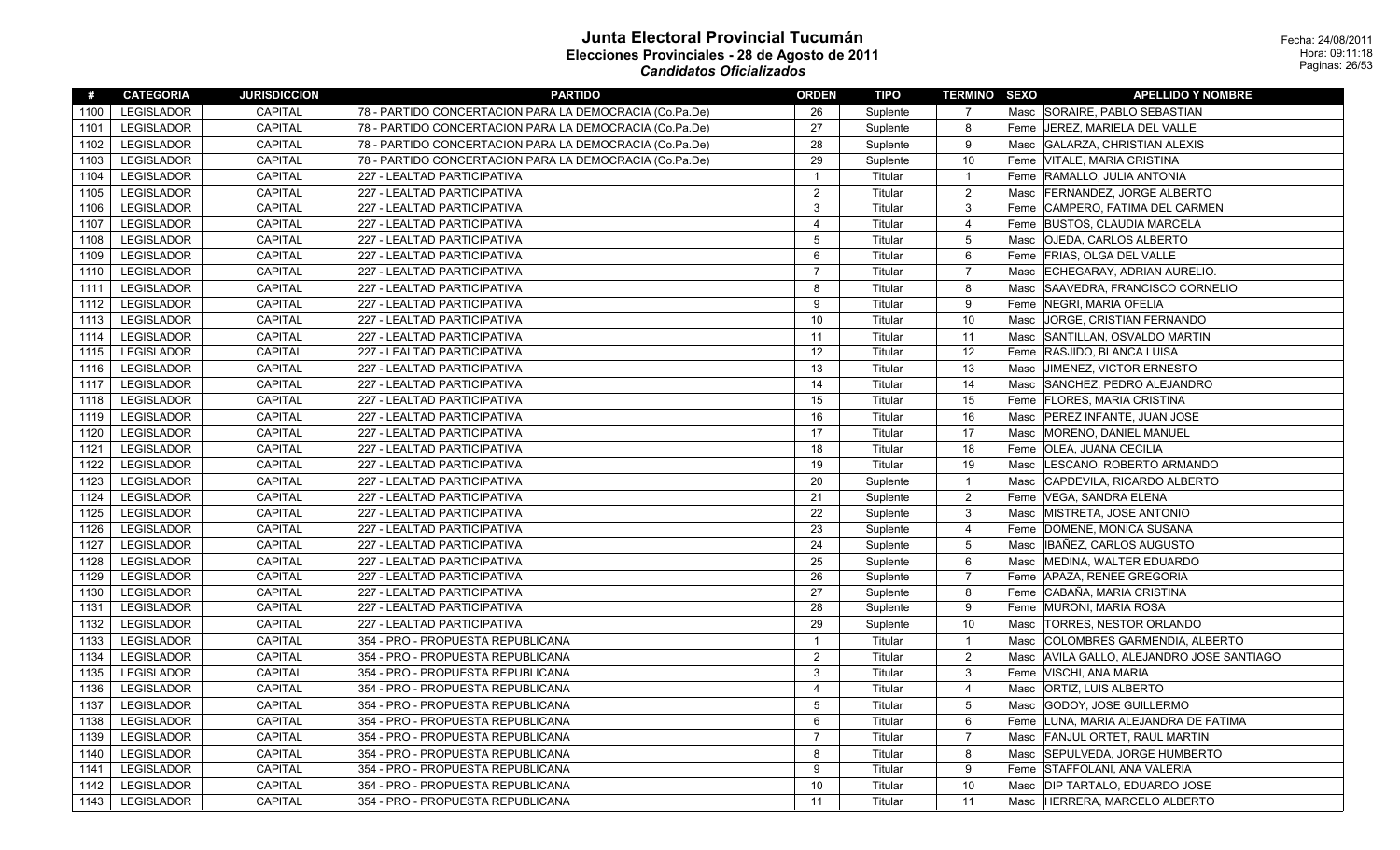| #    | <b>CATEGORIA</b>  | <b>JURISDICCION</b> | <b>PARTIDO</b>                                          | <b>ORDEN</b>   | <b>TIPO</b> | <b>TERMINO SEXO</b> |      | <b>APELLIDO Y NOMBRE</b>                  |
|------|-------------------|---------------------|---------------------------------------------------------|----------------|-------------|---------------------|------|-------------------------------------------|
| 1100 | <b>LEGISLADOR</b> | <b>CAPITAL</b>      | 78 - PARTIDO CONCERTACION PARA LA DEMOCRACIA (Co.Pa.De) | 26             | Suplente    | 7                   |      | Masc SORAIRE, PABLO SEBASTIAN             |
| 1101 | <b>LEGISLADOR</b> | <b>CAPITAL</b>      | 78 - PARTIDO CONCERTACION PARA LA DEMOCRACIA (Co.Pa.De) | 27             | Suplente    | 8                   |      | Feme   JEREZ, MARIELA DEL VALLE           |
| 1102 | <b>LEGISLADOR</b> | <b>CAPITAL</b>      | 78 - PARTIDO CONCERTACION PARA LA DEMOCRACIA (Co.Pa.De) | 28             | Suplente    | 9                   | Masc | GALARZA, CHRISTIAN ALEXIS                 |
| 1103 | <b>LEGISLADOR</b> | CAPITAL             | 78 - PARTIDO CONCERTACION PARA LA DEMOCRACIA (Co.Pa.De) | 29             | Suplente    | 10                  |      | Feme VITALE, MARIA CRISTINA               |
| 1104 | <b>LEGISLADOR</b> | CAPITAL             | 227 - LEALTAD PARTICIPATIVA                             | $\overline{1}$ | Titular     | $\overline{1}$      |      | Feme RAMALLO, JULIA ANTONIA               |
| 1105 | <b>LEGISLADOR</b> | CAPITAL             | 227 - LEALTAD PARTICIPATIVA                             | $\overline{c}$ | Titular     | $\overline{2}$      | Masc | FERNANDEZ, JORGE ALBERTO                  |
| 1106 | <b>LEGISLADOR</b> | <b>CAPITAL</b>      | 227 - LEALTAD PARTICIPATIVA                             | 3              | Titular     | 3                   |      | Feme CAMPERO, FATIMA DEL CARMEN           |
| 1107 | LEGISLADOR        | <b>CAPITAL</b>      | 227 - LEALTAD PARTICIPATIVA                             | $\overline{4}$ | Titular     | $\overline{4}$      |      | Feme BUSTOS, CLAUDIA MARCELA              |
| 1108 | <b>LEGISLADOR</b> | CAPITAL             | 227 - LEALTAD PARTICIPATIVA                             | $\overline{5}$ | Titular     | 5                   |      | Masc   OJEDA, CARLOS ALBERTO              |
| 1109 | <b>LEGISLADOR</b> | CAPITAL             | 227 - LEALTAD PARTICIPATIVA                             | 6              | Titular     | $6\phantom{1}$      |      | Feme FRIAS, OLGA DEL VALLE                |
| 1110 | <b>LEGISLADOR</b> | CAPITAL             | 227 - LEALTAD PARTICIPATIVA                             | $\overline{7}$ | Titular     | $\overline{7}$      |      | Masc ECHEGARAY, ADRIAN AURELIO.           |
| 1111 | <b>LEGISLADOR</b> | <b>CAPITAL</b>      | 227 - LEALTAD PARTICIPATIVA                             | 8              | Titular     | 8                   |      | Masc SAAVEDRA, FRANCISCO CORNELIO         |
| 1112 | <b>LEGISLADOR</b> | CAPITAL             | 227 - LEALTAD PARTICIPATIVA                             | 9              | Titular     | 9                   |      | Feme   NEGRI, MARIA OFELIA                |
| 1113 | <b>LEGISLADOR</b> | <b>CAPITAL</b>      | 227 - LEALTAD PARTICIPATIVA                             | 10             | Titular     | 10                  |      | Masc JORGE, CRISTIAN FERNANDO             |
| 1114 | <b>LEGISLADOR</b> | <b>CAPITAL</b>      | 227 - LEALTAD PARTICIPATIVA                             | 11             | Titular     | 11                  | Masc | SANTILLAN, OSVALDO MARTIN                 |
| 1115 | <b>LEGISLADOR</b> | <b>CAPITAL</b>      | 227 - LEALTAD PARTICIPATIVA                             | 12             | Titular     | 12                  |      | Feme RASJIDO, BLANCA LUISA                |
| 1116 | LEGISLADOR        | CAPITAL             | 227 - LEALTAD PARTICIPATIVA                             | 13             | Titular     | 13                  |      | Masc JIMENEZ, VICTOR ERNESTO              |
| 1117 | <b>LEGISLADOR</b> | CAPITAL             | 227 - LEALTAD PARTICIPATIVA                             | 14             | Titular     | 14                  | Masc | SANCHEZ, PEDRO ALEJANDRO                  |
| 1118 | <b>LEGISLADOR</b> | CAPITAL             | 227 - LEALTAD PARTICIPATIVA                             | 15             | Titular     | 15                  |      | Feme   FLORES, MARIA CRISTINA             |
| 1119 | <b>LEGISLADOR</b> | CAPITAL             | 227 - LEALTAD PARTICIPATIVA                             | 16             | Titular     | 16                  |      | Masc   PEREZ INFANTE, JUAN JOSE           |
| 1120 | <b>LEGISLADOR</b> | <b>CAPITAL</b>      | 227 - LEALTAD PARTICIPATIVA                             | 17             | Titular     | 17                  |      | Masc MORENO, DANIEL MANUEL                |
| 1121 | <b>LEGISLADOR</b> | <b>CAPITAL</b>      | 227 - LEALTAD PARTICIPATIVA                             | 18             | Titular     | 18                  |      | Feme   OLEA, JUANA CECILIA                |
| 1122 | <b>LEGISLADOR</b> | CAPITAL             | 227 - LEALTAD PARTICIPATIVA                             | 19             | Titular     | 19                  |      | Masc  LESCANO, ROBERTO ARMANDO            |
| 1123 | <b>LEGISLADOR</b> | CAPITAL             | 227 - LEALTAD PARTICIPATIVA                             | 20             | Suplente    | $\mathbf{1}$        |      | Masc CAPDEVILA, RICARDO ALBERTO           |
| 1124 | <b>LEGISLADOR</b> | <b>CAPITAL</b>      | 227 - LEALTAD PARTICIPATIVA                             | 21             | Suplente    | $\overline{2}$      |      | Feme  VEGA, SANDRA ELENA                  |
| 1125 | <b>LEGISLADOR</b> | <b>CAPITAL</b>      | 227 - LEALTAD PARTICIPATIVA                             | 22             | Suplente    | 3                   |      | Masc MISTRETA, JOSE ANTONIO               |
| 1126 | <b>LEGISLADOR</b> | CAPITAL             | 227 - LEALTAD PARTICIPATIVA                             | 23             | Suplente    | $\overline{4}$      |      | Feme DOMENE, MONICA SUSANA                |
| 1127 | <b>LEGISLADOR</b> | CAPITAL             | 227 - LEALTAD PARTICIPATIVA                             | 24             | Suplente    | 5                   | Masc | IBAÑEZ, CARLOS AUGUSTO                    |
| 1128 | <b>LEGISLADOR</b> | CAPITAL             | 227 - LEALTAD PARTICIPATIVA                             | 25             | Suplente    | 6                   |      | Masc MEDINA, WALTER EDUARDO               |
| 1129 | <b>LEGISLADOR</b> | <b>CAPITAL</b>      | 227 - LEALTAD PARTICIPATIVA                             | 26             | Suplente    | $\overline{7}$      |      | Feme APAZA, RENEE GREGORIA                |
| 1130 | <b>LEGISLADOR</b> | CAPITAL             | 227 - LEALTAD PARTICIPATIVA                             | 27             | Suplente    | 8                   |      | Feme CABAÑA, MARIA CRISTINA               |
| 1131 | <b>LEGISLADOR</b> | CAPITAL             | 227 - LEALTAD PARTICIPATIVA                             | 28             | Suplente    | 9                   |      | Feme MURONI, MARIA ROSA                   |
| 1132 | <b>LEGISLADOR</b> | <b>CAPITAL</b>      | 227 - LEALTAD PARTICIPATIVA                             | 29             | Suplente    | 10                  |      | Masc  TORRES, NESTOR ORLANDO              |
| 1133 | <b>LEGISLADOR</b> | <b>CAPITAL</b>      | 354 - PRO - PROPUESTA REPUBLICANA                       | $\overline{1}$ | Titular     | $\mathbf{1}$        | Masc | COLOMBRES GARMENDIA, ALBERTO              |
| 1134 | <b>LEGISLADOR</b> | <b>CAPITAL</b>      | 354 - PRO - PROPUESTA REPUBLICANA                       | $\overline{2}$ | Titular     | $\overline{2}$      |      | Masc AVILA GALLO, ALEJANDRO JOSE SANTIAGO |
| 1135 | <b>LEGISLADOR</b> | CAPITAL             | 354 - PRO - PROPUESTA REPUBLICANA                       | 3              | Titular     | 3                   |      | Feme   VISCHI, ANA MARIA                  |
| 1136 | <b>LEGISLADOR</b> | CAPITAL             | 354 - PRO - PROPUESTA REPUBLICANA                       | $\overline{4}$ | Titular     | 4                   | Masc | <b>ORTIZ, LUIS ALBERTO</b>                |
| 1137 | <b>LEGISLADOR</b> | <b>CAPITAL</b>      | 354 - PRO - PROPUESTA REPUBLICANA                       | 5              | Titular     | 5                   |      | Masc GODOY, JOSE GUILLERMO                |
| 1138 | <b>LEGISLADOR</b> | <b>CAPITAL</b>      | 354 - PRO - PROPUESTA REPUBLICANA                       | 6              | Titular     | 6                   |      | Feme LUNA, MARIA ALEJANDRA DE FATIMA      |
| 1139 | <b>LEGISLADOR</b> | <b>CAPITAL</b>      | 354 - PRO - PROPUESTA REPUBLICANA                       | $\overline{7}$ | Titular     | $\overline{7}$      |      | Masc FANJUL ORTET, RAUL MARTIN            |
| 1140 | <b>LEGISLADOR</b> | CAPITAL             | 354 - PRO - PROPUESTA REPUBLICANA                       | 8              | Titular     | 8                   |      | Masc  SEPULVEDA, JORGE HUMBERTO           |
| 1141 | <b>LEGISLADOR</b> | CAPITAL             | 354 - PRO - PROPUESTA REPUBLICANA                       | 9              | Titular     | 9                   |      | Feme STAFFOLANI, ANA VALERIA              |
| 1142 | <b>LEGISLADOR</b> | <b>CAPITAL</b>      | 354 - PRO - PROPUESTA REPUBLICANA                       | 10             | Titular     | 10                  |      | Masc   DIP TARTALO, EDUARDO JOSE          |
| 1143 | <b>LEGISLADOR</b> | <b>CAPITAL</b>      | 354 - PRO - PROPUESTA REPUBLICANA                       | 11             | Titular     | 11                  |      | Masc HERRERA, MARCELO ALBERTO             |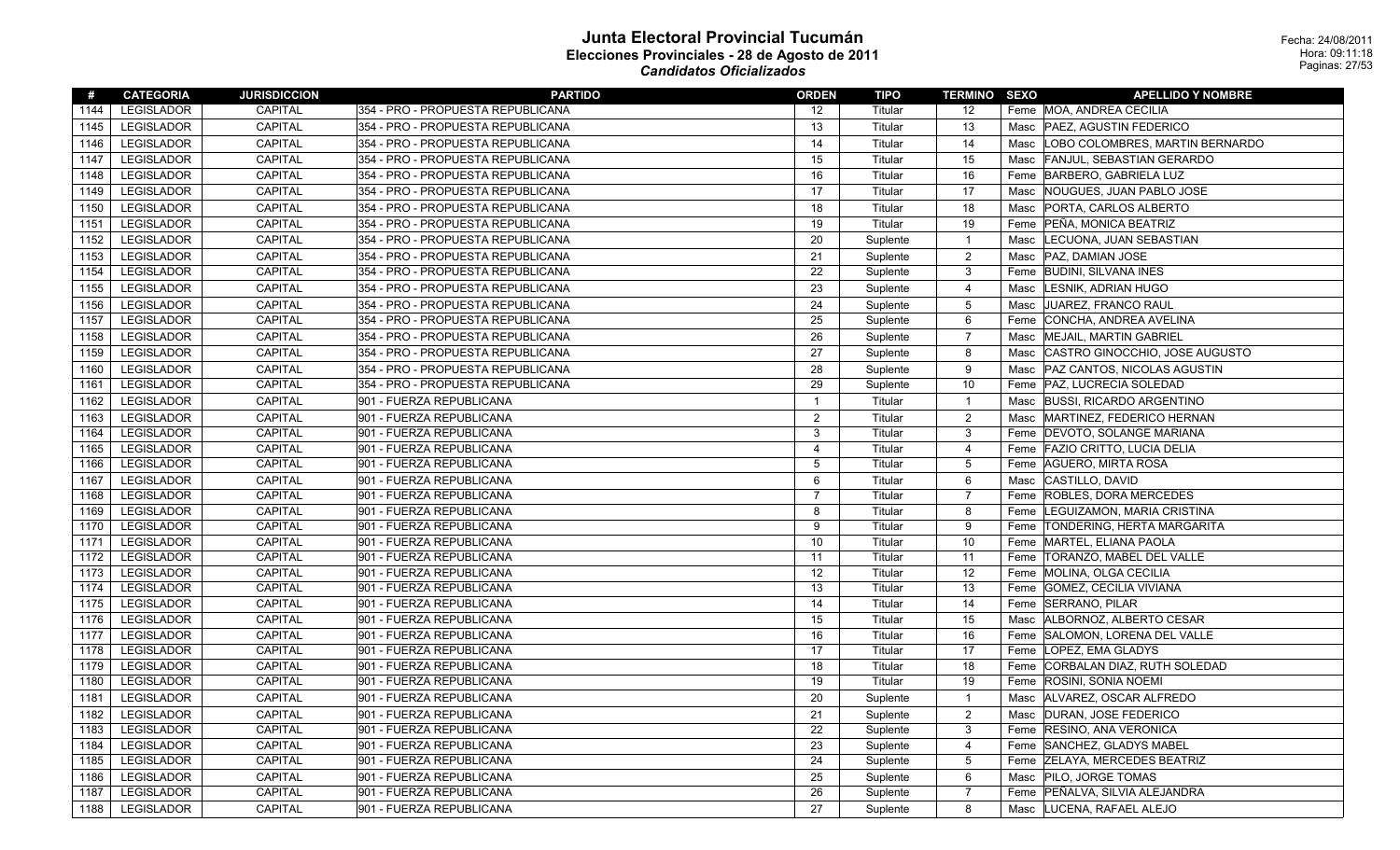| #    | <b>CATEGORIA</b>  | <b>JURISDICCION</b> | <b>PARTIDO</b>                    | <b>ORDEN</b>   | <b>TIPO</b> | <b>TERMINO SEXO</b> | <b>APELLIDO Y NOMBRE</b>                 |
|------|-------------------|---------------------|-----------------------------------|----------------|-------------|---------------------|------------------------------------------|
| 1144 | LEGISLADOR        | <b>CAPITAL</b>      | 354 - PRO - PROPUESTA REPUBLICANA | 12             | Titular     | 12                  | Feme MOA, ANDREA CECILIA                 |
| 1145 | LEGISLADOR        | <b>CAPITAL</b>      | 354 - PRO - PROPUESTA REPUBLICANA | 13             | Titular     | 13                  | Masc   PAEZ, AGUSTIN FEDERICO            |
| 1146 | <b>LEGISLADOR</b> | <b>CAPITAL</b>      | 354 - PRO - PROPUESTA REPUBLICANA | 14             | Titular     | 14                  | LOBO COLOMBRES, MARTIN BERNARDO<br>Masc  |
| 1147 | <b>LEGISLADOR</b> | <b>CAPITAL</b>      | 354 - PRO - PROPUESTA REPUBLICANA | 15             | Titular     | 15                  | <b>FANJUL, SEBASTIAN GERARDO</b><br>Masc |
| 1148 | LEGISLADOR        | CAPITAL             | 354 - PRO - PROPUESTA REPUBLICANA | 16             | Titular     | 16                  | Feme BARBERO, GABRIELA LUZ               |
| 1149 | <b>LEGISLADOR</b> | CAPITAL             | 354 - PRO - PROPUESTA REPUBLICANA | 17             | Titular     | 17                  | Masc NOUGUES, JUAN PABLO JOSE            |
| 1150 | <b>LEGISLADOR</b> | <b>CAPITAL</b>      | 354 - PRO - PROPUESTA REPUBLICANA | 18             | Titular     | 18                  | PORTA, CARLOS ALBERTO<br>Masc            |
| 1151 | LEGISLADOR        | CAPITAL             | 354 - PRO - PROPUESTA REPUBLICANA | 19             | Titular     | 19                  | Feme PEÑA, MONICA BEATRIZ                |
| 1152 | <b>LEGISLADOR</b> | <b>CAPITAL</b>      | 354 - PRO - PROPUESTA REPUBLICANA | 20             | Suplente    | -1                  | Masc  LECUONA, JUAN SEBASTIAN            |
| 1153 | <b>LEGISLADOR</b> | <b>CAPITAL</b>      | 354 - PRO - PROPUESTA REPUBLICANA | 21             | Suplente    | 2                   | Masc   PAZ, DAMIAN JOSE                  |
| 1154 | LEGISLADOR        | CAPITAL             | 354 - PRO - PROPUESTA REPUBLICANA | 22             | Suplente    | 3                   | Feme BUDINI, SILVANA INES                |
| 1155 | <b>LEGISLADOR</b> | <b>CAPITAL</b>      | 354 - PRO - PROPUESTA REPUBLICANA | 23             | Suplente    | 4                   | LESNIK, ADRIAN HUGO<br>Masc              |
| 1156 | <b>LEGISLADOR</b> | <b>CAPITAL</b>      | 354 - PRO - PROPUESTA REPUBLICANA | 24             | Suplente    | 5                   | Masc JUAREZ, FRANCO RAUL                 |
| 1157 | <b>LEGISLADOR</b> | <b>CAPITAL</b>      | 354 - PRO - PROPUESTA REPUBLICANA | 25             | Suplente    | 6                   | Feme CONCHA, ANDREA AVELINA              |
| 1158 | <b>LEGISLADOR</b> | <b>CAPITAL</b>      | 354 - PRO - PROPUESTA REPUBLICANA | 26             | Suplente    | $\overline{7}$      | MEJAIL, MARTIN GABRIEL<br>Masc           |
| 1159 | <b>LEGISLADOR</b> | <b>CAPITAL</b>      | 354 - PRO - PROPUESTA REPUBLICANA | 27             | Suplente    | 8                   | Masc CASTRO GINOCCHIO, JOSE AUGUSTO      |
| 1160 | <b>LEGISLADOR</b> | <b>CAPITAL</b>      | 354 - PRO - PROPUESTA REPUBLICANA | 28             | Suplente    | 9                   | Masc   PAZ CANTOS, NICOLAS AGUSTIN       |
| 1161 | LEGISLADOR        | <b>CAPITAL</b>      | 354 - PRO - PROPUESTA REPUBLICANA | 29             | Suplente    | 10                  | Feme   PAZ, LUCRECIA SOLEDAD             |
| 1162 | LEGISLADOR        | <b>CAPITAL</b>      | 901 - FUERZA REPUBLICANA          | $\overline{1}$ | Titular     | $\mathbf 1$         | Masc BUSSI, RICARDO ARGENTINO            |
| 1163 | <b>LEGISLADOR</b> | CAPITAL             | 901 - FUERZA REPUBLICANA          | $\overline{2}$ | Titular     | $\overline{2}$      | Masc MARTINEZ, FEDERICO HERNAN           |
| 1164 | <b>LEGISLADOR</b> | <b>CAPITAL</b>      | 901 - FUERZA REPUBLICANA          | 3              | Titular     | 3                   | Feme DEVOTO, SOLANGE MARIANA             |
| 1165 | <b>LEGISLADOR</b> | CAPITAL             | 901 - FUERZA REPUBLICANA          | 4              | Titular     | $\overline{4}$      | Feme FAZIO CRITTO, LUCIA DELIA           |
| 1166 | LEGISLADOR        | <b>CAPITAL</b>      | 901 - FUERZA REPUBLICANA          | -5             | Titular     | 5                   | Feme AGUERO, MIRTA ROSA                  |
| 1167 | <b>LEGISLADOR</b> | <b>CAPITAL</b>      | 901 - FUERZA REPUBLICANA          | 6              | Titular     | 6                   | Masc CASTILLO, DAVID                     |
| 1168 | <b>LEGISLADOR</b> | <b>CAPITAL</b>      | 901 - FUERZA REPUBLICANA          | 7              | Titular     | $\overline{7}$      | Feme ROBLES, DORA MERCEDES               |
| 1169 | <b>LEGISLADOR</b> | <b>CAPITAL</b>      | 901 - FUERZA REPUBLICANA          | 8              | Titular     | 8                   | Feme  LEGUIZAMON, MARIA CRISTINA         |
| 1170 | LEGISLADOR        | <b>CAPITAL</b>      | 901 - FUERZA REPUBLICANA          | 9              | Titular     | 9                   | Feme TONDERING, HERTA MARGARITA          |
| 1171 | <b>LEGISLADOR</b> | CAPITAL             | 901 - FUERZA REPUBLICANA          | 10             | Titular     | 10                  | Feme MARTEL, ELIANA PAOLA                |
| 1172 | LEGISLADOR        | <b>CAPITAL</b>      | 901 - FUERZA REPUBLICANA          | 11             | Titular     | 11                  | Feme  TORANZO, MABEL DEL VALLE           |
| 1173 | <b>LEGISLADOR</b> | CAPITAL             | 901 - FUERZA REPUBLICANA          | 12             | Titular     | 12                  | Feme MOLINA, OLGA CECILIA                |
| 1174 | <b>LEGISLADOR</b> | <b>CAPITAL</b>      | 901 - FUERZA REPUBLICANA          | 13             | Titular     | 13                  | Feme GOMEZ, CECILIA VIVIANA              |
| 1175 | LEGISLADOR        | <b>CAPITAL</b>      | 901 - FUERZA REPUBLICANA          | 14             | Titular     | 14                  | Feme SERRANO, PILAR                      |
| 1176 | <b>LEGISLADOR</b> | <b>CAPITAL</b>      | 901 - FUERZA REPUBLICANA          | 15             | Titular     | 15                  | Masc   ALBORNOZ, ALBERTO CESAR           |
| 1177 | <b>LEGISLADOR</b> | <b>CAPITAL</b>      | 901 - FUERZA REPUBLICANA          | 16             | Titular     | 16                  | Feme SALOMON, LORENA DEL VALLE           |
| 1178 | <b>LEGISLADOR</b> | <b>CAPITAL</b>      | 901 - FUERZA REPUBLICANA          | 17             | Titular     | 17                  | Feme LOPEZ, EMA GLADYS                   |
| 1179 | LEGISLADOR        | CAPITAL             | 901 - FUERZA REPUBLICANA          | 18             | Titular     | 18                  | Feme CORBALAN DIAZ, RUTH SOLEDAD         |
| 1180 | LEGISLADOR        | <b>CAPITAL</b>      | 901 - FUERZA REPUBLICANA          | 19             | Titular     | 19                  | Feme ROSINI, SONIA NOEMI                 |
| 1181 | LEGISLADOR        | CAPITAL             | 901 - FUERZA REPUBLICANA          | 20             | Suplente    | -1                  | Masc ALVAREZ, OSCAR ALFREDO              |
|      | 1182   LEGISLADOR | CAPITAL             | 901 - FUERZA REPUBLICANA          | 21             | Suplente    | $\overline{2}$      | Masc DURAN, JOSE FEDERICO                |
| 1183 | LEGISLADOR        | CAPITAL             | 901 - FUERZA REPUBLICANA          | 22             | Suplente    | 3                   | Feme RESINO, ANA VERONICA                |
| 1184 | LEGISLADOR        | CAPITAL             | 901 - FUERZA REPUBLICANA          | 23             | Suplente    | 4                   | Feme SANCHEZ, GLADYS MABEL               |
| 1185 | LEGISLADOR        | CAPITAL             | 901 - FUERZA REPUBLICANA          | 24             | Suplente    | 5                   | Feme ZELAYA, MERCEDES BEATRIZ            |
| 1186 | LEGISLADOR        | CAPITAL             | 901 - FUERZA REPUBLICANA          | 25             | Suplente    | 6                   | Masc   PILO, JORGE TOMAS                 |
| 1187 | LEGISLADOR        | CAPITAL             | 901 - FUERZA REPUBLICANA          | 26             | Suplente    | $\overline{7}$      | Feme PEÑALVA, SILVIA ALEJANDRA           |
|      | 1188   LEGISLADOR | CAPITAL             | 901 - FUERZA REPUBLICANA          | 27             | Suplente    | 8                   | Masc LUCENA, RAFAEL ALEJO                |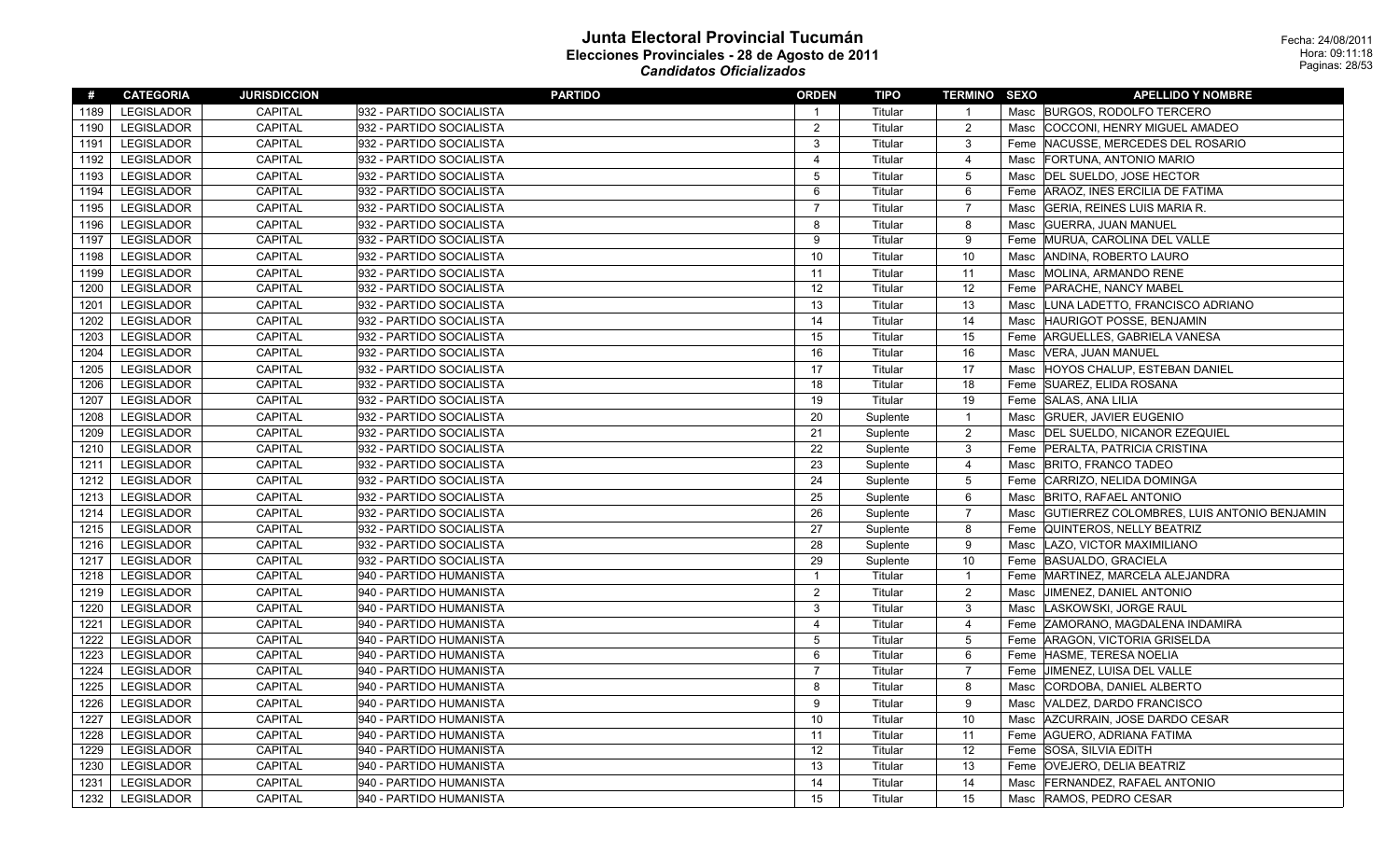| #    | <b>CATEGORIA</b>  | <b>JURISDICCION</b> | <b>PARTIDO</b>           | <b>ORDEN</b>            | TIPO     | <b>TERMINO SEXO</b> |      | <b>APELLIDO Y NOMBRE</b>                   |
|------|-------------------|---------------------|--------------------------|-------------------------|----------|---------------------|------|--------------------------------------------|
| 1189 | <b>LEGISLADOR</b> | <b>CAPITAL</b>      | 932 - PARTIDO SOCIALISTA | $\overline{1}$          | Titular  | $\overline{1}$      |      | Masc BURGOS, RODOLFO TERCERO               |
| 1190 | <b>LEGISLADOR</b> | CAPITAL             | 932 - PARTIDO SOCIALISTA | 2                       | Titular  | $\overline{2}$      |      | Masc COCCONI, HENRY MIGUEL AMADEO          |
| 1191 | <b>LEGISLADOR</b> | <b>CAPITAL</b>      | 932 - PARTIDO SOCIALISTA | 3                       | Titular  | 3                   |      | Feme NACUSSE, MERCEDES DEL ROSARIO         |
| 1192 | <b>LEGISLADOR</b> | CAPITAL             | 932 - PARTIDO SOCIALISTA | $\overline{\mathbf{4}}$ | Titular  | $\overline{4}$      | Masc | FORTUNA, ANTONIO MARIO                     |
| 1193 | <b>LEGISLADOR</b> | CAPITAL             | 932 - PARTIDO SOCIALISTA | 5                       | Titular  | $5\phantom{.0}$     | Masc | DEL SUELDO, JOSE HECTOR                    |
| 1194 | LEGISLADOR        | <b>CAPITAL</b>      | 932 - PARTIDO SOCIALISTA | 6                       | Titular  | 6                   | Feme | ARAOZ, INES ERCILIA DE FATIMA              |
| 1195 | LEGISLADOR        | <b>CAPITAL</b>      | 932 - PARTIDO SOCIALISTA | $\overline{7}$          | Titular  | $\overline{7}$      | Masc | GERIA, REINES LUIS MARIA R.                |
| 1196 | <b>LEGISLADOR</b> | CAPITAL             | 932 - PARTIDO SOCIALISTA | 8                       | Titular  | 8                   |      | Masc GUERRA, JUAN MANUEL                   |
| 1197 | <b>LEGISLADOR</b> | CAPITAL             | 932 - PARTIDO SOCIALISTA | 9                       | Titular  | 9                   |      | Feme MURUA, CAROLINA DEL VALLE             |
| 1198 | <b>LEGISLADOR</b> | CAPITAL             | 932 - PARTIDO SOCIALISTA | 10                      | Titular  | 10                  | Masc | ANDINA, ROBERTO LAURO                      |
| 1199 | <b>LEGISLADOR</b> | CAPITAL             | 932 - PARTIDO SOCIALISTA | 11                      | Titular  | 11                  |      | Masc MOLINA, ARMANDO RENE                  |
| 1200 | <b>LEGISLADOR</b> | CAPITAL             | 932 - PARTIDO SOCIALISTA | 12                      | Titular  | 12                  | Feme | <b>PARACHE, NANCY MABEL</b>                |
| 1201 | <b>LEGISLADOR</b> | <b>CAPITAL</b>      | 932 - PARTIDO SOCIALISTA | 13                      | Titular  | 13                  | Masc | LUNA LADETTO, FRANCISCO ADRIANO            |
| 1202 | <b>LEGISLADOR</b> | <b>CAPITAL</b>      | 932 - PARTIDO SOCIALISTA | 14                      | Titular  | 14                  | Masc | <b>HAURIGOT POSSE, BENJAMIN</b>            |
| 1203 | <b>LEGISLADOR</b> | <b>CAPITAL</b>      | 932 - PARTIDO SOCIALISTA | 15                      | Titular  | 15                  | Feme | ARGUELLES, GABRIELA VANESA                 |
| 1204 | <b>LEGISLADOR</b> | <b>CAPITAL</b>      | 932 - PARTIDO SOCIALISTA | 16                      | Titular  | 16                  | Masc | VERA, JUAN MANUEL                          |
| 1205 | <b>LEGISLADOR</b> | CAPITAL             | 932 - PARTIDO SOCIALISTA | 17                      | Titular  | 17                  | Masc | HOYOS CHALUP, ESTEBAN DANIEL               |
| 1206 | <b>LEGISLADOR</b> | <b>CAPITAL</b>      | 932 - PARTIDO SOCIALISTA | 18                      | Titular  | 18                  | Feme | SUAREZ, ELIDA ROSANA                       |
| 1207 | <b>LEGISLADOR</b> | <b>CAPITAL</b>      | 932 - PARTIDO SOCIALISTA | 19                      | Titular  | 19                  | Feme | <b>SALAS, ANA LILIA</b>                    |
| 1208 | <b>LEGISLADOR</b> | CAPITAL             | 932 - PARTIDO SOCIALISTA | 20                      | Suplente | $\overline{1}$      | Masc | <b>GRUER, JAVIER EUGENIO</b>               |
| 1209 | <b>LEGISLADOR</b> | CAPITAL             | 932 - PARTIDO SOCIALISTA | 21                      | Suplente | $\overline{2}$      | Masc | <b>DEL SUELDO, NICANOR EZEQUIEL</b>        |
| 1210 | LEGISLADOR        | CAPITAL             | 932 - PARTIDO SOCIALISTA | 22                      | Suplente | 3                   |      | Feme PERALTA, PATRICIA CRISTINA            |
| 1211 | <b>LEGISLADOR</b> | CAPITAL             | 932 - PARTIDO SOCIALISTA | 23                      | Suplente | $\overline{4}$      | Masc | <b>BRITO, FRANCO TADEO</b>                 |
| 1212 | LEGISLADOR        | CAPITAL             | 932 - PARTIDO SOCIALISTA | 24                      | Suplente | 5                   | Feme | CARRIZO, NELIDA DOMINGA                    |
| 1213 | <b>LEGISLADOR</b> | <b>CAPITAL</b>      | 932 - PARTIDO SOCIALISTA | 25                      | Suplente | 6                   | Masc | <b>BRITO, RAFAEL ANTONIO</b>               |
| 1214 | <b>LEGISLADOR</b> | <b>CAPITAL</b>      | 932 - PARTIDO SOCIALISTA | 26                      | Suplente | $\overline{7}$      | Masc | GUTIERREZ COLOMBRES, LUIS ANTONIO BENJAMIN |
| 1215 | <b>LEGISLADOR</b> | CAPITAL             | 932 - PARTIDO SOCIALISTA | 27                      | Suplente | 8                   | Feme | QUINTEROS, NELLY BEATRIZ                   |
| 1216 | <b>LEGISLADOR</b> | CAPITAL             | 932 - PARTIDO SOCIALISTA | 28                      | Suplente | 9                   | Masc | LAZO, VICTOR MAXIMILIANO                   |
| 1217 | <b>LEGISLADOR</b> | CAPITAL             | 932 - PARTIDO SOCIALISTA | 29                      | Suplente | 10                  |      | Feme BASUALDO, GRACIELA                    |
| 1218 | LEGISLADOR        | CAPITAL             | 940 - PARTIDO HUMANISTA  | $\mathbf{1}$            | Titular  | $\overline{1}$      | Feme | MARTINEZ, MARCELA ALEJANDRA                |
| 1219 | <b>LEGISLADOR</b> | CAPITAL             | 940 - PARTIDO HUMANISTA  | 2                       | Titular  | $\overline{2}$      | Masc | <b>JIMENEZ, DANIEL ANTONIO</b>             |
| 1220 | <b>LEGISLADOR</b> | <b>CAPITAL</b>      | 940 - PARTIDO HUMANISTA  | 3                       | Titular  | 3                   | Masc | LASKOWSKI, JORGE RAUL                      |
| 1221 | <b>LEGISLADOR</b> | CAPITAL             | 940 - PARTIDO HUMANISTA  | $\overline{4}$          | Titular  | 4                   | Feme | ZAMORANO, MAGDALENA INDAMIRA               |
| 1222 | <b>LEGISLADOR</b> | <b>CAPITAL</b>      | 940 - PARTIDO HUMANISTA  | 5                       | Titular  | $5\,$               | Feme | ARAGON, VICTORIA GRISELDA                  |
| 1223 | LEGISLADOR        | CAPITAL             | 940 - PARTIDO HUMANISTA  | 6                       | Titular  | 6                   | Feme | HASME, TERESA NOELIA                       |
| 1224 | <b>LEGISLADOR</b> | CAPITAL             | 940 - PARTIDO HUMANISTA  | $\overline{7}$          | Titular  | $\overline{7}$      | Feme | JIMENEZ, LUISA DEL VALLE                   |
| 1225 | LEGISLADOR        | CAPITAL             | 940 - PARTIDO HUMANISTA  | 8                       | Titular  | 8                   | Masc | CORDOBA, DANIEL ALBERTO                    |
| 1226 | <b>LEGISLADOR</b> | CAPITAL             | 940 - PARTIDO HUMANISTA  | 9                       | Titular  | 9                   | Masc | VALDEZ, DARDO FRANCISCO                    |
| 1227 | <b>LEGISLADOR</b> | <b>CAPITAL</b>      | 940 - PARTIDO HUMANISTA  | 10                      | Titular  | 10                  | Masc | AZCURRAIN, JOSE DARDO CESAR                |
| 1228 | <b>LEGISLADOR</b> | <b>CAPITAL</b>      | 940 - PARTIDO HUMANISTA  | 11                      | Titular  | 11                  | Feme | AGUERO, ADRIANA FATIMA                     |
| 1229 | <b>LEGISLADOR</b> | CAPITAL             | 940 - PARTIDO HUMANISTA  | 12                      | Titular  | 12                  | Feme | <b>SOSA, SILVIA EDITH</b>                  |
| 1230 | LEGISLADOR        | CAPITAL             | 940 - PARTIDO HUMANISTA  | 13                      | Titular  | 13                  |      | Feme   OVEJERO, DELIA BEATRIZ              |
| 1231 | <b>LEGISLADOR</b> | <b>CAPITAL</b>      | 940 - PARTIDO HUMANISTA  | 14                      | Titular  | 14                  | Masc | <b>FERNANDEZ, RAFAEL ANTONIO</b>           |
| 1232 | <b>LEGISLADOR</b> | <b>CAPITAL</b>      | 940 - PARTIDO HUMANISTA  | 15                      | Titular  | 15                  | Masc | <b>RAMOS, PEDRO CESAR</b>                  |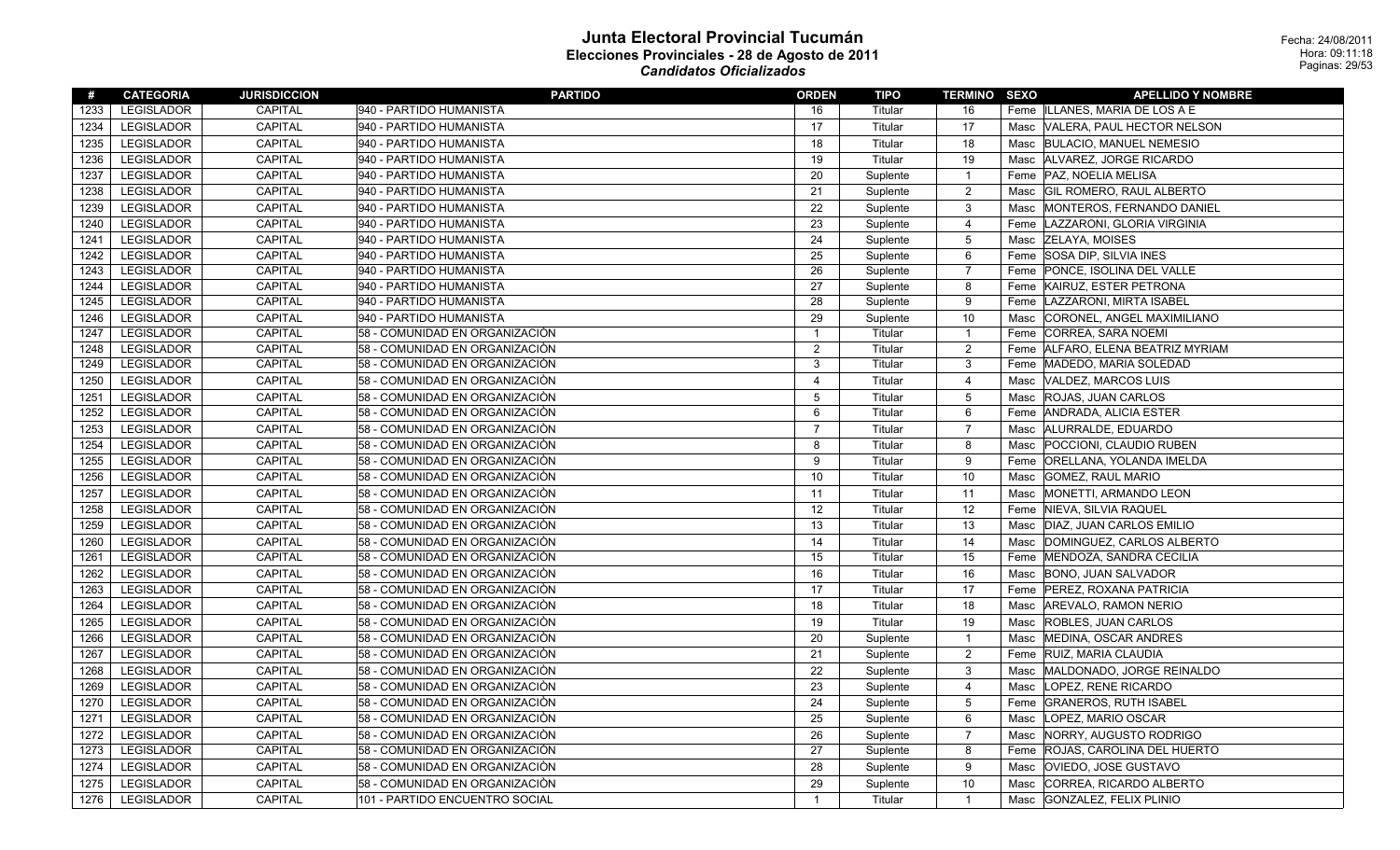| #    | <b>CATEGORIA</b>  | <b>JURISDICCION</b> | <b>PARTIDO</b>                 | <b>ORDEN</b>            | TIPO     | <b>TERMINO SEXO</b> |      | <b>APELLIDO Y NOMBRE</b>          |
|------|-------------------|---------------------|--------------------------------|-------------------------|----------|---------------------|------|-----------------------------------|
| 1233 | <b>LEGISLADOR</b> | CAPITAL             | 940 - PARTIDO HUMANISTA        | 16                      | Titular  | 16                  |      | Feme ILLANES, MARIA DE LOS A E    |
| 1234 | <b>LEGISLADOR</b> | <b>CAPITAL</b>      | 940 - PARTIDO HUMANISTA        | 17                      | Titular  | 17                  | Masc | VALERA, PAUL HECTOR NELSON        |
| 1235 | <b>LEGISLADOR</b> | CAPITAL             | 940 - PARTIDO HUMANISTA        | 18                      | Titular  | 18                  | Masc | <b>BULACIO, MANUEL NEMESIO</b>    |
| 1236 | <b>LEGISLADOR</b> | CAPITAL             | 940 - PARTIDO HUMANISTA        | 19                      | Titular  | 19                  | Masc | ALVAREZ, JORGE RICARDO            |
| 1237 | <b>LEGISLADOR</b> | CAPITAL             | 940 - PARTIDO HUMANISTA        | 20                      | Suplente | $\overline{1}$      |      | Feme   PAZ, NOELIA MELISA         |
| 1238 | <b>LEGISLADOR</b> | <b>CAPITAL</b>      | 940 - PARTIDO HUMANISTA        | 21                      | Suplente | 2                   | Masc | <b>GIL ROMERO, RAUL ALBERTO</b>   |
| 1239 | <b>LEGISLADOR</b> | <b>CAPITAL</b>      | 940 - PARTIDO HUMANISTA        | 22                      | Suplente | 3                   | Masc | MONTEROS, FERNANDO DANIEL         |
| 1240 | <b>LEGISLADOR</b> | CAPITAL             | 940 - PARTIDO HUMANISTA        | 23                      | Suplente | $\overline{4}$      | Feme | LAZZARONI, GLORIA VIRGINIA        |
| 1241 | <b>LEGISLADOR</b> | <b>CAPITAL</b>      | 940 - PARTIDO HUMANISTA        | 24                      | Suplente | 5                   | Masc | <b>ZELAYA, MOISES</b>             |
| 1242 | <b>LEGISLADOR</b> | <b>CAPITAL</b>      | 940 - PARTIDO HUMANISTA        | 25                      | Suplente | 6                   | Feme | <b>SOSA DIP, SILVIA INES</b>      |
| 1243 | <b>LEGISLADOR</b> | <b>CAPITAL</b>      | 940 - PARTIDO HUMANISTA        | 26                      | Suplente | $\overline{7}$      | Feme | PONCE, ISOLINA DEL VALLE          |
| 1244 | <b>LEGISLADOR</b> | <b>CAPITAL</b>      | 940 - PARTIDO HUMANISTA        | 27                      | Suplente | 8                   | Feme | KAIRUZ, ESTER PETRONA             |
| 1245 | <b>LEGISLADOR</b> | CAPITAL             | 940 - PARTIDO HUMANISTA        | 28                      | Suplente | 9                   | Feme | LAZZARONI, MIRTA ISABEL           |
| 1246 | <b>LEGISLADOR</b> | <b>CAPITAL</b>      | 940 - PARTIDO HUMANISTA        | 29                      | Suplente | 10                  | Masc | CORONEL, ANGEL MAXIMILIANO        |
| 1247 | <b>LEGISLADOR</b> | <b>CAPITAL</b>      | 58 - COMUNIDAD EN ORGANIZACIÒN | $\mathbf{1}$            | Titular  | $\overline{1}$      | Feme | CORREA, SARA NOEMI                |
| 1248 | <b>LEGISLADOR</b> | <b>CAPITAL</b>      | 58 - COMUNIDAD EN ORGANIZACIÒN | $\overline{2}$          | Titular  | 2                   |      | Feme ALFARO, ELENA BEATRIZ MYRIAM |
| 1249 | <b>LEGISLADOR</b> | CAPITAL             | 58 - COMUNIDAD EN ORGANIZACIÓN | 3                       | Titular  | 3                   | Feme | MADEDO, MARIA SOLEDAD             |
| 1250 | <b>LEGISLADOR</b> | CAPITAL             | 58 - COMUNIDAD EN ORGANIZACIÓN | $\overline{\mathbf{4}}$ | Titular  | $\overline{4}$      | Masc | VALDEZ, MARCOS LUIS               |
| 1251 | <b>LEGISLADOR</b> | CAPITAL             | 58 - COMUNIDAD EN ORGANIZACIÒN | 5                       | Titular  | $\overline{5}$      | Masc | <b>ROJAS, JUAN CARLOS</b>         |
| 1252 | <b>LEGISLADOR</b> | CAPITAL             | 58 - COMUNIDAD EN ORGANIZACIÓN | 6                       | Titular  | 6                   | Feme | <b>ANDRADA, ALICIA ESTER</b>      |
| 1253 | <b>LEGISLADOR</b> | CAPITAL             | 58 - COMUNIDAD EN ORGANIZACIÒN | $\overline{7}$          | Titular  | $\overline{7}$      | Masc | ALURRALDE, EDUARDO                |
| 1254 | <b>LEGISLADOR</b> | CAPITAL             | 58 - COMUNIDAD EN ORGANIZACIÒN | 8                       | Titular  | 8                   | Masc | POCCIONI, CLAUDIO RUBEN           |
| 1255 | <b>LEGISLADOR</b> | CAPITAL             | 58 - COMUNIDAD EN ORGANIZACIÒN | 9                       | Titular  | 9                   | Feme | <b>ORELLANA, YOLANDA IMELDA</b>   |
| 1256 | <b>LEGISLADOR</b> | <b>CAPITAL</b>      | 58 - COMUNIDAD EN ORGANIZACIÓN | 10                      | Titular  | 10                  | Masc | <b>GOMEZ, RAUL MARIO</b>          |
| 1257 | <b>LEGISLADOR</b> | <b>CAPITAL</b>      | 58 - COMUNIDAD EN ORGANIZACIÒN | 11                      | Titular  | 11                  | Masc | MONETTI, ARMANDO LEON             |
| 1258 | <b>LEGISLADOR</b> | <b>CAPITAL</b>      | 58 - COMUNIDAD EN ORGANIZACIÒN | 12                      | Titular  | 12                  | Feme | NIEVA, SILVIA RAQUEL              |
| 1259 | <b>LEGISLADOR</b> | CAPITAL             | 58 - COMUNIDAD EN ORGANIZACIÓN | 13                      | Titular  | 13                  | Masc | DIAZ, JUAN CARLOS EMILIO          |
| 1260 | <b>LEGISLADOR</b> | CAPITAL             | 58 - COMUNIDAD EN ORGANIZACIÒN | 14                      | Titular  | 14                  | Masc | DOMINGUEZ, CARLOS ALBERTO         |
| 1261 | <b>LEGISLADOR</b> | <b>CAPITAL</b>      | 58 - COMUNIDAD EN ORGANIZACIÒN | 15                      | Titular  | 15                  | Feme | MENDOZA, SANDRA CECILIA           |
| 1262 | <b>LEGISLADOR</b> | <b>CAPITAL</b>      | 58 - COMUNIDAD EN ORGANIZACIÒN | 16                      | Titular  | 16                  | Masc | <b>BONO, JUAN SALVADOR</b>        |
| 1263 | <b>LEGISLADOR</b> | <b>CAPITAL</b>      | 58 - COMUNIDAD EN ORGANIZACIÓN | 17                      | Titular  | 17                  |      | Feme   PEREZ, ROXANA PATRICIA     |
| 1264 | <b>LEGISLADOR</b> | <b>CAPITAL</b>      | 58 - COMUNIDAD EN ORGANIZACIÒN | 18                      | Titular  | 18                  | Masc | AREVALO, RAMON NERIO              |
| 1265 | <b>LEGISLADOR</b> | <b>CAPITAL</b>      | 58 - COMUNIDAD EN ORGANIZACIÒN | 19                      | Titular  | 19                  | Masc | <b>ROBLES, JUAN CARLOS</b>        |
| 1266 | <b>LEGISLADOR</b> | <b>CAPITAL</b>      | 58 - COMUNIDAD EN ORGANIZACIÓN | 20                      | Suplente | $\overline{1}$      | Masc | MEDINA, OSCAR ANDRES              |
| 1267 | <b>LEGISLADOR</b> | <b>CAPITAL</b>      | 58 - COMUNIDAD EN ORGANIZACIÓN | 21                      | Suplente | $\overline{2}$      | Feme | <b>RUIZ, MARIA CLAUDIA</b>        |
| 1268 | <b>LEGISLADOR</b> | <b>CAPITAL</b>      | 58 - COMUNIDAD EN ORGANIZACIÒN | 22                      | Suplente | 3                   | Masc | MALDONADO, JORGE REINALDO         |
| 1269 | <b>LEGISLADOR</b> | <b>CAPITAL</b>      | 58 - COMUNIDAD EN ORGANIZACIÒN | 23                      | Suplente | 4                   | Masc | LOPEZ, RENE RICARDO               |
| 1270 | <b>LEGISLADOR</b> | CAPITAL             | 58 - COMUNIDAD EN ORGANIZACIÓN | 24                      | Suplente | $\overline{5}$      | Feme | <b>GRANEROS, RUTH ISABEL</b>      |
| 1271 | <b>LEGISLADOR</b> | <b>CAPITAL</b>      | 58 - COMUNIDAD EN ORGANIZACIÒN | 25                      | Suplente | 6                   | Masc | LOPEZ, MARIO OSCAR                |
| 1272 | <b>LEGISLADOR</b> | <b>CAPITAL</b>      | 58 - COMUNIDAD EN ORGANIZACIÒN | 26                      | Suplente | $\overline{7}$      | Masc | NORRY, AUGUSTO RODRIGO            |
| 1273 | <b>LEGISLADOR</b> | <b>CAPITAL</b>      | 58 - COMUNIDAD EN ORGANIZACIÒN | 27                      | Suplente | 8                   | Feme | ROJAS, CAROLINA DEL HUERTO        |
| 1274 | LEGISLADOR        | CAPITAL             | 58 - COMUNIDAD EN ORGANIZACIÒN | 28                      | Suplente | 9                   | Masc | OVIEDO, JOSE GUSTAVO              |
| 1275 | <b>LEGISLADOR</b> | <b>CAPITAL</b>      | 58 - COMUNIDAD EN ORGANIZACIÒN | 29                      | Suplente | 10                  | Masc | CORREA, RICARDO ALBERTO           |
| 1276 | <b>LEGISLADOR</b> | <b>CAPITAL</b>      | 101 - PARTIDO ENCUENTRO SOCIAL | $\mathbf{1}$            | Titular  | $\mathbf{1}$        | Masc | GONZALEZ, FELIX PLINIO            |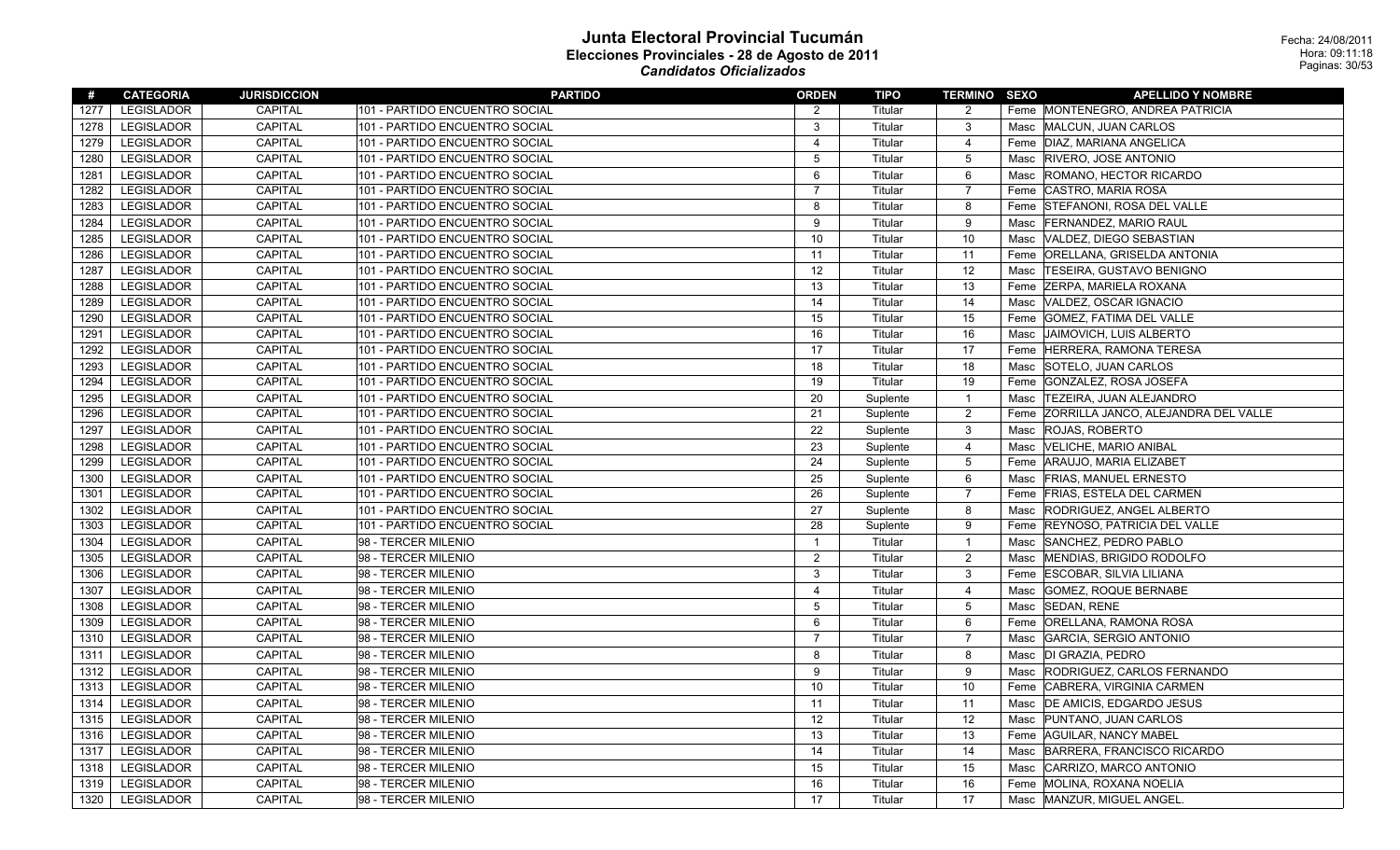| #    | <b>CATEGORIA</b>  | <b>JURISDICCION</b> | <b>PARTIDO</b>                 | <b>ORDEN</b>   | TIPO     | <b>TERMINO SEXO</b> |      | <b>APELLIDO Y NOMBRE</b>            |
|------|-------------------|---------------------|--------------------------------|----------------|----------|---------------------|------|-------------------------------------|
| 1277 | <b>LEGISLADOR</b> | CAPITAL             | 101 - PARTIDO ENCUENTRO SOCIAL | 2              | Titular  | 2                   |      | Feme MONTENEGRO, ANDREA PATRICIA    |
| 1278 | <b>LEGISLADOR</b> | <b>CAPITAL</b>      | 101 - PARTIDO ENCUENTRO SOCIAL | 3              | Titular  | 3                   | Masc | MALCUN, JUAN CARLOS                 |
| 1279 | <b>LEGISLADOR</b> | CAPITAL             | 101 - PARTIDO ENCUENTRO SOCIAL | $\overline{4}$ | Titular  | $\overline{4}$      |      | Feme DIAZ, MARIANA ANGELICA         |
| 1280 | <b>LEGISLADOR</b> | <b>CAPITAL</b>      | 101 - PARTIDO ENCUENTRO SOCIAL | 5              | Titular  | 5                   | Masc | <b>RIVERO, JOSE ANTONIO</b>         |
| 1281 | <b>LEGISLADOR</b> | <b>CAPITAL</b>      | 101 - PARTIDO ENCUENTRO SOCIAL | 6              | Titular  | 6                   | Masc | ROMANO, HECTOR RICARDO              |
| 1282 | <b>LEGISLADOR</b> | <b>CAPITAL</b>      | 101 - PARTIDO ENCUENTRO SOCIAL | $\overline{7}$ | Titular  | $\overline{7}$      | Feme | CASTRO, MARIA ROSA                  |
| 1283 | <b>LEGISLADOR</b> | CAPITAL             | 101 - PARTIDO ENCUENTRO SOCIAL | 8              | Titular  | 8                   |      | Feme STEFANONI, ROSA DEL VALLE      |
| 1284 | <b>LEGISLADOR</b> | <b>CAPITAL</b>      | 101 - PARTIDO ENCUENTRO SOCIAL | 9              | Titular  | 9                   | Masc | <b>FERNANDEZ, MARIO RAUL</b>        |
| 1285 | LEGISLADOR        | CAPITAL             | 101 - PARTIDO ENCUENTRO SOCIAL | 10             | Titular  | 10                  | Masc | VALDEZ, DIEGO SEBASTIAN             |
| 1286 | LEGISLADOR        | CAPITAL             | 101 - PARTIDO ENCUENTRO SOCIAL | 11             | Titular  | 11                  | Feme | ORELLANA, GRISELDA ANTONIA          |
| 1287 | <b>LEGISLADOR</b> | CAPITAL             | 101 - PARTIDO ENCUENTRO SOCIAL | 12             | Titular  | 12                  | Masc | <b>TESEIRA, GUSTAVO BENIGNO</b>     |
| 1288 | LEGISLADOR        | CAPITAL             | 101 - PARTIDO ENCUENTRO SOCIAL | 13             | Titular  | 13                  | Feme | <b>ZERPA, MARIELA ROXANA</b>        |
| 1289 | <b>LEGISLADOR</b> | CAPITAL             | 101 - PARTIDO ENCUENTRO SOCIAL | 14             | Titular  | 14                  | Masc | VALDEZ, OSCAR IGNACIO               |
| 1290 | LEGISLADOR        | CAPITAL             | 101 - PARTIDO ENCUENTRO SOCIAL | 15             | Titular  | 15                  | Feme | <b>GOMEZ, FATIMA DEL VALLE</b>      |
| 1291 | <b>LEGISLADOR</b> | <b>CAPITAL</b>      | 101 - PARTIDO ENCUENTRO SOCIAL | 16             | Titular  | 16                  | Masc | JAIMOVICH, LUIS ALBERTO             |
| 1292 | <b>LEGISLADOR</b> | CAPITAL             | 101 - PARTIDO ENCUENTRO SOCIAL | 17             | Titular  | 17                  |      | Feme HERRERA, RAMONA TERESA         |
| 1293 | <b>LEGISLADOR</b> | CAPITAL             | 101 - PARTIDO ENCUENTRO SOCIAL | 18             | Titular  | 18                  | Masc | SOTELO, JUAN CARLOS                 |
| 1294 | <b>LEGISLADOR</b> | CAPITAL             | 101 - PARTIDO ENCUENTRO SOCIAL | 19             | Titular  | 19                  | Feme | GONZALEZ, ROSA JOSEFA               |
| 1295 | <b>LEGISLADOR</b> | <b>CAPITAL</b>      | 101 - PARTIDO ENCUENTRO SOCIAL | 20             | Suplente | $\overline{1}$      | Masc | <b>TEZEIRA, JUAN ALEJANDRO</b>      |
| 1296 | <b>LEGISLADOR</b> | CAPITAL             | 101 - PARTIDO ENCUENTRO SOCIAL | 21             | Suplente | $\overline{2}$      | Feme | ZORRILLA JANCO, ALEJANDRA DEL VALLE |
| 1297 | <b>LEGISLADOR</b> | <b>CAPITAL</b>      | 101 - PARTIDO ENCUENTRO SOCIAL | 22             | Suplente | 3                   | Masc | <b>ROJAS, ROBERTO</b>               |
| 1298 | <b>LEGISLADOR</b> | CAPITAL             | 101 - PARTIDO ENCUENTRO SOCIAL | 23             | Suplente | $\overline{4}$      | Masc | <b>VELICHE, MARIO ANIBAL</b>        |
| 1299 | <b>LEGISLADOR</b> | CAPITAL             | 101 - PARTIDO ENCUENTRO SOCIAL | 24             | Suplente | 5                   | Feme | ARAUJO, MARIA ELIZABET              |
| 1300 | <b>LEGISLADOR</b> | CAPITAL             | 101 - PARTIDO ENCUENTRO SOCIAL | 25             | Suplente | 6                   | Masc | <b>FRIAS, MANUEL ERNESTO</b>        |
| 1301 | <b>LEGISLADOR</b> | CAPITAL             | 101 - PARTIDO ENCUENTRO SOCIAL | 26             | Suplente | $\overline{7}$      |      | Feme FRIAS, ESTELA DEL CARMEN       |
| 1302 | <b>LEGISLADOR</b> | CAPITAL             | 101 - PARTIDO ENCUENTRO SOCIAL | 27             | Suplente | 8                   | Masc | RODRIGUEZ, ANGEL ALBERTO            |
| 1303 | <b>LEGISLADOR</b> | <b>CAPITAL</b>      | 101 - PARTIDO ENCUENTRO SOCIAL | 28             | Suplente | 9                   | Feme | <b>REYNOSO, PATRICIA DEL VALLE</b>  |
| 1304 | <b>LEGISLADOR</b> | CAPITAL             | 98 - TERCER MILENIO            | $\mathbf{1}$   | Titular  | $\overline{1}$      | Masc | SANCHEZ, PEDRO PABLO                |
| 1305 | <b>LEGISLADOR</b> | CAPITAL             | 98 - TERCER MILENIO            | 2              | Titular  | $\overline{2}$      | Masc | MENDIAS, BRIGIDO RODOLFO            |
| 1306 | <b>LEGISLADOR</b> | CAPITAL             | 98 - TERCER MILENIO            | 3              | Titular  | 3                   | Feme | <b>ESCOBAR, SILVIA LILIANA</b>      |
| 1307 | <b>LEGISLADOR</b> | CAPITAL             | 98 - TERCER MILENIO            | $\overline{4}$ | Titular  | $\overline{4}$      | Masc | GOMEZ, ROQUE BERNABE                |
| 1308 | <b>LEGISLADOR</b> | CAPITAL             | 98 - TERCER MILENIO            | 5              | Titular  | $\overline{5}$      | Masc | <b>SEDAN, RENE</b>                  |
| 1309 | <b>LEGISLADOR</b> | CAPITAL             | 98 - TERCER MILENIO            | 6              | Titular  | 6                   | Feme | <b>ORELLANA, RAMONA ROSA</b>        |
| 1310 | <b>LEGISLADOR</b> | <b>CAPITAL</b>      | 98 - TERCER MILENIO            | 7              | Titular  | $\overline{7}$      | Masc | GARCIA, SERGIO ANTONIO              |
| 1311 | <b>LEGISLADOR</b> | <b>CAPITAL</b>      | 98 - TERCER MILENIO            | 8              | Titular  | 8                   | Masc | DI GRAZIA, PEDRO                    |
| 1312 | <b>LEGISLADOR</b> | <b>CAPITAL</b>      | 98 - TERCER MILENIO            | 9              | Titular  | 9                   | Masc | RODRIGUEZ, CARLOS FERNANDO          |
| 1313 | <b>LEGISLADOR</b> | <b>CAPITAL</b>      | 98 - TERCER MILENIO            | 10             | Titular  | 10                  | Feme | CABRERA, VIRGINIA CARMEN            |
| 1314 | LEGISLADOR        | <b>CAPITAL</b>      | 98 - TERCER MILENIO            | 11             | Titular  | 11                  | Masc | <b>DE AMICIS, EDGARDO JESUS</b>     |
| 1315 | <b>LEGISLADOR</b> | CAPITAL             | 98 - TERCER MILENIO            | 12             | Titular  | 12                  | Masc | PUNTANO, JUAN CARLOS                |
| 1316 | <b>LEGISLADOR</b> | CAPITAL             | 98 - TERCER MILENIO            | 13             | Titular  | 13                  |      | Feme   AGUILAR, NANCY MABEL         |
| 1317 | LEGISLADOR        | <b>CAPITAL</b>      | 98 - TERCER MILENIO            | 14             | Titular  | 14                  | Masc | BARRERA, FRANCISCO RICARDO          |
| 1318 | <b>LEGISLADOR</b> | <b>CAPITAL</b>      | 98 - TERCER MILENIO            | 15             | Titular  | 15                  | Masc | CARRIZO, MARCO ANTONIO              |
| 1319 | <b>LEGISLADOR</b> | CAPITAL             | 98 - TERCER MILENIO            | 16             | Titular  | 16                  | Feme | MOLINA, ROXANA NOELIA               |
| 1320 | <b>LEGISLADOR</b> | <b>CAPITAL</b>      | 98 - TERCER MILENIO            | 17             | Titular  | 17                  | Masc | MANZUR, MIGUEL ANGEL.               |
|      |                   |                     |                                |                |          |                     |      |                                     |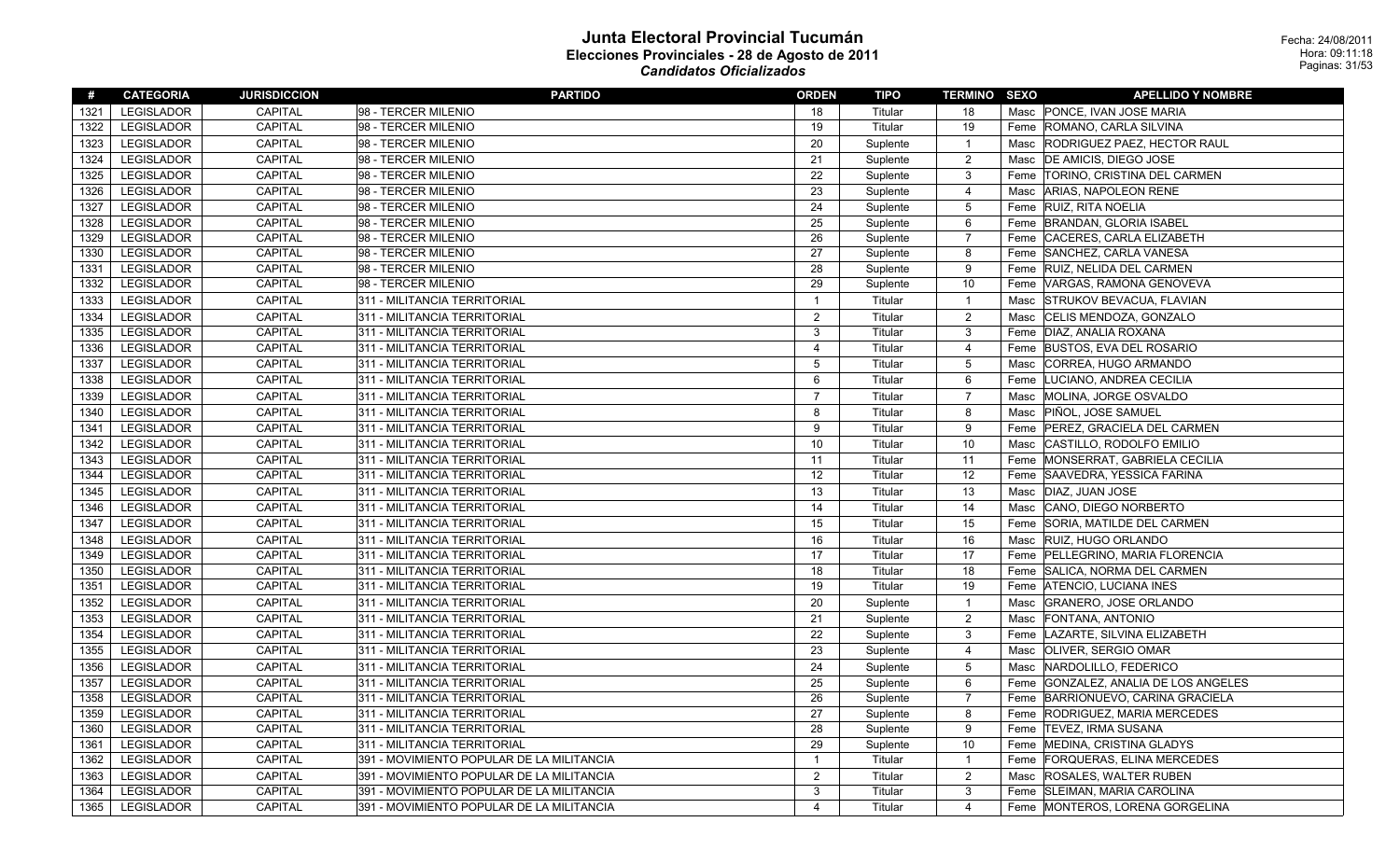| #    | <b>CATEGORIA</b>  | <b>JURISDICCION</b> | <b>PARTIDO</b>                            | <b>ORDEN</b>   | TIPO     | <b>TERMINO SEXO</b> |      | <b>APELLIDO Y NOMBRE</b>             |
|------|-------------------|---------------------|-------------------------------------------|----------------|----------|---------------------|------|--------------------------------------|
| 1321 | <b>LEGISLADOR</b> | <b>CAPITAL</b>      | 98 - TERCER MILENIO                       | 18             | Titular  | 18                  |      | Masc PONCE, IVAN JOSE MARIA          |
| 1322 | <b>LEGISLADOR</b> | <b>CAPITAL</b>      | 98 - TERCER MILENIO                       | 19             | Titular  | 19                  |      | Feme ROMANO, CARLA SILVINA           |
| 1323 | LEGISLADOR        | <b>CAPITAL</b>      | 98 - TERCER MILENIO                       | 20             | Suplente | $\mathbf{1}$        |      | Masc   RODRIGUEZ PAEZ, HECTOR RAUL   |
| 1324 | <b>LEGISLADOR</b> | CAPITAL             | 98 - TERCER MILENIO                       | 21             | Suplente | $\overline{2}$      | Masc | DE AMICIS, DIEGO JOSE                |
| 1325 | <b>LEGISLADOR</b> | CAPITAL             | 98 - TERCER MILENIO                       | 22             | Suplente | 3                   |      | Feme TORINO, CRISTINA DEL CARMEN     |
| 1326 | LEGISLADOR        | CAPITAL             | 98 - TERCER MILENIO                       | 23             | Suplente | $\overline{4}$      | Masc | <b>ARIAS, NAPOLEON RENE</b>          |
| 1327 | <b>LEGISLADOR</b> | <b>CAPITAL</b>      | 98 - TERCER MILENIO                       | 24             | Suplente | $\overline{5}$      |      | Feme RUIZ, RITA NOELIA               |
| 1328 | <b>LEGISLADOR</b> | CAPITAL             | 98 - TERCER MILENIO                       | 25             | Suplente | 6                   |      | Feme BRANDAN, GLORIA ISABEL          |
| 1329 | <b>LEGISLADOR</b> | <b>CAPITAL</b>      | 98 - TERCER MILENIO                       | 26             | Suplente | $\overline{7}$      |      | Feme CACERES, CARLA ELIZABETH        |
| 1330 | <b>LEGISLADOR</b> | <b>CAPITAL</b>      | 98 - TERCER MILENIO                       | 27             | Suplente | 8                   | Feme | SANCHEZ, CARLA VANESA                |
| 1331 | <b>LEGISLADOR</b> | CAPITAL             | 98 - TERCER MILENIO                       | 28             | Suplente | 9                   |      | Feme RUIZ, NELIDA DEL CARMEN         |
| 1332 | <b>LEGISLADOR</b> | <b>CAPITAL</b>      | 98 - TERCER MILENIO                       | 29             | Suplente | 10                  |      | Feme VARGAS, RAMONA GENOVEVA         |
| 1333 | <b>LEGISLADOR</b> | CAPITAL             | 311 - MILITANCIA TERRITORIAL              | $\mathbf{1}$   | Titular  | $\mathbf{1}$        | Masc | STRUKOV BEVACUA, FLAVIAN             |
| 1334 | <b>LEGISLADOR</b> | <b>CAPITAL</b>      | 311 - MILITANCIA TERRITORIAL              | $\overline{2}$ | Titular  | $\overline{c}$      | Masc | CELIS MENDOZA, GONZALO               |
| 1335 | LEGISLADOR        | CAPITAL             | 311 - MILITANCIA TERRITORIAL              | 3              | Titular  | $\mathbf{3}$        |      | Feme   DIAZ, ANALIA ROXANA           |
| 1336 | <b>LEGISLADOR</b> | <b>CAPITAL</b>      | 311 - MILITANCIA TERRITORIAL              | $\overline{4}$ | Titular  | $\overline{4}$      |      | Feme BUSTOS, EVA DEL ROSARIO         |
| 1337 | <b>LEGISLADOR</b> | <b>CAPITAL</b>      | 311 - MILITANCIA TERRITORIAL              | 5              | Titular  | $\mathbf 5$         | Masc | CORREA, HUGO ARMANDO                 |
| 1338 | LEGISLADOR        | <b>CAPITAL</b>      | 311 - MILITANCIA TERRITORIAL              | 6              | Titular  | 6                   | Feme | LUCIANO, ANDREA CECILIA              |
| 1339 | <b>LEGISLADOR</b> | <b>CAPITAL</b>      | 311 - MILITANCIA TERRITORIAL              | $\overline{7}$ | Titular  | $\overline{7}$      | Masc | MOLINA, JORGE OSVALDO                |
| 1340 | LEGISLADOR        | <b>CAPITAL</b>      | 311 - MILITANCIA TERRITORIAL              | 8              | Titular  | 8                   | Masc | PIÑOL, JOSE SAMUEL                   |
| 1341 | <b>LEGISLADOR</b> | <b>CAPITAL</b>      | 311 - MILITANCIA TERRITORIAL              | 9              | Titular  | 9                   | Feme | PEREZ, GRACIELA DEL CARMEN           |
| 1342 | <b>LEGISLADOR</b> | <b>CAPITAL</b>      | 311 - MILITANCIA TERRITORIAL              | 10             | Titular  | 10                  | Masc | CASTILLO, RODOLFO EMILIO             |
| 1343 | <b>LEGISLADOR</b> | CAPITAL             | 311 - MILITANCIA TERRITORIAL              | 11             | Titular  | 11                  |      | Feme MONSERRAT, GABRIELA CECILIA     |
| 1344 | LEGISLADOR        | CAPITAL             | 311 - MILITANCIA TERRITORIAL              | 12             | Titular  | 12                  | Feme | SAAVEDRA, YESSICA FARINA             |
| 1345 | <b>LEGISLADOR</b> | <b>CAPITAL</b>      | 311 - MILITANCIA TERRITORIAL              | 13             | Titular  | 13                  | Masc | DIAZ, JUAN JOSE                      |
| 1346 | <b>LEGISLADOR</b> | <b>CAPITAL</b>      | 311 - MILITANCIA TERRITORIAL              | 14             | Titular  | 14                  | Masc | CANO, DIEGO NORBERTO                 |
| 1347 | LEGISLADOR        | <b>CAPITAL</b>      | 311 - MILITANCIA TERRITORIAL              | 15             | Titular  | 15                  | Feme | SORIA, MATILDE DEL CARMEN            |
| 1348 | <b>LEGISLADOR</b> | <b>CAPITAL</b>      | 311 - MILITANCIA TERRITORIAL              | 16             | Titular  | 16                  | Masc | <b>RUIZ, HUGO ORLANDO</b>            |
| 1349 | <b>LEGISLADOR</b> | CAPITAL             | 311 - MILITANCIA TERRITORIAL              | 17             | Titular  | 17                  |      | Feme PELLEGRINO, MARIA FLORENCIA     |
| 1350 | <b>LEGISLADOR</b> | CAPITAL             | 311 - MILITANCIA TERRITORIAL              | 18             | Titular  | 18                  |      | Feme SALICA, NORMA DEL CARMEN        |
| 1351 | <b>LEGISLADOR</b> | <b>CAPITAL</b>      | 311 - MILITANCIA TERRITORIAL              | 19             | Titular  | 19                  |      | Feme ATENCIO, LUCIANA INES           |
| 1352 | <b>LEGISLADOR</b> | <b>CAPITAL</b>      | 311 - MILITANCIA TERRITORIAL              | 20             | Suplente | $\overline{1}$      | Masc | <b>GRANERO, JOSE ORLANDO</b>         |
| 1353 | <b>LEGISLADOR</b> | <b>CAPITAL</b>      | 311 - MILITANCIA TERRITORIAL              | 21             | Suplente | $\overline{c}$      | Masc | FONTANA, ANTONIO                     |
| 1354 | LEGISLADOR        | CAPITAL             | 311 - MILITANCIA TERRITORIAL              | 22             | Suplente | 3                   |      | Feme LAZARTE, SILVINA ELIZABETH      |
| 1355 | <b>LEGISLADOR</b> | CAPITAL             | 311 - MILITANCIA TERRITORIAL              | 23             | Suplente | $\overline{4}$      |      | Masc   OLIVER, SERGIO OMAR           |
| 1356 | <b>LEGISLADOR</b> | <b>CAPITAL</b>      | 311 - MILITANCIA TERRITORIAL              | 24             | Suplente | 5                   |      | Masc NARDOLILLO, FEDERICO            |
| 1357 | <b>LEGISLADOR</b> | CAPITAL             | 311 - MILITANCIA TERRITORIAL              | 25             | Suplente | 6                   |      | Feme GONZALEZ, ANALIA DE LOS ANGELES |
| 1358 | <b>LEGISLADOR</b> | <b>CAPITAL</b>      | 311 - MILITANCIA TERRITORIAL              | 26             | Suplente | $\overline{7}$      | Feme | BARRIONUEVO, CARINA GRACIELA         |
| 1359 | <b>LEGISLADOR</b> | <b>CAPITAL</b>      | 311 - MILITANCIA TERRITORIAL              | 27             | Suplente | 8                   |      | Feme RODRIGUEZ, MARIA MERCEDES       |
| 1360 | LEGISLADOR        | <b>CAPITAL</b>      | 311 - MILITANCIA TERRITORIAL              | 28             | Suplente | 9                   |      | Feme  TEVEZ, IRMA SUSANA             |
| 1361 | LEGISLADOR        | <b>CAPITAL</b>      | 311 - MILITANCIA TERRITORIAL              | 29             | Suplente | 10                  |      | Feme   MEDINA, CRISTINA GLADYS       |
| 1362 | LEGISLADOR        | <b>CAPITAL</b>      | 391 - MOVIMIENTO POPULAR DE LA MILITANCIA | $\mathbf 1$    | Titular  | $\mathbf{1}$        |      | Feme FORQUERAS, ELINA MERCEDES       |
| 1363 | LEGISLADOR        | CAPITAL             | 391 - MOVIMIENTO POPULAR DE LA MILITANCIA | 2              | Titular  | $\overline{c}$      | Masc | <b>ROSALES, WALTER RUBEN</b>         |
| 1364 | <b>LEGISLADOR</b> | <b>CAPITAL</b>      | 391 - MOVIMIENTO POPULAR DE LA MILITANCIA | 3              | Titular  | 3                   |      | Feme SLEIMAN, MARIA CAROLINA         |
| 1365 | <b>LEGISLADOR</b> | <b>CAPITAL</b>      | 391 - MOVIMIENTO POPULAR DE LA MILITANCIA | $\overline{4}$ | Titular  | $\overline{4}$      |      | Feme MONTEROS, LORENA GORGELINA      |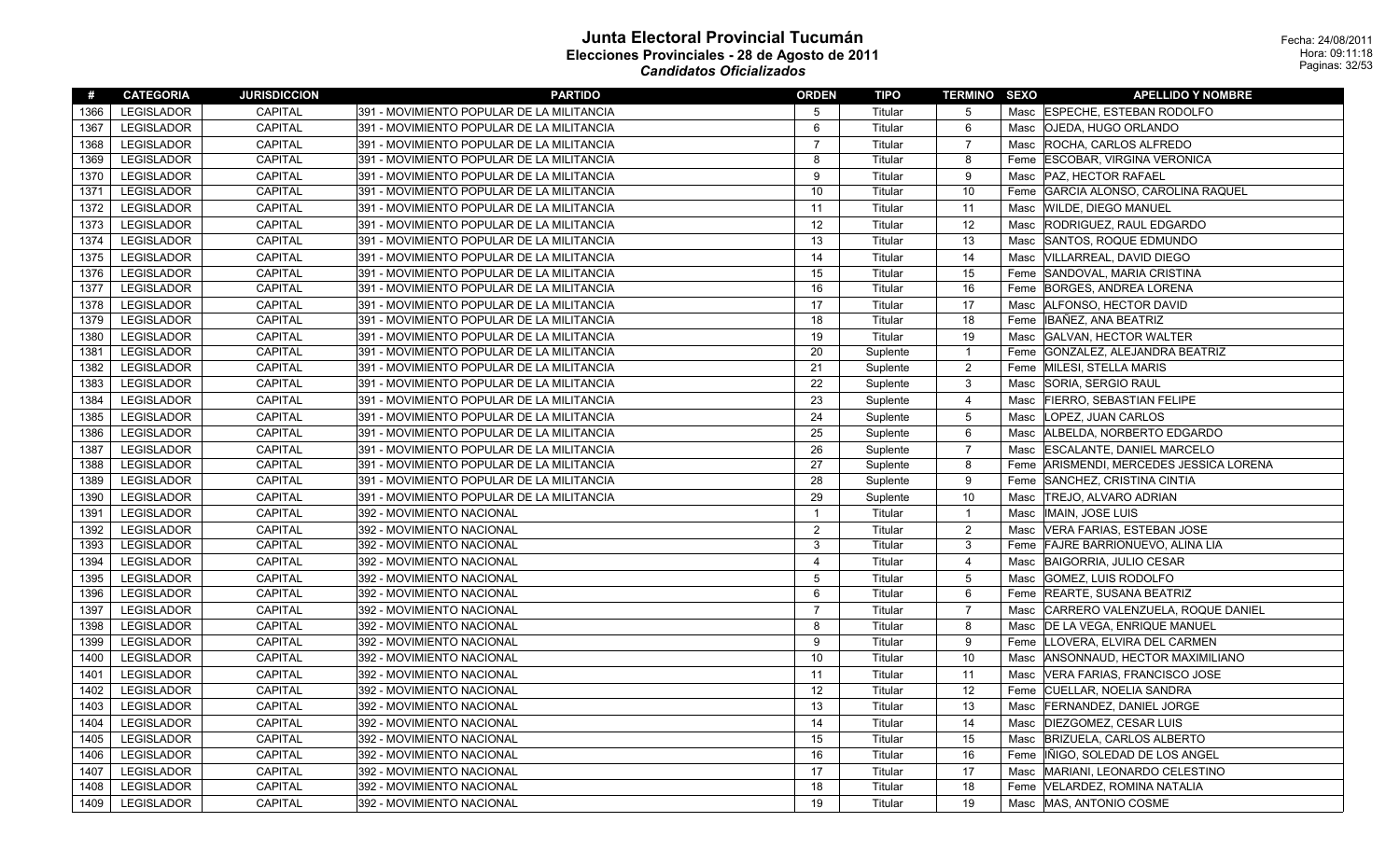| #    | <b>CATEGORIA</b>  | <b>JURISDICCION</b> | <b>PARTIDO</b>                            | <b>ORDEN</b>   | TIPO     | <b>TERMINO SEXO</b> |      | <b>APELLIDO Y NOMBRE</b>            |
|------|-------------------|---------------------|-------------------------------------------|----------------|----------|---------------------|------|-------------------------------------|
| 1366 | <b>LEGISLADOR</b> | <b>CAPITAL</b>      | 391 - MOVIMIENTO POPULAR DE LA MILITANCIA | 5              | Titular  | -5                  |      | Masc  ESPECHE, ESTEBAN RODOLFO      |
| 1367 | <b>LEGISLADOR</b> | <b>CAPITAL</b>      | 391 - MOVIMIENTO POPULAR DE LA MILITANCIA | 6              | Titular  | 6                   | Masc | <b>OJEDA, HUGO ORLANDO</b>          |
| 1368 | <b>LEGISLADOR</b> | CAPITAL             | 391 - MOVIMIENTO POPULAR DE LA MILITANCIA | $\overline{7}$ | Titular  | $\overline{7}$      | Masc | ROCHA, CARLOS ALFREDO               |
| 1369 | LEGISLADOR        | CAPITAL             | 391 - MOVIMIENTO POPULAR DE LA MILITANCIA | 8              | Titular  | 8                   | Feme | <b>ESCOBAR, VIRGINA VERONICA</b>    |
| 1370 | <b>LEGISLADOR</b> | CAPITAL             | 391 - MOVIMIENTO POPULAR DE LA MILITANCIA | 9              | Titular  | 9                   | Masc | PAZ, HECTOR RAFAEL                  |
| 1371 | <b>LEGISLADOR</b> | CAPITAL             | 391 - MOVIMIENTO POPULAR DE LA MILITANCIA | 10             | Titular  | 10                  | Feme | GARCIA ALONSO, CAROLINA RAQUEL      |
| 1372 | <b>LEGISLADOR</b> | <b>CAPITAL</b>      | 391 - MOVIMIENTO POPULAR DE LA MILITANCIA | 11             | Titular  | 11                  | Masc | <b>WILDE, DIEGO MANUEL</b>          |
| 1373 | LEGISLADOR        | <b>CAPITAL</b>      | 391 - MOVIMIENTO POPULAR DE LA MILITANCIA | 12             | Titular  | 12                  | Masc | RODRIGUEZ, RAUL EDGARDO             |
| 1374 | <b>LEGISLADOR</b> | CAPITAL             | 391 - MOVIMIENTO POPULAR DE LA MILITANCIA | 13             | Titular  | 13                  | Masc | SANTOS, ROQUE EDMUNDO               |
| 1375 | <b>LEGISLADOR</b> | CAPITAL             | 391 - MOVIMIENTO POPULAR DE LA MILITANCIA | 14             | Titular  | 14                  | Masc | VILLARREAL, DAVID DIEGO             |
| 1376 | <b>LEGISLADOR</b> | <b>CAPITAL</b>      | 391 - MOVIMIENTO POPULAR DE LA MILITANCIA | 15             | Titular  | 15                  | Feme | SANDOVAL, MARIA CRISTINA            |
| 1377 | <b>LEGISLADOR</b> | CAPITAL             | 391 - MOVIMIENTO POPULAR DE LA MILITANCIA | 16             | Titular  | 16                  | Feme | <b>BORGES, ANDREA LORENA</b>        |
| 1378 | <b>LEGISLADOR</b> | <b>CAPITAL</b>      | 391 - MOVIMIENTO POPULAR DE LA MILITANCIA | 17             | Titular  | 17                  | Masc | ALFONSO, HECTOR DAVID               |
| 1379 | <b>LEGISLADOR</b> | CAPITAL             | 391 - MOVIMIENTO POPULAR DE LA MILITANCIA | 18             | Titular  | 18                  | Feme | IBAÑEZ, ANA BEATRIZ                 |
| 1380 | <b>LEGISLADOR</b> | <b>CAPITAL</b>      | 391 - MOVIMIENTO POPULAR DE LA MILITANCIA | 19             | Titular  | 19                  | Masc | <b>GALVAN, HECTOR WALTER</b>        |
| 1381 | <b>LEGISLADOR</b> | <b>CAPITAL</b>      | 391 - MOVIMIENTO POPULAR DE LA MILITANCIA | 20             | Suplente | $\overline{1}$      | Feme | GONZALEZ, ALEJANDRA BEATRIZ         |
| 1382 | <b>LEGISLADOR</b> | <b>CAPITAL</b>      | 391 - MOVIMIENTO POPULAR DE LA MILITANCIA | 21             | Suplente | 2                   | Feme | <b>MILESI, STELLA MARIS</b>         |
| 1383 | LEGISLADOR        | CAPITAL             | 391 - MOVIMIENTO POPULAR DE LA MILITANCIA | 22             | Suplente | 3                   | Masc | SORIA, SERGIO RAUL                  |
| 1384 | <b>LEGISLADOR</b> | CAPITAL             | 391 - MOVIMIENTO POPULAR DE LA MILITANCIA | 23             | Suplente | $\overline{4}$      | Masc | <b>FIERRO, SEBASTIAN FELIPE</b>     |
| 1385 | <b>LEGISLADOR</b> | CAPITAL             | 391 - MOVIMIENTO POPULAR DE LA MILITANCIA | 24             | Suplente | 5                   | Masc | LOPEZ, JUAN CARLOS                  |
| 1386 | <b>LEGISLADOR</b> | <b>CAPITAL</b>      | 391 - MOVIMIENTO POPULAR DE LA MILITANCIA | 25             | Suplente | 6                   | Masc | ALBELDA, NORBERTO EDGARDO           |
| 1387 | LEGISLADOR        | <b>CAPITAL</b>      | 391 - MOVIMIENTO POPULAR DE LA MILITANCIA | 26             | Suplente | $\overline{7}$      | Masc | <b>ESCALANTE, DANIEL MARCELO</b>    |
| 1388 | LEGISLADOR        | <b>CAPITAL</b>      | 391 - MOVIMIENTO POPULAR DE LA MILITANCIA | 27             | Suplente | 8                   | Feme | ARISMENDI, MERCEDES JESSICA LORENA  |
| 1389 | <b>LEGISLADOR</b> | <b>CAPITAL</b>      | 391 - MOVIMIENTO POPULAR DE LA MILITANCIA | 28             | Suplente | 9                   | Feme | SANCHEZ, CRISTINA CINTIA            |
| 1390 | <b>LEGISLADOR</b> | CAPITAL             | 391 - MOVIMIENTO POPULAR DE LA MILITANCIA | 29             | Suplente | 10                  | Masc | <b>TREJO, ALVARO ADRIAN</b>         |
| 1391 | LEGISLADOR        | CAPITAL             | 392 - MOVIMIENTO NACIONAL                 | $\overline{1}$ | Titular  | $\overline{1}$      | Masc | IMAIN, JOSE LUIS                    |
| 1392 | <b>LEGISLADOR</b> | <b>CAPITAL</b>      | 392 - MOVIMIENTO NACIONAL                 | 2              | Titular  | $\overline{2}$      | Masc | VERA FARIAS, ESTEBAN JOSE           |
| 1393 | LEGISLADOR        | <b>CAPITAL</b>      | 392 - MOVIMIENTO NACIONAL                 | 3              | Titular  | 3                   | Feme | <b>FAJRE BARRIONUEVO, ALINA LIA</b> |
| 1394 | <b>LEGISLADOR</b> | <b>CAPITAL</b>      | 392 - MOVIMIENTO NACIONAL                 | $\overline{4}$ | Titular  | $\overline{4}$      | Masc | BAIGORRIA, JULIO CESAR              |
| 1395 | <b>LEGISLADOR</b> | <b>CAPITAL</b>      | 392 - MOVIMIENTO NACIONAL                 | 5              | Titular  | 5                   | Masc | GOMEZ, LUIS RODOLFO                 |
| 1396 | LEGISLADOR        | CAPITAL             | 392 - MOVIMIENTO NACIONAL                 | 6              | Titular  | 6                   | Feme | <b>REARTE, SUSANA BEATRIZ</b>       |
| 1397 | LEGISLADOR        | CAPITAL             | 392 - MOVIMIENTO NACIONAL                 | $\overline{7}$ | Titular  | $\overline{7}$      | Masc | CARRERO VALENZUELA, ROQUE DANIEL    |
| 1398 | <b>LEGISLADOR</b> | CAPITAL             | 392 - MOVIMIENTO NACIONAL                 | 8              | Titular  | 8                   | Masc | <b>DE LA VEGA, ENRIQUE MANUEL</b>   |
| 1399 | <b>LEGISLADOR</b> | <b>CAPITAL</b>      | 392 - MOVIMIENTO NACIONAL                 | 9              | Titular  | 9                   | Feme | LLOVERA, ELVIRA DEL CARMEN          |
| 1400 | <b>LEGISLADOR</b> | <b>CAPITAL</b>      | 392 - MOVIMIENTO NACIONAL                 | 10             | Titular  | 10                  | Masc | ANSONNAUD, HECTOR MAXIMILIANO       |
| 1401 | <b>LEGISLADOR</b> | <b>CAPITAL</b>      | 392 - MOVIMIENTO NACIONAL                 | 11             | Titular  | 11                  | Masc | VERA FARIAS, FRANCISCO JOSE         |
| 1402 | <b>LEGISLADOR</b> | <b>CAPITAL</b>      | 392 - MOVIMIENTO NACIONAL                 | 12             | Titular  | 12                  | Feme | CUELLAR, NOELIA SANDRA              |
| 1403 | <b>LEGISLADOR</b> | CAPITAL             | 392 - MOVIMIENTO NACIONAL                 | 13             | Titular  | 13                  | Masc | <b>FERNANDEZ, DANIEL JORGE</b>      |
| 1404 | <b>LEGISLADOR</b> | CAPITAL             | 392 - MOVIMIENTO NACIONAL                 | 14             | Titular  | 14                  | Masc | DIEZGOMEZ, CESAR LUIS               |
| 1405 | <b>LEGISLADOR</b> | <b>CAPITAL</b>      | 392 - MOVIMIENTO NACIONAL                 | 15             | Titular  | 15                  | Masc | BRIZUELA, CARLOS ALBERTO            |
| 1406 | LEGISLADOR        | <b>CAPITAL</b>      | 392 - MOVIMIENTO NACIONAL                 | 16             | Titular  | 16                  | Feme | IÑIGO, SOLEDAD DE LOS ANGEL         |
| 1407 | <b>LEGISLADOR</b> | <b>CAPITAL</b>      | 392 - MOVIMIENTO NACIONAL                 | 17             | Titular  | 17                  | Masc | MARIANI, LEONARDO CELESTINO         |
| 1408 | <b>LEGISLADOR</b> | <b>CAPITAL</b>      | 392 - MOVIMIENTO NACIONAL                 | 18             | Titular  | 18                  | Feme | VELARDEZ, ROMINA NATALIA            |
| 1409 | LEGISLADOR        | <b>CAPITAL</b>      | 392 - MOVIMIENTO NACIONAL                 | 19             | Titular  | 19                  |      | Masc  MAS, ANTONIO COSME            |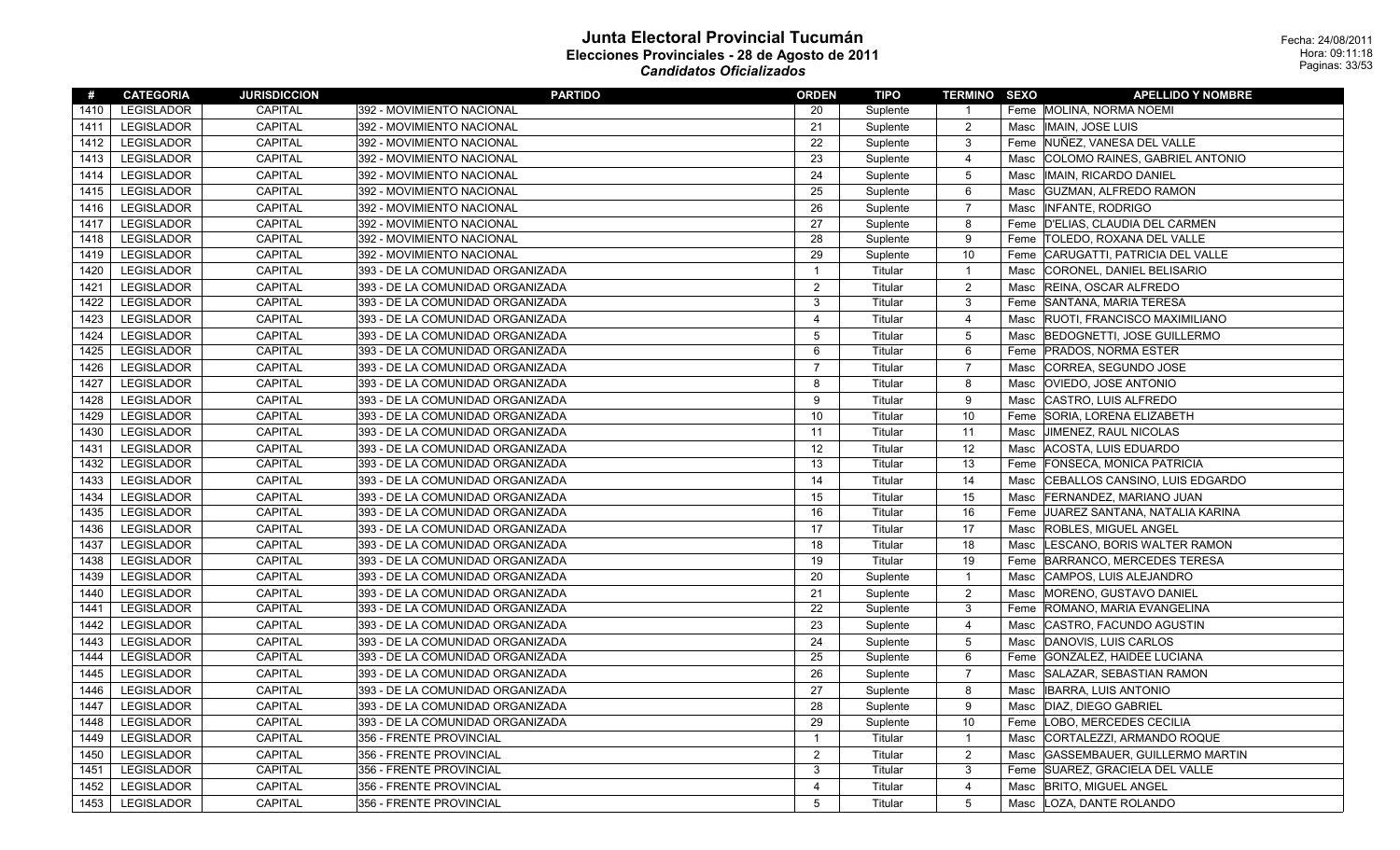| #    | <b>CATEGORIA</b>  | <b>JURISDICCION</b> | <b>PARTIDO</b>                   | <b>ORDEN</b>   | <b>TIPO</b> | <b>TERMINO SEXO</b> |      | <b>APELLIDO Y NOMBRE</b>             |
|------|-------------------|---------------------|----------------------------------|----------------|-------------|---------------------|------|--------------------------------------|
| 1410 | <b>LEGISLADOR</b> | <b>CAPITAL</b>      | 392 - MOVIMIENTO NACIONAL        | 20             | Suplente    | $\overline{1}$      |      | Feme  MOLINA, NORMA NOEMI            |
| 1411 | <b>LEGISLADOR</b> | <b>CAPITAL</b>      | 392 - MOVIMIENTO NACIONAL        | 21             | Suplente    | $\overline{2}$      | Masc | <b>IMAIN, JOSE LUIS</b>              |
| 1412 | LEGISLADOR        | CAPITAL             | 392 - MOVIMIENTO NACIONAL        | 22             | Suplente    | 3                   |      | Feme NUÑEZ, VANESA DEL VALLE         |
| 1413 | LEGISLADOR        | <b>CAPITAL</b>      | 392 - MOVIMIENTO NACIONAL        | 23             | Suplente    | 4                   | Masc | COLOMO RAINES, GABRIEL ANTONIO       |
| 1414 | LEGISLADOR        | <b>CAPITAL</b>      | 392 - MOVIMIENTO NACIONAL        | 24             | Suplente    | 5                   | Masc | IMAIN, RICARDO DANIEL                |
| 1415 | <b>LEGISLADOR</b> | <b>CAPITAL</b>      | 392 - MOVIMIENTO NACIONAL        | 25             | Suplente    | 6                   | Masc | <b>GUZMAN, ALFREDO RAMON</b>         |
| 1416 | LEGISLADOR        | <b>CAPITAL</b>      | 392 - MOVIMIENTO NACIONAL        | 26             | Suplente    | $\overline{7}$      | Masc | <b>INFANTE, RODRIGO</b>              |
| 1417 | <b>LEGISLADOR</b> | CAPITAL             | 392 - MOVIMIENTO NACIONAL        | 27             | Suplente    | 8                   | Feme | D'ELIAS, CLAUDIA DEL CARMEN          |
| 1418 | <b>LEGISLADOR</b> | CAPITAL             | 392 - MOVIMIENTO NACIONAL        | 28             | Suplente    | 9                   |      | Feme  TOLEDO, ROXANA DEL VALLE       |
| 1419 | <b>LEGISLADOR</b> | CAPITAL             | 392 - MOVIMIENTO NACIONAL        | 29             | Suplente    | 10                  | Feme | CARUGATTI, PATRICIA DEL VALLE        |
| 1420 | <b>LEGISLADOR</b> | <b>CAPITAL</b>      | 393 - DE LA COMUNIDAD ORGANIZADA | $\mathbf{1}$   | Titular     | $\overline{1}$      | Masc | CORONEL, DANIEL BELISARIO            |
| 1421 | LEGISLADOR        | <b>CAPITAL</b>      | 393 - DE LA COMUNIDAD ORGANIZADA | $\overline{2}$ | Titular     | $\overline{2}$      | Masc | <b>REINA, OSCAR ALFREDO</b>          |
| 1422 | LEGISLADOR        | CAPITAL             | 393 - DE LA COMUNIDAD ORGANIZADA | 3              | Titular     | 3                   | Feme | SANTANA, MARIA TERESA                |
| 1423 | LEGISLADOR        | <b>CAPITAL</b>      | 393 - DE LA COMUNIDAD ORGANIZADA | $\overline{4}$ | Titular     | $\overline{4}$      | Masc | RUOTI, FRANCISCO MAXIMILIANO         |
| 1424 | <b>LEGISLADOR</b> | <b>CAPITAL</b>      | 393 - DE LA COMUNIDAD ORGANIZADA | 5              | Titular     | 5                   | Masc | BEDOGNETTI, JOSE GUILLERMO           |
| 1425 | <b>LEGISLADOR</b> | <b>CAPITAL</b>      | 393 - DE LA COMUNIDAD ORGANIZADA | 6              | Titular     | 6                   | Feme | <b>PRADOS, NORMA ESTER</b>           |
| 1426 | LEGISLADOR        | <b>CAPITAL</b>      | 393 - DE LA COMUNIDAD ORGANIZADA | $\overline{7}$ | Titular     | $\overline{7}$      | Masc | CORREA, SEGUNDO JOSE                 |
| 1427 | LEGISLADOR        | <b>CAPITAL</b>      | 393 - DE LA COMUNIDAD ORGANIZADA | $\mathbf{8}$   | Titular     | 8                   | Masc | OVIEDO, JOSE ANTONIO                 |
| 1428 | <b>LEGISLADOR</b> | <b>CAPITAL</b>      | 393 - DE LA COMUNIDAD ORGANIZADA | 9              | Titular     | 9                   | Masc | CASTRO, LUIS ALFREDO                 |
| 1429 | <b>LEGISLADOR</b> | CAPITAL             | 393 - DE LA COMUNIDAD ORGANIZADA | 10             | Titular     | 10                  | Feme | SORIA, LORENA ELIZABETH              |
| 1430 | <b>LEGISLADOR</b> | <b>CAPITAL</b>      | 393 - DE LA COMUNIDAD ORGANIZADA | 11             | Titular     | 11                  | Masc | JIMENEZ, RAUL NICOLAS                |
| 1431 | <b>LEGISLADOR</b> | <b>CAPITAL</b>      | 393 - DE LA COMUNIDAD ORGANIZADA | 12             | Titular     | 12                  | Masc | ACOSTA, LUIS EDUARDO                 |
| 1432 | <b>LEGISLADOR</b> | <b>CAPITAL</b>      | 393 - DE LA COMUNIDAD ORGANIZADA | 13             | Titular     | 13                  | Feme | FONSECA, MONICA PATRICIA             |
| 1433 | <b>LEGISLADOR</b> | <b>CAPITAL</b>      | 393 - DE LA COMUNIDAD ORGANIZADA | 14             | Titular     | 14                  | Masc | CEBALLOS CANSINO, LUIS EDGARDO       |
| 1434 | <b>LEGISLADOR</b> | <b>CAPITAL</b>      | 393 - DE LA COMUNIDAD ORGANIZADA | 15             | Titular     | 15                  | Masc | FERNANDEZ, MARIANO JUAN              |
| 1435 | <b>LEGISLADOR</b> | <b>CAPITAL</b>      | 393 - DE LA COMUNIDAD ORGANIZADA | 16             | Titular     | 16                  | Feme | JUAREZ SANTANA, NATALIA KARINA       |
| 1436 | LEGISLADOR        | CAPITAL             | 393 - DE LA COMUNIDAD ORGANIZADA | 17             | Titular     | 17                  | Masc | <b>ROBLES, MIGUEL ANGEL</b>          |
| 1437 | <b>LEGISLADOR</b> | CAPITAL             | 393 - DE LA COMUNIDAD ORGANIZADA | 18             | Titular     | 18                  | Masc | LESCANO, BORIS WALTER RAMON          |
| 1438 | <b>LEGISLADOR</b> | CAPITAL             | 393 - DE LA COMUNIDAD ORGANIZADA | 19             | Titular     | 19                  | Feme | BARRANCO, MERCEDES TERESA            |
| 1439 | <b>LEGISLADOR</b> | <b>CAPITAL</b>      | 393 - DE LA COMUNIDAD ORGANIZADA | 20             | Suplente    | $\overline{1}$      | Masc | CAMPOS, LUIS ALEJANDRO               |
| 1440 | <b>LEGISLADOR</b> | CAPITAL             | 393 - DE LA COMUNIDAD ORGANIZADA | 21             | Suplente    | $\overline{2}$      | Masc | MORENO, GUSTAVO DANIEL               |
| 1441 | <b>LEGISLADOR</b> | <b>CAPITAL</b>      | 393 - DE LA COMUNIDAD ORGANIZADA | 22             | Suplente    | 3                   | Feme | ROMANO, MARIA EVANGELINA             |
| 1442 | <b>LEGISLADOR</b> | <b>CAPITAL</b>      | 393 - DE LA COMUNIDAD ORGANIZADA | 23             | Suplente    | 4                   | Masc | CASTRO, FACUNDO AGUSTIN              |
| 1443 | <b>LEGISLADOR</b> | <b>CAPITAL</b>      | 393 - DE LA COMUNIDAD ORGANIZADA | 24             | Suplente    | 5                   | Masc | DANOVIS, LUIS CARLOS                 |
| 1444 | <b>LEGISLADOR</b> | <b>CAPITAL</b>      | 393 - DE LA COMUNIDAD ORGANIZADA | 25             | Suplente    | 6                   | Feme | <b>GONZALEZ, HAIDEE LUCIANA</b>      |
| 1445 | <b>LEGISLADOR</b> | <b>CAPITAL</b>      | 393 - DE LA COMUNIDAD ORGANIZADA | 26             | Suplente    | $\overline{7}$      | Masc | SALAZAR, SEBASTIAN RAMON             |
| 1446 | <b>LEGISLADOR</b> | <b>CAPITAL</b>      | 393 - DE LA COMUNIDAD ORGANIZADA | 27             | Suplente    | 8                   | Masc | <b>IBARRA, LUIS ANTONIO</b>          |
| 1447 | <b>LEGISLADOR</b> | <b>CAPITAL</b>      | 393 - DE LA COMUNIDAD ORGANIZADA | 28             | Suplente    | 9                   | Masc | DIAZ, DIEGO GABRIEL                  |
| 1448 | <b>LEGISLADOR</b> | CAPITAL             | 393 - DE LA COMUNIDAD ORGANIZADA | 29             | Suplente    | 10                  | Feme | LOBO, MERCEDES CECILIA               |
| 1449 | <b>LEGISLADOR</b> | CAPITAL             | 356 - FRENTE PROVINCIAL          | $\overline{1}$ | Titular     | $\overline{1}$      | Masc | CORTALEZZI, ARMANDO ROQUE            |
| 1450 | <b>LEGISLADOR</b> | CAPITAL             | 356 - FRENTE PROVINCIAL          | $\overline{2}$ | Titular     | $\overline{2}$      | Masc | <b>GASSEMBAUER, GUILLERMO MARTIN</b> |
| 1451 | LEGISLADOR        | <b>CAPITAL</b>      | 356 - FRENTE PROVINCIAL          | 3              | Titular     | 3                   | Feme | SUAREZ, GRACIELA DEL VALLE           |
| 1452 | <b>LEGISLADOR</b> | <b>CAPITAL</b>      | 356 - FRENTE PROVINCIAL          | $\overline{4}$ | Titular     | 4                   | Masc | <b>BRITO, MIGUEL ANGEL</b>           |
| 1453 | LEGISLADOR        | <b>CAPITAL</b>      | 356 - FRENTE PROVINCIAL          | 5              | Titular     | 5                   | Masc | LOZA, DANTE ROLANDO                  |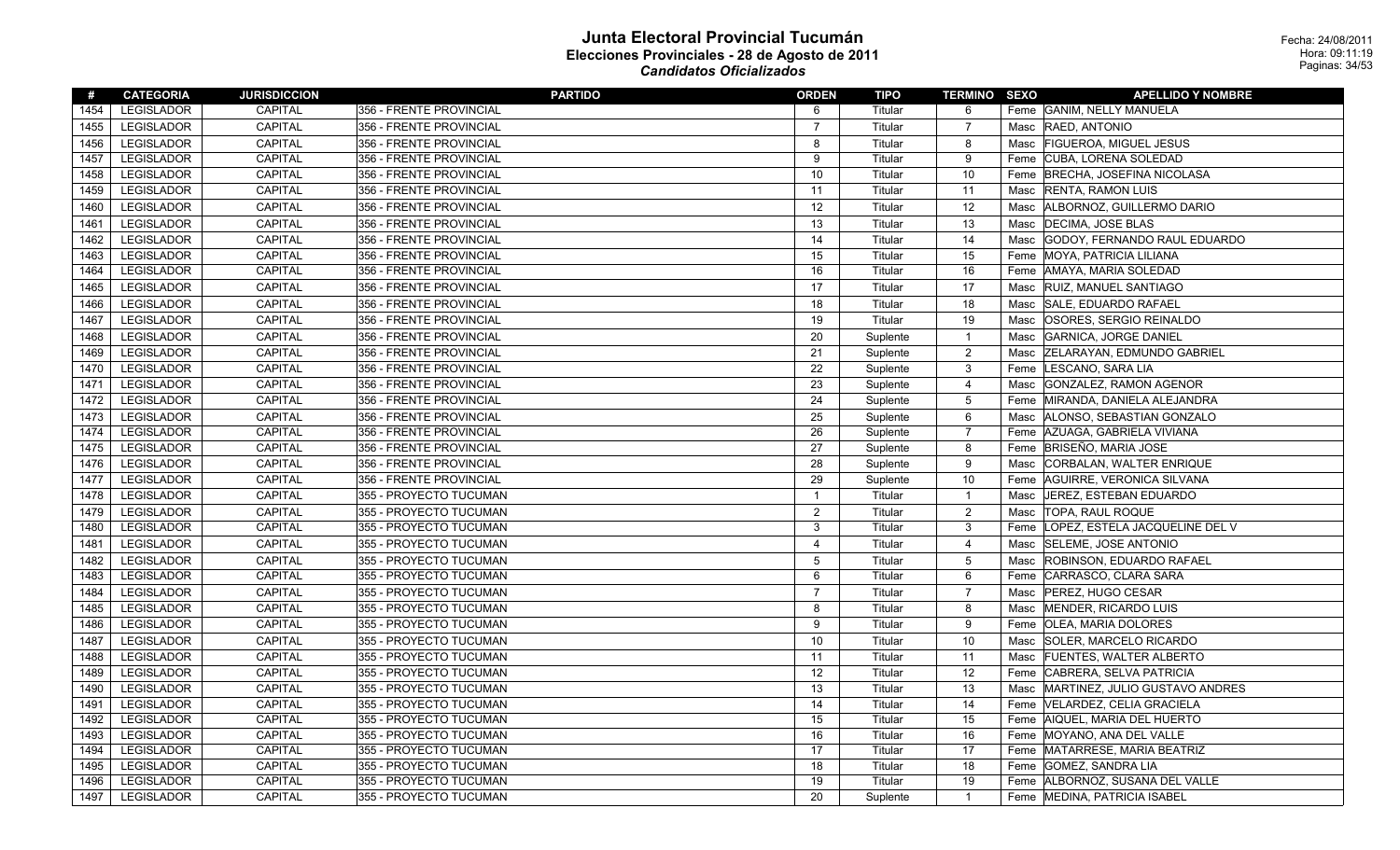| #    | <b>CATEGORIA</b>  | <b>JURISDICCION</b> | <b>PARTIDO</b>          | <b>ORDEN</b>   | TIPO     | <b>TERMINO SEXO</b> |      | <b>APELLIDO Y NOMBRE</b>          |
|------|-------------------|---------------------|-------------------------|----------------|----------|---------------------|------|-----------------------------------|
| 1454 | <b>LEGISLADOR</b> | <b>CAPITAL</b>      | 356 - FRENTE PROVINCIAL | 6              | Titular  | 6                   |      | Feme GANIM, NELLY MANUELA         |
| 1455 | <b>LEGISLADOR</b> | <b>CAPITAL</b>      | 356 - FRENTE PROVINCIAL | $\overline{7}$ | Titular  | $\overline{7}$      |      | Masc RAED, ANTONIO                |
| 1456 | <b>LEGISLADOR</b> | <b>CAPITAL</b>      | 356 - FRENTE PROVINCIAL | 8              | Titular  | 8                   |      | Masc   FIGUEROA, MIGUEL JESUS     |
| 1457 | <b>LEGISLADOR</b> | CAPITAL             | 356 - FRENTE PROVINCIAL | 9              | Titular  | 9                   |      | Feme CUBA, LORENA SOLEDAD         |
| 1458 | <b>LEGISLADOR</b> | CAPITAL             | 356 - FRENTE PROVINCIAL | 10             | Titular  | 10                  | Feme | <b>BRECHA, JOSEFINA NICOLASA</b>  |
| 1459 | <b>LEGISLADOR</b> | CAPITAL             | 356 - FRENTE PROVINCIAL | 11             | Titular  | 11                  | Masc | <b>RENTA, RAMON LUIS</b>          |
| 1460 | LEGISLADOR        | CAPITAL             | 356 - FRENTE PROVINCIAL | 12             | Titular  | 12                  | Masc | ALBORNOZ, GUILLERMO DARIO         |
| 1461 | <b>LEGISLADOR</b> | CAPITAL             | 356 - FRENTE PROVINCIAL | 13             | Titular  | 13                  | Masc | <b>DECIMA, JOSE BLAS</b>          |
| 1462 | <b>LEGISLADOR</b> | <b>CAPITAL</b>      | 356 - FRENTE PROVINCIAL | 14             | Titular  | 14                  | Masc | GODOY, FERNANDO RAUL EDUARDO      |
| 1463 | <b>LEGISLADOR</b> | <b>CAPITAL</b>      | 356 - FRENTE PROVINCIAL | 15             | Titular  | 15                  | Feme | <b>MOYA, PATRICIA LILIANA</b>     |
| 1464 | <b>LEGISLADOR</b> | <b>CAPITAL</b>      | 356 - FRENTE PROVINCIAL | 16             | Titular  | 16                  |      | Feme AMAYA, MARIA SOLEDAD         |
| 1465 | <b>LEGISLADOR</b> | <b>CAPITAL</b>      | 356 - FRENTE PROVINCIAL | 17             | Titular  | 17                  | Masc | <b>RUIZ, MANUEL SANTIAGO</b>      |
| 1466 | <b>LEGISLADOR</b> | <b>CAPITAL</b>      | 356 - FRENTE PROVINCIAL | 18             | Titular  | 18                  | Masc | SALE, EDUARDO RAFAEL              |
| 1467 | <b>LEGISLADOR</b> | CAPITAL             | 356 - FRENTE PROVINCIAL | 19             | Titular  | 19                  | Masc | OSORES, SERGIO REINALDO           |
| 1468 | <b>LEGISLADOR</b> | <b>CAPITAL</b>      | 356 - FRENTE PROVINCIAL | 20             | Suplente | $\overline{1}$      | Masc | <b>GARNICA, JORGE DANIEL</b>      |
| 1469 | <b>LEGISLADOR</b> | <b>CAPITAL</b>      | 356 - FRENTE PROVINCIAL | 21             | Suplente | $\overline{2}$      | Masc | <b>ZELARAYAN, EDMUNDO GABRIEL</b> |
| 1470 | <b>LEGISLADOR</b> | <b>CAPITAL</b>      | 356 - FRENTE PROVINCIAL | 22             | Suplente | 3                   |      | Feme LESCANO, SARA LIA            |
| 1471 | <b>LEGISLADOR</b> | <b>CAPITAL</b>      | 356 - FRENTE PROVINCIAL | 23             | Suplente | $\overline{4}$      | Masc | <b>GONZALEZ, RAMON AGENOR</b>     |
| 1472 | LEGISLADOR        | <b>CAPITAL</b>      | 356 - FRENTE PROVINCIAL | 24             | Suplente | $\overline{5}$      |      | Feme MIRANDA, DANIELA ALEJANDRA   |
| 1473 | <b>LEGISLADOR</b> | <b>CAPITAL</b>      | 356 - FRENTE PROVINCIAL | 25             | Suplente | 6                   |      | Masc   ALONSO, SEBASTIAN GONZALO  |
| 1474 | <b>LEGISLADOR</b> | <b>CAPITAL</b>      | 356 - FRENTE PROVINCIAL | 26             | Suplente | $\overline{7}$      | Feme | AZUAGA, GABRIELA VIVIANA          |
| 1475 | <b>LEGISLADOR</b> | CAPITAL             | 356 - FRENTE PROVINCIAL | 27             | Suplente | 8                   | Feme | BRISEÑO, MARIA JOSE               |
| 1476 | <b>LEGISLADOR</b> | CAPITAL             | 356 - FRENTE PROVINCIAL | 28             | Suplente | 9                   | Masc | CORBALAN, WALTER ENRIQUE          |
| 1477 | <b>LEGISLADOR</b> | <b>CAPITAL</b>      | 356 - FRENTE PROVINCIAL | 29             | Suplente | 10                  | Feme | AGUIRRE, VERONICA SILVANA         |
| 1478 | <b>LEGISLADOR</b> | <b>CAPITAL</b>      | 355 - PROYECTO TUCUMAN  | $\overline{1}$ | Titular  | $\overline{1}$      | Masc | JEREZ, ESTEBAN EDUARDO            |
| 1479 | <b>LEGISLADOR</b> | CAPITAL             | 355 - PROYECTO TUCUMAN  | 2              | Titular  | $\overline{2}$      | Masc | TOPA, RAUL ROQUE                  |
| 1480 | <b>LEGISLADOR</b> | <b>CAPITAL</b>      | 355 - PROYECTO TUCUMAN  | 3              | Titular  | $\mathbf{3}$        | Feme | LOPEZ, ESTELA JACQUELINE DEL V    |
| 1481 | <b>LEGISLADOR</b> | <b>CAPITAL</b>      | 355 - PROYECTO TUCUMAN  | $\overline{4}$ | Titular  | $\overline{4}$      | Masc | <b>SELEME, JOSE ANTONIO</b>       |
| 1482 | <b>LEGISLADOR</b> | <b>CAPITAL</b>      | 355 - PROYECTO TUCUMAN  | 5              | Titular  | $5\,$               | Masc | <b>ROBINSON, EDUARDO RAFAEL</b>   |
| 1483 | <b>LEGISLADOR</b> | <b>CAPITAL</b>      | 355 - PROYECTO TUCUMAN  | 6              | Titular  | 6                   | Feme | CARRASCO, CLARA SARA              |
| 1484 | <b>LEGISLADOR</b> | <b>CAPITAL</b>      | 355 - PROYECTO TUCUMAN  | $\overline{7}$ | Titular  | $\overline{7}$      | Masc | PEREZ, HUGO CESAR                 |
| 1485 | <b>LEGISLADOR</b> | <b>CAPITAL</b>      | 355 - PROYECTO TUCUMAN  | 8              | Titular  | 8                   | Masc | MENDER, RICARDO LUIS              |
| 1486 | LEGISLADOR        | CAPITAL             | 355 - PROYECTO TUCUMAN  | 9              | Titular  | 9                   |      | Feme OLEA, MARIA DOLORES          |
| 1487 | <b>LEGISLADOR</b> | <b>CAPITAL</b>      | 355 - PROYECTO TUCUMAN  | 10             | Titular  | 10                  | Masc | SOLER, MARCELO RICARDO            |
| 1488 | <b>LEGISLADOR</b> | <b>CAPITAL</b>      | 355 - PROYECTO TUCUMAN  | 11             | Titular  | 11                  | Masc | <b>FUENTES, WALTER ALBERTO</b>    |
| 1489 | <b>LEGISLADOR</b> | <b>CAPITAL</b>      | 355 - PROYECTO TUCUMAN  | 12             | Titular  | 12                  |      | Feme CABRERA, SELVA PATRICIA      |
| 1490 | <b>LEGISLADOR</b> | CAPITAL             | 355 - PROYECTO TUCUMAN  | 13             | Titular  | 13                  | Masc | MARTINEZ, JULIO GUSTAVO ANDRES    |
| 1491 | <b>LEGISLADOR</b> | CAPITAL             | 355 - PROYECTO TUCUMAN  | 14             | Titular  | 14                  | Feme | VELARDEZ, CELIA GRACIELA          |
| 1492 | <b>LEGISLADOR</b> | <b>CAPITAL</b>      | 355 - PROYECTO TUCUMAN  | 15             | Titular  | 15                  |      | Feme AIQUEL, MARIA DEL HUERTO     |
| 1493 | <b>LEGISLADOR</b> | CAPITAL             | 355 - PROYECTO TUCUMAN  | 16             | Titular  | 16                  |      | Feme MOYANO, ANA DEL VALLE        |
| 1494 | <b>LEGISLADOR</b> | <b>CAPITAL</b>      | 355 - PROYECTO TUCUMAN  | 17             | Titular  | 17                  |      | Feme   MATARRESE, MARIA BEATRIZ   |
| 1495 | LEGISLADOR        | CAPITAL             | 355 - PROYECTO TUCUMAN  | 18             | Titular  | 18                  | Feme | <b>GOMEZ, SANDRA LIA</b>          |
| 1496 | LEGISLADOR        | <b>CAPITAL</b>      | 355 - PROYECTO TUCUMAN  | 19             | Titular  | 19                  |      | Feme   ALBORNOZ, SUSANA DEL VALLE |
| 1497 | <b>LEGISLADOR</b> | <b>CAPITAL</b>      | 355 - PROYECTO TUCUMAN  | 20             | Suplente | $\overline{1}$      |      | Feme MEDINA, PATRICIA ISABEL      |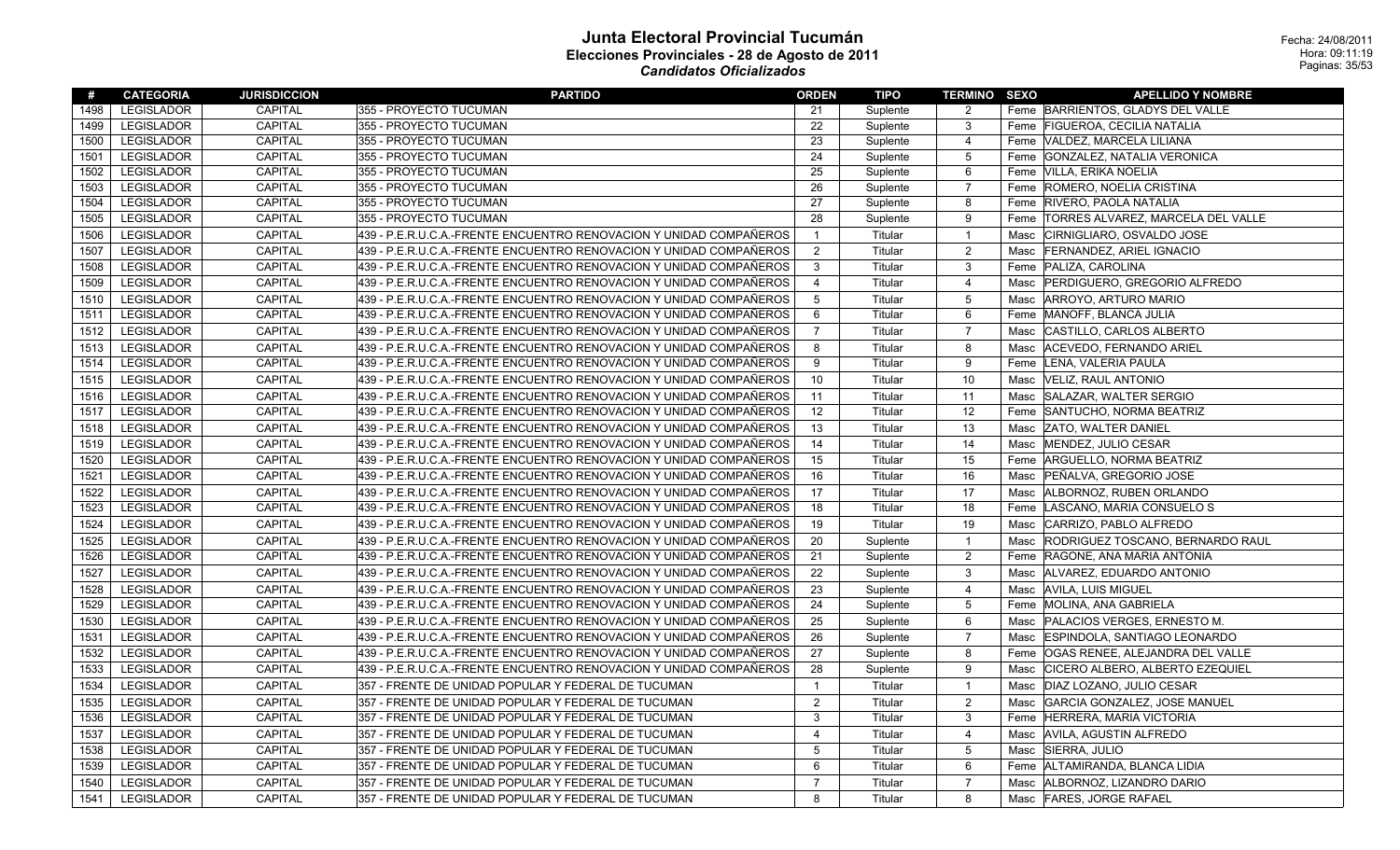| #    | <b>CATEGORIA</b>  | <b>JURISDICCION</b> | <b>PARTIDO</b>                                                     | <b>ORDEN</b>   | TIPO     | <b>TERMINO SEXO</b>     |      | <b>APELLIDO Y NOMBRE</b>                |
|------|-------------------|---------------------|--------------------------------------------------------------------|----------------|----------|-------------------------|------|-----------------------------------------|
| 1498 | <b>LEGISLADOR</b> | <b>CAPITAL</b>      | 355 - PROYECTO TUCUMAN                                             | 21             | Suplente | 2                       |      | Feme BARRIENTOS, GLADYS DEL VALLE       |
| 1499 | <b>LEGISLADOR</b> | CAPITAL             | 355 - PROYECTO TUCUMAN                                             | 22             | Suplente | $\mathbf{3}$            |      | Feme FIGUEROA, CECILIA NATALIA          |
| 1500 | <b>LEGISLADOR</b> | <b>CAPITAL</b>      | 355 - PROYECTO TUCUMAN                                             | 23             | Suplente | $\overline{4}$          |      | Feme   VALDEZ, MARCELA LILIANA          |
| 1501 | <b>LEGISLADOR</b> | CAPITAL             | 355 - PROYECTO TUCUMAN                                             | 24             | Suplente | 5                       |      | Feme GONZALEZ, NATALIA VERONICA         |
| 1502 | <b>LEGISLADOR</b> | <b>CAPITAL</b>      | 355 - PROYECTO TUCUMAN                                             | 25             | Suplente | 6                       |      | Feme VILLA, ERIKA NOELIA                |
| 1503 | <b>LEGISLADOR</b> | CAPITAL             | 355 - PROYECTO TUCUMAN                                             | 26             | Suplente | $\overline{7}$          |      | Feme ROMERO, NOELIA CRISTINA            |
| 1504 | <b>LEGISLADOR</b> | <b>CAPITAL</b>      | 355 - PROYECTO TUCUMAN                                             | 27             | Suplente | 8                       |      | Feme RIVERO, PAOLA NATALIA              |
| 1505 | LEGISLADOR        | <b>CAPITAL</b>      | 355 - PROYECTO TUCUMAN                                             | 28             | Suplente | 9                       |      | Feme  TORRES ALVAREZ, MARCELA DEL VALLE |
| 1506 | <b>LEGISLADOR</b> | CAPITAL             | 439 - P.E.R.U.C.A.-FRENTE ENCUENTRO RENOVACION Y UNIDAD COMPAÑEROS | $\overline{1}$ | Titular  | $\overline{1}$          |      | Masc CIRNIGLIARO, OSVALDO JOSE          |
| 1507 | <b>LEGISLADOR</b> | CAPITAL             | 439 - P.E.R.U.C.A.-FRENTE ENCUENTRO RENOVACION Y UNIDAD COMPAÑEROS | $\overline{2}$ | Titular  | $\overline{2}$          | Masc | <b>FERNANDEZ, ARIEL IGNACIO</b>         |
| 1508 | <b>LEGISLADOR</b> | <b>CAPITAL</b>      | 439 - P.E.R.U.C.A.-FRENTE ENCUENTRO RENOVACION Y UNIDAD COMPAÑEROS | 3              | Titular  | 3                       |      | Feme PALIZA, CAROLINA                   |
| 1509 | <b>LEGISLADOR</b> | <b>CAPITAL</b>      | 439 - P.E.R.U.C.A.-FRENTE ENCUENTRO RENOVACION Y UNIDAD COMPAÑEROS | $\overline{4}$ | Titular  | $\overline{4}$          |      | Masc   PERDIGUERO, GREGORIO ALFREDO     |
| 1510 | <b>LEGISLADOR</b> | <b>CAPITAL</b>      | 439 - P.E.R.U.C.A.-FRENTE ENCUENTRO RENOVACION Y UNIDAD COMPAÑEROS | 5              | Titular  | 5                       |      | Masc ARROYO, ARTURO MARIO               |
| 1511 | <b>LEGISLADOR</b> | <b>CAPITAL</b>      | 439 - P.E.R.U.C.A.-FRENTE ENCUENTRO RENOVACION Y UNIDAD COMPAÑEROS | 6              | Titular  | 6                       |      | Feme MANOFF, BLANCA JULIA               |
| 1512 | <b>LEGISLADOR</b> | CAPITAL             | 439 - P.E.R.U.C.A.-FRENTE ENCUENTRO RENOVACION Y UNIDAD COMPAÑEROS | $\overline{7}$ | Titular  | $\overline{7}$          |      | Masc CASTILLO, CARLOS ALBERTO           |
| 1513 | <b>LEGISLADOR</b> | <b>CAPITAL</b>      | 439 - P.E.R.U.C.A.-FRENTE ENCUENTRO RENOVACION Y UNIDAD COMPAÑEROS | 8              | Titular  | 8                       | Masc | ACEVEDO, FERNANDO ARIEL                 |
| 1514 | <b>LEGISLADOR</b> | CAPITAL             | 439 - P.E.R.U.C.A.-FRENTE ENCUENTRO RENOVACION Y UNIDAD COMPAÑEROS | 9              | Titular  | 9                       |      | Feme LENA, VALERIA PAULA                |
| 1515 | <b>LEGISLADOR</b> | <b>CAPITAL</b>      | 439 - P.E.R.U.C.A.-FRENTE ENCUENTRO RENOVACION Y UNIDAD COMPAÑEROS | 10             | Titular  | 10                      |      | Masc  VELIZ, RAUL ANTONIO               |
| 1516 | <b>LEGISLADOR</b> | CAPITAL             | 439 - P.E.R.U.C.A.-FRENTE ENCUENTRO RENOVACION Y UNIDAD COMPAÑEROS | 11             | Titular  | 11                      |      | Masc SALAZAR, WALTER SERGIO             |
| 1517 | LEGISLADOR        | CAPITAL             | 439 - P.E.R.U.C.A.-FRENTE ENCUENTRO RENOVACION Y UNIDAD COMPAÑEROS | 12             | Titular  | 12                      |      | Feme SANTUCHO, NORMA BEATRIZ            |
| 1518 | <b>LEGISLADOR</b> | <b>CAPITAL</b>      | 439 - P.E.R.U.C.A.-FRENTE ENCUENTRO RENOVACION Y UNIDAD COMPAÑEROS | 13             | Titular  | 13                      |      | Masc ZATO, WALTER DANIEL                |
| 1519 | <b>LEGISLADOR</b> | <b>CAPITAL</b>      | 439 - P.E.R.U.C.A.-FRENTE ENCUENTRO RENOVACION Y UNIDAD COMPAÑEROS | 14             | Titular  | 14                      | Masc | MENDEZ, JULIO CESAR                     |
| 1520 | <b>LEGISLADOR</b> | <b>CAPITAL</b>      | 439 - P.E.R.U.C.A.-FRENTE ENCUENTRO RENOVACION Y UNIDAD COMPAÑEROS | 15             | Titular  | 15                      |      | Feme ARGUELLO, NORMA BEATRIZ            |
| 1521 | <b>LEGISLADOR</b> | CAPITAL             | 439 - P.E.R.U.C.A.-FRENTE ENCUENTRO RENOVACION Y UNIDAD COMPAÑEROS | 16             | Titular  | 16                      | Masc | PEÑALVA, GREGORIO JOSE                  |
| 1522 | <b>LEGISLADOR</b> | CAPITAL             | 439 - P.E.R.U.C.A.-FRENTE ENCUENTRO RENOVACION Y UNIDAD COMPAÑEROS | 17             | Titular  | 17                      |      | Masc ALBORNOZ, RUBEN ORLANDO            |
| 1523 | LEGISLADOR        | CAPITAL             | 439 - P.E.R.U.C.A.-FRENTE ENCUENTRO RENOVACION Y UNIDAD COMPAÑEROS | 18             | Titular  | 18                      |      | Feme  LASCANO, MARIA CONSUELO S         |
| 1524 | <b>LEGISLADOR</b> | CAPITAL             | 439 - P.E.R.U.C.A.-FRENTE ENCUENTRO RENOVACION Y UNIDAD COMPAÑEROS | 19             | Titular  | 19                      | Masc | CARRIZO, PABLO ALFREDO                  |
| 1525 | <b>LEGISLADOR</b> | CAPITAL             | 439 - P.E.R.U.C.A.-FRENTE ENCUENTRO RENOVACION Y UNIDAD COMPAÑEROS | 20             | Suplente | $\overline{\mathbf{1}}$ |      | Masc RODRIGUEZ TOSCANO, BERNARDO RAUL   |
| 1526 | <b>LEGISLADOR</b> | <b>CAPITAL</b>      | 439 - P.E.R.U.C.A.-FRENTE ENCUENTRO RENOVACION Y UNIDAD COMPAÑEROS | 21             | Suplente | $\overline{2}$          |      | Feme RAGONE, ANA MARIA ANTONIA          |
| 1527 | <b>LEGISLADOR</b> | CAPITAL             | 439 - P.E.R.U.C.A.-FRENTE ENCUENTRO RENOVACION Y UNIDAD COMPAÑEROS | 22             | Suplente | 3                       |      | Masc   ALVAREZ, EDUARDO ANTONIO         |
| 1528 | <b>LEGISLADOR</b> | <b>CAPITAL</b>      | 439 - P.E.R.U.C.A.-FRENTE ENCUENTRO RENOVACION Y UNIDAD COMPAÑEROS | 23             | Suplente | $\overline{4}$          |      | Masc AVILA, LUIS MIGUEL                 |
| 1529 | <b>LEGISLADOR</b> | <b>CAPITAL</b>      | 439 - P.E.R.U.C.A.-FRENTE ENCUENTRO RENOVACION Y UNIDAD COMPAÑEROS | 24             | Suplente | 5                       |      | Feme MOLINA, ANA GABRIELA               |
| 1530 | <b>LEGISLADOR</b> | CAPITAL             | 439 - P.E.R.U.C.A.-FRENTE ENCUENTRO RENOVACION Y UNIDAD COMPAÑEROS | 25             | Suplente | 6                       |      | Masc   PALACIOS VERGES, ERNESTO M.      |
| 1531 | <b>LEGISLADOR</b> | CAPITAL             | 439 - P.E.R.U.C.A.-FRENTE ENCUENTRO RENOVACION Y UNIDAD COMPAÑEROS | 26             | Suplente | $\overline{7}$          |      | Masc ESPINDOLA, SANTIAGO LEONARDO       |
| 1532 | <b>LEGISLADOR</b> | <b>CAPITAL</b>      | 439 - P.E.R.U.C.A.-FRENTE ENCUENTRO RENOVACION Y UNIDAD COMPAÑEROS | 27             | Suplente | 8                       |      | Feme OGAS RENEE, ALEJANDRA DEL VALLE    |
| 1533 | <b>LEGISLADOR</b> | <b>CAPITAL</b>      | 439 - P.E.R.U.C.A.-FRENTE ENCUENTRO RENOVACION Y UNIDAD COMPAÑEROS | 28             | Suplente | 9                       |      | Masc CICERO ALBERO, ALBERTO EZEQUIEL    |
| 1534 | <b>LEGISLADOR</b> | <b>CAPITAL</b>      | 357 - FRENTE DE UNIDAD POPULAR Y FEDERAL DE TUCUMAN                | $\overline{1}$ | Titular  | $\overline{1}$          |      | Masc   DIAZ LOZANO, JULIO CESAR         |
| 1535 | <b>LEGISLADOR</b> | CAPITAL             | 357 - FRENTE DE UNIDAD POPULAR Y FEDERAL DE TUCUMAN                | $\overline{2}$ | Titular  | $\overline{2}$          | Masc | GARCIA GONZALEZ, JOSE MANUEL            |
| 1536 | <b>LEGISLADOR</b> | <b>CAPITAL</b>      | 357 - FRENTE DE UNIDAD POPULAR Y FEDERAL DE TUCUMAN                | 3              | Titular  | 3                       |      | Feme HERRERA, MARIA VICTORIA            |
| 1537 | <b>LEGISLADOR</b> | <b>CAPITAL</b>      | 357 - FRENTE DE UNIDAD POPULAR Y FEDERAL DE TUCUMAN                | $\overline{4}$ | Titular  | $\overline{4}$          |      | Masc AVILA, AGUSTIN ALFREDO             |
| 1538 | <b>LEGISLADOR</b> | <b>CAPITAL</b>      | 357 - FRENTE DE UNIDAD POPULAR Y FEDERAL DE TUCUMAN                | .5             | Titular  | $\overline{5}$          |      | Masc SIERRA, JULIO                      |
| 1539 | <b>LEGISLADOR</b> | <b>CAPITAL</b>      | 357 - FRENTE DE UNIDAD POPULAR Y FEDERAL DE TUCUMAN                | 6              | Titular  | 6                       |      | Feme ALTAMIRANDA, BLANCA LIDIA          |
| 1540 | <b>LEGISLADOR</b> | CAPITAL             | 357 - FRENTE DE UNIDAD POPULAR Y FEDERAL DE TUCUMAN                | $\overline{7}$ | Titular  | $\overline{7}$          |      | Masc   ALBORNOZ, LIZANDRO DARIO         |
| 1541 | <b>LEGISLADOR</b> | <b>CAPITAL</b>      | 357 - FRENTE DE UNIDAD POPULAR Y FEDERAL DE TUCUMAN                | 8              | Titular  | 8                       |      | Masc FARES, JORGE RAFAEL                |
|      |                   |                     |                                                                    |                |          |                         |      |                                         |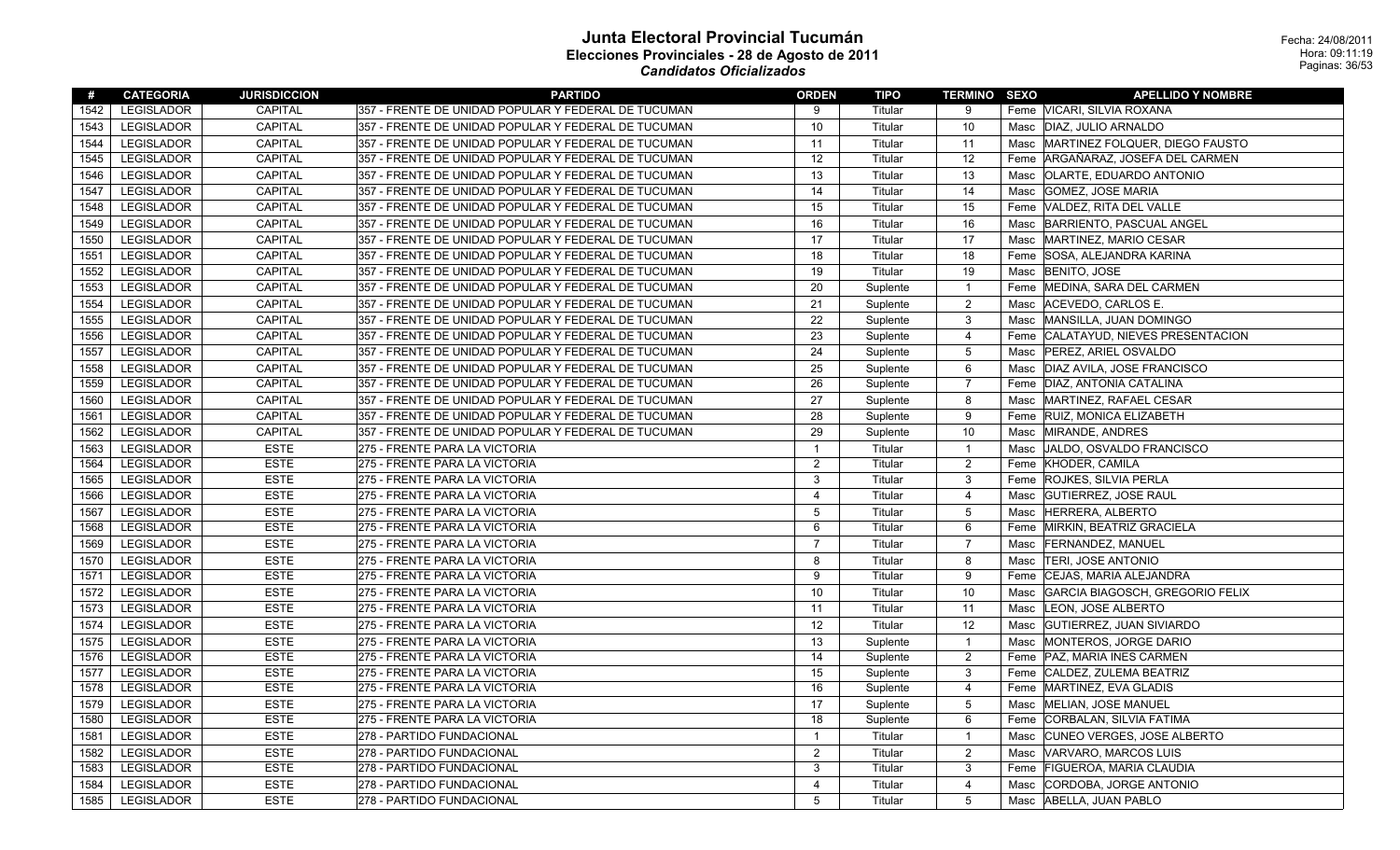| #    | <b>CATEGORIA</b>  | <b>JURISDICCION</b> | <b>PARTIDO</b>                                      | <b>ORDEN</b>            | TIPO     | <b>TERMINO SEXO</b> |      | <b>APELLIDO Y NOMBRE</b>            |
|------|-------------------|---------------------|-----------------------------------------------------|-------------------------|----------|---------------------|------|-------------------------------------|
| 1542 | LEGISLADOR        | CAPITAL             | 357 - FRENTE DE UNIDAD POPULAR Y FEDERAL DE TUCUMAN | 9                       | Titular  | 9                   |      | Feme VICARI, SILVIA ROXANA          |
| 1543 | <b>LEGISLADOR</b> | <b>CAPITAL</b>      | 357 - FRENTE DE UNIDAD POPULAR Y FEDERAL DE TUCUMAN | 10                      | Titular  | 10                  |      | Masc   DIAZ, JULIO ARNALDO          |
| 1544 | LEGISLADOR        | CAPITAL             | 357 - FRENTE DE UNIDAD POPULAR Y FEDERAL DE TUCUMAN | 11                      | Titular  | 11                  |      | Masc MARTINEZ FOLQUER, DIEGO FAUSTO |
| 1545 | <b>LEGISLADOR</b> | <b>CAPITAL</b>      | 357 - FRENTE DE UNIDAD POPULAR Y FEDERAL DE TUCUMAN | 12                      | Titular  | 12                  |      | Feme ARGAÑARAZ, JOSEFA DEL CARMEN   |
| 1546 | <b>LEGISLADOR</b> | CAPITAL             | 357 - FRENTE DE UNIDAD POPULAR Y FEDERAL DE TUCUMAN | 13                      | Titular  | 13                  |      | Masc   OLARTE, EDUARDO ANTONIO      |
| 1547 | LEGISLADOR        | <b>CAPITAL</b>      | 357 - FRENTE DE UNIDAD POPULAR Y FEDERAL DE TUCUMAN | 14                      | Titular  | 14                  |      | Masc GOMEZ, JOSE MARIA              |
| 1548 | <b>LEGISLADOR</b> | <b>CAPITAL</b>      | 357 - FRENTE DE UNIDAD POPULAR Y FEDERAL DE TUCUMAN | 15                      | Titular  | 15                  |      | Feme VALDEZ, RITA DEL VALLE         |
| 1549 | <b>LEGISLADOR</b> | CAPITAL             | 357 - FRENTE DE UNIDAD POPULAR Y FEDERAL DE TUCUMAN | 16                      | Titular  | 16                  |      | Masc BARRIENTO, PASCUAL ANGEL       |
| 1550 | <b>LEGISLADOR</b> | CAPITAL             | 357 - FRENTE DE UNIDAD POPULAR Y FEDERAL DE TUCUMAN | 17                      | Titular  | 17                  |      | Masc MARTINEZ, MARIO CESAR          |
| 1551 | <b>LEGISLADOR</b> | <b>CAPITAL</b>      | 357 - FRENTE DE UNIDAD POPULAR Y FEDERAL DE TUCUMAN | 18                      | Titular  | 18                  |      | Feme SOSA, ALEJANDRA KARINA         |
| 1552 | <b>LEGISLADOR</b> | <b>CAPITAL</b>      | 357 - FRENTE DE UNIDAD POPULAR Y FEDERAL DE TUCUMAN | 19                      | Titular  | 19                  |      | Masc BENITO, JOSE                   |
| 1553 | LEGISLADOR        | CAPITAL             | 357 - FRENTE DE UNIDAD POPULAR Y FEDERAL DE TUCUMAN | 20                      | Suplente | $\overline{1}$      |      | Feme   MEDINA, SARA DEL CARMEN      |
| 1554 | LEGISLADOR        | <b>CAPITAL</b>      | 357 - FRENTE DE UNIDAD POPULAR Y FEDERAL DE TUCUMAN | 21                      | Suplente | 2                   |      | Masc   ACEVEDO, CARLOS E.           |
| 1555 | <b>LEGISLADOR</b> | CAPITAL             | 357 - FRENTE DE UNIDAD POPULAR Y FEDERAL DE TUCUMAN | 22                      | Suplente | $\mathbf{3}$        |      | Masc MANSILLA, JUAN DOMINGO         |
| 1556 | <b>LEGISLADOR</b> | CAPITAL             | 357 - FRENTE DE UNIDAD POPULAR Y FEDERAL DE TUCUMAN | 23                      | Suplente | $\overline{4}$      |      | Feme CALATAYUD, NIEVES PRESENTACION |
| 1557 | LEGISLADOR        | <b>CAPITAL</b>      | 357 - FRENTE DE UNIDAD POPULAR Y FEDERAL DE TUCUMAN | 24                      | Suplente | 5                   |      | Masc   PEREZ, ARIEL OSVALDO         |
| 1558 | <b>LEGISLADOR</b> | CAPITAL             | 357 - FRENTE DE UNIDAD POPULAR Y FEDERAL DE TUCUMAN | 25                      | Suplente | 6                   |      | Masc   DIAZ AVILA, JOSE FRANCISCO   |
| 1559 | <b>LEGISLADOR</b> | CAPITAL             | 357 - FRENTE DE UNIDAD POPULAR Y FEDERAL DE TUCUMAN | 26                      | Suplente | $\overline{7}$      |      | Feme DIAZ, ANTONIA CATALINA         |
| 1560 | LEGISLADOR        | CAPITAL             | 357 - FRENTE DE UNIDAD POPULAR Y FEDERAL DE TUCUMAN | 27                      | Suplente | 8                   |      | Masc MARTINEZ, RAFAEL CESAR         |
| 1561 | <b>LEGISLADOR</b> | <b>CAPITAL</b>      | 357 - FRENTE DE UNIDAD POPULAR Y FEDERAL DE TUCUMAN | 28                      | Suplente | 9                   |      | Feme RUIZ, MONICA ELIZABETH         |
| 1562 | LEGISLADOR        | <b>CAPITAL</b>      | 357 - FRENTE DE UNIDAD POPULAR Y FEDERAL DE TUCUMAN | 29                      | Suplente | 10                  |      | Masc MIRANDE, ANDRES                |
| 1563 | <b>LEGISLADOR</b> | <b>ESTE</b>         | 275 - FRENTE PARA LA VICTORIA                       | $\overline{\mathbf{1}}$ | Titular  | $\overline{1}$      |      | Masc JALDO, OSVALDO FRANCISCO       |
| 1564 | LEGISLADOR        | <b>ESTE</b>         | 275 - FRENTE PARA LA VICTORIA                       | $\overline{2}$          | Titular  | $\overline{2}$      |      | Feme KHODER, CAMILA                 |
| 1565 | LEGISLADOR        | <b>ESTE</b>         | 275 - FRENTE PARA LA VICTORIA                       | 3                       | Titular  | 3                   |      | Feme ROJKES, SILVIA PERLA           |
| 1566 | <b>LEGISLADOR</b> | <b>ESTE</b>         | 275 - FRENTE PARA LA VICTORIA                       | $\overline{4}$          | Titular  | $\overline{4}$      |      | Masc GUTIERREZ, JOSE RAUL           |
| 1567 | <b>LEGISLADOR</b> | <b>ESTE</b>         | 275 - FRENTE PARA LA VICTORIA                       | 5                       | Titular  | $5\,$               |      | Masc HERRERA, ALBERTO               |
| 1568 | <b>LEGISLADOR</b> | <b>ESTE</b>         | 275 - FRENTE PARA LA VICTORIA                       | 6                       | Titular  | 6                   |      | Feme MIRKIN, BEATRIZ GRACIELA       |
| 1569 | <b>LEGISLADOR</b> | <b>ESTE</b>         | 275 - FRENTE PARA LA VICTORIA                       | $\overline{7}$          | Titular  | $\overline{7}$      |      | Masc FERNANDEZ, MANUEL              |
| 1570 | <b>LEGISLADOR</b> | <b>ESTE</b>         | 275 - FRENTE PARA LA VICTORIA                       | 8                       | Titular  | 8                   |      | Masc TERI, JOSE ANTONIO             |
| 1571 | LEGISLADOR        | <b>ESTE</b>         | 275 - FRENTE PARA LA VICTORIA                       | 9                       | Titular  | 9                   |      | Feme CEJAS, MARIA ALEJANDRA         |
| 1572 | LEGISLADOR        | <b>ESTE</b>         | 275 - FRENTE PARA LA VICTORIA                       | 10                      | Titular  | 10                  | Masc | GARCIA BIAGOSCH, GREGORIO FELIX     |
| 1573 | <b>LEGISLADOR</b> | <b>ESTE</b>         | 275 - FRENTE PARA LA VICTORIA                       | 11                      | Titular  | 11                  |      | Masc LEON, JOSE ALBERTO             |
| 1574 | <b>LEGISLADOR</b> | <b>ESTE</b>         | 275 - FRENTE PARA LA VICTORIA                       | 12                      | Titular  | 12                  |      | Masc GUTIERREZ, JUAN SIVIARDO       |
| 1575 | <b>LEGISLADOR</b> | <b>ESTE</b>         | 275 - FRENTE PARA LA VICTORIA                       | 13                      | Suplente | $\overline{1}$      |      | Masc MONTEROS, JORGE DARIO          |
| 1576 | <b>LEGISLADOR</b> | <b>ESTE</b>         | 275 - FRENTE PARA LA VICTORIA                       | 14                      | Suplente | $\overline{c}$      |      | Feme   PAZ, MARIA INES CARMEN       |
| 1577 | <b>LEGISLADOR</b> | <b>ESTE</b>         | 275 - FRENTE PARA LA VICTORIA                       | 15                      | Suplente | 3                   |      | Feme CALDEZ, ZULEMA BEATRIZ         |
| 1578 | <b>LEGISLADOR</b> | <b>ESTE</b>         | 275 - FRENTE PARA LA VICTORIA                       | 16                      | Suplente | $\overline{4}$      |      | Feme   MARTINEZ, EVA GLADIS         |
| 1579 | <b>LEGISLADOR</b> | <b>ESTE</b>         | 275 - FRENTE PARA LA VICTORIA                       | 17                      | Suplente | $\overline{5}$      |      | Masc MELIAN, JOSE MANUEL            |
| 1580 | <b>LEGISLADOR</b> | <b>ESTE</b>         | 275 - FRENTE PARA LA VICTORIA                       | 18                      | Suplente | 6                   |      | Feme CORBALAN, SILVIA FATIMA        |
| 1581 | LEGISLADOR        | <b>ESTE</b>         | 278 - PARTIDO FUNDACIONAL                           | $\overline{1}$          | Titular  | $\mathbf{1}$        |      | Masc CUNEO VERGES, JOSE ALBERTO     |
| 1582 | <b>LEGISLADOR</b> | <b>ESTE</b>         | 278 - PARTIDO FUNDACIONAL                           | $\overline{2}$          | Titular  | $\overline{2}$      |      | Masc VARVARO, MARCOS LUIS           |
| 1583 | LEGISLADOR        | <b>ESTE</b>         | 278 - PARTIDO FUNDACIONAL                           | 3                       | Titular  | 3                   |      | Feme FIGUEROA, MARIA CLAUDIA        |
| 1584 | LEGISLADOR        | <b>ESTE</b>         | 278 - PARTIDO FUNDACIONAL                           | $\overline{4}$          | Titular  | $\overline{4}$      |      | Masc CORDOBA, JORGE ANTONIO         |
| 1585 | <b>LEGISLADOR</b> | <b>ESTE</b>         | 278 - PARTIDO FUNDACIONAL                           | 5                       | Titular  | 5                   |      | Masc   ABELLA, JUAN PABLO           |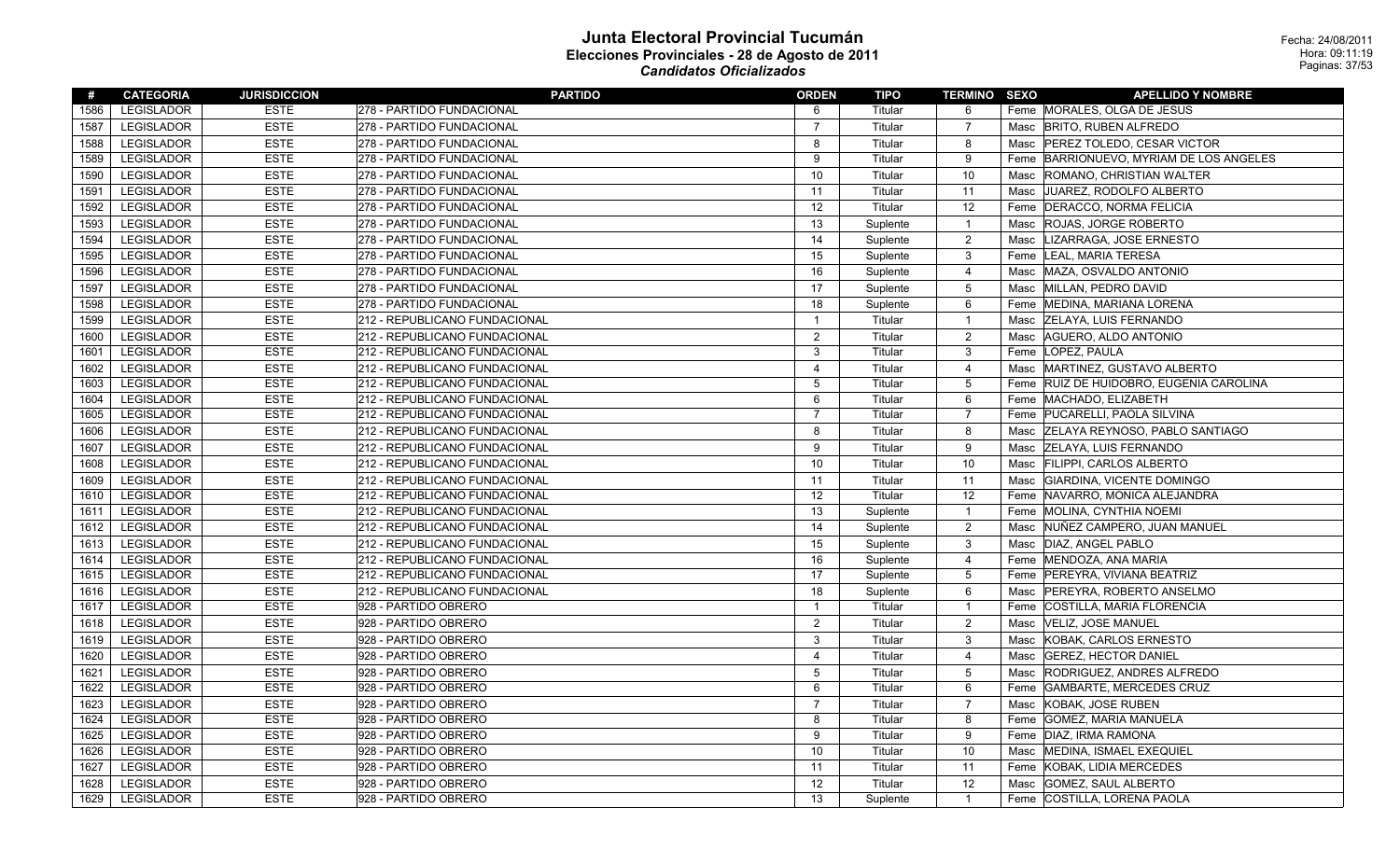| #    | <b>CATEGORIA</b>  | <b>JURISDICCION</b> | <b>PARTIDO</b>                | <b>ORDEN</b>   | TIPO     | <b>TERMINO SEXO</b> |      | <b>APELLIDO Y NOMBRE</b>              |
|------|-------------------|---------------------|-------------------------------|----------------|----------|---------------------|------|---------------------------------------|
| 1586 | LEGISLADOR        | <b>ESTE</b>         | 278 - PARTIDO FUNDACIONAL     | 6              | Titular  | 6                   |      | Feme MORALES, OLGA DE JESUS           |
| 1587 | <b>LEGISLADOR</b> | <b>ESTE</b>         | 278 - PARTIDO FUNDACIONAL     | $\overline{7}$ | Titular  | $\overline{7}$      | Masc | <b>BRITO, RUBEN ALFREDO</b>           |
| 1588 | <b>LEGISLADOR</b> | <b>ESTE</b>         | 278 - PARTIDO FUNDACIONAL     | 8              | Titular  | 8                   |      | Masc   PEREZ TOLEDO, CESAR VICTOR     |
| 1589 | <b>LEGISLADOR</b> | <b>ESTE</b>         | 278 - PARTIDO FUNDACIONAL     | 9              | Titular  | 9                   | Feme | BARRIONUEVO, MYRIAM DE LOS ANGELES    |
| 1590 | LEGISLADOR        | <b>ESTE</b>         | 278 - PARTIDO FUNDACIONAL     | 10             | Titular  | 10                  | Masc | ROMANO, CHRISTIAN WALTER              |
| 1591 | LEGISLADOR        | <b>ESTE</b>         | 278 - PARTIDO FUNDACIONAL     | 11             | Titular  | 11                  | Masc | JUAREZ, RODOLFO ALBERTO               |
| 1592 | <b>LEGISLADOR</b> | <b>ESTE</b>         | 278 - PARTIDO FUNDACIONAL     | 12             | Titular  | 12                  | Feme | DERACCO, NORMA FELICIA                |
| 1593 | LEGISLADOR        | <b>ESTE</b>         | 278 - PARTIDO FUNDACIONAL     | 13             | Suplente | $\overline{1}$      | Masc | <b>ROJAS, JORGE ROBERTO</b>           |
| 1594 | <b>LEGISLADOR</b> | <b>ESTE</b>         | 278 - PARTIDO FUNDACIONAL     | 14             | Suplente | $\overline{2}$      | Masc | LIZARRAGA, JOSE ERNESTO               |
| 1595 | <b>LEGISLADOR</b> | <b>ESTE</b>         | 278 - PARTIDO FUNDACIONAL     | 15             | Suplente | 3                   | Feme | LEAL, MARIA TERESA                    |
| 1596 | <b>LEGISLADOR</b> | <b>ESTE</b>         | 278 - PARTIDO FUNDACIONAL     | 16             | Suplente | 4                   | Masc | MAZA, OSVALDO ANTONIO                 |
| 1597 | <b>LEGISLADOR</b> | <b>ESTE</b>         | 278 - PARTIDO FUNDACIONAL     | 17             | Suplente | $\overline{5}$      | Masc | MILLAN, PEDRO DAVID                   |
| 1598 | <b>LEGISLADOR</b> | <b>ESTE</b>         | 278 - PARTIDO FUNDACIONAL     | 18             | Suplente | 6                   | Feme | MEDINA, MARIANA LORENA                |
| 1599 | <b>LEGISLADOR</b> | <b>ESTE</b>         | 212 - REPUBLICANO FUNDACIONAL | $\mathbf{1}$   | Titular  | $\overline{1}$      | Masc | <b>ZELAYA, LUIS FERNANDO</b>          |
| 1600 | <b>LEGISLADOR</b> | <b>ESTE</b>         | 212 - REPUBLICANO FUNDACIONAL | 2              | Titular  | $\overline{2}$      | Masc | AGUERO, ALDO ANTONIO                  |
| 1601 | <b>LEGISLADOR</b> | <b>ESTE</b>         | 212 - REPUBLICANO FUNDACIONAL | 3              | Titular  | 3                   | Feme | LOPEZ, PAULA                          |
| 1602 | <b>LEGISLADOR</b> | <b>ESTE</b>         | 212 - REPUBLICANO FUNDACIONAL | $\overline{4}$ | Titular  | $\overline{4}$      | Masc | MARTINEZ, GUSTAVO ALBERTO             |
| 1603 | <b>LEGISLADOR</b> | <b>ESTE</b>         | 212 - REPUBLICANO FUNDACIONAL | 5              | Titular  | 5                   | Feme | RUIZ DE HUIDOBRO, EUGENIA CAROLINA    |
| 1604 | <b>LEGISLADOR</b> | <b>ESTE</b>         | 212 - REPUBLICANO FUNDACIONAL | 6              | Titular  | 6                   |      | Feme   MACHADO, ELIZABETH             |
| 1605 | LEGISLADOR        | <b>ESTE</b>         | 212 - REPUBLICANO FUNDACIONAL | 7              | Titular  | $\overline{7}$      | Feme | PUCARELLI, PAOLA SILVINA              |
| 1606 | <b>LEGISLADOR</b> | <b>ESTE</b>         | 212 - REPUBLICANO FUNDACIONAL | 8              | Titular  | 8                   | Masc | <b>ZELAYA REYNOSO, PABLO SANTIAGO</b> |
| 1607 | <b>LEGISLADOR</b> | <b>ESTE</b>         | 212 - REPUBLICANO FUNDACIONAL | 9              | Titular  | 9                   | Masc | <b>ZELAYA, LUIS FERNANDO</b>          |
| 1608 | LEGISLADOR        | <b>ESTE</b>         | 212 - REPUBLICANO FUNDACIONAL | 10             | Titular  | 10                  | Masc | <b>FILIPPI, CARLOS ALBERTO</b>        |
| 1609 | <b>LEGISLADOR</b> | <b>ESTE</b>         | 212 - REPUBLICANO FUNDACIONAL | 11             | Titular  | 11                  | Masc | GIARDINA, VICENTE DOMINGO             |
| 1610 | <b>LEGISLADOR</b> | <b>ESTE</b>         | 212 - REPUBLICANO FUNDACIONAL | 12             | Titular  | 12                  | Feme | NAVARRO, MONICA ALEJANDRA             |
| 1611 | LEGISLADOR        | <b>ESTE</b>         | 212 - REPUBLICANO FUNDACIONAL | 13             | Suplente | $\overline{1}$      |      | Feme MOLINA, CYNTHIA NOEMI            |
| 1612 | LEGISLADOR        | <b>ESTE</b>         | 212 - REPUBLICANO FUNDACIONAL | 14             | Suplente | 2                   | Masc | NUÑEZ CAMPERO, JUAN MANUEL            |
| 1613 | <b>LEGISLADOR</b> | <b>ESTE</b>         | 212 - REPUBLICANO FUNDACIONAL | 15             | Suplente | 3                   | Masc | DIAZ, ANGEL PABLO                     |
| 1614 | LEGISLADOR        | <b>ESTE</b>         | 212 - REPUBLICANO FUNDACIONAL | 16             | Suplente | $\overline{4}$      |      | Feme MENDOZA, ANA MARIA               |
| 1615 | <b>LEGISLADOR</b> | <b>ESTE</b>         | 212 - REPUBLICANO FUNDACIONAL | 17             | Suplente | $\overline{5}$      |      | Feme PEREYRA, VIVIANA BEATRIZ         |
| 1616 | <b>LEGISLADOR</b> | <b>ESTE</b>         | 212 - REPUBLICANO FUNDACIONAL | 18             | Suplente | 6                   | Masc | PEREYRA, ROBERTO ANSELMO              |
| 1617 | <b>LEGISLADOR</b> | <b>ESTE</b>         | 928 - PARTIDO OBRERO          | $\mathbf{1}$   | Titular  | $\overline{1}$      | Feme | <b>COSTILLA, MARIA FLORENCIA</b>      |
| 1618 | LEGISLADOR        | <b>ESTE</b>         | 928 - PARTIDO OBRERO          | 2              | Titular  | 2                   | Masc | VELIZ, JOSE MANUEL                    |
| 1619 | <b>LEGISLADOR</b> | <b>ESTE</b>         | 928 - PARTIDO OBRERO          | 3              | Titular  | 3                   | Masc | KOBAK, CARLOS ERNESTO                 |
| 1620 | <b>LEGISLADOR</b> | <b>ESTE</b>         | 928 - PARTIDO OBRERO          | $\overline{4}$ | Titular  | $\overline{4}$      | Masc | <b>GEREZ, HECTOR DANIEL</b>           |
| 1621 | <b>LEGISLADOR</b> | <b>ESTE</b>         | 928 - PARTIDO OBRERO          | 5              | Titular  | 5                   | Masc | RODRIGUEZ, ANDRES ALFREDO             |
| 1622 | <b>LEGISLADOR</b> | <b>ESTE</b>         | 928 - PARTIDO OBRERO          | 6              | Titular  | 6                   | Feme | <b>GAMBARTE, MERCEDES CRUZ</b>        |
| 1623 | <b>LEGISLADOR</b> | <b>ESTE</b>         | 928 - PARTIDO OBRERO          | $\overline{7}$ | Titular  | $\overline{7}$      | Masc | KOBAK, JOSE RUBEN                     |
| 1624 | <b>LEGISLADOR</b> | <b>ESTE</b>         | 928 - PARTIDO OBRERO          | 8              | Titular  | 8                   | Feme | <b>GOMEZ, MARIA MANUELA</b>           |
| 1625 | <b>LEGISLADOR</b> | <b>ESTE</b>         | 928 - PARTIDO OBRERO          | 9              | Titular  | 9                   | Feme | DIAZ, IRMA RAMONA                     |
| 1626 | <b>LEGISLADOR</b> | <b>ESTE</b>         | 928 - PARTIDO OBRERO          | 10             | Titular  | 10                  | Masc | MEDINA, ISMAEL EXEQUIEL               |
| 1627 | <b>LEGISLADOR</b> | <b>ESTE</b>         | 928 - PARTIDO OBRERO          | 11             | Titular  | 11                  | Feme | KOBAK, LIDIA MERCEDES                 |
| 1628 | <b>LEGISLADOR</b> | <b>ESTE</b>         | 928 - PARTIDO OBRERO          | 12             | Titular  | 12                  | Masc | <b>GOMEZ, SAUL ALBERTO</b>            |
| 1629 | <b>LEGISLADOR</b> | <b>ESTE</b>         | 928 - PARTIDO OBRERO          | 13             | Suplente | $\overline{1}$      |      | Feme COSTILLA, LORENA PAOLA           |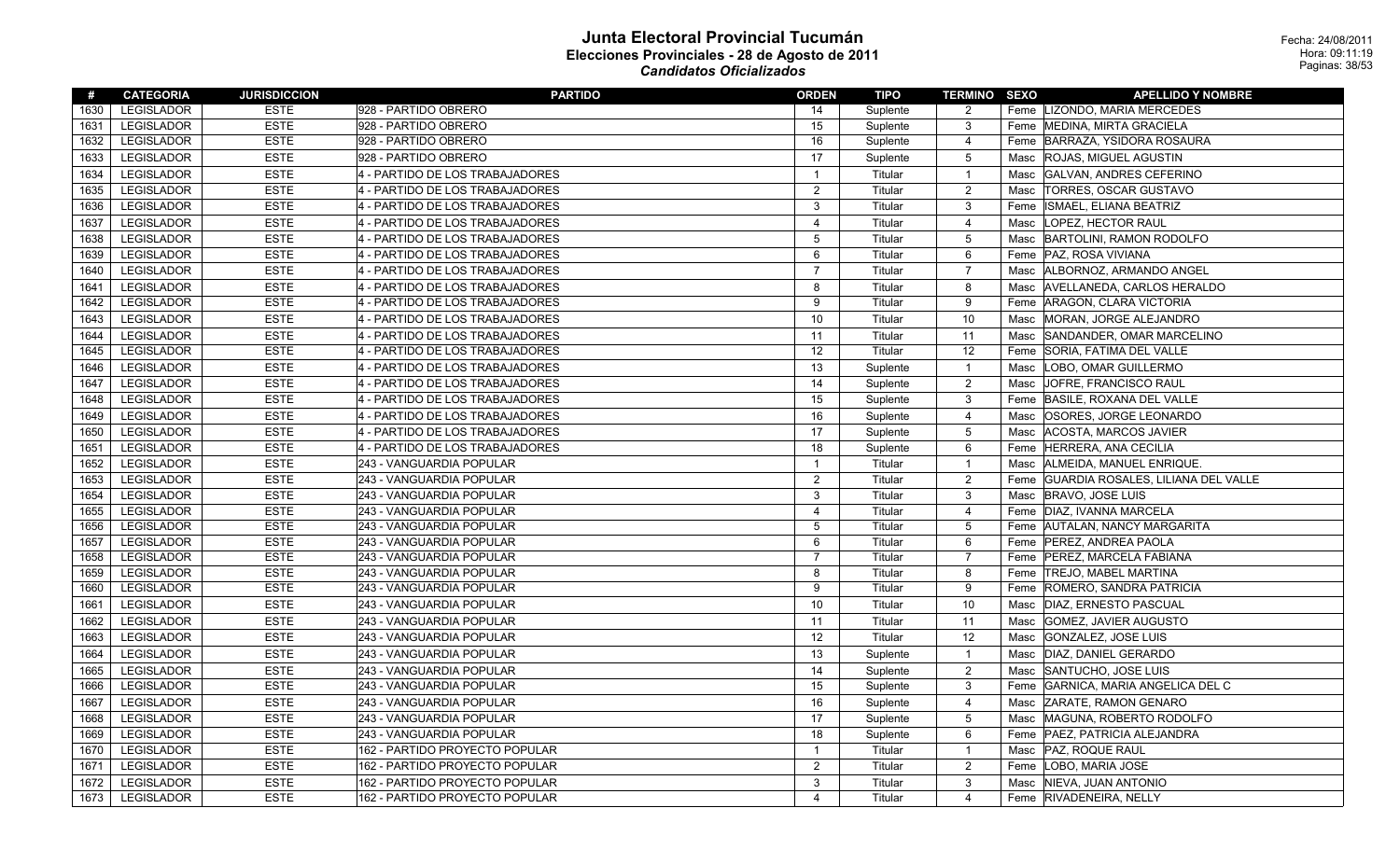| #    | <b>CATEGORIA</b>  | <b>JURISDICCION</b> | <b>PARTIDO</b>                  | <b>ORDEN</b>            | TIPO     | <b>TERMINO SEXO</b> |      | <b>APELLIDO Y NOMBRE</b>           |
|------|-------------------|---------------------|---------------------------------|-------------------------|----------|---------------------|------|------------------------------------|
| 1630 | <b>LEGISLADOR</b> | <b>ESTE</b>         | 928 - PARTIDO OBRERO            | 14                      | Suplente | 2                   |      | Feme LIZONDO, MARIA MERCEDES       |
| 1631 | LEGISLADOR        | <b>ESTE</b>         | 928 - PARTIDO OBRERO            | 15                      | Suplente | $\mathbf{3}$        |      | Feme   MEDINA, MIRTA GRACIELA      |
| 1632 | <b>LEGISLADOR</b> | <b>ESTE</b>         | 928 - PARTIDO OBRERO            | 16                      | Suplente | $\overline{4}$      | Feme | BARRAZA, YSIDORA ROSAURA           |
| 1633 | <b>LEGISLADOR</b> | <b>ESTE</b>         | 928 - PARTIDO OBRERO            | 17                      | Suplente | $\overline{5}$      | Masc | <b>ROJAS, MIGUEL AGUSTIN</b>       |
| 1634 | LEGISLADOR        | <b>ESTE</b>         | 4 - PARTIDO DE LOS TRABAJADORES | $\mathbf{1}$            | Titular  | $\overline{1}$      | Masc | GALVAN, ANDRES CEFERINO            |
| 1635 | <b>LEGISLADOR</b> | <b>ESTE</b>         | 4 - PARTIDO DE LOS TRABAJADORES | $\overline{2}$          | Titular  | $\overline{2}$      | Masc | <b>TORRES, OSCAR GUSTAVO</b>       |
| 1636 | LEGISLADOR        | <b>ESTE</b>         | 4 - PARTIDO DE LOS TRABAJADORES | 3                       | Titular  | $\mathbf{3}$        | Feme | ISMAEL, ELIANA BEATRIZ             |
| 1637 | <b>LEGISLADOR</b> | <b>ESTE</b>         | 4 - PARTIDO DE LOS TRABAJADORES | $\overline{\mathbf{4}}$ | Titular  | 4                   | Masc | LOPEZ, HECTOR RAUL                 |
| 1638 | <b>LEGISLADOR</b> | <b>ESTE</b>         | 4 - PARTIDO DE LOS TRABAJADORES | $\mathbf 5$             | Titular  | $\overline{5}$      | Masc | BARTOLINI, RAMON RODOLFO           |
| 1639 | LEGISLADOR        | <b>ESTE</b>         | 4 - PARTIDO DE LOS TRABAJADORES | 6                       | Titular  | 6                   |      | Feme   PAZ, ROSA VIVIANA           |
| 1640 | LEGISLADOR        | <b>ESTE</b>         | 4 - PARTIDO DE LOS TRABAJADORES | $\overline{7}$          | Titular  | $\overline{7}$      | Masc | ALBORNOZ, ARMANDO ANGEL            |
| 1641 | LEGISLADOR        | <b>ESTE</b>         | 4 - PARTIDO DE LOS TRABAJADORES | 8                       | Titular  | 8                   | Masc | AVELLANEDA, CARLOS HERALDO         |
| 1642 | LEGISLADOR        | <b>ESTE</b>         | 4 - PARTIDO DE LOS TRABAJADORES | 9                       | Titular  | 9                   |      | Feme   ARAGON, CLARA VICTORIA      |
| 1643 | LEGISLADOR        | <b>ESTE</b>         | 4 - PARTIDO DE LOS TRABAJADORES | 10                      | Titular  | 10                  | Masc | MORAN, JORGE ALEJANDRO             |
| 1644 | <b>LEGISLADOR</b> | <b>ESTE</b>         | 4 - PARTIDO DE LOS TRABAJADORES | 11                      | Titular  | 11                  | Masc | SANDANDER, OMAR MARCELINO          |
| 1645 | <b>LEGISLADOR</b> | <b>ESTE</b>         | 4 - PARTIDO DE LOS TRABAJADORES | 12                      | Titular  | 12                  | Feme | SORIA, FATIMA DEL VALLE            |
| 1646 | <b>LEGISLADOR</b> | <b>ESTE</b>         | 4 - PARTIDO DE LOS TRABAJADORES | 13                      | Suplente | $\overline{1}$      | Masc | LOBO, OMAR GUILLERMO               |
| 1647 | <b>LEGISLADOR</b> | <b>ESTE</b>         | 4 - PARTIDO DE LOS TRABAJADORES | 14                      | Suplente | $\overline{2}$      | Masc | JOFRE, FRANCISCO RAUL              |
| 1648 | <b>LEGISLADOR</b> | <b>ESTE</b>         | 4 - PARTIDO DE LOS TRABAJADORES | 15                      | Suplente | 3                   | Feme | BASILE, ROXANA DEL VALLE           |
| 1649 | LEGISLADOR        | <b>ESTE</b>         | 4 - PARTIDO DE LOS TRABAJADORES | 16                      | Suplente | 4                   | Masc | OSORES, JORGE LEONARDO             |
| 1650 | <b>LEGISLADOR</b> | <b>ESTE</b>         | 4 - PARTIDO DE LOS TRABAJADORES | 17                      | Suplente | $\overline{5}$      | Masc | <b>ACOSTA, MARCOS JAVIER</b>       |
| 1651 | <b>LEGISLADOR</b> | <b>ESTE</b>         | 4 - PARTIDO DE LOS TRABAJADORES | 18                      | Suplente | 6                   | Feme | HERRERA, ANA CECILIA               |
| 1652 | <b>LEGISLADOR</b> | <b>ESTE</b>         | 243 - VANGUARDIA POPULAR        | $\mathbf{1}$            | Titular  | $\overline{1}$      | Masc | ALMEIDA, MANUEL ENRIQUE.           |
| 1653 | LEGISLADOR        | <b>ESTE</b>         | 243 - VANGUARDIA POPULAR        | $\overline{2}$          | Titular  | $\overline{2}$      | Feme | GUARDIA ROSALES, LILIANA DEL VALLE |
| 1654 | <b>LEGISLADOR</b> | <b>ESTE</b>         | 243 - VANGUARDIA POPULAR        | 3                       | Titular  | 3                   | Masc | <b>BRAVO, JOSE LUIS</b>            |
| 1655 | LEGISLADOR        | <b>ESTE</b>         | 243 - VANGUARDIA POPULAR        | $\overline{4}$          | Titular  | 4                   |      | Feme DIAZ, IVANNA MARCELA          |
| 1656 | <b>LEGISLADOR</b> | <b>ESTE</b>         | 243 - VANGUARDIA POPULAR        | 5                       | Titular  | $5\overline{)}$     |      | Feme AUTALAN, NANCY MARGARITA      |
| 1657 | <b>LEGISLADOR</b> | <b>ESTE</b>         | 243 - VANGUARDIA POPULAR        | 6                       | Titular  | 6                   |      | Feme   PEREZ, ANDREA PAOLA         |
| 1658 | <b>LEGISLADOR</b> | <b>ESTE</b>         | 243 - VANGUARDIA POPULAR        | $\overline{7}$          | Titular  | $\overline{7}$      | Feme | PEREZ, MARCELA FABIANA             |
| 1659 | <b>LEGISLADOR</b> | <b>ESTE</b>         | 243 - VANGUARDIA POPULAR        | 8                       | Titular  | 8                   |      | Feme   TREJO, MABEL MARTINA        |
| 1660 | <b>LEGISLADOR</b> | <b>ESTE</b>         | 243 - VANGUARDIA POPULAR        | 9                       | Titular  | 9                   |      | Feme ROMERO, SANDRA PATRICIA       |
| 1661 | <b>LEGISLADOR</b> | <b>ESTE</b>         | 243 - VANGUARDIA POPULAR        | 10                      | Titular  | 10                  | Masc | DIAZ, ERNESTO PASCUAL              |
| 1662 | <b>LEGISLADOR</b> | <b>ESTE</b>         | 243 - VANGUARDIA POPULAR        | 11                      | Titular  | 11                  | Masc | <b>GOMEZ, JAVIER AUGUSTO</b>       |
| 1663 | <b>LEGISLADOR</b> | <b>ESTE</b>         | 243 - VANGUARDIA POPULAR        | 12                      | Titular  | 12                  | Masc | GONZALEZ, JOSE LUIS                |
| 1664 | <b>LEGISLADOR</b> | <b>ESTE</b>         | 243 - VANGUARDIA POPULAR        | 13                      | Suplente | $\overline{1}$      | Masc | DIAZ, DANIEL GERARDO               |
| 1665 | <b>LEGISLADOR</b> | <b>ESTE</b>         | 243 - VANGUARDIA POPULAR        | 14                      | Suplente | $\overline{2}$      | Masc | SANTUCHO, JOSE LUIS                |
| 1666 | <b>LEGISLADOR</b> | <b>ESTE</b>         | 243 - VANGUARDIA POPULAR        | 15                      | Suplente | 3                   | Feme | GARNICA, MARIA ANGELICA DEL C      |
| 1667 | <b>LEGISLADOR</b> | <b>ESTE</b>         | 243 - VANGUARDIA POPULAR        | 16                      | Suplente | $\overline{4}$      | Masc | <b>ZARATE, RAMON GENARO</b>        |
| 1668 | <b>LEGISLADOR</b> | <b>ESTE</b>         | 243 - VANGUARDIA POPULAR        | 17                      | Suplente | 5                   | Masc | MAGUNA, ROBERTO RODOLFO            |
| 1669 | <b>LEGISLADOR</b> | <b>ESTE</b>         | 243 - VANGUARDIA POPULAR        | 18                      | Suplente | 6                   | Feme | PAEZ, PATRICIA ALEJANDRA           |
| 1670 | <b>LEGISLADOR</b> | <b>ESTE</b>         | 162 - PARTIDO PROYECTO POPULAR  | $\mathbf{1}$            | Titular  | $\overline{1}$      | Masc | <b>PAZ, ROQUE RAUL</b>             |
| 1671 | <b>LEGISLADOR</b> | <b>ESTE</b>         | 162 - PARTIDO PROYECTO POPULAR  | 2                       | Titular  | $\overline{2}$      | Feme | LOBO, MARIA JOSE                   |
| 1672 | <b>LEGISLADOR</b> | <b>ESTE</b>         | 162 - PARTIDO PROYECTO POPULAR  | 3                       | Titular  | 3                   | Masc | NIEVA, JUAN ANTONIO                |
| 1673 | <b>LEGISLADOR</b> | <b>ESTE</b>         | 162 - PARTIDO PROYECTO POPULAR  | $\overline{\mathbf{4}}$ | Titular  | $\overline{4}$      |      | Feme RIVADENEIRA, NELLY            |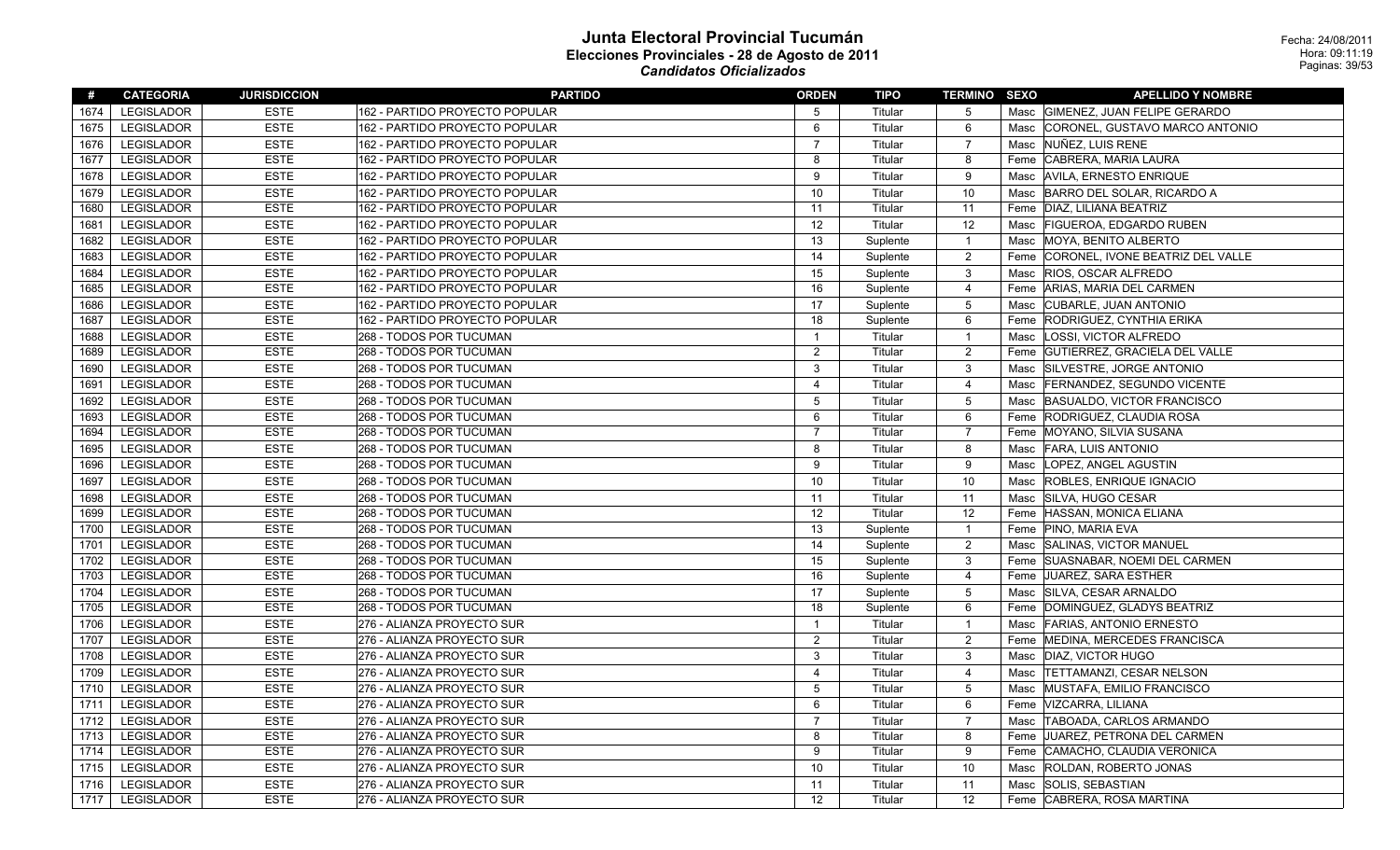| #    | <b>CATEGORIA</b>  | <b>JURISDICCION</b> | <b>PARTIDO</b>                 | <b>ORDEN</b>            | TIPO     | <b>TERMINO SEXO</b> | <b>APELLIDO Y NOMBRE</b>                  |
|------|-------------------|---------------------|--------------------------------|-------------------------|----------|---------------------|-------------------------------------------|
| 1674 | <b>LEGISLADOR</b> | <b>ESTE</b>         | 162 - PARTIDO PROYECTO POPULAR | 5                       | Titular  | $5\overline{)}$     | Masc GIMENEZ, JUAN FELIPE GERARDO         |
| 1675 | LEGISLADOR        | <b>ESTE</b>         | 162 - PARTIDO PROYECTO POPULAR | 6                       | Titular  | 6                   | CORONEL, GUSTAVO MARCO ANTONIO<br>Masc    |
| 1676 | <b>LEGISLADOR</b> | <b>ESTE</b>         | 162 - PARTIDO PROYECTO POPULAR | $\overline{7}$          | Titular  | $\overline{7}$      | NUÑEZ, LUIS RENE<br>Masc                  |
| 1677 | LEGISLADOR        | <b>ESTE</b>         | 162 - PARTIDO PROYECTO POPULAR | 8                       | Titular  | 8                   | CABRERA, MARIA LAURA<br>Feme              |
| 1678 | <b>LEGISLADOR</b> | <b>ESTE</b>         | 162 - PARTIDO PROYECTO POPULAR | 9                       | Titular  | 9                   | Masc AVILA, ERNESTO ENRIQUE               |
| 1679 | <b>LEGISLADOR</b> | <b>ESTE</b>         | 162 - PARTIDO PROYECTO POPULAR | 10                      | Titular  | 10                  | BARRO DEL SOLAR, RICARDO A<br>Masc        |
| 1680 | LEGISLADOR        | <b>ESTE</b>         | 162 - PARTIDO PROYECTO POPULAR | 11                      | Titular  | 11                  | Feme   DIAZ, LILIANA BEATRIZ              |
| 1681 | <b>LEGISLADOR</b> | <b>ESTE</b>         | 162 - PARTIDO PROYECTO POPULAR | 12                      | Titular  | 12                  | Masc   FIGUEROA, EDGARDO RUBEN            |
| 1682 | <b>LEGISLADOR</b> | <b>ESTE</b>         | 162 - PARTIDO PROYECTO POPULAR | 13                      | Suplente | $\overline{1}$      | <b>MOYA, BENITO ALBERTO</b><br>Masc       |
| 1683 | LEGISLADOR        | <b>ESTE</b>         | 162 - PARTIDO PROYECTO POPULAR | 14                      | Suplente | $\overline{2}$      | CORONEL, IVONE BEATRIZ DEL VALLE<br>Feme  |
| 1684 | <b>LEGISLADOR</b> | <b>ESTE</b>         | 162 - PARTIDO PROYECTO POPULAR | 15                      | Suplente | $\mathbf{3}$        | Masc RIOS, OSCAR ALFREDO                  |
| 1685 | <b>LEGISLADOR</b> | <b>ESTE</b>         | 162 - PARTIDO PROYECTO POPULAR | 16                      | Suplente | $\overline{4}$      | Feme ARIAS, MARIA DEL CARMEN              |
| 1686 | <b>LEGISLADOR</b> | <b>ESTE</b>         | 162 - PARTIDO PROYECTO POPULAR | 17                      | Suplente | $5\,$               | CUBARLE, JUAN ANTONIO<br>Masc             |
| 1687 | LEGISLADOR        | <b>ESTE</b>         | 162 - PARTIDO PROYECTO POPULAR | 18                      | Suplente | 6                   | Feme RODRIGUEZ, CYNTHIA ERIKA             |
| 1688 | <b>LEGISLADOR</b> | <b>ESTE</b>         | 268 - TODOS POR TUCUMAN        | $\mathbf{1}$            | Titular  | $\overline{1}$      | LOSSI, VICTOR ALFREDO<br>Masc             |
| 1689 | <b>LEGISLADOR</b> | <b>ESTE</b>         | 268 - TODOS POR TUCUMAN        | $\overline{2}$          | Titular  | $\overline{2}$      | Feme GUTIERREZ, GRACIELA DEL VALLE        |
| 1690 | <b>LEGISLADOR</b> | <b>ESTE</b>         | 268 - TODOS POR TUCUMAN        | $\mathbf{3}$            | Titular  | $\mathbf{3}$        | Masc SILVESTRE, JORGE ANTONIO             |
| 1691 | <b>LEGISLADOR</b> | <b>ESTE</b>         | 268 - TODOS POR TUCUMAN        | $\overline{\mathbf{4}}$ | Titular  | $\overline{4}$      | Masc<br><b>FERNANDEZ, SEGUNDO VICENTE</b> |
| 1692 | <b>LEGISLADOR</b> | <b>ESTE</b>         | 268 - TODOS POR TUCUMAN        | 5                       | Titular  | $5\,$               | Masc BASUALDO, VICTOR FRANCISCO           |
| 1693 | <b>LEGISLADOR</b> | <b>ESTE</b>         | 268 - TODOS POR TUCUMAN        | 6                       | Titular  | 6                   | Feme RODRIGUEZ, CLAUDIA ROSA              |
| 1694 | <b>LEGISLADOR</b> | <b>ESTE</b>         | 268 - TODOS POR TUCUMAN        | $\overline{7}$          | Titular  | $\overline{7}$      | Feme MOYANO, SILVIA SUSANA                |
| 1695 | LEGISLADOR        | <b>ESTE</b>         | 268 - TODOS POR TUCUMAN        | 8                       | Titular  | 8                   | Masc   FARA, LUIS ANTONIO                 |
| 1696 | <b>LEGISLADOR</b> | <b>ESTE</b>         | 268 - TODOS POR TUCUMAN        | 9                       | Titular  | 9                   | LOPEZ, ANGEL AGUSTIN<br>Masc              |
| 1697 | <b>LEGISLADOR</b> | <b>ESTE</b>         | 268 - TODOS POR TUCUMAN        | 10                      | Titular  | 10                  | <b>ROBLES, ENRIQUE IGNACIO</b><br>Masc    |
| 1698 | <b>LEGISLADOR</b> | <b>ESTE</b>         | 268 - TODOS POR TUCUMAN        | 11                      | Titular  | 11                  | SILVA, HUGO CESAR<br>Masc                 |
| 1699 | <b>LEGISLADOR</b> | <b>ESTE</b>         | 268 - TODOS POR TUCUMAN        | 12                      | Titular  | 12                  | Feme HASSAN, MONICA ELIANA                |
| 1700 | <b>LEGISLADOR</b> | <b>ESTE</b>         | 268 - TODOS POR TUCUMAN        | 13                      | Suplente | $\overline{1}$      | Feme PINO, MARIA EVA                      |
| 1701 | <b>LEGISLADOR</b> | <b>ESTE</b>         | 268 - TODOS POR TUCUMAN        | 14                      | Suplente | $\overline{2}$      | Masc SALINAS, VICTOR MANUEL               |
| 1702 | LEGISLADOR        | <b>ESTE</b>         | 268 - TODOS POR TUCUMAN        | 15                      | Suplente | $\mathbf{3}$        | Feme SUASNABAR, NOEMI DEL CARMEN          |
| 1703 | <b>LEGISLADOR</b> | <b>ESTE</b>         | 268 - TODOS POR TUCUMAN        | 16                      | Suplente | $\overline{4}$      | Feme JUAREZ, SARA ESTHER                  |
| 1704 | LEGISLADOR        | <b>ESTE</b>         | 268 - TODOS POR TUCUMAN        | 17                      | Suplente | $5\phantom{.0}$     | SILVA, CESAR ARNALDO<br>Masc              |
| 1705 | <b>LEGISLADOR</b> | <b>ESTE</b>         | 268 - TODOS POR TUCUMAN        | 18                      | Suplente | 6                   | Feme DOMINGUEZ, GLADYS BEATRIZ            |
| 1706 | <b>LEGISLADOR</b> | <b>ESTE</b>         | 276 - ALIANZA PROYECTO SUR     | $\mathbf{1}$            | Titular  | $\overline{1}$      | Masc FARIAS, ANTONIO ERNESTO              |
| 1707 | LEGISLADOR        | <b>ESTE</b>         | 276 - ALIANZA PROYECTO SUR     | 2                       | Titular  | $\overline{2}$      | Feme   MEDINA, MERCEDES FRANCISCA         |
| 1708 | <b>LEGISLADOR</b> | <b>ESTE</b>         | 276 - ALIANZA PROYECTO SUR     | 3                       | Titular  | $\mathbf{3}$        | DIAZ, VICTOR HUGO<br>Masc                 |
| 1709 | <b>LEGISLADOR</b> | <b>ESTE</b>         | 276 - ALIANZA PROYECTO SUR     | $\overline{\mathbf{4}}$ | Titular  | $\overline{4}$      | <b>TETTAMANZI, CESAR NELSON</b><br>Masc   |
| 1710 | <b>LEGISLADOR</b> | <b>ESTE</b>         | 276 - ALIANZA PROYECTO SUR     | 5                       | Titular  | $5\,$               | MUSTAFA, EMILIO FRANCISCO<br>Masc         |
| 1711 | <b>LEGISLADOR</b> | <b>ESTE</b>         | 276 - ALIANZA PROYECTO SUR     | 6                       | Titular  | $6\phantom{.}6$     | Feme VIZCARRA, LILIANA                    |
| 1712 | <b>LEGISLADOR</b> | <b>ESTE</b>         | 276 - ALIANZA PROYECTO SUR     | $\overline{7}$          | Titular  | $\overline{7}$      | TABOADA, CARLOS ARMANDO<br>Masc           |
| 1713 | <b>LEGISLADOR</b> | <b>ESTE</b>         | 276 - ALIANZA PROYECTO SUR     | 8                       | Titular  | 8                   | JUAREZ, PETRONA DEL CARMEN<br>Feme        |
| 1714 | <b>LEGISLADOR</b> | <b>ESTE</b>         | 276 - ALIANZA PROYECTO SUR     | 9                       | Titular  | 9                   | CAMACHO, CLAUDIA VERONICA<br>Feme         |
| 1715 | LEGISLADOR        | <b>ESTE</b>         | 276 - ALIANZA PROYECTO SUR     | 10                      | Titular  | 10                  | ROLDAN, ROBERTO JONAS<br>Masc             |
| 1716 | <b>LEGISLADOR</b> | <b>ESTE</b>         | 276 - ALIANZA PROYECTO SUR     | 11                      | Titular  | 11                  | SOLIS, SEBASTIAN<br>Masc                  |
| 1717 | <b>LEGISLADOR</b> | <b>ESTE</b>         | 276 - ALIANZA PROYECTO SUR     | 12                      | Titular  | 12                  | Feme CABRERA, ROSA MARTINA                |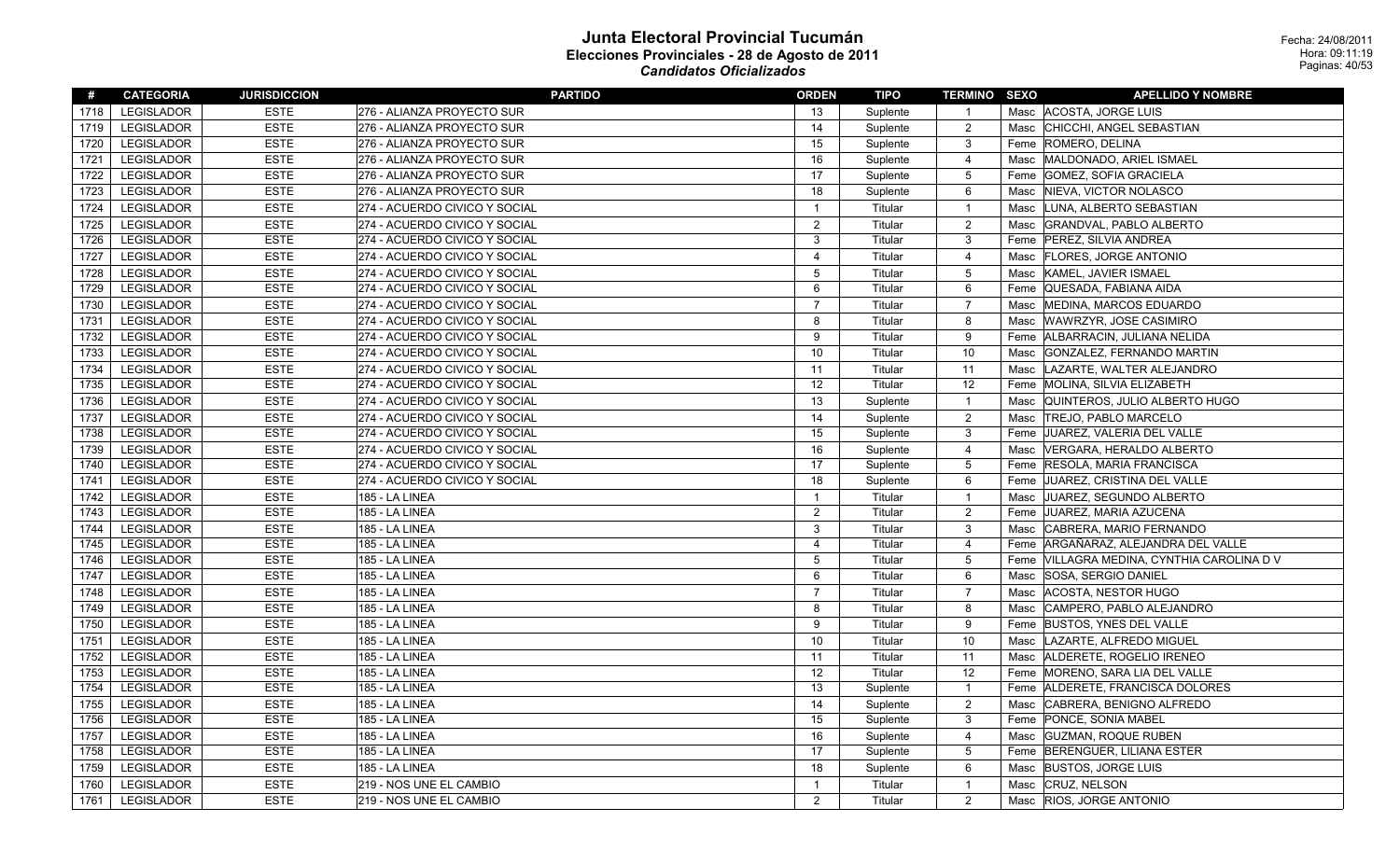| #    | <b>CATEGORIA</b>  | <b>JURISDICCION</b> | <b>PARTIDO</b>                | <b>ORDEN</b>   | TIPO     | <b>TERMINO SEXO</b> |      | <b>APELLIDO Y NOMBRE</b>              |
|------|-------------------|---------------------|-------------------------------|----------------|----------|---------------------|------|---------------------------------------|
| 1718 | <b>LEGISLADOR</b> | <b>ESTE</b>         | 276 - ALIANZA PROYECTO SUR    | 13             | Suplente | $\mathbf{1}$        |      | Masc ACOSTA, JORGE LUIS               |
| 1719 | <b>LEGISLADOR</b> | <b>ESTE</b>         | 276 - ALIANZA PROYECTO SUR    | 14             | Suplente | $\overline{c}$      |      | Masc CHICCHI, ANGEL SEBASTIAN         |
| 1720 | <b>LEGISLADOR</b> | <b>ESTE</b>         | 276 - ALIANZA PROYECTO SUR    | 15             | Suplente | $\mathbf{3}$        |      | Feme ROMERO, DELINA                   |
| 1721 | <b>LEGISLADOR</b> | <b>ESTE</b>         | 276 - ALIANZA PROYECTO SUR    | 16             | Suplente | $\overline{4}$      | Masc | MALDONADO, ARIEL ISMAEL               |
| 1722 | <b>LEGISLADOR</b> | <b>ESTE</b>         | 276 - ALIANZA PROYECTO SUR    | 17             | Suplente | $\mathbf 5$         |      | Feme GOMEZ, SOFIA GRACIELA            |
| 1723 | LEGISLADOR        | <b>ESTE</b>         | 276 - ALIANZA PROYECTO SUR    | 18             | Suplente | 6                   | Masc | NIEVA, VICTOR NOLASCO                 |
| 1724 | <b>LEGISLADOR</b> | <b>ESTE</b>         | 274 - ACUERDO CIVICO Y SOCIAL | $\mathbf{1}$   | Titular  | $\mathbf{1}$        | Masc | LUNA, ALBERTO SEBASTIAN               |
| 1725 | LEGISLADOR        | <b>ESTE</b>         | 274 - ACUERDO CIVICO Y SOCIAL | 2              | Titular  | $\overline{2}$      |      | Masc GRANDVAL, PABLO ALBERTO          |
| 1726 | <b>LEGISLADOR</b> | <b>ESTE</b>         | 274 - ACUERDO CIVICO Y SOCIAL | 3              | Titular  | 3                   |      | Feme PEREZ, SILVIA ANDREA             |
| 1727 | LEGISLADOR        | <b>ESTE</b>         | 274 - ACUERDO CIVICO Y SOCIAL | $\overline{4}$ | Titular  | 4                   | Masc | <b>FLORES, JORGE ANTONIO</b>          |
| 1728 | LEGISLADOR        | <b>ESTE</b>         | 274 - ACUERDO CIVICO Y SOCIAL | $\overline{5}$ | Titular  | $\mathbf 5$         | Masc | KAMEL, JAVIER ISMAEL                  |
| 1729 | LEGISLADOR        | <b>ESTE</b>         | 274 - ACUERDO CIVICO Y SOCIAL | 6              | Titular  | 6                   |      | Feme QUESADA, FABIANA AIDA            |
| 1730 | <b>LEGISLADOR</b> | <b>ESTE</b>         | 274 - ACUERDO CIVICO Y SOCIAL | $\overline{7}$ | Titular  | $\overline{7}$      | Masc | MEDINA, MARCOS EDUARDO                |
| 1731 | <b>LEGISLADOR</b> | <b>ESTE</b>         | 274 - ACUERDO CIVICO Y SOCIAL | 8              | Titular  | 8                   |      | Masc WAWRZYR, JOSE CASIMIRO           |
| 1732 | <b>LEGISLADOR</b> | <b>ESTE</b>         | 274 - ACUERDO CIVICO Y SOCIAL | 9              | Titular  | 9                   | Feme | ALBARRACIN, JULIANA NELIDA            |
| 1733 | <b>LEGISLADOR</b> | <b>ESTE</b>         | 274 - ACUERDO CIVICO Y SOCIAL | 10             | Titular  | 10                  | Masc | GONZALEZ, FERNANDO MARTIN             |
| 1734 | <b>LEGISLADOR</b> | <b>ESTE</b>         | 274 - ACUERDO CIVICO Y SOCIAL | 11             | Titular  | 11                  | Masc | LAZARTE, WALTER ALEJANDRO             |
| 1735 | <b>LEGISLADOR</b> | <b>ESTE</b>         | 274 - ACUERDO CIVICO Y SOCIAL | 12             | Titular  | 12                  | Feme | MOLINA, SILVIA ELIZABETH              |
| 1736 | <b>LEGISLADOR</b> | <b>ESTE</b>         | 274 - ACUERDO CIVICO Y SOCIAL | 13             | Suplente | $\mathbf{1}$        |      | Masc QUINTEROS, JULIO ALBERTO HUGO    |
| 1737 | LEGISLADOR        | <b>ESTE</b>         | 274 - ACUERDO CIVICO Y SOCIAL | 14             | Suplente | $\overline{2}$      |      | Masc   TREJO, PABLO MARCELO           |
| 1738 | <b>LEGISLADOR</b> | <b>ESTE</b>         | 274 - ACUERDO CIVICO Y SOCIAL | 15             | Suplente | $\mathbf{3}$        | Feme | JUAREZ, VALERIA DEL VALLE             |
| 1739 | LEGISLADOR        | <b>ESTE</b>         | 274 - ACUERDO CIVICO Y SOCIAL | 16             | Suplente | 4                   | Masc | VERGARA, HERALDO ALBERTO              |
| 1740 | LEGISLADOR        | <b>ESTE</b>         | 274 - ACUERDO CIVICO Y SOCIAL | 17             | Suplente | $\overline{5}$      |      | Feme RESOLA, MARIA FRANCISCA          |
| 1741 | <b>LEGISLADOR</b> | <b>ESTE</b>         | 274 - ACUERDO CIVICO Y SOCIAL | 18             | Suplente | 6                   | Feme | JUAREZ, CRISTINA DEL VALLE            |
| 1742 | <b>LEGISLADOR</b> | <b>ESTE</b>         | 185 - LA LINEA                | $\mathbf{1}$   | Titular  | $\mathbf{1}$        | Masc | JUAREZ, SEGUNDO ALBERTO               |
| 1743 | <b>LEGISLADOR</b> | <b>ESTE</b>         | 185 - LA LINEA                | $\overline{2}$ | Titular  | $\overline{2}$      |      | Feme JUAREZ, MARIA AZUCENA            |
| 1744 | <b>LEGISLADOR</b> | <b>ESTE</b>         | 185 - LA LINEA                | 3              | Titular  | 3                   | Masc | CABRERA, MARIO FERNANDO               |
| 1745 | <b>LEGISLADOR</b> | <b>ESTE</b>         | 185 - LA LINEA                | $\overline{4}$ | Titular  | $\overline{4}$      | Feme | ARGAÑARAZ, ALEJANDRA DEL VALLE        |
| 1746 | <b>LEGISLADOR</b> | <b>ESTE</b>         | 185 - LA LINEA                | 5              | Titular  | $\overline{5}$      | Feme | VILLAGRA MEDINA, CYNTHIA CAROLINA D V |
| 1747 | <b>LEGISLADOR</b> | <b>ESTE</b>         | 185 - LA LINEA                | 6              | Titular  | 6                   | Masc | SOSA, SERGIO DANIEL                   |
| 1748 | LEGISLADOR        | <b>ESTE</b>         | 185 - LA LINEA                | $\overline{7}$ | Titular  | $\overline{7}$      | Masc | ACOSTA, NESTOR HUGO                   |
| 1749 | <b>LEGISLADOR</b> | <b>ESTE</b>         | 185 - LA LINEA                | 8              | Titular  | $\bf 8$             | Masc | CAMPERO, PABLO ALEJANDRO              |
| 1750 | <b>LEGISLADOR</b> | <b>ESTE</b>         | 185 - LA LINEA                | 9              | Titular  | 9                   |      | Feme BUSTOS, YNES DEL VALLE           |
| 1751 | <b>LEGISLADOR</b> | <b>ESTE</b>         | 185 - LA LINEA                | 10             | Titular  | 10                  | Masc | LAZARTE, ALFREDO MIGUEL               |
| 1752 | <b>LEGISLADOR</b> | <b>ESTE</b>         | 185 - LA LINEA                | 11             | Titular  | 11                  |      | Masc ALDERETE, ROGELIO IRENEO         |
| 1753 | <b>LEGISLADOR</b> | <b>ESTE</b>         | 185 - LA LINEA                | 12             | Titular  | 12                  |      | Feme MORENO, SARA LIA DEL VALLE       |
| 1754 | LEGISLADOR        | <b>ESTE</b>         | 185 - LA LINEA                | 13             | Suplente | $\mathbf{1}$        |      | Feme ALDERETE, FRANCISCA DOLORES      |
| 1755 | <b>LEGISLADOR</b> | <b>ESTE</b>         | <b>185 - LA LINEA</b>         | 14             | Suplente | $\sqrt{2}$          | Masc | CABRERA, BENIGNO ALFREDO              |
| 1756 | <b>LEGISLADOR</b> | <b>ESTE</b>         | 185 - LA LINEA                | 15             | Suplente | 3                   |      | Feme PONCE, SONIA MABEL               |
| 1757 | <b>LEGISLADOR</b> | <b>ESTE</b>         | 185 - LA LINEA                | 16             | Suplente | $\overline{4}$      | Masc | <b>GUZMAN, ROQUE RUBEN</b>            |
| 1758 | LEGISLADOR        | <b>ESTE</b>         | 185 - LA LINEA                | 17             | Suplente | 5                   | Feme | <b>BERENGUER, LILIANA ESTER</b>       |
| 1759 | LEGISLADOR        | <b>ESTE</b>         | 185 - LA LINEA                | 18             | Suplente | 6                   | Masc | <b>BUSTOS, JORGE LUIS</b>             |
| 1760 | <b>LEGISLADOR</b> | <b>ESTE</b>         | 219 - NOS UNE EL CAMBIO       | $\overline{1}$ | Titular  | $\mathbf{1}$        | Masc | <b>CRUZ, NELSON</b>                   |
| 1761 | <b>LEGISLADOR</b> | <b>ESTE</b>         | 219 - NOS UNE EL CAMBIO       | 2              | Titular  | $\overline{2}$      |      | Masc RIOS, JORGE ANTONIO              |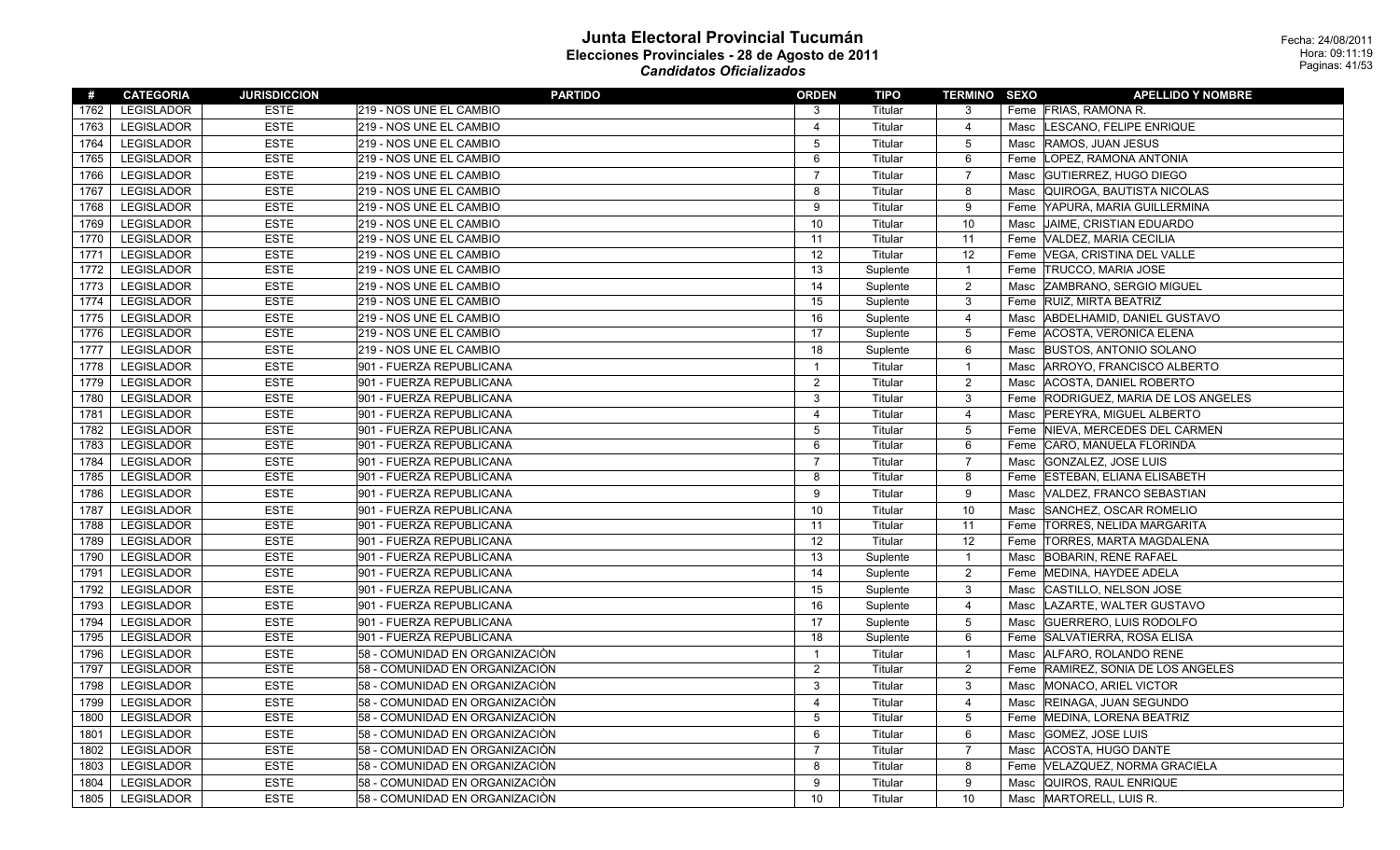| #    | <b>CATEGORIA</b>  | <b>JURISDICCION</b> | <b>PARTIDO</b>                 | <b>ORDEN</b>   | <b>TIPO</b> | <b>TERMINO SEXO</b> |      | <b>APELLIDO Y NOMBRE</b>           |
|------|-------------------|---------------------|--------------------------------|----------------|-------------|---------------------|------|------------------------------------|
| 1762 | LEGISLADOR        | <b>ESTE</b>         | 219 - NOS UNE EL CAMBIO        | 3              | Titular     | 3                   |      | Feme FRIAS, RAMONA R.              |
| 1763 | <b>LEGISLADOR</b> | <b>ESTE</b>         | 219 - NOS UNE EL CAMBIO        | $\overline{4}$ | Titular     | 4                   | Masc | LESCANO, FELIPE ENRIQUE            |
| 1764 | <b>LEGISLADOR</b> | <b>ESTE</b>         | 219 - NOS UNE EL CAMBIO        | 5              | Titular     | 5                   |      | Masc RAMOS, JUAN JESUS             |
| 1765 | LEGISLADOR        | <b>ESTE</b>         | 219 - NOS UNE EL CAMBIO        | 6              | Titular     | 6                   |      | Feme   LOPEZ, RAMONA ANTONIA       |
| 1766 | <b>LEGISLADOR</b> | <b>ESTE</b>         | 219 - NOS UNE EL CAMBIO        | $\overline{7}$ | Titular     | $\overline{7}$      | Masc | GUTIERREZ, HUGO DIEGO              |
| 1767 | <b>LEGISLADOR</b> | <b>ESTE</b>         | 219 - NOS UNE EL CAMBIO        | 8              | Titular     | 8                   | Masc | QUIROGA, BAUTISTA NICOLAS          |
| 1768 | <b>LEGISLADOR</b> | <b>ESTE</b>         | 219 - NOS UNE EL CAMBIO        | 9              | Titular     | 9                   |      | Feme YAPURA, MARIA GUILLERMINA     |
| 1769 | <b>LEGISLADOR</b> | <b>ESTE</b>         | 219 - NOS UNE EL CAMBIO        | 10             | Titular     | 10                  | Masc | JAIME, CRISTIAN EDUARDO            |
| 1770 | LEGISLADOR        | <b>ESTE</b>         | 219 - NOS UNE EL CAMBIO        | 11             | Titular     | 11                  |      | Feme VALDEZ, MARIA CECILIA         |
| 1771 | <b>LEGISLADOR</b> | <b>ESTE</b>         | 219 - NOS UNE EL CAMBIO        | 12             | Titular     | 12                  |      | Feme VEGA, CRISTINA DEL VALLE      |
| 1772 | <b>LEGISLADOR</b> | <b>ESTE</b>         | 219 - NOS UNE EL CAMBIO        | 13             | Suplente    | $\mathbf{1}$        | Feme | <b>TRUCCO, MARIA JOSE</b>          |
| 1773 | <b>LEGISLADOR</b> | <b>ESTE</b>         | 219 - NOS UNE EL CAMBIO        | 14             | Suplente    | $\overline{c}$      |      | Masc ZAMBRANO, SERGIO MIGUEL       |
| 1774 | LEGISLADOR        | <b>ESTE</b>         | 219 - NOS UNE EL CAMBIO        | 15             | Suplente    | $\mathbf{3}$        |      | Feme RUIZ, MIRTA BEATRIZ           |
| 1775 | <b>LEGISLADOR</b> | <b>ESTE</b>         | 219 - NOS UNE EL CAMBIO        | 16             | Suplente    | 4                   | Masc | ABDELHAMID, DANIEL GUSTAVO         |
| 1776 | <b>LEGISLADOR</b> | <b>ESTE</b>         | 219 - NOS UNE EL CAMBIO        | 17             | Suplente    | $\overline{5}$      | Feme | ACOSTA, VERONICA ELENA             |
| 1777 | LEGISLADOR        | <b>ESTE</b>         | 219 - NOS UNE EL CAMBIO        | 18             | Suplente    | 6                   |      | Masc BUSTOS, ANTONIO SOLANO        |
| 1778 | <b>LEGISLADOR</b> | <b>ESTE</b>         | 901 - FUERZA REPUBLICANA       | $\overline{1}$ | Titular     | $\mathbf{1}$        | Masc | ARROYO, FRANCISCO ALBERTO          |
| 1779 | <b>LEGISLADOR</b> | <b>ESTE</b>         | 901 - FUERZA REPUBLICANA       | $\overline{2}$ | Titular     | $\overline{c}$      | Masc | ACOSTA, DANIEL ROBERTO             |
| 1780 | <b>LEGISLADOR</b> | <b>ESTE</b>         | 901 - FUERZA REPUBLICANA       | 3              | Titular     | 3                   | Feme | RODRIGUEZ, MARIA DE LOS ANGELES    |
| 1781 | <b>LEGISLADOR</b> | <b>ESTE</b>         | 901 - FUERZA REPUBLICANA       | $\overline{4}$ | Titular     | $\overline{4}$      | Masc | PEREYRA, MIGUEL ALBERTO            |
| 1782 | LEGISLADOR        | <b>ESTE</b>         | 901 - FUERZA REPUBLICANA       | 5              | Titular     | $\overline{5}$      | Feme | NIEVA, MERCEDES DEL CARMEN         |
| 1783 | LEGISLADOR        | <b>ESTE</b>         | 901 - FUERZA REPUBLICANA       | 6              | Titular     | 6                   |      | Feme CARO, MANUELA FLORINDA        |
| 1784 | <b>LEGISLADOR</b> | <b>ESTE</b>         | 901 - FUERZA REPUBLICANA       | $\overline{7}$ | Titular     | $\overline{7}$      | Masc | GONZALEZ, JOSE LUIS                |
| 1785 | LEGISLADOR        | <b>ESTE</b>         | 901 - FUERZA REPUBLICANA       | 8              | Titular     | 8                   | Feme | <b>ESTEBAN, ELIANA ELISABETH</b>   |
| 1786 | <b>LEGISLADOR</b> | <b>ESTE</b>         | 901 - FUERZA REPUBLICANA       | 9              | Titular     | 9                   | Masc | VALDEZ, FRANCO SEBASTIAN           |
| 1787 | LEGISLADOR        | <b>ESTE</b>         | 901 - FUERZA REPUBLICANA       | 10             | Titular     | 10                  | Masc | SANCHEZ, OSCAR ROMELIO             |
| 1788 | <b>LEGISLADOR</b> | <b>ESTE</b>         | 901 - FUERZA REPUBLICANA       | 11             | Titular     | 11                  | Feme | <b>TORRES, NELIDA MARGARITA</b>    |
| 1789 | <b>LEGISLADOR</b> | <b>ESTE</b>         | 901 - FUERZA REPUBLICANA       | 12             | Titular     | 12                  |      | Feme  TORRES, MARTA MAGDALENA      |
| 1790 | <b>LEGISLADOR</b> | <b>ESTE</b>         | 901 - FUERZA REPUBLICANA       | 13             | Suplente    | $\mathbf{1}$        | Masc | <b>BOBARIN, RENE RAFAEL</b>        |
| 1791 | <b>LEGISLADOR</b> | <b>ESTE</b>         | 901 - FUERZA REPUBLICANA       | 14             | Suplente    | $\overline{2}$      |      | Feme  MEDINA, HAYDEE ADELA         |
| 1792 | LEGISLADOR        | <b>ESTE</b>         | 901 - FUERZA REPUBLICANA       | 15             | Suplente    | $\mathbf{3}$        |      | Masc CASTILLO, NELSON JOSE         |
| 1793 | <b>LEGISLADOR</b> | <b>ESTE</b>         | 901 - FUERZA REPUBLICANA       | 16             | Suplente    | 4                   | Masc | LAZARTE, WALTER GUSTAVO            |
| 1794 | <b>LEGISLADOR</b> | <b>ESTE</b>         | 901 - FUERZA REPUBLICANA       | 17             | Suplente    | $\overline{5}$      | Masc | <b>GUERRERO, LUIS RODOLFO</b>      |
| 1795 | LEGISLADOR        | <b>ESTE</b>         | 901 - FUERZA REPUBLICANA       | 18             | Suplente    | 6                   |      | Feme SALVATIERRA, ROSA ELISA       |
| 1796 | <b>LEGISLADOR</b> | <b>ESTE</b>         | 58 - COMUNIDAD EN ORGANIZACIÒN | $\mathbf{1}$   | Titular     | $\mathbf{1}$        | Masc | ALFARO, ROLANDO RENE               |
| 1797 | <b>LEGISLADOR</b> | <b>ESTE</b>         | 58 - COMUNIDAD EN ORGANIZACIÓN | $\overline{2}$ | Titular     | $\overline{2}$      |      | Feme RAMIREZ, SONIA DE LOS ANGELES |
| 1798 | <b>LEGISLADOR</b> | <b>ESTE</b>         | 58 - COMUNIDAD EN ORGANIZACIÓN | 3              | Titular     | 3                   |      | Masc  MONACO, ARIEL VICTOR         |
| 1799 | <b>LEGISLADOR</b> | <b>ESTE</b>         | 58 - COMUNIDAD EN ORGANIZACIÓN | $\overline{4}$ | Titular     | $\overline{4}$      | Masc | <b>REINAGA, JUAN SEGUNDO</b>       |
| 1800 | LEGISLADOR        | <b>ESTE</b>         | 58 - COMUNIDAD EN ORGANIZACIÓN | 5              | Titular     | $\overline{5}$      | Feme | MEDINA, LORENA BEATRIZ             |
| 1801 | <b>LEGISLADOR</b> | <b>ESTE</b>         | 58 - COMUNIDAD EN ORGANIZACIÓN | 6              | Titular     | 6                   |      | Masc GOMEZ, JOSE LUIS              |
| 1802 | <b>LEGISLADOR</b> | <b>ESTE</b>         | 58 - COMUNIDAD EN ORGANIZACIÒN | $\overline{7}$ | Titular     | $\overline{7}$      | Masc | ACOSTA, HUGO DANTE                 |
| 1803 | LEGISLADOR        | <b>ESTE</b>         | 58 - COMUNIDAD EN ORGANIZACIÓN | 8              | Titular     | 8                   | Feme | VELAZQUEZ, NORMA GRACIELA          |
| 1804 | LEGISLADOR        | <b>ESTE</b>         | 58 - COMUNIDAD EN ORGANIZACIÒN | 9              | Titular     | 9                   |      | Masc   QUIROS, RAUL ENRIQUE        |
| 1805 | LEGISLADOR        | <b>ESTE</b>         | 58 - COMUNIDAD EN ORGANIZACIÒN | 10             | Titular     | 10                  |      | Masc MARTORELL, LUIS R.            |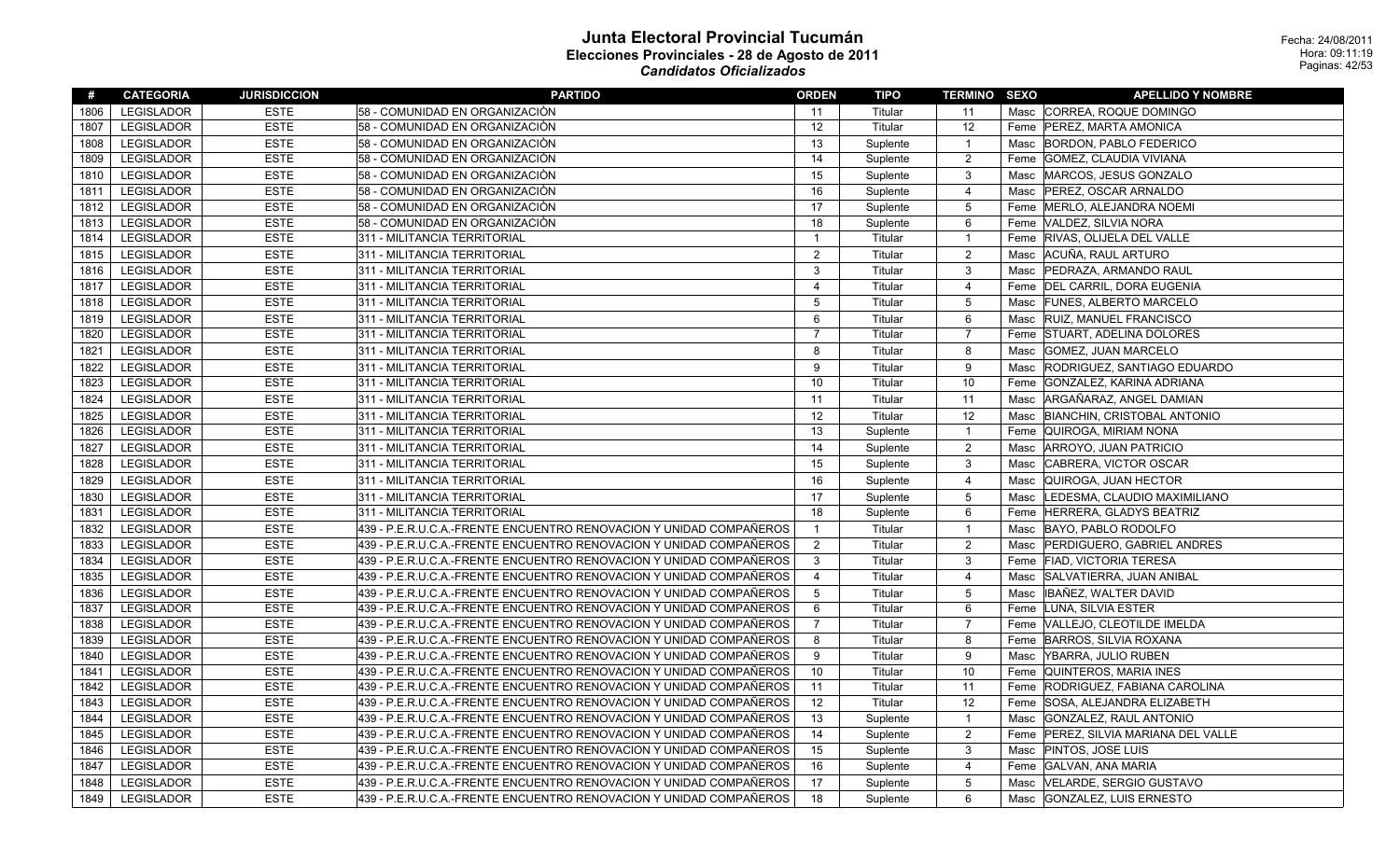| #    | <b>CATEGORIA</b>  | <b>JURISDICCION</b> | <b>PARTIDO</b>                                                     | <b>ORDEN</b>   | <b>TIPO</b> | <u>TERMINO SEXO</u> |      | <b>APELLIDO Y NOMBRE</b>             |
|------|-------------------|---------------------|--------------------------------------------------------------------|----------------|-------------|---------------------|------|--------------------------------------|
| 1806 | <b>LEGISLADOR</b> | <b>ESTE</b>         | 58 - COMUNIDAD EN ORGANIZACIÓN                                     | 11             | Titular     | 11                  |      | Masc CORREA, ROQUE DOMINGO           |
| 1807 | <b>LEGISLADOR</b> | <b>ESTE</b>         | 58 - COMUNIDAD EN ORGANIZACIÓN                                     | 12             | Titular     | 12                  |      | Feme   PEREZ, MARTA AMONICA          |
| 1808 | <b>LEGISLADOR</b> | <b>ESTE</b>         | 58 - COMUNIDAD EN ORGANIZACIÓN                                     | 13             | Suplente    | $\mathbf{1}$        |      | Masc BORDON, PABLO FEDERICO          |
| 1809 | <b>LEGISLADOR</b> | <b>ESTE</b>         | 58 - COMUNIDAD EN ORGANIZACIÓN                                     | 14             | Suplente    | 2                   |      | Feme GOMEZ, CLAUDIA VIVIANA          |
| 1810 | <b>LEGISLADOR</b> | <b>ESTE</b>         | 58 - COMUNIDAD EN ORGANIZACIÒN                                     | 15             | Suplente    | 3                   | Masc | MARCOS, JESUS GONZALO                |
| 1811 | <b>LEGISLADOR</b> | <b>ESTE</b>         | 58 - COMUNIDAD EN ORGANIZACIÓN                                     | 16             | Suplente    | $\overline{4}$      | Masc | <b>PEREZ, OSCAR ARNALDO</b>          |
| 1812 | <b>LEGISLADOR</b> | <b>ESTE</b>         | 58 - COMUNIDAD EN ORGANIZACIÒN                                     | 17             | Suplente    | 5                   |      | Feme   MERLO, ALEJANDRA NOEMI        |
| 1813 | <b>LEGISLADOR</b> | <b>ESTE</b>         | 58 - COMUNIDAD EN ORGANIZACIÓN                                     | 18             | Suplente    | 6                   |      | Feme   VALDEZ, SILVIA NORA           |
| 1814 | <b>LEGISLADOR</b> | <b>ESTE</b>         | 311 - MILITANCIA TERRITORIAL                                       | $\overline{1}$ | Titular     | $\mathbf{1}$        |      | Feme RIVAS, OLIJELA DEL VALLE        |
| 1815 | <b>LEGISLADOR</b> | <b>ESTE</b>         | 311 - MILITANCIA TERRITORIAL                                       | $\overline{2}$ | Titular     | 2                   |      | Masc ACUÑA, RAUL ARTURO              |
| 1816 | <b>LEGISLADOR</b> | <b>ESTE</b>         | 311 - MILITANCIA TERRITORIAL                                       | 3              | Titular     | 3                   | Masc | <b>PEDRAZA, ARMANDO RAUL</b>         |
| 1817 | <b>LEGISLADOR</b> | <b>ESTE</b>         | 311 - MILITANCIA TERRITORIAL                                       | $\overline{4}$ | Titular     | 4                   | Feme | DEL CARRIL, DORA EUGENIA             |
| 1818 | <b>LEGISLADOR</b> | <b>ESTE</b>         | 311 - MILITANCIA TERRITORIAL                                       | 5              | Titular     | 5                   | Masc | <b>FUNES, ALBERTO MARCELO</b>        |
| 1819 | <b>LEGISLADOR</b> | <b>ESTE</b>         | 311 - MILITANCIA TERRITORIAL                                       | 6              | Titular     | 6                   | Masc | <b>RUIZ, MANUEL FRANCISCO</b>        |
| 1820 | LEGISLADOR        | <b>ESTE</b>         | 311 - MILITANCIA TERRITORIAL                                       | $\overline{7}$ | Titular     | $\overline{7}$      |      | Feme STUART, ADELINA DOLORES         |
| 1821 | <b>LEGISLADOR</b> | <b>ESTE</b>         | 311 - MILITANCIA TERRITORIAL                                       | 8              | Titular     | 8                   | Masc | <b>GOMEZ, JUAN MARCELO</b>           |
| 1822 | <b>LEGISLADOR</b> | <b>ESTE</b>         | 311 - MILITANCIA TERRITORIAL                                       | $\mathbf{Q}$   | Titular     | 9                   | Masc | RODRIGUEZ, SANTIAGO EDUARDO          |
| 1823 | <b>LEGISLADOR</b> | <b>ESTE</b>         | 311 - MILITANCIA TERRITORIAL                                       | 10             | Titular     | 10                  | Feme | GONZALEZ, KARINA ADRIANA             |
| 1824 | <b>LEGISLADOR</b> | <b>ESTE</b>         | 311 - MILITANCIA TERRITORIAL                                       | 11             | Titular     | 11                  | Masc | ARGAÑARAZ, ANGEL DAMIAN              |
| 1825 | <b>LEGISLADOR</b> | <b>ESTE</b>         | 311 - MILITANCIA TERRITORIAL                                       | 12             | Titular     | 12                  | Masc | <b>BIANCHIN, CRISTOBAL ANTONIO</b>   |
| 1826 | LEGISLADOR        | <b>ESTE</b>         | 311 - MILITANCIA TERRITORIAL                                       | 13             | Suplente    | $\mathbf{1}$        |      | Feme   QUIROGA, MIRIAM NONA          |
| 1827 | LEGISLADOR        | <b>ESTE</b>         | 311 - MILITANCIA TERRITORIAL                                       | 14             | Suplente    | $\overline{2}$      | Masc | ARROYO, JUAN PATRICIO                |
| 1828 | <b>LEGISLADOR</b> | <b>ESTE</b>         | 311 - MILITANCIA TERRITORIAL                                       | 15             | Suplente    | $\mathsf 3$         | Masc | CABRERA, VICTOR OSCAR                |
| 1829 | <b>LEGISLADOR</b> | <b>ESTE</b>         | 311 - MILITANCIA TERRITORIAL                                       | 16             | Suplente    | 4                   | Masc | QUIROGA, JUAN HECTOR                 |
| 1830 | <b>LEGISLADOR</b> | <b>ESTE</b>         | 311 - MILITANCIA TERRITORIAL                                       | 17             | Suplente    | 5                   | Masc | LEDESMA, CLAUDIO MAXIMILIANO         |
| 1831 | <b>LEGISLADOR</b> | <b>ESTE</b>         | 311 - MILITANCIA TERRITORIAL                                       | 18             | Suplente    | 6                   |      | Feme HERRERA, GLADYS BEATRIZ         |
| 1832 | <b>LEGISLADOR</b> | <b>ESTE</b>         | 439 - P.E.R.U.C.A.-FRENTE ENCUENTRO RENOVACION Y UNIDAD COMPAÑEROS | $\overline{1}$ | Titular     | $\mathbf{1}$        | Masc | BAYO, PABLO RODOLFO                  |
| 1833 | <b>LEGISLADOR</b> | <b>ESTE</b>         | 439 - P.E.R.U.C.A.-FRENTE ENCUENTRO RENOVACION Y UNIDAD COMPAÑEROS | $\overline{2}$ | Titular     | $\overline{2}$      | Masc | <b>PERDIGUERO, GABRIEL ANDRES</b>    |
| 1834 | <b>LEGISLADOR</b> | <b>ESTE</b>         | 439 - P.E.R.U.C.A.-FRENTE ENCUENTRO RENOVACION Y UNIDAD COMPAÑEROS | 3              | Titular     | 3                   |      | Feme FIAD, VICTORIA TERESA           |
| 1835 | <b>LEGISLADOR</b> | <b>ESTE</b>         | 439 - P.E.R.U.C.A.-FRENTE ENCUENTRO RENOVACION Y UNIDAD COMPAÑEROS | $\overline{4}$ | Titular     | $\overline{4}$      | Masc | SALVATIERRA, JUAN ANIBAL             |
| 1836 | LEGISLADOR        | <b>ESTE</b>         | 439 - P.E.R.U.C.A.-FRENTE ENCUENTRO RENOVACION Y UNIDAD COMPAÑEROS | 5              | Titular     | 5                   | Masc | IBAÑEZ. WALTER DAVID                 |
| 1837 | <b>LEGISLADOR</b> | <b>ESTE</b>         | 439 - P.E.R.U.C.A.-FRENTE ENCUENTRO RENOVACION Y UNIDAD COMPAÑEROS | 6              | Titular     | 6                   |      | Feme LUNA, SILVIA ESTER              |
| 1838 | <b>LEGISLADOR</b> | <b>ESTE</b>         | 439 - P.E.R.U.C.A.-FRENTE ENCUENTRO RENOVACION Y UNIDAD COMPAÑEROS | $\overline{7}$ | Titular     | $\overline{7}$      |      | Feme VALLEJO, CLEOTILDE IMELDA       |
| 1839 | <b>LEGISLADOR</b> | <b>ESTE</b>         | 439 - P.E.R.U.C.A.-FRENTE ENCUENTRO RENOVACION Y UNIDAD COMPAÑEROS | 8              | Titular     | 8                   |      | Feme BARROS, SILVIA ROXANA           |
| 1840 | <b>LEGISLADOR</b> | <b>ESTE</b>         | 439 - P.E.R.U.C.A.-FRENTE ENCUENTRO RENOVACION Y UNIDAD COMPAÑEROS | 9              | Titular     | 9                   | Masc | YBARRA, JULIO RUBEN                  |
| 1841 | <b>LEGISLADOR</b> | <b>ESTE</b>         | 439 - P.E.R.U.C.A.-FRENTE ENCUENTRO RENOVACION Y UNIDAD COMPAÑEROS | 10             | Titular     | 10                  |      | Feme QUINTEROS, MARIA INES           |
| 1842 | LEGISLADOR        | <b>ESTE</b>         | 439 - P.E.R.U.C.A.-FRENTE ENCUENTRO RENOVACION Y UNIDAD COMPAÑEROS | 11             | Titular     | 11                  | Feme | RODRIGUEZ, FABIANA CAROLINA          |
| 1843 | LEGISLADOR        | <b>ESTE</b>         | 439 - P.E.R.U.C.A.-FRENTE ENCUENTRO RENOVACION Y UNIDAD COMPAÑEROS | 12             | Titular     | 12                  |      | Feme SOSA, ALEJANDRA ELIZABETH       |
| 1844 | <b>LEGISLADOR</b> | <b>ESTE</b>         | 439 - P.E.R.U.C.A.-FRENTE ENCUENTRO RENOVACION Y UNIDAD COMPAÑEROS | 13             | Suplente    | $\mathbf{1}$        | Masc | GONZALEZ, RAUL ANTONIO               |
| 1845 | <b>LEGISLADOR</b> | <b>ESTE</b>         | 439 - P.E.R.U.C.A.-FRENTE ENCUENTRO RENOVACION Y UNIDAD COMPAÑEROS | 14             | Suplente    | $\overline{c}$      |      | Feme PEREZ, SILVIA MARIANA DEL VALLE |
| 1846 | <b>LEGISLADOR</b> | <b>ESTE</b>         | 439 - P.E.R.U.C.A.-FRENTE ENCUENTRO RENOVACION Y UNIDAD COMPAÑEROS | 15             | Suplente    | 3                   | Masc | <b>PINTOS, JOSE LUIS</b>             |
| 1847 | LEGISLADOR        | <b>ESTE</b>         | 439 - P.E.R.U.C.A.-FRENTE ENCUENTRO RENOVACION Y UNIDAD COMPAÑEROS | 16             | Suplente    | 4                   |      | Feme GALVAN, ANA MARIA               |
| 1848 | <b>LEGISLADOR</b> | <b>ESTE</b>         | 439 - P.E.R.U.C.A.-FRENTE ENCUENTRO RENOVACION Y UNIDAD COMPAÑEROS | 17             | Suplente    | $\overline{5}$      | Masc | VELARDE, SERGIO GUSTAVO              |
| 1849 | <b>LEGISLADOR</b> | <b>ESTE</b>         | 439 - P.E.R.U.C.A.-FRENTE ENCUENTRO RENOVACION Y UNIDAD COMPAÑEROS | 18             | Suplente    | 6                   |      | Masc GONZALEZ, LUIS ERNESTO          |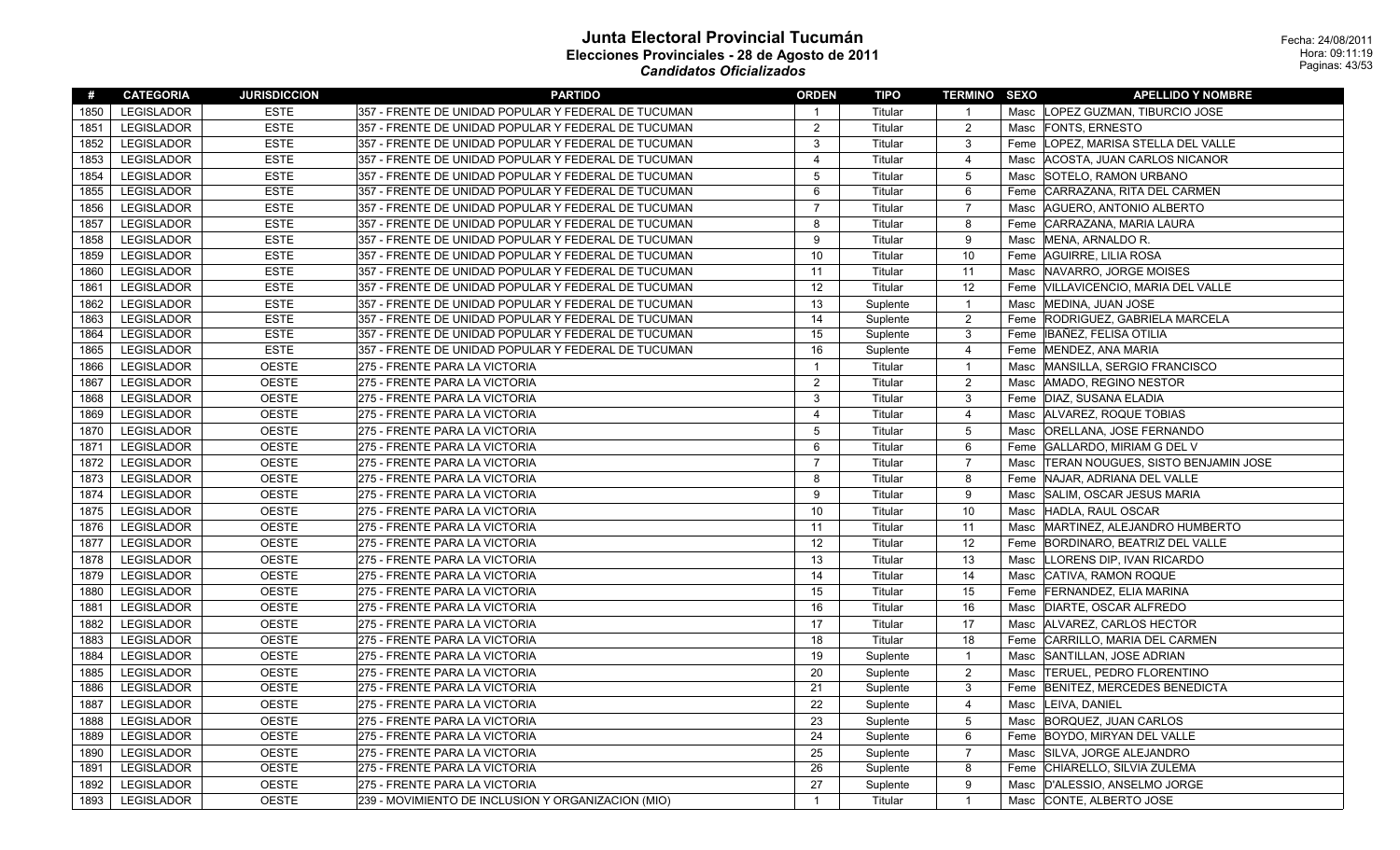| #    | <b>CATEGORIA</b>  | <b>JURISDICCION</b> | <b>PARTIDO</b>                                      | <b>ORDEN</b>            | TIPO     | <b>TERMINO SEXO</b> | <b>APELLIDO Y NOMBRE</b>                |
|------|-------------------|---------------------|-----------------------------------------------------|-------------------------|----------|---------------------|-----------------------------------------|
| 1850 | <b>LEGISLADOR</b> | <b>ESTE</b>         | 357 - FRENTE DE UNIDAD POPULAR Y FEDERAL DE TUCUMAN | $\overline{1}$          | Titular  | $\overline{1}$      | Masc  LOPEZ GUZMAN, TIBURCIO JOSE       |
| 1851 | <b>LEGISLADOR</b> | <b>ESTE</b>         | 357 - FRENTE DE UNIDAD POPULAR Y FEDERAL DE TUCUMAN | $\overline{2}$          | Titular  | $\overline{2}$      | Masc FONTS, ERNESTO                     |
| 1852 | <b>LEGISLADOR</b> | <b>ESTE</b>         | 357 - FRENTE DE UNIDAD POPULAR Y FEDERAL DE TUCUMAN | 3                       | Titular  | 3                   | Feme   LOPEZ, MARISA STELLA DEL VALLE   |
| 1853 | <b>LEGISLADOR</b> | <b>ESTE</b>         | 357 - FRENTE DE UNIDAD POPULAR Y FEDERAL DE TUCUMAN | $\overline{\mathbf{A}}$ | Titular  | $\overline{4}$      | Masc   ACOSTA, JUAN CARLOS NICANOR      |
| 1854 | <b>LEGISLADOR</b> | <b>ESTE</b>         | 357 - FRENTE DE UNIDAD POPULAR Y FEDERAL DE TUCUMAN | 5                       | Titular  | $\overline{5}$      | Masc SOTELO, RAMON URBANO               |
| 1855 | <b>LEGISLADOR</b> | <b>ESTE</b>         | 357 - FRENTE DE UNIDAD POPULAR Y FEDERAL DE TUCUMAN | 6                       | Titular  | 6                   | Feme CARRAZANA, RITA DEL CARMEN         |
| 1856 | <b>LEGISLADOR</b> | <b>ESTE</b>         | 357 - FRENTE DE UNIDAD POPULAR Y FEDERAL DE TUCUMAN | $\overline{7}$          | Titular  | $\overline{7}$      | Masc   AGUERO, ANTONIO ALBERTO          |
| 1857 | <b>LEGISLADOR</b> | <b>ESTE</b>         | 357 - FRENTE DE UNIDAD POPULAR Y FEDERAL DE TUCUMAN | 8                       | Titular  | 8                   | Feme CARRAZANA, MARIA LAURA             |
| 1858 | <b>LEGISLADOR</b> | <b>ESTE</b>         | 357 - FRENTE DE UNIDAD POPULAR Y FEDERAL DE TUCUMAN | 9                       | Titular  | 9                   | Masc MENA, ARNALDO R.                   |
| 1859 | <b>LEGISLADOR</b> | <b>ESTE</b>         | 357 - FRENTE DE UNIDAD POPULAR Y FEDERAL DE TUCUMAN | 10                      | Titular  | 10                  | Feme AGUIRRE, LILIA ROSA                |
| 1860 | LEGISLADOR        | <b>ESTE</b>         | 357 - FRENTE DE UNIDAD POPULAR Y FEDERAL DE TUCUMAN | 11                      | Titular  | 11                  | Masc NAVARRO, JORGE MOISES              |
| 1861 | <b>LEGISLADOR</b> | <b>ESTE</b>         | 357 - FRENTE DE UNIDAD POPULAR Y FEDERAL DE TUCUMAN | 12                      | Titular  | 12                  | Feme VILLAVICENCIO, MARIA DEL VALLE     |
| 1862 | <b>LEGISLADOR</b> | <b>ESTE</b>         | 357 - FRENTE DE UNIDAD POPULAR Y FEDERAL DE TUCUMAN | 13                      | Suplente | $\overline{1}$      | Masc  MEDINA, JUAN JOSE                 |
| 1863 | LEGISLADOR        | <b>ESTE</b>         | 357 - FRENTE DE UNIDAD POPULAR Y FEDERAL DE TUCUMAN | 14                      | Suplente | $\overline{2}$      | Feme RODRIGUEZ, GABRIELA MARCELA        |
| 1864 | <b>LEGISLADOR</b> | <b>ESTE</b>         | 357 - FRENTE DE UNIDAD POPULAR Y FEDERAL DE TUCUMAN | 15                      | Suplente | 3                   | Feme IBAÑEZ, FELISA OTILIA              |
| 1865 | <b>LEGISLADOR</b> | <b>ESTE</b>         | 357 - FRENTE DE UNIDAD POPULAR Y FEDERAL DE TUCUMAN | 16                      | Suplente | $\overline{4}$      | Feme MENDEZ, ANA MARIA                  |
| 1866 | <b>LEGISLADOR</b> | <b>OESTE</b>        | 275 - FRENTE PARA LA VICTORIA                       | $\overline{1}$          | Titular  | $\mathbf{1}$        | Masc MANSILLA, SERGIO FRANCISCO         |
| 1867 | <b>LEGISLADOR</b> | <b>OESTE</b>        | 275 - FRENTE PARA LA VICTORIA                       | $\overline{2}$          | Titular  | 2                   | Masc AMADO, REGINO NESTOR               |
| 1868 | <b>LEGISLADOR</b> | <b>OESTE</b>        | 275 - FRENTE PARA LA VICTORIA                       | $\mathbf{3}$            | Titular  | 3                   | Feme   DIAZ, SUSANA ELADIA              |
| 1869 | <b>LEGISLADOR</b> | <b>OESTE</b>        | 275 - FRENTE PARA LA VICTORIA                       | $\overline{4}$          | Titular  | 4                   | Masc   ALVAREZ, ROQUE TOBIAS            |
| 1870 | <b>LEGISLADOR</b> | <b>OESTE</b>        | 275 - FRENTE PARA LA VICTORIA                       | 5                       | Titular  | 5                   | Masc   ORELLANA, JOSE FERNANDO          |
| 1871 | <b>LEGISLADOR</b> | <b>OESTE</b>        | 275 - FRENTE PARA LA VICTORIA                       | 6                       | Titular  | 6                   | Feme GALLARDO, MIRIAM G DEL V           |
| 1872 | <b>LEGISLADOR</b> | <b>OESTE</b>        | 275 - FRENTE PARA LA VICTORIA                       | $\overline{7}$          | Titular  | $\overline{7}$      | Masc TERAN NOUGUES, SISTO BENJAMIN JOSE |
| 1873 | <b>LEGISLADOR</b> | <b>OESTE</b>        | 275 - FRENTE PARA LA VICTORIA                       | 8                       | Titular  | 8                   | Feme NAJAR, ADRIANA DEL VALLE           |
| 1874 | LEGISLADOR        | <b>OESTE</b>        | 275 - FRENTE PARA LA VICTORIA                       | 9                       | Titular  | 9                   | Masc SALIM, OSCAR JESUS MARIA           |
| 1875 | <b>LEGISLADOR</b> | <b>OESTE</b>        | 275 - FRENTE PARA LA VICTORIA                       | 10                      | Titular  | 10                  | Masc HADLA, RAUL OSCAR                  |
| 1876 | <b>LEGISLADOR</b> | <b>OESTE</b>        | 275 - FRENTE PARA LA VICTORIA                       | 11                      | Titular  | 11                  | Masc MARTINEZ, ALEJANDRO HUMBERTO       |
| 1877 | <b>LEGISLADOR</b> | <b>OESTE</b>        | 275 - FRENTE PARA LA VICTORIA                       | 12                      | Titular  | $\overline{12}$     | Feme BORDINARO, BEATRIZ DEL VALLE       |
| 1878 | <b>LEGISLADOR</b> | <b>OESTE</b>        | 275 - FRENTE PARA LA VICTORIA                       | 13                      | Titular  | 13                  | Masc LLORENS DIP, IVAN RICARDO          |
| 1879 | <b>LEGISLADOR</b> | <b>OESTE</b>        | 275 - FRENTE PARA LA VICTORIA                       | 14                      | Titular  | 14                  | Masc CATIVA, RAMON ROQUE                |
| 1880 | <b>LEGISLADOR</b> | <b>OESTE</b>        | 275 - FRENTE PARA LA VICTORIA                       | 15                      | Titular  | 15                  | Feme FERNANDEZ, ELIA MARINA             |
| 1881 | LEGISLADOR        | <b>OESTE</b>        | 275 - FRENTE PARA LA VICTORIA                       | 16                      | Titular  | 16                  | Masc   DIARTE, OSCAR ALFREDO            |
| 1882 | <b>LEGISLADOR</b> | <b>OESTE</b>        | 275 - FRENTE PARA LA VICTORIA                       | 17                      | Titular  | 17                  | Masc ALVAREZ, CARLOS HECTOR             |
| 1883 | <b>LEGISLADOR</b> | <b>OESTE</b>        | 275 - FRENTE PARA LA VICTORIA                       | 18                      | Titular  | 18                  | Feme CARRILLO, MARIA DEL CARMEN         |
| 1884 | <b>LEGISLADOR</b> | <b>OESTE</b>        | 275 - FRENTE PARA LA VICTORIA                       | 19                      | Suplente | $\overline{1}$      | Masc SANTILLAN, JOSE ADRIAN             |
| 1885 | <b>LEGISLADOR</b> | <b>OESTE</b>        | 275 - FRENTE PARA LA VICTORIA                       | 20                      | Suplente | $\overline{2}$      | Masc  TERUEL, PEDRO FLORENTINO          |
| 1886 | <b>LEGISLADOR</b> | <b>OESTE</b>        | 275 - FRENTE PARA LA VICTORIA                       | 21                      | Suplente | 3                   | Feme BENITEZ, MERCEDES BENEDICTA        |
| 1887 | <b>LEGISLADOR</b> | <b>OESTE</b>        | 275 - FRENTE PARA LA VICTORIA                       | 22                      | Suplente | $\overline{4}$      | Masc LEIVA, DANIEL                      |
| 1888 | LEGISLADOR        | <b>OESTE</b>        | 275 - FRENTE PARA LA VICTORIA                       | 23                      | Suplente | 5                   | Masc  BORQUEZ, JUAN CARLOS              |
| 1889 | <b>LEGISLADOR</b> | <b>OESTE</b>        | 275 - FRENTE PARA LA VICTORIA                       | 24                      | Suplente | 6                   | Feme BOYDO, MIRYAN DEL VALLE            |
| 1890 | <b>LEGISLADOR</b> | <b>OESTE</b>        | 275 - FRENTE PARA LA VICTORIA                       | 25                      | Suplente | $\overline{7}$      | Masc SILVA, JORGE ALEJANDRO             |
| 1891 | LEGISLADOR        | <b>OESTE</b>        | 275 - FRENTE PARA LA VICTORIA                       | 26                      | Suplente | 8                   | Feme CHIARELLO, SILVIA ZULEMA           |
| 1892 | LEGISLADOR        | <b>OESTE</b>        | 275 - FRENTE PARA LA VICTORIA                       | 27                      | Suplente | 9                   | Masc  D'ALESSIO, ANSELMO JORGE          |
| 1893 | LEGISLADOR        | <b>OESTE</b>        | 239 - MOVIMIENTO DE INCLUSION Y ORGANIZACION (MIO)  | $\overline{1}$          | Titular  | $\mathbf{1}$        | Masc CONTE, ALBERTO JOSE                |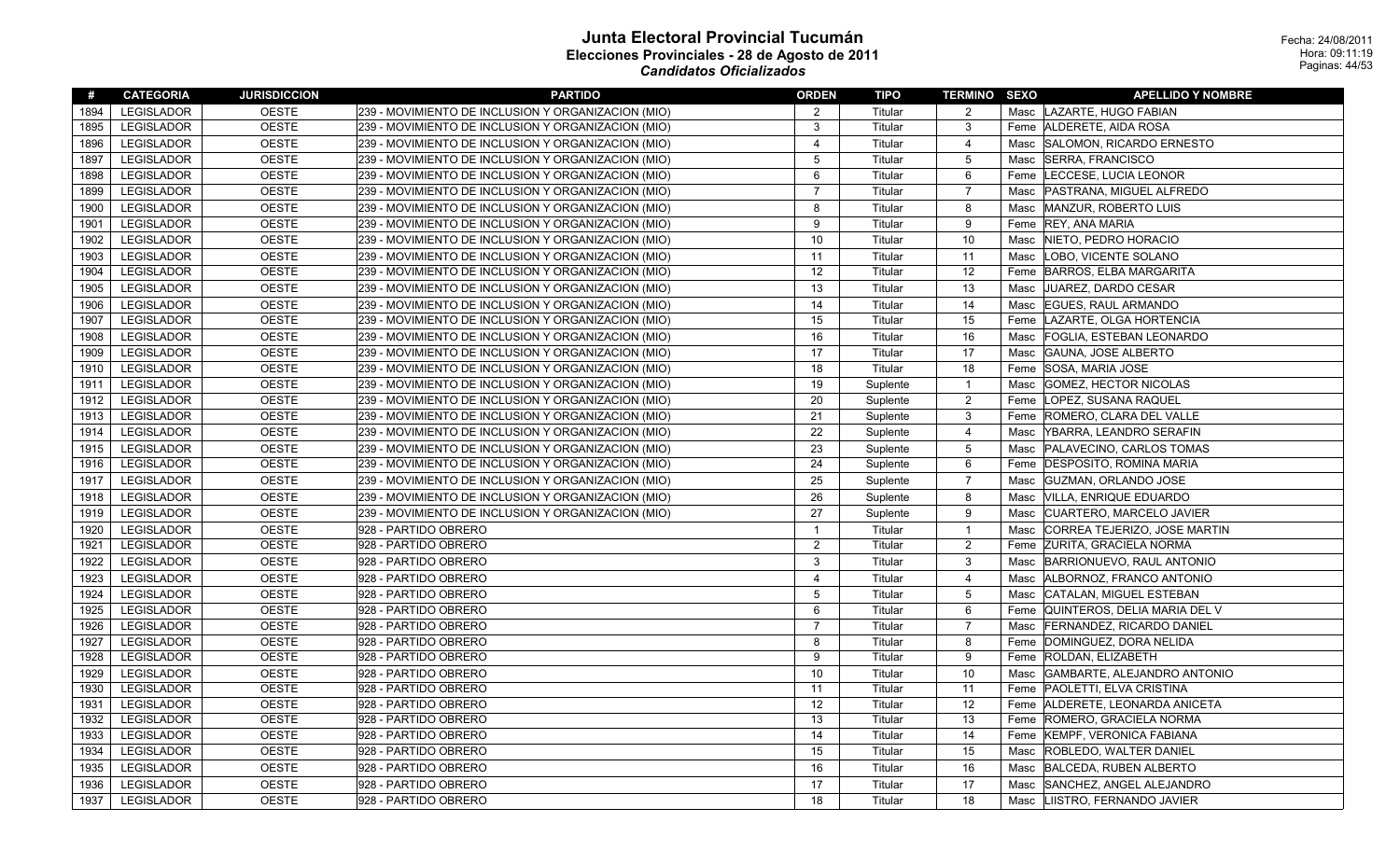| #    | <b>CATEGORIA</b>  | <b>JURISDICCION</b> | <b>PARTIDO</b>                                     | <b>ORDEN</b>   | TIPO     | <b>TERMINO SEXO</b> | <b>APELLIDO Y NOMBRE</b>          |
|------|-------------------|---------------------|----------------------------------------------------|----------------|----------|---------------------|-----------------------------------|
| 1894 | <b>LEGISLADOR</b> | <b>OESTE</b>        | 239 - MOVIMIENTO DE INCLUSION Y ORGANIZACION (MIO) | 2              | Titular  | 2                   | Masc LAZARTE, HUGO FABIAN         |
| 1895 | <b>LEGISLADOR</b> | <b>OESTE</b>        | 239 - MOVIMIENTO DE INCLUSION Y ORGANIZACION (MIO) | 3              | Titular  | 3                   | Feme ALDERETE, AIDA ROSA          |
| 1896 | <b>LEGISLADOR</b> | <b>OESTE</b>        | 239 - MOVIMIENTO DE INCLUSION Y ORGANIZACION (MIO) | $\overline{4}$ | Titular  | $\overline{4}$      | Masc SALOMON, RICARDO ERNESTO     |
| 1897 | LEGISLADOR        | <b>OESTE</b>        | 239 - MOVIMIENTO DE INCLUSION Y ORGANIZACION (MIO) | 5              | Titular  | 5                   | Masc SERRA, FRANCISCO             |
| 1898 | <b>LEGISLADOR</b> | <b>OESTE</b>        | 239 - MOVIMIENTO DE INCLUSION Y ORGANIZACION (MIO) | 6              | Titular  | 6                   | Feme LECCESE, LUCIA LEONOR        |
| 1899 | LEGISLADOR        | <b>OESTE</b>        | 239 - MOVIMIENTO DE INCLUSION Y ORGANIZACION (MIO) | $\overline{7}$ | Titular  | $\overline{7}$      | Masc   PASTRANA, MIGUEL ALFREDO   |
| 1900 | <b>LEGISLADOR</b> | <b>OESTE</b>        | 239 - MOVIMIENTO DE INCLUSION Y ORGANIZACION (MIO) | 8              | Titular  | 8                   | Masc MANZUR, ROBERTO LUIS         |
| 1901 | LEGISLADOR        | <b>OESTE</b>        | 239 - MOVIMIENTO DE INCLUSION Y ORGANIZACION (MIO) | 9              | Titular  | 9                   | Feme REY, ANA MARIA               |
| 1902 | <b>LEGISLADOR</b> | <b>OESTE</b>        | 239 - MOVIMIENTO DE INCLUSION Y ORGANIZACION (MIO) | 10             | Titular  | 10                  | Masc NIETO, PEDRO HORACIO         |
| 1903 | <b>LEGISLADOR</b> | <b>OESTE</b>        | 239 - MOVIMIENTO DE INCLUSION Y ORGANIZACION (MIO) | 11             | Titular  | 11                  | Masc  LOBO, VICENTE SOLANO        |
| 1904 | <b>LEGISLADOR</b> | <b>OESTE</b>        | 239 - MOVIMIENTO DE INCLUSION Y ORGANIZACION (MIO) | 12             | Titular  | 12                  | Feme BARROS, ELBA MARGARITA       |
| 1905 | LEGISLADOR        | <b>OESTE</b>        | 239 - MOVIMIENTO DE INCLUSION Y ORGANIZACION (MIO) | 13             | Titular  | 13                  | Masc JUAREZ, DARDO CESAR          |
| 1906 | LEGISLADOR        | <b>OESTE</b>        | 239 - MOVIMIENTO DE INCLUSION Y ORGANIZACION (MIO) | 14             | Titular  | 14                  | Masc EGUES, RAUL ARMANDO          |
| 1907 | <b>LEGISLADOR</b> | <b>OESTE</b>        | 239 - MOVIMIENTO DE INCLUSION Y ORGANIZACION (MIO) | 15             | Titular  | 15                  | Feme LAZARTE, OLGA HORTENCIA      |
| 1908 | <b>LEGISLADOR</b> | <b>OESTE</b>        | 239 - MOVIMIENTO DE INCLUSION Y ORGANIZACION (MIO) | 16             | Titular  | 16                  | Masc   FOGLIA, ESTEBAN LEONARDO   |
| 1909 | <b>LEGISLADOR</b> | <b>OESTE</b>        | 239 - MOVIMIENTO DE INCLUSION Y ORGANIZACION (MIO) | 17             | Titular  | 17                  | Masc GAUNA, JOSE ALBERTO          |
| 1910 | <b>LEGISLADOR</b> | <b>OESTE</b>        | 239 - MOVIMIENTO DE INCLUSION Y ORGANIZACION (MIO) | 18             | Titular  | 18                  | Feme SOSA, MARIA JOSE             |
| 1911 | <b>LEGISLADOR</b> | <b>OESTE</b>        | 239 - MOVIMIENTO DE INCLUSION Y ORGANIZACION (MIO) | 19             | Suplente | $\mathbf{1}$        | Masc GOMEZ, HECTOR NICOLAS        |
| 1912 | <b>LEGISLADOR</b> | <b>OESTE</b>        | 239 - MOVIMIENTO DE INCLUSION Y ORGANIZACION (MIO) | 20             | Suplente | $\overline{2}$      | Feme LOPEZ, SUSANA RAQUEL         |
| 1913 | <b>LEGISLADOR</b> | <b>OESTE</b>        | 239 - MOVIMIENTO DE INCLUSION Y ORGANIZACION (MIO) | 21             | Suplente | 3                   | Feme ROMERO, CLARA DEL VALLE      |
| 1914 | <b>LEGISLADOR</b> | <b>OESTE</b>        | 239 - MOVIMIENTO DE INCLUSION Y ORGANIZACION (MIO) | 22             | Suplente | $\overline{4}$      | Masc YBARRA, LEANDRO SERAFIN      |
| 1915 | <b>LEGISLADOR</b> | <b>OESTE</b>        | 239 - MOVIMIENTO DE INCLUSION Y ORGANIZACION (MIO) | 23             | Suplente | 5                   | Masc   PALAVECINO, CARLOS TOMAS   |
| 1916 | <b>LEGISLADOR</b> | <b>OESTE</b>        | 239 - MOVIMIENTO DE INCLUSION Y ORGANIZACION (MIO) | 24             | Suplente | 6                   | Feme DESPOSITO, ROMINA MARIA      |
| 1917 | LEGISLADOR        | <b>OESTE</b>        | 239 - MOVIMIENTO DE INCLUSION Y ORGANIZACION (MIO) | 25             | Suplente | $\overline{7}$      | Masc   GUZMAN, ORLANDO JOSE       |
| 1918 | LEGISLADOR        | <b>OESTE</b>        | 239 - MOVIMIENTO DE INCLUSION Y ORGANIZACION (MIO) | 26             | Suplente | 8                   | Masc VILLA, ENRIQUE EDUARDO       |
| 1919 | <b>LEGISLADOR</b> | <b>OESTE</b>        | 239 - MOVIMIENTO DE INCLUSION Y ORGANIZACION (MIO) | 27             | Suplente | 9                   | Masc   CUARTERO, MARCELO JAVIER   |
| 1920 | LEGISLADOR        | <b>OESTE</b>        | 928 - PARTIDO OBRERO                               | $\overline{1}$ | Titular  | $\overline{1}$      | Masc CORREA TEJERIZO, JOSE MARTIN |
| 1921 | LEGISLADOR        | <b>OESTE</b>        | 928 - PARTIDO OBRERO                               | $\overline{2}$ | Titular  | $\overline{2}$      | Feme ZURITA, GRACIELA NORMA       |
| 1922 | <b>LEGISLADOR</b> | <b>OESTE</b>        | 928 - PARTIDO OBRERO                               | $\mathbf{3}$   | Titular  | $\mathbf{3}$        | Masc BARRIONUEVO, RAUL ANTONIO    |
| 1923 | <b>LEGISLADOR</b> | <b>OESTE</b>        | 928 - PARTIDO OBRERO                               | $\overline{4}$ | Titular  | $\overline{4}$      | Masc   ALBORNOZ, FRANCO ANTONIO   |
| 1924 | <b>LEGISLADOR</b> | <b>OESTE</b>        | 928 - PARTIDO OBRERO                               | 5              | Titular  | 5                   | Masc CATALAN, MIGUEL ESTEBAN      |
| 1925 | LEGISLADOR        | <b>OESTE</b>        | 928 - PARTIDO OBRERO                               | 6              | Titular  | 6                   | Feme QUINTEROS, DELIA MARIA DEL V |
| 1926 | <b>LEGISLADOR</b> | <b>OESTE</b>        | 928 - PARTIDO OBRERO                               | $\overline{7}$ | Titular  | $\overline{7}$      | Masc FERNANDEZ, RICARDO DANIEL    |
| 1927 | <b>LEGISLADOR</b> | <b>OESTE</b>        | 928 - PARTIDO OBRERO                               | 8              | Titular  | 8                   | Feme DOMINGUEZ, DORA NELIDA       |
| 1928 | LEGISLADOR        | <b>OESTE</b>        | 928 - PARTIDO OBRERO                               | 9              | Titular  | 9                   | Feme ROLDAN, ELIZABETH            |
| 1929 | LEGISLADOR        | <b>OESTE</b>        | 928 - PARTIDO OBRERO                               | 10             | Titular  | 10                  | Masc GAMBARTE, ALEJANDRO ANTONIO  |
| 1930 | <b>LEGISLADOR</b> | <b>OESTE</b>        | 928 - PARTIDO OBRERO                               | 11             | Titular  | 11                  | Feme PAOLETTI, ELVA CRISTINA      |
| 1931 | <b>LEGISLADOR</b> | <b>OESTE</b>        | 928 - PARTIDO OBRERO                               | 12             | Titular  | 12                  | Feme ALDERETE, LEONARDA ANICETA   |
| 1932 | LEGISLADOR        | <b>OESTE</b>        | 928 - PARTIDO OBRERO                               | 13             | Titular  | 13                  | Feme ROMERO, GRACIELA NORMA       |
| 1933 | <b>LEGISLADOR</b> | <b>OESTE</b>        | 928 - PARTIDO OBRERO                               | 14             | Titular  | 14                  | Feme KEMPF, VERONICA FABIANA      |
| 1934 | <b>LEGISLADOR</b> | <b>OESTE</b>        | 928 - PARTIDO OBRERO                               | 15             | Titular  | 15                  | Masc ROBLEDO, WALTER DANIEL       |
| 1935 | LEGISLADOR        | <b>OESTE</b>        | 928 - PARTIDO OBRERO                               | 16             | Titular  | 16                  | Masc  BALCEDA, RUBEN ALBERTO      |
| 1936 | LEGISLADOR        | <b>OESTE</b>        | 928 - PARTIDO OBRERO                               | 17             | Titular  | 17                  | Masc SANCHEZ, ANGEL ALEJANDRO     |
| 1937 | LEGISLADOR        | <b>OESTE</b>        | 928 - PARTIDO OBRERO                               | 18             | Titular  | 18                  | Masc LIISTRO, FERNANDO JAVIER     |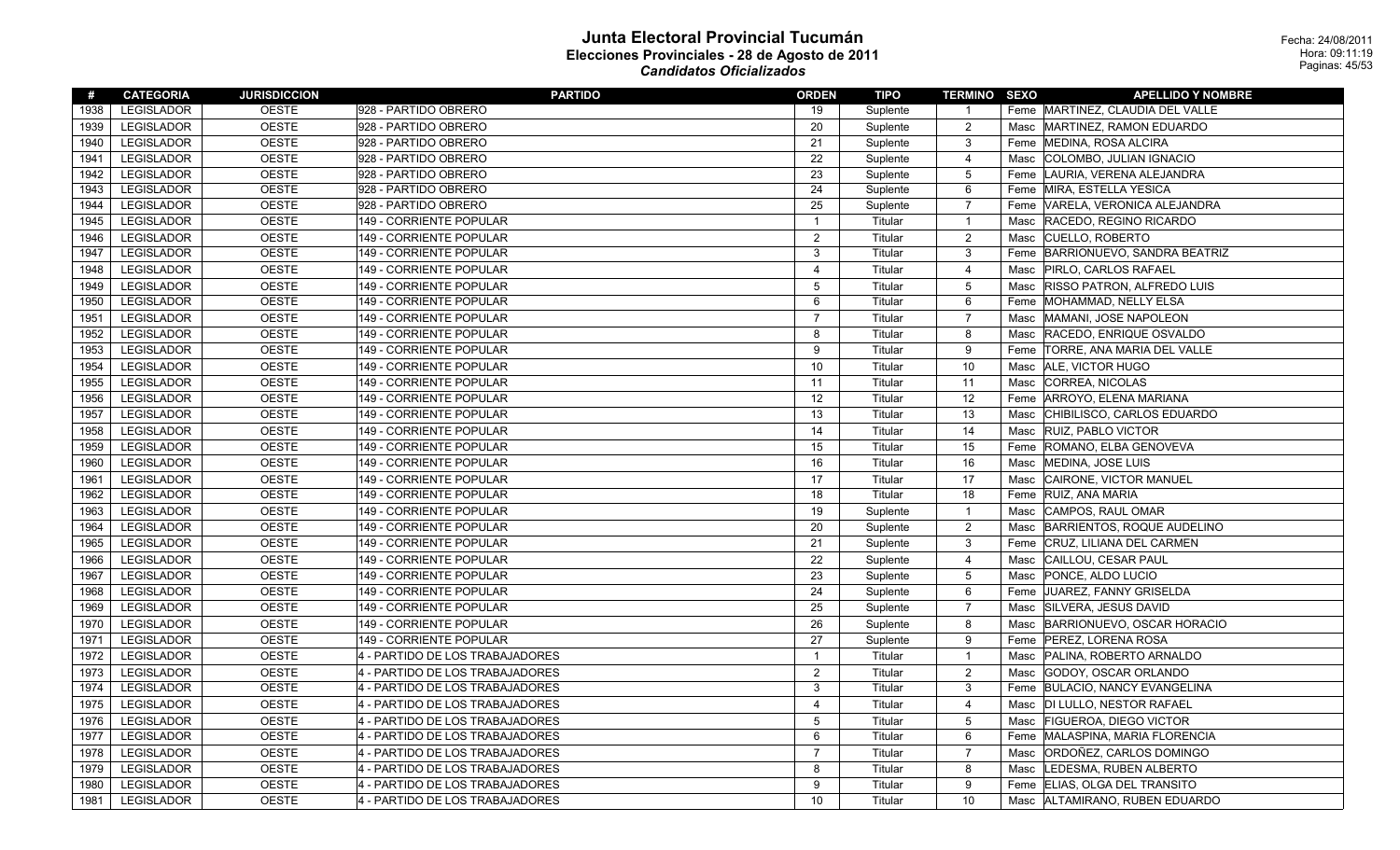| #    | <b>CATEGORIA</b>  | <b>JURISDICCION</b> | <b>PARTIDO</b>                  | <b>ORDEN</b>            | TIPO     | <b>TERMINO SEXO</b> |      | <b>APELLIDO Y NOMBRE</b>          |
|------|-------------------|---------------------|---------------------------------|-------------------------|----------|---------------------|------|-----------------------------------|
| 1938 | <b>LEGISLADOR</b> | <b>OESTE</b>        | 928 - PARTIDO OBRERO            | 19                      | Suplente | $\overline{1}$      |      | Feme MARTINEZ, CLAUDIA DEL VALLE  |
| 1939 | LEGISLADOR        | <b>OESTE</b>        | 928 - PARTIDO OBRERO            | 20                      | Suplente | $\overline{2}$      | Masc | MARTINEZ, RAMON EDUARDO           |
| 1940 | <b>LEGISLADOR</b> | <b>OESTE</b>        | 928 - PARTIDO OBRERO            | 21                      | Suplente | 3                   |      | Feme MEDINA, ROSA ALCIRA          |
| 1941 | <b>LEGISLADOR</b> | <b>OESTE</b>        | 928 - PARTIDO OBRERO            | 22                      | Suplente | $\overline{4}$      | Masc | COLOMBO, JULIAN IGNACIO           |
| 1942 | <b>LEGISLADOR</b> | <b>OESTE</b>        | 928 - PARTIDO OBRERO            | 23                      | Suplente | 5                   | Feme | LAURIA, VERENA ALEJANDRA          |
| 1943 | LEGISLADOR        | <b>OESTE</b>        | 928 - PARTIDO OBRERO            | 24                      | Suplente | 6                   |      | Feme MIRA, ESTELLA YESICA         |
| 1944 | <b>LEGISLADOR</b> | <b>OESTE</b>        | 928 - PARTIDO OBRERO            | 25                      | Suplente | $\overline{7}$      |      | Feme VARELA, VERONICA ALEJANDRA   |
| 1945 | <b>LEGISLADOR</b> | <b>OESTE</b>        | 149 - CORRIENTE POPULAR         | $\overline{1}$          | Titular  | $\overline{1}$      | Masc | RACEDO, REGINO RICARDO            |
| 1946 | <b>LEGISLADOR</b> | <b>OESTE</b>        | 149 - CORRIENTE POPULAR         | 2                       | Titular  | $\overline{c}$      | Masc | <b>CUELLO, ROBERTO</b>            |
| 1947 | <b>LEGISLADOR</b> | <b>OESTE</b>        | 149 - CORRIENTE POPULAR         | 3                       | Titular  | $\mathbf{3}$        |      | Feme BARRIONUEVO, SANDRA BEATRIZ  |
| 1948 | LEGISLADOR        | <b>OESTE</b>        | 149 - CORRIENTE POPULAR         | $\overline{\mathbf{4}}$ | Titular  | $\overline{4}$      | Masc | PIRLO, CARLOS RAFAEL              |
| 1949 | <b>LEGISLADOR</b> | <b>OESTE</b>        | 149 - CORRIENTE POPULAR         | 5                       | Titular  | 5                   | Masc | <b>RISSO PATRON, ALFREDO LUIS</b> |
| 1950 | LEGISLADOR        | <b>OESTE</b>        | 149 - CORRIENTE POPULAR         | 6                       | Titular  | 6                   |      | Feme   MOHAMMAD, NELLY ELSA       |
| 1951 | <b>LEGISLADOR</b> | <b>OESTE</b>        | 149 - CORRIENTE POPULAR         | $\overline{7}$          | Titular  | $\overline{7}$      | Masc | MAMANI, JOSE NAPOLEON             |
| 1952 | <b>LEGISLADOR</b> | <b>OESTE</b>        | 149 - CORRIENTE POPULAR         | 8                       | Titular  | 8                   | Masc | RACEDO, ENRIQUE OSVALDO           |
| 1953 | <b>LEGISLADOR</b> | <b>OESTE</b>        | 149 - CORRIENTE POPULAR         | 9                       | Titular  | 9                   |      | Feme   TORRE, ANA MARIA DEL VALLE |
| 1954 | <b>LEGISLADOR</b> | <b>OESTE</b>        | 149 - CORRIENTE POPULAR         | 10                      | Titular  | 10                  | Masc | <b>ALE, VICTOR HUGO</b>           |
| 1955 | <b>LEGISLADOR</b> | <b>OESTE</b>        | 149 - CORRIENTE POPULAR         | 11                      | Titular  | 11                  | Masc | CORREA, NICOLAS                   |
| 1956 | <b>LEGISLADOR</b> | <b>OESTE</b>        | 149 - CORRIENTE POPULAR         | 12                      | Titular  | 12                  |      | Feme   ARROYO, ELENA MARIANA      |
| 1957 | <b>LEGISLADOR</b> | <b>OESTE</b>        | 149 - CORRIENTE POPULAR         | 13                      | Titular  | 13                  | Masc | CHIBILISCO, CARLOS EDUARDO        |
| 1958 | LEGISLADOR        | <b>OESTE</b>        | 149 - CORRIENTE POPULAR         | 14                      | Titular  | 14                  | Masc | <b>RUIZ, PABLO VICTOR</b>         |
| 1959 | <b>LEGISLADOR</b> | <b>OESTE</b>        | 149 - CORRIENTE POPULAR         | 15                      | Titular  | 15                  |      | Feme ROMANO, ELBA GENOVEVA        |
| 1960 | LEGISLADOR        | <b>OESTE</b>        | 149 - CORRIENTE POPULAR         | 16                      | Titular  | 16                  | Masc | MEDINA, JOSE LUIS                 |
| 1961 | <b>LEGISLADOR</b> | <b>OESTE</b>        | 149 - CORRIENTE POPULAR         | 17                      | Titular  | 17                  | Masc | CAIRONE, VICTOR MANUEL            |
| 1962 | <b>LEGISLADOR</b> | <b>OESTE</b>        | 149 - CORRIENTE POPULAR         | 18                      | Titular  | 18                  |      | Feme RUIZ, ANA MARIA              |
| 1963 | <b>LEGISLADOR</b> | <b>OESTE</b>        | 149 - CORRIENTE POPULAR         | 19                      | Suplente | $\overline{1}$      | Masc | CAMPOS, RAUL OMAR                 |
| 1964 | LEGISLADOR        | <b>OESTE</b>        | 149 - CORRIENTE POPULAR         | 20                      | Suplente | $\overline{2}$      | Masc | BARRIENTOS, ROQUE AUDELINO        |
| 1965 | <b>LEGISLADOR</b> | <b>OESTE</b>        | 149 - CORRIENTE POPULAR         | 21                      | Suplente | $\mathbf{3}$        |      | Feme CRUZ, LILIANA DEL CARMEN     |
| 1966 | <b>LEGISLADOR</b> | <b>OESTE</b>        | 149 - CORRIENTE POPULAR         | 22                      | Suplente | 4                   | Masc | CAILLOU, CESAR PAUL               |
| 1967 | <b>LEGISLADOR</b> | <b>OESTE</b>        | 149 - CORRIENTE POPULAR         | 23                      | Suplente | 5                   | Masc | PONCE, ALDO LUCIO                 |
| 1968 | <b>LEGISLADOR</b> | <b>OESTE</b>        | 149 - CORRIENTE POPULAR         | 24                      | Suplente | 6                   |      | Feme JUAREZ, FANNY GRISELDA       |
| 1969 | <b>LEGISLADOR</b> | <b>OESTE</b>        | 149 - CORRIENTE POPULAR         | 25                      | Suplente | $\overline{7}$      | Masc | SILVERA, JESUS DAVID              |
| 1970 | LEGISLADOR        | <b>OESTE</b>        | 149 - CORRIENTE POPULAR         | 26                      | Suplente | 8                   | Masc | BARRIONUEVO, OSCAR HORACIO        |
| 1971 | LEGISLADOR        | <b>OESTE</b>        | 149 - CORRIENTE POPULAR         | 27                      | Suplente | 9                   |      | Feme   PEREZ, LORENA ROSA         |
| 1972 | <b>LEGISLADOR</b> | <b>OESTE</b>        | 4 - PARTIDO DE LOS TRABAJADORES | $\mathbf{1}$            | Titular  | $\overline{1}$      | Masc | PALINA, ROBERTO ARNALDO           |
| 1973 | <b>LEGISLADOR</b> | <b>OESTE</b>        | 4 - PARTIDO DE LOS TRABAJADORES | $\overline{c}$          | Titular  | $\overline{2}$      | Masc | GODOY, OSCAR ORLANDO              |
| 1974 | <b>LEGISLADOR</b> | <b>OESTE</b>        | 4 - PARTIDO DE LOS TRABAJADORES | 3                       | Titular  | 3                   |      | Feme  BULACIO, NANCY EVANGELINA   |
| 1975 | <b>LEGISLADOR</b> | <b>OESTE</b>        | 4 - PARTIDO DE LOS TRABAJADORES | $\overline{\mathbf{4}}$ | Titular  | 4                   | Masc | DI LULLO, NESTOR RAFAEL           |
| 1976 | <b>LEGISLADOR</b> | <b>OESTE</b>        | 4 - PARTIDO DE LOS TRABAJADORES | $\overline{5}$          | Titular  | $\overline{5}$      | Masc | <b>FIGUEROA, DIEGO VICTOR</b>     |
| 1977 | <b>LEGISLADOR</b> | <b>OESTE</b>        | 4 - PARTIDO DE LOS TRABAJADORES | 6                       | Titular  | 6                   |      | Feme MALASPINA, MARIA FLORENCIA   |
| 1978 | <b>LEGISLADOR</b> | <b>OESTE</b>        | 4 - PARTIDO DE LOS TRABAJADORES | $\overline{7}$          | Titular  | $\overline{7}$      | Masc | ORDOÑEZ, CARLOS DOMINGO           |
| 1979 | <b>LEGISLADOR</b> | <b>OESTE</b>        | 4 - PARTIDO DE LOS TRABAJADORES | 8                       | Titular  | 8                   | Masc | LEDESMA, RUBEN ALBERTO            |
| 1980 | <b>LEGISLADOR</b> | <b>OESTE</b>        | 4 - PARTIDO DE LOS TRABAJADORES | 9                       | Titular  | 9                   |      | Feme ELIAS, OLGA DEL TRANSITO     |
| 1981 | <b>LEGISLADOR</b> | <b>OESTE</b>        | 4 - PARTIDO DE LOS TRABAJADORES | 10                      | Titular  | 10                  | Masc | ALTAMIRANO, RUBEN EDUARDO         |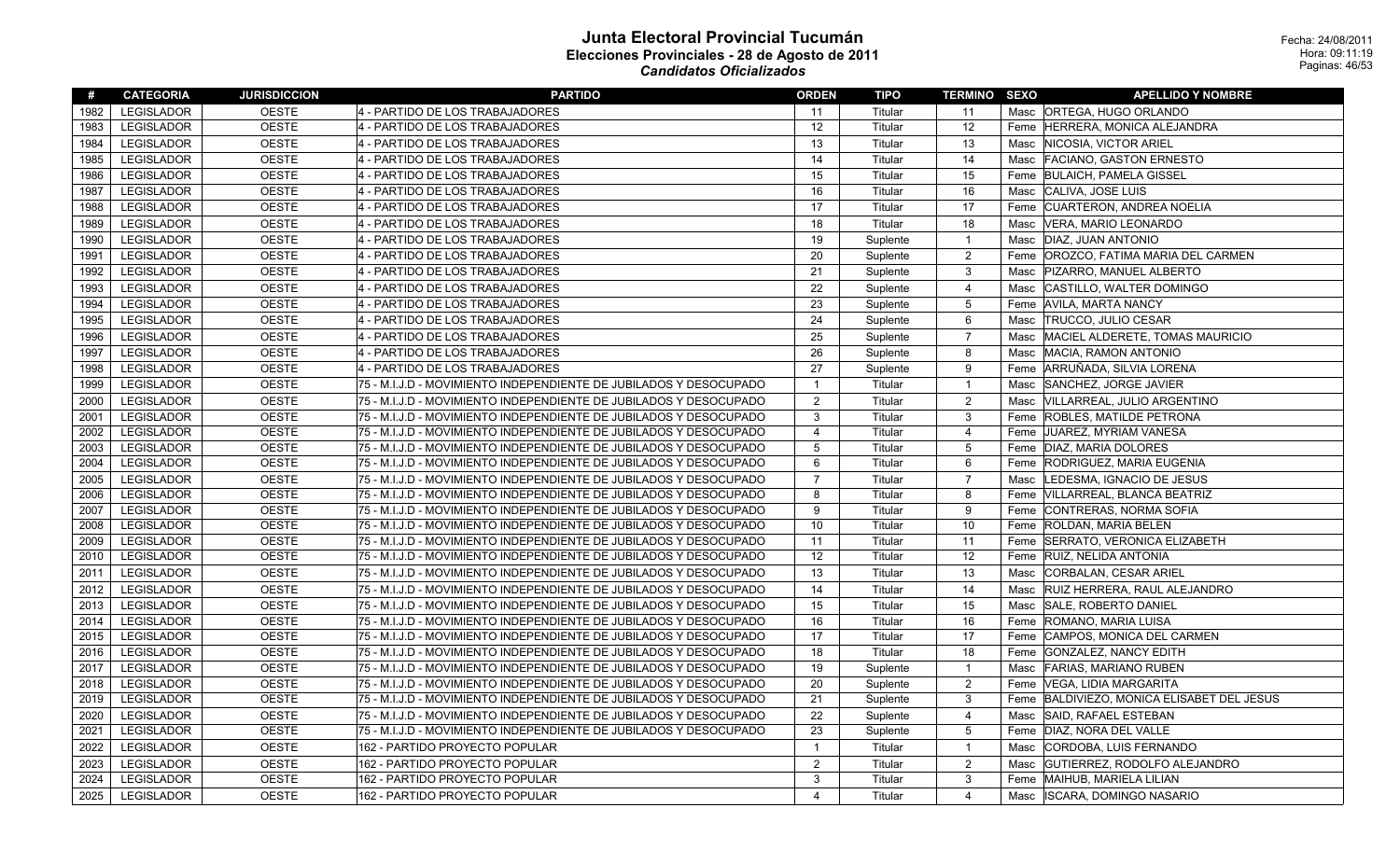| #    | <b>CATEGORIA</b>  | <b>JURISDICCION</b> | <b>PARTIDO</b>                                                    | <b>ORDEN</b>   | <b>TIPO</b> | <b>TERMINO SEXO</b> |      | <b>APELLIDO Y NOMBRE</b>              |
|------|-------------------|---------------------|-------------------------------------------------------------------|----------------|-------------|---------------------|------|---------------------------------------|
| 1982 | <b>LEGISLADOR</b> | <b>OESTE</b>        | 4 - PARTIDO DE LOS TRABAJADORES                                   | 11             | Titular     | 11                  |      | Masc   ORTEGA, HUGO ORLANDO           |
| 1983 | <b>LEGISLADOR</b> | <b>OESTE</b>        | 4 - PARTIDO DE LOS TRABAJADORES                                   | 12             | Titular     | 12                  | Feme | HERRERA, MONICA ALEJANDRA             |
| 1984 | <b>LEGISLADOR</b> | <b>OESTE</b>        | 4 - PARTIDO DE LOS TRABAJADORES                                   | 13             | Titular     | 13                  | Masc | NICOSIA, VICTOR ARIEL                 |
| 1985 | <b>LEGISLADOR</b> | <b>OESTE</b>        | 4 - PARTIDO DE LOS TRABAJADORES                                   | 14             | Titular     | 14                  | Masc | <b>FACIANO, GASTON ERNESTO</b>        |
| 1986 | <b>LEGISLADOR</b> | <b>OESTE</b>        | 4 - PARTIDO DE LOS TRABAJADORES                                   | 15             | Titular     | 15                  | Feme | <b>BULAICH, PAMELA GISSEL</b>         |
| 1987 | <b>LEGISLADOR</b> | <b>OESTE</b>        | 4 - PARTIDO DE LOS TRABAJADORES                                   | 16             | Titular     | 16                  | Masc | CALIVA, JOSE LUIS                     |
| 1988 | <b>LEGISLADOR</b> | <b>OESTE</b>        | 4 - PARTIDO DE LOS TRABAJADORES                                   | 17             | Titular     | 17                  | Feme | <b>CUARTERON, ANDREA NOELIA</b>       |
| 1989 | <b>LEGISLADOR</b> | <b>OESTE</b>        | 4 - PARTIDO DE LOS TRABAJADORES                                   | 18             | Titular     | 18                  | Masc | VERA, MARIO LEONARDO                  |
| 1990 | <b>LEGISLADOR</b> | <b>OESTE</b>        | 4 - PARTIDO DE LOS TRABAJADORES                                   | 19             | Suplente    | $\overline{1}$      | Masc | DIAZ. JUAN ANTONIO                    |
| 1991 | <b>LEGISLADOR</b> | <b>OESTE</b>        | 4 - PARTIDO DE LOS TRABAJADORES                                   | 20             | Suplente    | $\overline{2}$      | Feme | OROZCO, FATIMA MARIA DEL CARMEN       |
| 1992 | <b>LEGISLADOR</b> | <b>OESTE</b>        | 4 - PARTIDO DE LOS TRABAJADORES                                   | 21             | Suplente    | 3                   | Masc | <b>PIZARRO, MANUEL ALBERTO</b>        |
| 1993 | <b>LEGISLADOR</b> | <b>OESTE</b>        | 4 - PARTIDO DE LOS TRABAJADORES                                   | 22             | Suplente    | $\overline{4}$      | Masc | CASTILLO, WALTER DOMINGO              |
| 1994 | <b>LEGISLADOR</b> | <b>OESTE</b>        | 4 - PARTIDO DE LOS TRABAJADORES                                   | 23             | Suplente    | 5                   | Feme | <b>AVILA, MARTA NANCY</b>             |
| 1995 | <b>LEGISLADOR</b> | <b>OESTE</b>        | 4 - PARTIDO DE LOS TRABAJADORES                                   | 24             | Suplente    | 6                   | Masc | <b>TRUCCO, JULIO CESAR</b>            |
| 1996 | <b>LEGISLADOR</b> | <b>OESTE</b>        | 4 - PARTIDO DE LOS TRABAJADORES                                   | 25             | Suplente    | $\overline{7}$      | Masc | MACIEL ALDERETE, TOMAS MAURICIO       |
| 1997 | <b>LEGISLADOR</b> | <b>OESTE</b>        | 4 - PARTIDO DE LOS TRABAJADORES                                   | 26             | Suplente    | 8                   | Masc | MACIA, RAMON ANTONIO                  |
| 1998 | <b>LEGISLADOR</b> | <b>OESTE</b>        | 4 - PARTIDO DE LOS TRABAJADORES                                   | 27             | Suplente    | 9                   |      | Feme ARRUÑADA, SILVIA LORENA          |
| 1999 | <b>LEGISLADOR</b> | <b>OESTE</b>        | 75 - M.I.J.D - MOVIMIENTO INDEPENDIENTE DE JUBILADOS Y DESOCUPADO | $\overline{1}$ | Titular     | $\overline{1}$      | Masc | SANCHEZ, JORGE JAVIER                 |
| 2000 | <b>LEGISLADOR</b> | <b>OESTE</b>        | 75 - M.I.J.D - MOVIMIENTO INDEPENDIENTE DE JUBILADOS Y DESOCUPADO | 2              | Titular     | 2                   | Masc | VILLARREAL, JULIO ARGENTINO           |
| 2001 | <b>LEGISLADOR</b> | <b>OESTE</b>        | 75 - M.I.J.D - MOVIMIENTO INDEPENDIENTE DE JUBILADOS Y DESOCUPADO | 3              | Titular     | 3                   | Feme | <b>ROBLES, MATILDE PETRONA</b>        |
| 2002 | <b>LEGISLADOR</b> | <b>OESTE</b>        | 75 - M.I.J.D - MOVIMIENTO INDEPENDIENTE DE JUBILADOS Y DESOCUPADO | $\overline{4}$ | Titular     | $\overline{4}$      | Feme | JUAREZ, MYRIAM VANESA                 |
| 2003 | LEGISLADOR        | <b>OESTE</b>        | 75 - M.I.J.D - MOVIMIENTO INDEPENDIENTE DE JUBILADOS Y DESOCUPADO | 5              | Titular     | 5                   | Feme | DIAZ, MARIA DOLORES                   |
| 2004 | <b>LEGISLADOR</b> | <b>OESTE</b>        | 75 - M.I.J.D - MOVIMIENTO INDEPENDIENTE DE JUBILADOS Y DESOCUPADO | 6              | Titular     | 6                   |      | Feme RODRIGUEZ, MARIA EUGENIA         |
| 2005 | <b>LEGISLADOR</b> | <b>OESTE</b>        | 75 - M.I.J.D - MOVIMIENTO INDEPENDIENTE DE JUBILADOS Y DESOCUPADO | $\overline{7}$ | Titular     | $\overline{7}$      | Masc | LEDESMA, IGNACIO DE JESUS             |
| 2006 | <b>LEGISLADOR</b> | <b>OESTE</b>        | 75 - M.I.J.D - MOVIMIENTO INDEPENDIENTE DE JUBILADOS Y DESOCUPADO | 8              | Titular     | 8                   | Feme | VILLARREAL, BLANCA BEATRIZ            |
| 2007 | <b>LEGISLADOR</b> | <b>OESTE</b>        | 75 - M.I.J.D - MOVIMIENTO INDEPENDIENTE DE JUBILADOS Y DESOCUPADO | 9              | Titular     | 9                   |      | Feme CONTRERAS, NORMA SOFIA           |
| 2008 | <b>LEGISLADOR</b> | <b>OESTE</b>        | 75 - M.I.J.D - MOVIMIENTO INDEPENDIENTE DE JUBILADOS Y DESOCUPADO | 10             | Titular     | 10                  |      | Feme ROLDAN, MARIA BELEN              |
| 2009 | <b>LEGISLADOR</b> | <b>OESTE</b>        | 75 - M.I.J.D - MOVIMIENTO INDEPENDIENTE DE JUBILADOS Y DESOCUPADO | 11             | Titular     | 11                  | Feme | SERRATO, VERONICA ELIZABETH           |
| 2010 | <b>LEGISLADOR</b> | <b>OESTE</b>        | 75 - M.I.J.D - MOVIMIENTO INDEPENDIENTE DE JUBILADOS Y DESOCUPADO | 12             | Titular     | 12                  | Feme | <b>RUIZ, NELIDA ANTONIA</b>           |
| 2011 | <b>LEGISLADOR</b> | <b>OESTE</b>        | 75 - M.I.J.D - MOVIMIENTO INDEPENDIENTE DE JUBILADOS Y DESOCUPADO | 13             | Titular     | 13                  | Masc | <b>CORBALAN, CESAR ARIEL</b>          |
| 2012 | <b>LEGISLADOR</b> | <b>OESTE</b>        | 75 - M.I.J.D - MOVIMIENTO INDEPENDIENTE DE JUBILADOS Y DESOCUPADO | 14             | Titular     | 14                  | Masc | <b>RUIZ HERRERA, RAUL ALEJANDRO</b>   |
| 2013 | <b>LEGISLADOR</b> | <b>OESTE</b>        | 75 - M.I.J.D - MOVIMIENTO INDEPENDIENTE DE JUBILADOS Y DESOCUPADO | 15             | Titular     | 15                  | Masc | <b>SALE, ROBERTO DANIEL</b>           |
| 2014 | <b>LEGISLADOR</b> | <b>OESTE</b>        | 75 - M.I.J.D - MOVIMIENTO INDEPENDIENTE DE JUBILADOS Y DESOCUPADO | 16             | Titular     | 16                  | Feme | <b>ROMANO, MARIA LUISA</b>            |
| 2015 | <b>LEGISLADOR</b> | <b>OESTE</b>        | 75 - M.I.J.D - MOVIMIENTO INDEPENDIENTE DE JUBILADOS Y DESOCUPADO | 17             | Titular     | 17                  | Feme | CAMPOS, MONICA DEL CARMEN             |
| 2016 | <b>LEGISLADOR</b> | <b>OESTE</b>        | 75 - M.I.J.D - MOVIMIENTO INDEPENDIENTE DE JUBILADOS Y DESOCUPADO | 18             | Titular     | 18                  | Feme | GONZALEZ, NANCY EDITH                 |
| 2017 | <b>LEGISLADOR</b> | <b>OESTE</b>        | 75 - M.I.J.D - MOVIMIENTO INDEPENDIENTE DE JUBILADOS Y DESOCUPADO | 19             | Suplente    | $\overline{1}$      | Masc | <b>FARIAS, MARIANO RUBEN</b>          |
| 2018 | <b>LEGISLADOR</b> | <b>OESTE</b>        | 75 - M.I.J.D - MOVIMIENTO INDEPENDIENTE DE JUBILADOS Y DESOCUPADO | 20             | Suplente    | 2                   |      | Feme   VEGA, LIDIA MARGARITA          |
| 2019 | <b>LEGISLADOR</b> | <b>OESTE</b>        | 75 - M.I.J.D - MOVIMIENTO INDEPENDIENTE DE JUBILADOS Y DESOCUPADO | 21             | Suplente    | 3                   | Feme | BALDIVIEZO, MONICA ELISABET DEL JESUS |
| 2020 | <b>LEGISLADOR</b> | <b>OESTE</b>        | 75 - M.I.J.D - MOVIMIENTO INDEPENDIENTE DE JUBILADOS Y DESOCUPADO | 22             | Suplente    | $\overline{4}$      | Masc | <b>SAID, RAFAEL ESTEBAN</b>           |
| 2021 | <b>LEGISLADOR</b> | <b>OESTE</b>        | 75 - M.I.J.D - MOVIMIENTO INDEPENDIENTE DE JUBILADOS Y DESOCUPADO | 23             | Suplente    | $5\,$               |      | Feme DIAZ, NORA DEL VALLE             |
| 2022 | <b>LEGISLADOR</b> | <b>OESTE</b>        | 162 - PARTIDO PROYECTO POPULAR                                    | $\overline{1}$ | Titular     | $\overline{1}$      | Masc | CORDOBA, LUIS FERNANDO                |
| 2023 | <b>LEGISLADOR</b> | <b>OESTE</b>        | 162 - PARTIDO PROYECTO POPULAR                                    | 2              | Titular     | $\overline{2}$      | Masc | GUTIERREZ, RODOLFO ALEJANDRO          |
| 2024 | <b>LEGISLADOR</b> | <b>OESTE</b>        | 162 - PARTIDO PROYECTO POPULAR                                    | 3              | Titular     | 3                   | Feme | MAIHUB, MARIELA LILIAN                |
| 2025 | <b>LEGISLADOR</b> | <b>OESTE</b>        | 162 - PARTIDO PROYECTO POPULAR                                    | $\overline{4}$ | Titular     | $\overline{4}$      | Masc | <b>ISCARA, DOMINGO NASARIO</b>        |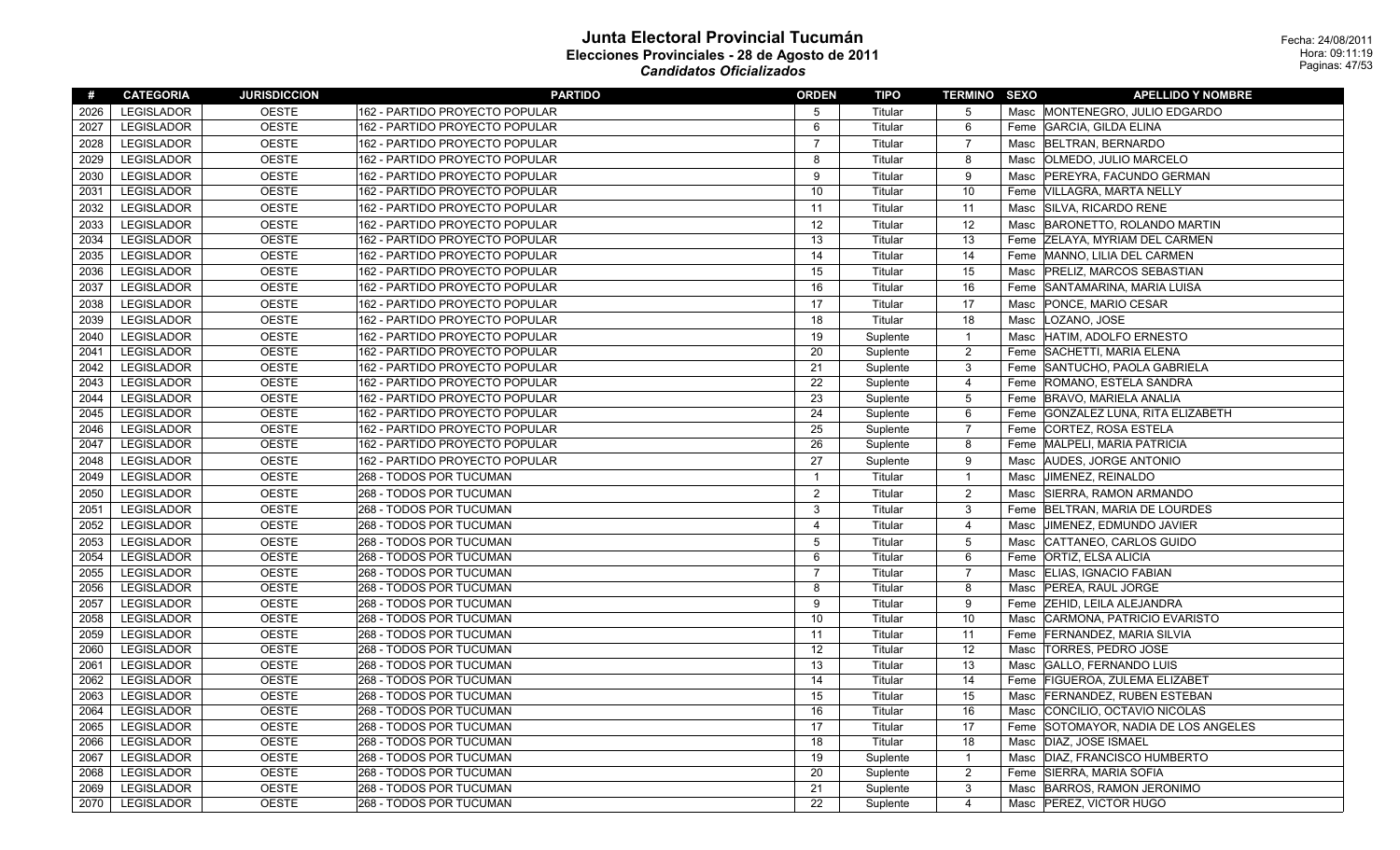| #    | <b>CATEGORIA</b>  | <b>JURISDICCION</b> | <b>PARTIDO</b>                 | <b>ORDEN</b>            | <b>TIPO</b> | <b>TERMINO SEXO</b> | <b>APELLIDO Y NOMBRE</b>                 |
|------|-------------------|---------------------|--------------------------------|-------------------------|-------------|---------------------|------------------------------------------|
| 2026 | <b>LEGISLADOR</b> | <b>OESTE</b>        | 162 - PARTIDO PROYECTO POPULAR | 5                       | Titular     | 5                   | Masc MONTENEGRO, JULIO EDGARDO           |
| 2027 | <b>LEGISLADOR</b> | <b>OESTE</b>        | 162 - PARTIDO PROYECTO POPULAR | 6                       | Titular     | 6                   | Feme GARCIA, GILDA ELINA                 |
| 2028 | LEGISLADOR        | <b>OESTE</b>        | 162 - PARTIDO PROYECTO POPULAR | $\overline{7}$          | Titular     | $\overline{7}$      | Masc   BELTRAN, BERNARDO                 |
| 2029 | <b>LEGISLADOR</b> | <b>OESTE</b>        | 162 - PARTIDO PROYECTO POPULAR | 8                       | Titular     | 8                   | <b>OLMEDO, JULIO MARCELO</b><br>Masc     |
| 2030 | <b>LEGISLADOR</b> | <b>OESTE</b>        | 162 - PARTIDO PROYECTO POPULAR | 9                       | Titular     | 9                   | PEREYRA, FACUNDO GERMAN<br>Masc          |
| 2031 | <b>LEGISLADOR</b> | <b>OESTE</b>        | 162 - PARTIDO PROYECTO POPULAR | 10                      | Titular     | 10                  | Feme VILLAGRA, MARTA NELLY               |
| 2032 | <b>LEGISLADOR</b> | <b>OESTE</b>        | 162 - PARTIDO PROYECTO POPULAR | 11                      | Titular     | 11                  | SILVA, RICARDO RENE<br>Masc              |
| 2033 | <b>LEGISLADOR</b> | <b>OESTE</b>        | 162 - PARTIDO PROYECTO POPULAR | 12                      | Titular     | 12                  | BARONETTO, ROLANDO MARTIN<br>Masc        |
| 2034 | <b>LEGISLADOR</b> | <b>OESTE</b>        | 162 - PARTIDO PROYECTO POPULAR | 13                      | Titular     | 13                  | Feme ZELAYA, MYRIAM DEL CARMEN           |
| 2035 | <b>LEGISLADOR</b> | <b>OESTE</b>        | 162 - PARTIDO PROYECTO POPULAR | 14                      | Titular     | 14                  | Feme  MANNO, LILIA DEL CARMEN            |
| 2036 | <b>LEGISLADOR</b> | <b>OESTE</b>        | 162 - PARTIDO PROYECTO POPULAR | 15                      | Titular     | 15                  | <b>PRELIZ, MARCOS SEBASTIAN</b><br>Masc  |
| 2037 | <b>LEGISLADOR</b> | <b>OESTE</b>        | 162 - PARTIDO PROYECTO POPULAR | 16                      | Titular     | 16                  | SANTAMARINA, MARIA LUISA<br>Feme         |
| 2038 | LEGISLADOR        | <b>OESTE</b>        | 162 - PARTIDO PROYECTO POPULAR | 17                      | Titular     | 17                  | PONCE, MARIO CESAR<br>Masc               |
| 2039 | <b>LEGISLADOR</b> | <b>OESTE</b>        | 162 - PARTIDO PROYECTO POPULAR | 18                      | Titular     | 18                  | LOZANO, JOSE<br>Masc                     |
| 2040 | <b>LEGISLADOR</b> | <b>OESTE</b>        | 162 - PARTIDO PROYECTO POPULAR | 19                      | Suplente    | $\mathbf{1}$        | HATIM, ADOLFO ERNESTO<br>Masc            |
| 2041 | <b>LEGISLADOR</b> | <b>OESTE</b>        | 162 - PARTIDO PROYECTO POPULAR | 20                      | Suplente    | $\overline{2}$      | Feme SACHETTI, MARIA ELENA               |
| 2042 | <b>LEGISLADOR</b> | <b>OESTE</b>        | 162 - PARTIDO PROYECTO POPULAR | 21                      | Suplente    | 3                   | Feme SANTUCHO, PAOLA GABRIELA            |
| 2043 | <b>LEGISLADOR</b> | <b>OESTE</b>        | 162 - PARTIDO PROYECTO POPULAR | 22                      | Suplente    | $\overline{4}$      | Feme ROMANO, ESTELA SANDRA               |
| 2044 | <b>LEGISLADOR</b> | <b>OESTE</b>        | 162 - PARTIDO PROYECTO POPULAR | 23                      | Suplente    | 5                   | Feme BRAVO, MARIELA ANALIA               |
| 2045 | <b>LEGISLADOR</b> | <b>OESTE</b>        | 162 - PARTIDO PROYECTO POPULAR | 24                      | Suplente    | 6                   | Feme GONZALEZ LUNA, RITA ELIZABETH       |
| 2046 | <b>LEGISLADOR</b> | <b>OESTE</b>        | 162 - PARTIDO PROYECTO POPULAR | 25                      | Suplente    | $\overline{7}$      | Feme CORTEZ, ROSA ESTELA                 |
| 2047 | <b>LEGISLADOR</b> | <b>OESTE</b>        | 162 - PARTIDO PROYECTO POPULAR | 26                      | Suplente    | 8                   | MALPELI, MARIA PATRICIA<br>Feme          |
| 2048 | LEGISLADOR        | <b>OESTE</b>        | 162 - PARTIDO PROYECTO POPULAR | 27                      | Suplente    | 9                   | <b>AUDES, JORGE ANTONIO</b><br>Masc      |
| 2049 | <b>LEGISLADOR</b> | <b>OESTE</b>        | 268 - TODOS POR TUCUMAN        | $\mathbf{1}$            | Titular     | $\mathbf{1}$        | JIMENEZ, REINALDO<br>Masc                |
| 2050 | <b>LEGISLADOR</b> | <b>OESTE</b>        | 268 - TODOS POR TUCUMAN        | 2                       | Titular     | $\overline{2}$      | SIERRA, RAMON ARMANDO<br>Masc            |
| 2051 | <b>LEGISLADOR</b> | <b>OESTE</b>        | 268 - TODOS POR TUCUMAN        | 3                       | Titular     | 3                   | Feme BELTRAN, MARIA DE LOURDES           |
| 2052 | LEGISLADOR        | <b>OESTE</b>        | 268 - TODOS POR TUCUMAN        | $\overline{\mathbf{4}}$ | Titular     | $\overline{4}$      | JIMENEZ, EDMUNDO JAVIER<br>Masc          |
| 2053 | <b>LEGISLADOR</b> | <b>OESTE</b>        | 268 - TODOS POR TUCUMAN        | 5                       | Titular     | 5                   | CATTANEO, CARLOS GUIDO<br>Masc           |
| 2054 | LEGISLADOR        | <b>OESTE</b>        | 268 - TODOS POR TUCUMAN        | 6                       | Titular     | 6                   | Feme ORTIZ, ELSA ALICIA                  |
| 2055 | <b>LEGISLADOR</b> | <b>OESTE</b>        | 268 - TODOS POR TUCUMAN        | $\overline{7}$          | Titular     | 7                   | Masc ELIAS, IGNACIO FABIAN               |
| 2056 | <b>LEGISLADOR</b> | <b>OESTE</b>        | 268 - TODOS POR TUCUMAN        | 8                       | Titular     | 8                   | Masc   PEREA, RAUL JORGE                 |
| 2057 | <b>LEGISLADOR</b> | <b>OESTE</b>        | 268 - TODOS POR TUCUMAN        | 9                       | Titular     | 9                   | <b>ZEHID, LEILA ALEJANDRA</b><br>Feme    |
| 2058 | <b>LEGISLADOR</b> | <b>OESTE</b>        | 268 - TODOS POR TUCUMAN        | 10                      | Titular     | 10                  | CARMONA, PATRICIO EVARISTO<br>Masc       |
| 2059 | LEGISLADOR        | <b>OESTE</b>        | 268 - TODOS POR TUCUMAN        | 11                      | Titular     | 11                  | Feme FERNANDEZ, MARIA SILVIA             |
| 2060 | <b>LEGISLADOR</b> | <b>OESTE</b>        | 268 - TODOS POR TUCUMAN        | 12                      | Titular     | 12                  | Masc  TORRES, PEDRO JOSE                 |
| 2061 | <b>LEGISLADOR</b> | <b>OESTE</b>        | 268 - TODOS POR TUCUMAN        | 13                      | Titular     | 13                  | GALLO, FERNANDO LUIS<br>Masc             |
| 2062 | <b>LEGISLADOR</b> | <b>OESTE</b>        | 268 - TODOS POR TUCUMAN        | 14                      | Titular     | 14                  | <b>FIGUEROA, ZULEMA ELIZABET</b><br>Feme |
| 2063 | <b>LEGISLADOR</b> | <b>OESTE</b>        | 268 - TODOS POR TUCUMAN        | 15                      | Titular     | 15                  | <b>FERNANDEZ, RUBEN ESTEBAN</b><br>Masc  |
| 2064 | <b>LEGISLADOR</b> | <b>OESTE</b>        | 268 - TODOS POR TUCUMAN        | 16                      | Titular     | 16                  | CONCILIO, OCTAVIO NICOLAS<br>Masc        |
| 2065 | <b>LEGISLADOR</b> | <b>OESTE</b>        | 268 - TODOS POR TUCUMAN        | 17                      | Titular     | 17                  | Feme SOTOMAYOR, NADIA DE LOS ANGELES     |
| 2066 | <b>LEGISLADOR</b> | <b>OESTE</b>        | 268 - TODOS POR TUCUMAN        | 18                      | Titular     | 18                  | Masc   DIAZ, JOSE ISMAEL                 |
| 2067 | <b>LEGISLADOR</b> | <b>OESTE</b>        | 268 - TODOS POR TUCUMAN        | 19                      | Suplente    | $\mathbf{1}$        | DIAZ, FRANCISCO HUMBERTO<br>Masc         |
| 2068 | <b>LEGISLADOR</b> | <b>OESTE</b>        | 268 - TODOS POR TUCUMAN        | 20                      | Suplente    | 2                   | Feme SIERRA, MARIA SOFIA                 |
| 2069 | <b>LEGISLADOR</b> | <b>OESTE</b>        | 268 - TODOS POR TUCUMAN        | 21                      | Suplente    | 3                   | BARROS, RAMON JERONIMO<br>Masc           |
| 2070 | <b>LEGISLADOR</b> | <b>OESTE</b>        | 268 - TODOS POR TUCUMAN        | 22                      | Suplente    | $\overline{4}$      | Masc   PEREZ, VICTOR HUGO                |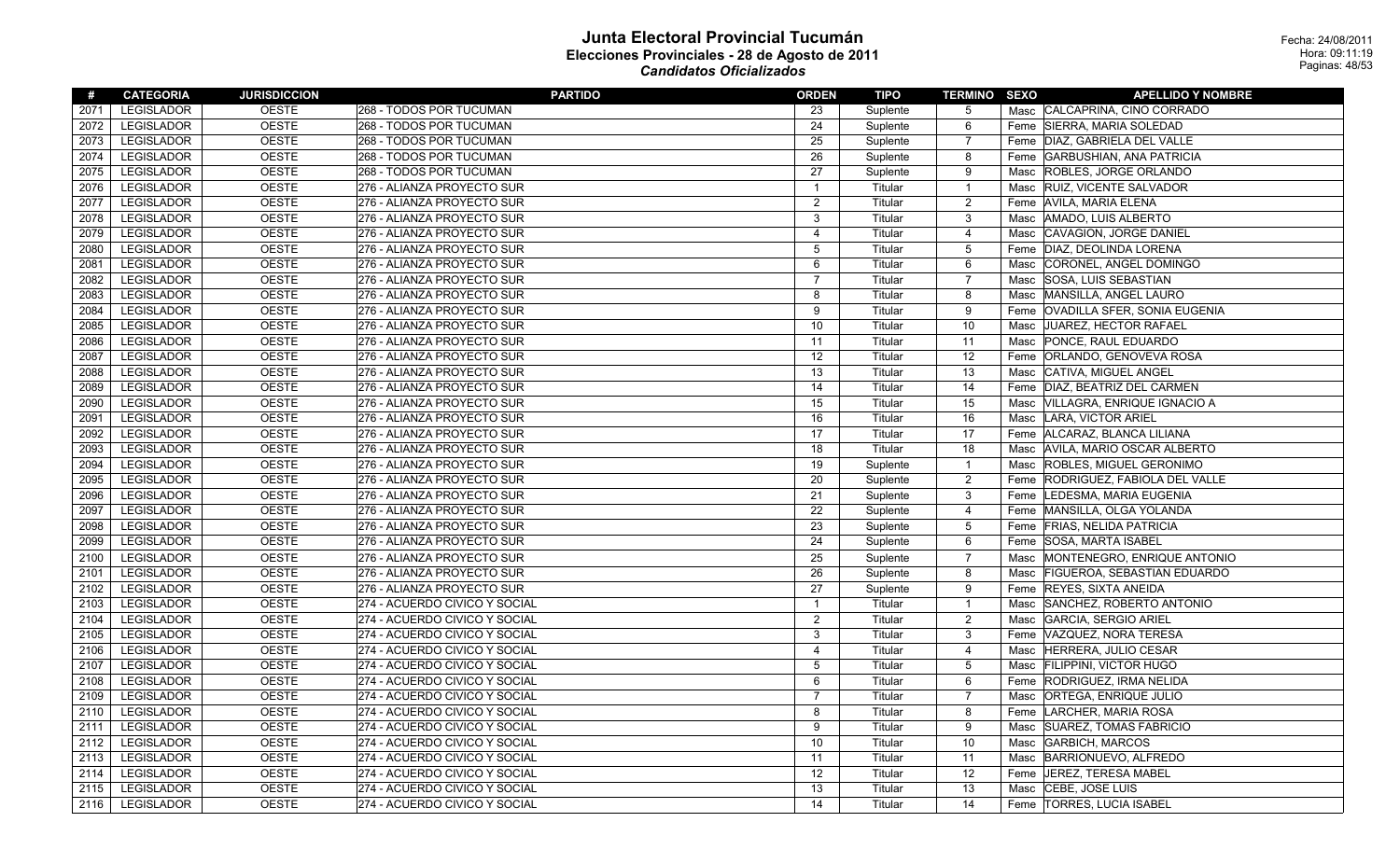| #    | <b>CATEGORIA</b>  | <b>JURISDICCION</b> | <b>PARTIDO</b>                | <b>ORDEN</b>            | TIPO     | <b>TERMINO SEXO</b> | <b>APELLIDO Y NOMBRE</b>                    |
|------|-------------------|---------------------|-------------------------------|-------------------------|----------|---------------------|---------------------------------------------|
| 2071 | <b>LEGISLADOR</b> | <b>OESTE</b>        | 268 - TODOS POR TUCUMAN       | 23                      | Suplente | -5                  | Masc CALCAPRINA, CINO CORRADO               |
| 2072 | <b>LEGISLADOR</b> | <b>OESTE</b>        | 268 - TODOS POR TUCUMAN       | 24                      | Suplente | 6                   | Feme SIERRA, MARIA SOLEDAD                  |
| 2073 | LEGISLADOR        | <b>OESTE</b>        | 268 - TODOS POR TUCUMAN       | 25                      | Suplente | $\overline{7}$      | Feme DIAZ, GABRIELA DEL VALLE               |
| 2074 | <b>LEGISLADOR</b> | <b>OESTE</b>        | 268 - TODOS POR TUCUMAN       | 26                      | Suplente | 8                   | <b>GARBUSHIAN, ANA PATRICIA</b><br>Feme     |
| 2075 | <b>LEGISLADOR</b> | <b>OESTE</b>        | 268 - TODOS POR TUCUMAN       | 27                      | Suplente | 9                   | Masc ROBLES, JORGE ORLANDO                  |
| 2076 | <b>LEGISLADOR</b> | <b>OESTE</b>        | 276 - ALIANZA PROYECTO SUR    | $\mathbf{1}$            | Titular  | $\mathbf{1}$        | Masc RUIZ, VICENTE SALVADOR                 |
| 2077 | LEGISLADOR        | <b>OESTE</b>        | 276 - ALIANZA PROYECTO SUR    | 2                       | Titular  | $\overline{c}$      | Feme   AVILA, MARIA ELENA                   |
| 2078 | <b>LEGISLADOR</b> | <b>OESTE</b>        | 276 - ALIANZA PROYECTO SUR    | 3                       | Titular  | 3                   | Masc   AMADO, LUIS ALBERTO                  |
| 2079 | LEGISLADOR        | <b>OESTE</b>        | 276 - ALIANZA PROYECTO SUR    | $\overline{\mathbf{4}}$ | Titular  | $\overline{4}$      | CAVAGION, JORGE DANIEL<br>Masc              |
| 2080 | LEGISLADOR        | <b>OESTE</b>        | 276 - ALIANZA PROYECTO SUR    | 5                       | Titular  | 5                   | Feme DIAZ, DEOLINDA LORENA                  |
| 2081 | LEGISLADOR        | <b>OESTE</b>        | 276 - ALIANZA PROYECTO SUR    | 6                       | Titular  | 6                   | Masc CORONEL, ANGEL DOMINGO                 |
| 2082 | LEGISLADOR        | <b>OESTE</b>        | 276 - ALIANZA PROYECTO SUR    | $\overline{7}$          | Titular  | $\overline{7}$      | SOSA, LUIS SEBASTIAN<br>Masc                |
| 2083 | LEGISLADOR        | <b>OESTE</b>        | 276 - ALIANZA PROYECTO SUR    | 8                       | Titular  | 8                   | MANSILLA, ANGEL LAURO<br>Masc               |
| 2084 | <b>LEGISLADOR</b> | <b>OESTE</b>        | 276 - ALIANZA PROYECTO SUR    | $\mathbf{Q}$            | Titular  | 9                   | <b>OVADILLA SFER, SONIA EUGENIA</b><br>Feme |
| 2085 | LEGISLADOR        | <b>OESTE</b>        | 276 - ALIANZA PROYECTO SUR    | 10                      | Titular  | 10                  | JUAREZ, HECTOR RAFAEL<br>Masc               |
| 2086 | <b>LEGISLADOR</b> | <b>OESTE</b>        | 276 - ALIANZA PROYECTO SUR    | 11                      | Titular  | 11                  | Masc  PONCE, RAUL EDUARDO                   |
| 2087 | LEGISLADOR        | <b>OESTE</b>        | 276 - ALIANZA PROYECTO SUR    | 12                      | Titular  | 12                  | Feme ORLANDO, GENOVEVA ROSA                 |
| 2088 | <b>LEGISLADOR</b> | <b>OESTE</b>        | 276 - ALIANZA PROYECTO SUR    | 13                      | Titular  | 13                  | <b>CATIVA, MIGUEL ANGEL</b><br>Masc         |
| 2089 | <b>LEGISLADOR</b> | <b>OESTE</b>        | 276 - ALIANZA PROYECTO SUR    | 14                      | Titular  | 14                  | DIAZ, BEATRIZ DEL CARMEN<br>Feme            |
| 2090 | <b>LEGISLADOR</b> | <b>OESTE</b>        | 276 - ALIANZA PROYECTO SUR    | 15                      | Titular  | 15                  | Masc VILLAGRA, ENRIQUE IGNACIO A            |
| 2091 | LEGISLADOR        | <b>OESTE</b>        | 276 - ALIANZA PROYECTO SUR    | 16                      | Titular  | 16                  | Masc LARA, VICTOR ARIEL                     |
| 2092 | LEGISLADOR        | <b>OESTE</b>        | 276 - ALIANZA PROYECTO SUR    | 17                      | Titular  | 17                  | Feme ALCARAZ, BLANCA LILIANA                |
| 2093 | <b>LEGISLADOR</b> | <b>OESTE</b>        | 276 - ALIANZA PROYECTO SUR    | 18                      | Titular  | 18                  | Masc   AVILA, MARIO OSCAR ALBERTO           |
| 2094 | <b>LEGISLADOR</b> | <b>OESTE</b>        | 276 - ALIANZA PROYECTO SUR    | 19                      | Suplente | $\mathbf{1}$        | <b>ROBLES, MIGUEL GERONIMO</b><br>Masc      |
| 2095 | <b>LEGISLADOR</b> | <b>OESTE</b>        | 276 - ALIANZA PROYECTO SUR    | 20                      | Suplente | $\overline{2}$      | Feme RODRIGUEZ, FABIOLA DEL VALLE           |
| 2096 | <b>LEGISLADOR</b> | <b>OESTE</b>        | 276 - ALIANZA PROYECTO SUR    | 21                      | Suplente | 3                   | Feme LEDESMA, MARIA EUGENIA                 |
| 2097 | <b>LEGISLADOR</b> | <b>OESTE</b>        | 276 - ALIANZA PROYECTO SUR    | 22                      | Suplente | $\overline{4}$      | Feme MANSILLA, OLGA YOLANDA                 |
| 2098 | <b>LEGISLADOR</b> | <b>OESTE</b>        | 276 - ALIANZA PROYECTO SUR    | 23                      | Suplente | 5                   | Feme FRIAS, NELIDA PATRICIA                 |
| 2099 | <b>LEGISLADOR</b> | <b>OESTE</b>        | 276 - ALIANZA PROYECTO SUR    | 24                      | Suplente | 6                   | <b>SOSA, MARTA ISABEL</b><br>Feme           |
| 2100 | LEGISLADOR        | <b>OESTE</b>        | 276 - ALIANZA PROYECTO SUR    | 25                      | Suplente | $\overline{7}$      | MONTENEGRO, ENRIQUE ANTONIO<br>Masc         |
| 2101 | LEGISLADOR        | <b>OESTE</b>        | 276 - ALIANZA PROYECTO SUR    | 26                      | Suplente | 8                   | Masc   FIGUEROA, SEBASTIAN EDUARDO          |
| 2102 | <b>LEGISLADOR</b> | <b>OESTE</b>        | 276 - ALIANZA PROYECTO SUR    | 27                      | Suplente | 9                   | Feme REYES, SIXTA ANEIDA                    |
| 2103 | LEGISLADOR        | <b>OESTE</b>        | 274 - ACUERDO CIVICO Y SOCIAL | $\mathbf{1}$            | Titular  | $\mathbf{1}$        | SANCHEZ, ROBERTO ANTONIO<br>Masc            |
| 2104 | <b>LEGISLADOR</b> | <b>OESTE</b>        | 274 - ACUERDO CIVICO Y SOCIAL | $\mathcal{P}$           | Titular  | $\overline{c}$      | GARCIA, SERGIO ARIEL<br>Masc                |
| 2105 | LEGISLADOR        | <b>OESTE</b>        | 274 - ACUERDO CIVICO Y SOCIAL | 3                       | Titular  | $\mathbf{3}$        | Feme VAZQUEZ, NORA TERESA                   |
| 2106 | <b>LEGISLADOR</b> | <b>OESTE</b>        | 274 - ACUERDO CIVICO Y SOCIAL | $\overline{4}$          | Titular  | 4                   | Masc HERRERA, JULIO CESAR                   |
| 2107 | LEGISLADOR        | <b>OESTE</b>        | 274 - ACUERDO CIVICO Y SOCIAL | 5                       | Titular  | 5                   | Masc FILIPPINI, VICTOR HUGO                 |
| 2108 | <b>LEGISLADOR</b> | <b>OESTE</b>        | 274 - ACUERDO CIVICO Y SOCIAL | 6                       | Titular  | 6                   | RODRIGUEZ, IRMA NELIDA<br>Feme              |
| 2109 | <b>LEGISLADOR</b> | <b>OESTE</b>        | 274 - ACUERDO CIVICO Y SOCIAL | $\overline{7}$          | Titular  | $\overline{7}$      | <b>ORTEGA, ENRIQUE JULIO</b><br>Masc        |
| 2110 | LEGISLADOR        | <b>OESTE</b>        | 274 - ACUERDO CIVICO Y SOCIAL | 8                       | Titular  | 8                   | LARCHER, MARIA ROSA<br>Feme                 |
| 2111 | <b>LEGISLADOR</b> | <b>OESTE</b>        | 274 - ACUERDO CIVICO Y SOCIAL | 9                       | Titular  | 9                   | Masc SUAREZ, TOMAS FABRICIO                 |
| 2112 | <b>LEGISLADOR</b> | <b>OESTE</b>        | 274 - ACUERDO CIVICO Y SOCIAL | 10                      | Titular  | 10                  | Masc   GARBICH, MARCOS                      |
| 2113 | <b>LEGISLADOR</b> | <b>OESTE</b>        | 274 - ACUERDO CIVICO Y SOCIAL | 11                      | Titular  | 11                  | BARRIONUEVO, ALFREDO<br>Masc                |
| 2114 | <b>LEGISLADOR</b> | <b>OESTE</b>        | 274 - ACUERDO CIVICO Y SOCIAL | 12                      | Titular  | 12                  | JEREZ, TERESA MABEL<br>Feme                 |
| 2115 | <b>LEGISLADOR</b> | <b>OESTE</b>        | 274 - ACUERDO CIVICO Y SOCIAL | 13                      | Titular  | 13                  | <b>CEBE, JOSE LUIS</b><br>Masc              |
| 2116 | <b>LEGISLADOR</b> | <b>OESTE</b>        | 274 - ACUERDO CIVICO Y SOCIAL | 14                      | Titular  | 14                  | Feme   TORRES, LUCIA ISABEL                 |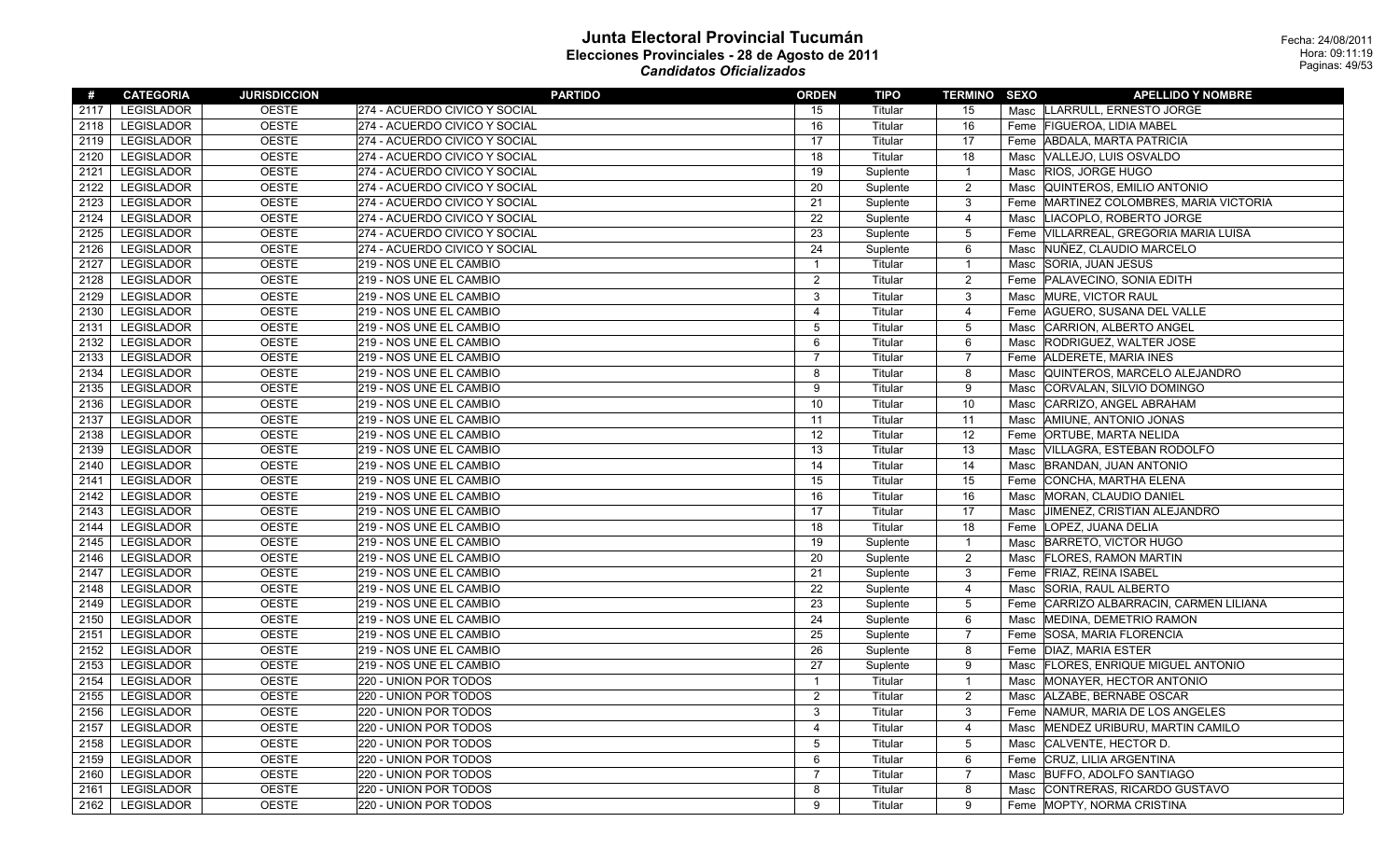| #    | <b>CATEGORIA</b>  | <b>JURISDICCION</b> | <b>PARTIDO</b>                | <b>ORDEN</b>            | TIPO     | <b>TERMINO SEXO</b> |      | <b>APELLIDO Y NOMBRE</b>                |
|------|-------------------|---------------------|-------------------------------|-------------------------|----------|---------------------|------|-----------------------------------------|
| 2117 | <b>LEGISLADOR</b> | <b>OESTE</b>        | 274 - ACUERDO CIVICO Y SOCIAL | 15                      | Titular  | 15                  |      | Masc LLARRULL, ERNESTO JORGE            |
| 2118 | <b>LEGISLADOR</b> | <b>OESTE</b>        | 274 - ACUERDO CIVICO Y SOCIAL | 16                      | Titular  | 16                  | Feme | <b>FIGUEROA, LIDIA MABEL</b>            |
| 2119 | <b>LEGISLADOR</b> | <b>OESTE</b>        | 274 - ACUERDO CIVICO Y SOCIAL | 17                      | Titular  | 17                  | Feme | <b>ABDALA, MARTA PATRICIA</b>           |
| 2120 | <b>LEGISLADOR</b> | <b>OESTE</b>        | 274 - ACUERDO CIVICO Y SOCIAL | 18                      | Titular  | 18                  | Masc | VALLEJO, LUIS OSVALDO                   |
| 2121 | <b>LEGISLADOR</b> | <b>OESTE</b>        | 274 - ACUERDO CIVICO Y SOCIAL | 19                      | Suplente | $\overline{1}$      |      | Masc RIOS, JORGE HUGO                   |
| 2122 | <b>LEGISLADOR</b> | <b>OESTE</b>        | 274 - ACUERDO CIVICO Y SOCIAL | 20                      | Suplente | $\overline{2}$      |      | Masc   QUINTEROS, EMILIO ANTONIO        |
| 2123 | <b>LEGISLADOR</b> | <b>OESTE</b>        | 274 - ACUERDO CIVICO Y SOCIAL | 21                      | Suplente | $\mathbf{3}$        |      | Feme MARTINEZ COLOMBRES, MARIA VICTORIA |
| 2124 | <b>LEGISLADOR</b> | <b>OESTE</b>        | 274 - ACUERDO CIVICO Y SOCIAL | 22                      | Suplente | $\overline{4}$      | Masc | LIACOPLO, ROBERTO JORGE                 |
| 2125 | <b>LEGISLADOR</b> | <b>OESTE</b>        | 274 - ACUERDO CIVICO Y SOCIAL | 23                      | Suplente | $5\,$               | Feme | VILLARREAL, GREGORIA MARIA LUISA        |
| 2126 | <b>LEGISLADOR</b> | <b>OESTE</b>        | 274 - ACUERDO CIVICO Y SOCIAL | 24                      | Suplente | 6                   | Masc | NUÑEZ, CLAUDIO MARCELO                  |
| 2127 | <b>LEGISLADOR</b> | <b>OESTE</b>        | 219 - NOS UNE EL CAMBIO       | $\mathbf{1}$            | Titular  | $\overline{1}$      | Masc | SORIA, JUAN JESUS                       |
| 2128 | <b>LEGISLADOR</b> | <b>OESTE</b>        | 219 - NOS UNE EL CAMBIO       | $\overline{2}$          | Titular  | $\overline{2}$      |      | Feme PALAVECINO, SONIA EDITH            |
| 2129 | <b>LEGISLADOR</b> | <b>OESTE</b>        | 219 - NOS UNE EL CAMBIO       | 3                       | Titular  | 3                   | Masc | MURE, VICTOR RAUL                       |
| 2130 | <b>LEGISLADOR</b> | <b>OESTE</b>        | 219 - NOS UNE EL CAMBIO       | $\overline{4}$          | Titular  | 4                   |      | Feme   AGUERO, SUSANA DEL VALLE         |
| 2131 | <b>LEGISLADOR</b> | <b>OESTE</b>        | 219 - NOS UNE EL CAMBIO       | 5                       | Titular  | $5\phantom{.0}$     | Masc | CARRION, ALBERTO ANGEL                  |
| 2132 | <b>LEGISLADOR</b> | <b>OESTE</b>        | 219 - NOS UNE EL CAMBIO       | 6                       | Titular  | 6                   |      | Masc  RODRIGUEZ, WALTER JOSE            |
| 2133 | <b>LEGISLADOR</b> | <b>OESTE</b>        | 219 - NOS UNE EL CAMBIO       | $\overline{7}$          | Titular  | $\overline{7}$      | Feme | <b>ALDERETE, MARIA INES</b>             |
| 2134 | <b>LEGISLADOR</b> | <b>OESTE</b>        | 219 - NOS UNE EL CAMBIO       | 8                       | Titular  | 8                   | Masc | QUINTEROS, MARCELO ALEJANDRO            |
| 2135 | <b>LEGISLADOR</b> | <b>OESTE</b>        | 219 - NOS UNE EL CAMBIO       | 9                       | Titular  | 9                   | Masc | CORVALAN, SILVIO DOMINGO                |
| 2136 | LEGISLADOR        | <b>OESTE</b>        | 219 - NOS UNE EL CAMBIO       | 10                      | Titular  | 10                  | Masc | CARRIZO, ANGEL ABRAHAM                  |
| 2137 | <b>LEGISLADOR</b> | <b>OESTE</b>        | 219 - NOS UNE EL CAMBIO       | 11                      | Titular  | 11                  |      | Masc AMIUNE, ANTONIO JONAS              |
| 2138 | <b>LEGISLADOR</b> | <b>OESTE</b>        | 219 - NOS UNE EL CAMBIO       | 12                      | Titular  | 12                  | Feme | <b>ORTUBE, MARTA NELIDA</b>             |
| 2139 | <b>LEGISLADOR</b> | <b>OESTE</b>        | 219 - NOS UNE EL CAMBIO       | 13                      | Titular  | 13                  | Masc | VILLAGRA, ESTEBAN RODOLFO               |
| 2140 | <b>LEGISLADOR</b> | <b>OESTE</b>        | 219 - NOS UNE EL CAMBIO       | 14                      | Titular  | 14                  | Masc | <b>BRANDAN, JUAN ANTONIO</b>            |
| 2141 | <b>LEGISLADOR</b> | <b>OESTE</b>        | 219 - NOS UNE EL CAMBIO       | 15                      | Titular  | 15                  |      | Feme CONCHA, MARTHA ELENA               |
| 2142 | <b>LEGISLADOR</b> | <b>OESTE</b>        | 219 - NOS UNE EL CAMBIO       | 16                      | Titular  | 16                  |      | Masc MORAN, CLAUDIO DANIEL              |
| 2143 | <b>LEGISLADOR</b> | <b>OESTE</b>        | 219 - NOS UNE EL CAMBIO       | 17                      | Titular  | 17                  | Masc | JIMENEZ, CRISTIAN ALEJANDRO             |
| 2144 | <b>LEGISLADOR</b> | <b>OESTE</b>        | 219 - NOS UNE EL CAMBIO       | 18                      | Titular  | 18                  | Feme | LOPEZ, JUANA DELIA                      |
| 2145 | <b>LEGISLADOR</b> | <b>OESTE</b>        | 219 - NOS UNE EL CAMBIO       | 19                      | Suplente | $\overline{1}$      | Masc | <b>BARRETO, VICTOR HUGO</b>             |
| 2146 | <b>LEGISLADOR</b> | <b>OESTE</b>        | 219 - NOS UNE EL CAMBIO       | 20                      | Suplente | $\overline{c}$      |      | Masc   FLORES, RAMON MARTIN             |
| 2147 | <b>LEGISLADOR</b> | <b>OESTE</b>        | 219 - NOS UNE EL CAMBIO       | 21                      | Suplente | 3                   |      | Feme FRIAZ, REINA ISABEL                |
| 2148 | <b>LEGISLADOR</b> | <b>OESTE</b>        | 219 - NOS UNE EL CAMBIO       | 22                      | Suplente | $\overline{4}$      | Masc | SORIA, RAUL ALBERTO                     |
| 2149 | <b>LEGISLADOR</b> | <b>OESTE</b>        | 219 - NOS UNE EL CAMBIO       | 23                      | Suplente | 5                   | Feme | CARRIZO ALBARRACIN, CARMEN LILIANA      |
| 2150 | <b>LEGISLADOR</b> | <b>OESTE</b>        | 219 - NOS UNE EL CAMBIO       | 24                      | Suplente | 6                   | Masc | MEDINA, DEMETRIO RAMON                  |
| 2151 | <b>LEGISLADOR</b> | <b>OESTE</b>        | 219 - NOS UNE EL CAMBIO       | 25                      | Suplente | $\overline{7}$      |      | Feme SOSA, MARIA FLORENCIA              |
| 2152 | <b>LEGISLADOR</b> | <b>OESTE</b>        | 219 - NOS UNE EL CAMBIO       | 26                      | Suplente | 8                   |      | Feme DIAZ, MARIA ESTER                  |
| 2153 | <b>LEGISLADOR</b> | <b>OESTE</b>        | 219 - NOS UNE EL CAMBIO       | 27                      | Suplente | 9                   |      | Masc FLORES, ENRIQUE MIGUEL ANTONIO     |
| 2154 | <b>LEGISLADOR</b> | <b>OESTE</b>        | 220 - UNION POR TODOS         | $\mathbf{1}$            | Titular  | $\overline{1}$      | Masc | MONAYER, HECTOR ANTONIO                 |
| 2155 | <b>LEGISLADOR</b> | <b>OESTE</b>        | 220 - UNION POR TODOS         | $\overline{2}$          | Titular  | $\overline{2}$      | Masc | ALZABE, BERNABE OSCAR                   |
| 2156 | <b>LEGISLADOR</b> | <b>OESTE</b>        | 220 - UNION POR TODOS         | 3                       | Titular  | 3                   |      | Feme NAMUR, MARIA DE LOS ANGELES        |
| 2157 | <b>LEGISLADOR</b> | <b>OESTE</b>        | 220 - UNION POR TODOS         | $\overline{\mathbf{4}}$ | Titular  | $\overline{4}$      | Masc | MENDEZ URIBURU, MARTIN CAMILO           |
| 2158 | <b>LEGISLADOR</b> | <b>OESTE</b>        | 220 - UNION POR TODOS         | 5                       | Titular  | $5\,$               | Masc | CALVENTE, HECTOR D.                     |
| 2159 | <b>LEGISLADOR</b> | <b>OESTE</b>        | 220 - UNION POR TODOS         | 6                       | Titular  | 6                   | Feme | CRUZ, LILIA ARGENTINA                   |
| 2160 | <b>LEGISLADOR</b> | <b>OESTE</b>        | 220 - UNION POR TODOS         | $\overline{7}$          | Titular  | $\overline{7}$      | Masc | <b>BUFFO, ADOLFO SANTIAGO</b>           |
| 2161 | LEGISLADOR        | <b>OESTE</b>        | 220 - UNION POR TODOS         | 8                       | Titular  | 8                   |      | Masc CONTRERAS, RICARDO GUSTAVO         |
| 2162 | LEGISLADOR        | <b>OESTE</b>        | 220 - UNION POR TODOS         | 9                       | Titular  | 9                   |      | Feme MOPTY, NORMA CRISTINA              |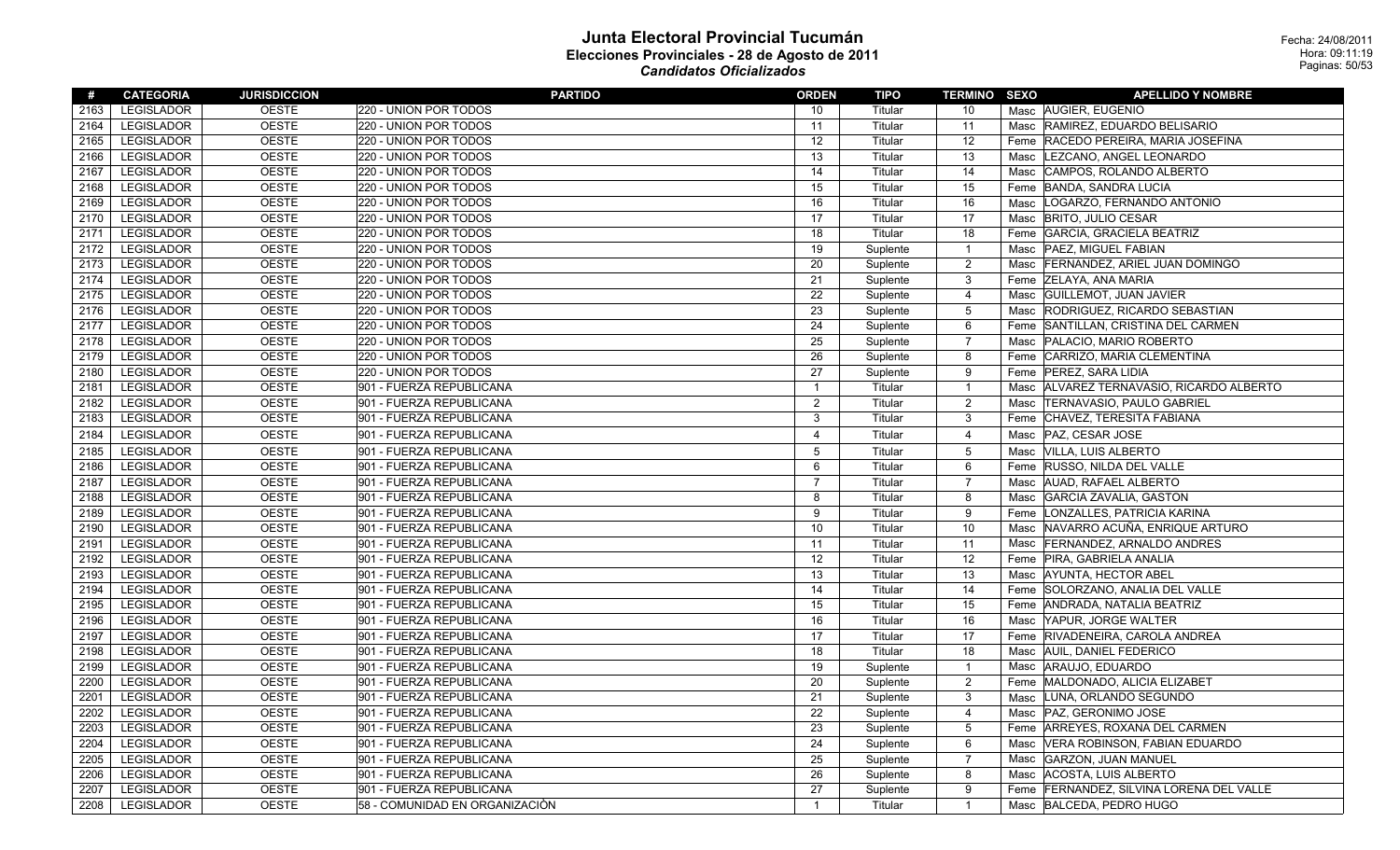| #    | <b>CATEGORIA</b>  | <b>JURISDICCION</b> | <b>PARTIDO</b>                 | <b>ORDEN</b>            | <b>TIPO</b> | <b>TERMINO SEXO</b> | <b>APELLIDO Y NOMBRE</b>                    |
|------|-------------------|---------------------|--------------------------------|-------------------------|-------------|---------------------|---------------------------------------------|
| 2163 | <b>LEGISLADOR</b> | <b>OESTE</b>        | 220 - UNION POR TODOS          | 10                      | Titular     | 10                  | Masc AUGIER, EUGENIO                        |
| 2164 | <b>LEGISLADOR</b> | <b>OESTE</b>        | 220 - UNION POR TODOS          | 11                      | Titular     | 11                  | Masc RAMIREZ, EDUARDO BELISARIO             |
| 2165 | <b>LEGISLADOR</b> | <b>OESTE</b>        | 220 - UNION POR TODOS          | 12                      | Titular     | 12                  | Feme RACEDO PEREIRA, MARIA JOSEFINA         |
| 2166 | <b>LEGISLADOR</b> | <b>OESTE</b>        | 220 - UNION POR TODOS          | 13                      | Titular     | 13                  | LEZCANO, ANGEL LEONARDO<br>Masc             |
| 2167 | <b>LEGISLADOR</b> | <b>OESTE</b>        | 220 - UNION POR TODOS          | 14                      | Titular     | 14                  | CAMPOS, ROLANDO ALBERTO<br>Masc             |
| 2168 | <b>LEGISLADOR</b> | <b>OESTE</b>        | 220 - UNION POR TODOS          | 15                      | Titular     | 15                  | Feme BANDA, SANDRA LUCIA                    |
| 2169 | LEGISLADOR        | <b>OESTE</b>        | 220 - UNION POR TODOS          | 16                      | Titular     | 16                  | LOGARZO, FERNANDO ANTONIO<br>Masc           |
| 2170 | <b>LEGISLADOR</b> | <b>OESTE</b>        | 220 - UNION POR TODOS          | 17                      | Titular     | 17                  | <b>BRITO, JULIO CESAR</b><br>Masc           |
| 2171 | <b>LEGISLADOR</b> | <b>OESTE</b>        | 220 - UNION POR TODOS          | 18                      | Titular     | 18                  | GARCIA, GRACIELA BEATRIZ<br>Feme            |
| 2172 | LEGISLADOR        | <b>OESTE</b>        | 220 - UNION POR TODOS          | 19                      | Suplente    | $\mathbf{1}$        | PAEZ, MIGUEL FABIAN<br>Masc                 |
| 2173 | <b>LEGISLADOR</b> | <b>OESTE</b>        | 220 - UNION POR TODOS          | 20                      | Suplente    | $\overline{c}$      | Masc FERNANDEZ, ARIEL JUAN DOMINGO          |
| 2174 | LEGISLADOR        | <b>OESTE</b>        | 220 - UNION POR TODOS          | 21                      | Suplente    | 3                   | Feme ZELAYA, ANA MARIA                      |
| 2175 | LEGISLADOR        | <b>OESTE</b>        | 220 - UNION POR TODOS          | 22                      | Suplente    | 4                   | <b>GUILLEMOT, JUAN JAVIER</b><br>Masc       |
| 2176 | <b>LEGISLADOR</b> | <b>OESTE</b>        | 220 - UNION POR TODOS          | 23                      | Suplente    | $\overline{5}$      | RODRIGUEZ, RICARDO SEBASTIAN<br>Masc        |
| 2177 | LEGISLADOR        | <b>OESTE</b>        | 220 - UNION POR TODOS          | 24                      | Suplente    | 6                   | Feme SANTILLAN, CRISTINA DEL CARMEN         |
| 2178 | <b>LEGISLADOR</b> | <b>OESTE</b>        | 220 - UNION POR TODOS          | 25                      | Suplente    | $\overline{7}$      | Masc   PALACIO, MARIO ROBERTO               |
| 2179 | LEGISLADOR        | <b>OESTE</b>        | 220 - UNION POR TODOS          | 26                      | Suplente    | 8                   | Feme CARRIZO, MARIA CLEMENTINA              |
| 2180 | <b>LEGISLADOR</b> | <b>OESTE</b>        | 220 - UNION POR TODOS          | 27                      | Suplente    | 9                   | <b>PEREZ, SARA LIDIA</b><br>Feme            |
| 2181 | <b>LEGISLADOR</b> | <b>OESTE</b>        | 901 - FUERZA REPUBLICANA       | $\mathbf{1}$            | Titular     | $\mathbf{1}$        | ALVAREZ TERNAVASIO, RICARDO ALBERTO<br>Masc |
| 2182 | <b>LEGISLADOR</b> | <b>OESTE</b>        | 901 - FUERZA REPUBLICANA       | 2                       | Titular     | $\overline{2}$      | <b>TERNAVASIO, PAULO GABRIEL</b><br>Masc    |
| 2183 | LEGISLADOR        | <b>OESTE</b>        | 901 - FUERZA REPUBLICANA       | 3                       | Titular     | $\overline{3}$      | Feme CHAVEZ, TERESITA FABIANA               |
| 2184 | <b>LEGISLADOR</b> | <b>OESTE</b>        | 901 - FUERZA REPUBLICANA       | $\overline{\mathbf{4}}$ | Titular     | $\overline{4}$      | PAZ, CESAR JOSE<br>Masc                     |
| 2185 | <b>LEGISLADOR</b> | <b>OESTE</b>        | 901 - FUERZA REPUBLICANA       | 5                       | Titular     | 5                   | Masc VILLA, LUIS ALBERTO                    |
| 2186 | LEGISLADOR        | <b>OESTE</b>        | 901 - FUERZA REPUBLICANA       | 6                       | Titular     | 6                   | Feme RUSSO, NILDA DEL VALLE                 |
| 2187 | LEGISLADOR        | <b>OESTE</b>        | 901 - FUERZA REPUBLICANA       | $\overline{7}$          | Titular     | $\overline{7}$      | Masc AUAD, RAFAEL ALBERTO                   |
| 2188 | <b>LEGISLADOR</b> | <b>OESTE</b>        | 901 - FUERZA REPUBLICANA       | 8                       | Titular     | 8                   | <b>GARCIA ZAVALIA, GASTON</b><br>Masc       |
| 2189 | <b>LEGISLADOR</b> | <b>OESTE</b>        | 901 - FUERZA REPUBLICANA       | 9                       | Titular     | 9                   | LONZALLES, PATRICIA KARINA<br>Feme          |
| 2190 | <b>LEGISLADOR</b> | <b>OESTE</b>        | 901 - FUERZA REPUBLICANA       | 10                      | Titular     | 10                  | NAVARRO ACUÑA, ENRIQUE ARTURO<br>Masc       |
| 2191 | LEGISLADOR        | <b>OESTE</b>        | 901 - FUERZA REPUBLICANA       | 11                      | Titular     | 11                  | <b>FERNANDEZ, ARNALDO ANDRES</b><br>Masc    |
| 2192 | <b>LEGISLADOR</b> | <b>OESTE</b>        | 901 - FUERZA REPUBLICANA       | 12                      | Titular     | 12                  | Feme PIRA, GABRIELA ANALIA                  |
| 2193 | <b>LEGISLADOR</b> | <b>OESTE</b>        | 901 - FUERZA REPUBLICANA       | 13                      | Titular     | 13                  | Masc AYUNTA, HECTOR ABEL                    |
| 2194 | <b>LEGISLADOR</b> | <b>OESTE</b>        | 901 - FUERZA REPUBLICANA       | 14                      | Titular     | 14                  | SOLORZANO, ANALIA DEL VALLE<br>Feme         |
| 2195 | <b>LEGISLADOR</b> | <b>OESTE</b>        | 901 - FUERZA REPUBLICANA       | 15                      | Titular     | 15                  | Feme ANDRADA, NATALIA BEATRIZ               |
| 2196 | <b>LEGISLADOR</b> | <b>OESTE</b>        | 901 - FUERZA REPUBLICANA       | 16                      | Titular     | 16                  | YAPUR, JORGE WALTER<br>Masc                 |
| 2197 | <b>LEGISLADOR</b> | <b>OESTE</b>        | 901 - FUERZA REPUBLICANA       | 17                      | Titular     | 17                  | Feme RIVADENEIRA, CAROLA ANDREA             |
| 2198 | <b>LEGISLADOR</b> | <b>OESTE</b>        | 901 - FUERZA REPUBLICANA       | 18                      | Titular     | 18                  | Masc AUIL, DANIEL FEDERICO                  |
| 2199 | <b>LEGISLADOR</b> | <b>OESTE</b>        | 901 - FUERZA REPUBLICANA       | 19                      | Suplente    | $\overline{1}$      | ARAUJO, EDUARDO<br>Masc                     |
| 2200 | <b>LEGISLADOR</b> | <b>OESTE</b>        | 901 - FUERZA REPUBLICANA       | 20                      | Suplente    | 2                   | Feme MALDONADO, ALICIA ELIZABET             |
| 2201 | <b>LEGISLADOR</b> | <b>OESTE</b>        | 901 - FUERZA REPUBLICANA       | 21                      | Suplente    | 3                   | LUNA, ORLANDO SEGUNDO<br>Masc               |
| 2202 | <b>LEGISLADOR</b> | <b>OESTE</b>        | 901 - FUERZA REPUBLICANA       | 22                      | Suplente    | 4                   | Masc   PAZ, GERONIMO JOSE                   |
| 2203 | LEGISLADOR        | <b>OESTE</b>        | 901 - FUERZA REPUBLICANA       | 23                      | Suplente    | 5                   | Feme ARREYES, ROXANA DEL CARMEN             |
| 2204 | <b>LEGISLADOR</b> | <b>OESTE</b>        | 901 - FUERZA REPUBLICANA       | 24                      | Suplente    | 6                   | VERA ROBINSON, FABIAN EDUARDO<br>Masc       |
| 2205 | <b>LEGISLADOR</b> | <b>OESTE</b>        | 901 - FUERZA REPUBLICANA       | 25                      | Suplente    | $\overline{7}$      | <b>GARZON, JUAN MANUEL</b><br>Masc          |
| 2206 | <b>LEGISLADOR</b> | <b>OESTE</b>        | 901 - FUERZA REPUBLICANA       | 26                      | Suplente    | 8                   | ACOSTA, LUIS ALBERTO<br>Masc                |
| 2207 | <b>LEGISLADOR</b> | <b>OESTE</b>        | 901 - FUERZA REPUBLICANA       | 27                      | Suplente    | 9                   | Feme FERNANDEZ, SILVINA LORENA DEL VALLE    |
| 2208 | <b>LEGISLADOR</b> | <b>OESTE</b>        | 58 - COMUNIDAD EN ORGANIZACIÓN | $\mathbf{1}$            | Titular     | $\mathbf{1}$        | Masc BALCEDA, PEDRO HUGO                    |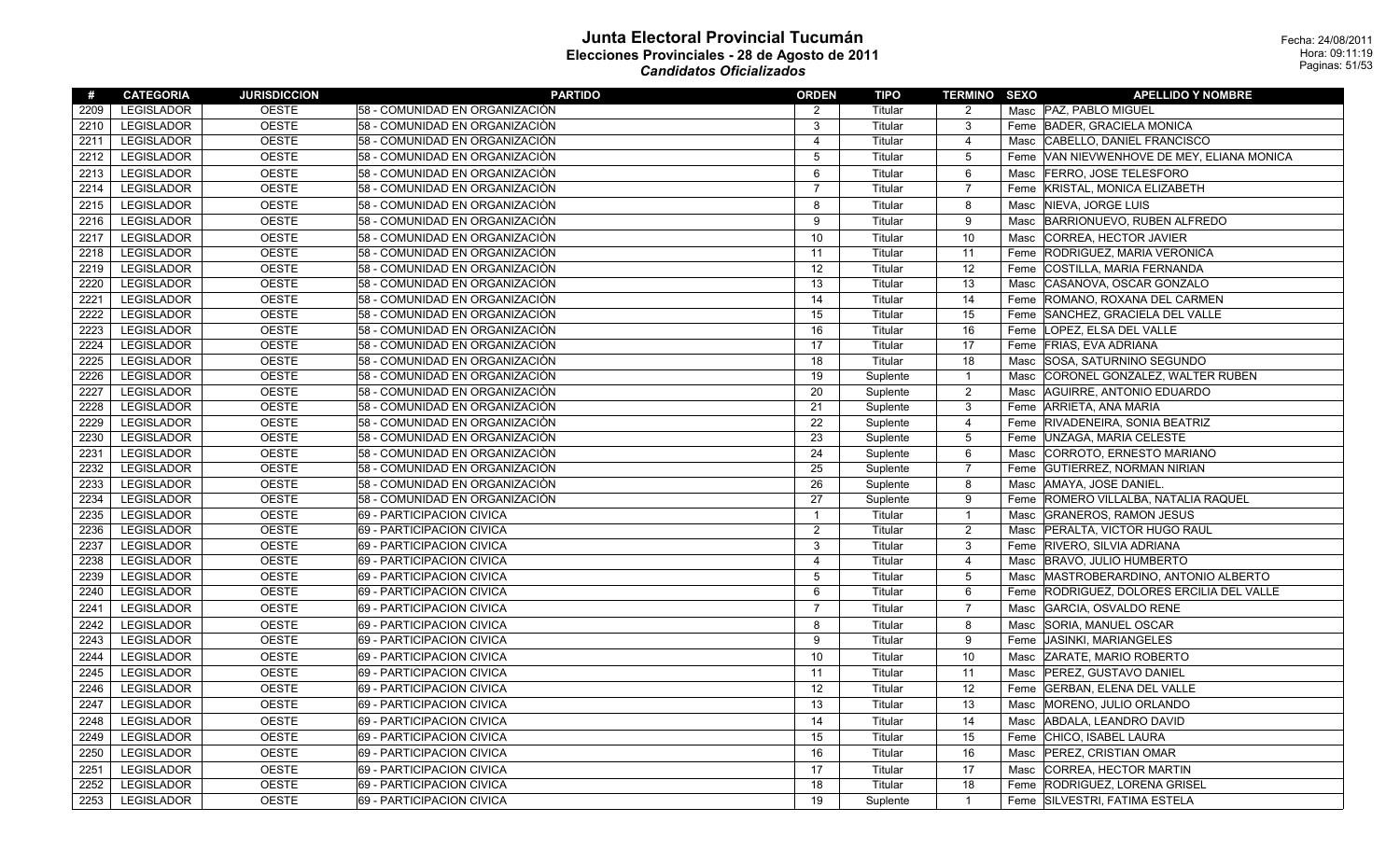| #    | <b>CATEGORIA</b>  | <b>JURISDICCION</b> | <b>PARTIDO</b>                 | <b>ORDEN</b>            | <b>TIPO</b> | <b>TERMINO SEXO</b> | <b>APELLIDO Y NOMBRE</b>                     |
|------|-------------------|---------------------|--------------------------------|-------------------------|-------------|---------------------|----------------------------------------------|
| 2209 | <b>LEGISLADOR</b> | <b>OESTE</b>        | 58 - COMUNIDAD EN ORGANIZACIÒN | 2                       | Titular     | $\overline{2}$      | Masc PAZ, PABLO MIGUEL                       |
| 2210 | <b>LEGISLADOR</b> | <b>OESTE</b>        | 58 - COMUNIDAD EN ORGANIZACIÒN | 3                       | Titular     | 3                   | Feme BADER, GRACIELA MONICA                  |
| 2211 | LEGISLADOR        | <b>OESTE</b>        | 58 - COMUNIDAD EN ORGANIZACIÓN | $\overline{\mathbf{4}}$ | Titular     | 4                   | CABELLO, DANIEL FRANCISCO<br>Masc            |
| 2212 | LEGISLADOR        | <b>OESTE</b>        | 58 - COMUNIDAD EN ORGANIZACIÒN | 5                       | Titular     | $\mathbf 5$         | Feme VAN NIEVWENHOVE DE MEY, ELIANA MONICA   |
| 2213 | <b>LEGISLADOR</b> | <b>OESTE</b>        | 58 - COMUNIDAD EN ORGANIZACIÓN | 6                       | Titular     | 6                   | <b>FERRO, JOSE TELESFORO</b><br>Masc         |
| 2214 | LEGISLADOR        | <b>OESTE</b>        | 58 - COMUNIDAD EN ORGANIZACIÒN | 7                       | Titular     | $\overline{7}$      | KRISTAL, MONICA ELIZABETH<br>Feme            |
| 2215 | <b>LEGISLADOR</b> | <b>OESTE</b>        | 58 - COMUNIDAD EN ORGANIZACIÓN | 8                       | Titular     | 8                   | NIEVA, JORGE LUIS<br>Masc                    |
| 2216 | <b>LEGISLADOR</b> | <b>OESTE</b>        | 58 - COMUNIDAD EN ORGANIZACIÓN | 9                       | Titular     | 9                   | BARRIONUEVO, RUBEN ALFREDO<br>Masc           |
| 2217 | <b>LEGISLADOR</b> | <b>OESTE</b>        | 58 - COMUNIDAD EN ORGANIZACIÒN | 10                      | Titular     | 10                  | CORREA, HECTOR JAVIER<br>Masc                |
| 2218 | <b>LEGISLADOR</b> | <b>OESTE</b>        | 58 - COMUNIDAD EN ORGANIZACIÒN | 11                      | Titular     | 11                  | <b>RODRIGUEZ, MARIA VERONICA</b><br>Feme     |
| 2219 | <b>LEGISLADOR</b> | <b>OESTE</b>        | 58 - COMUNIDAD EN ORGANIZACIÓN | 12                      | Titular     | 12                  | <b>COSTILLA, MARIA FERNANDA</b><br>Feme      |
| 2220 | <b>LEGISLADOR</b> | <b>OESTE</b>        | 58 - COMUNIDAD EN ORGANIZACIÓN | 13                      | Titular     | 13                  | CASANOVA, OSCAR GONZALO<br>Masc              |
| 2221 | <b>LEGISLADOR</b> | <b>OESTE</b>        | 58 - COMUNIDAD EN ORGANIZACIÓN | 14                      | Titular     | 14                  | ROMANO, ROXANA DEL CARMEN<br>Feme            |
| 2222 | <b>LEGISLADOR</b> | <b>OESTE</b>        | 58 - COMUNIDAD EN ORGANIZACIÒN | 15                      | Titular     | 15                  | Feme SANCHEZ, GRACIELA DEL VALLE             |
| 2223 | LEGISLADOR        | <b>OESTE</b>        | 58 - COMUNIDAD EN ORGANIZACIÒN | 16                      | Titular     | 16                  | Feme LOPEZ, ELSA DEL VALLE                   |
| 2224 | <b>LEGISLADOR</b> | <b>OESTE</b>        | 58 - COMUNIDAD EN ORGANIZACIÓN | 17                      | Titular     | 17                  | Feme FRIAS, EVA ADRIANA                      |
| 2225 | <b>LEGISLADOR</b> | <b>OESTE</b>        | 58 - COMUNIDAD EN ORGANIZACIÒN | 18                      | Titular     | 18                  | SOSA, SATURNINO SEGUNDO<br>Masc              |
| 2226 | <b>LEGISLADOR</b> | <b>OESTE</b>        | 58 - COMUNIDAD EN ORGANIZACIÒN | 19                      | Suplente    | $\mathbf{1}$        | CORONEL GONZALEZ, WALTER RUBEN<br>Masc       |
| 2227 | <b>LEGISLADOR</b> | <b>OESTE</b>        | 58 - COMUNIDAD EN ORGANIZACIÒN | 20                      | Suplente    | $\overline{c}$      | AGUIRRE, ANTONIO EDUARDO<br>Masc             |
| 2228 | LEGISLADOR        | <b>OESTE</b>        | 58 - COMUNIDAD EN ORGANIZACIÒN | 21                      | Suplente    | $\mathbf{3}$        | Feme ARRIETA, ANA MARIA                      |
| 2229 | LEGISLADOR        | <b>OESTE</b>        | 58 - COMUNIDAD EN ORGANIZACIÒN | 22                      | Suplente    | 4                   | RIVADENEIRA, SONIA BEATRIZ<br>Feme           |
| 2230 | LEGISLADOR        | <b>OESTE</b>        | 58 - COMUNIDAD EN ORGANIZACIÒN | 23                      | Suplente    | $\mathbf 5$         | UNZAGA, MARIA CELESTE<br>Feme                |
| 2231 | <b>LEGISLADOR</b> | <b>OESTE</b>        | 58 - COMUNIDAD EN ORGANIZACIÓN | 24                      | Suplente    | 6                   | CORROTO, ERNESTO MARIANO<br>Masc             |
| 2232 | <b>LEGISLADOR</b> | <b>OESTE</b>        | 58 - COMUNIDAD EN ORGANIZACIÓN | 25                      | Suplente    | $\overline{7}$      | Feme GUTIERREZ, NORMAN NIRIAN                |
| 2233 | <b>LEGISLADOR</b> | <b>OESTE</b>        | 58 - COMUNIDAD EN ORGANIZACIÓN | 26                      | Suplente    | 8                   | Masc AMAYA, JOSE DANIEL.                     |
| 2234 | <b>LEGISLADOR</b> | <b>OESTE</b>        | 58 - COMUNIDAD EN ORGANIZACIÓN | 27                      | Suplente    | 9                   | Feme ROMERO VILLALBA, NATALIA RAQUEL         |
| 2235 | <b>LEGISLADOR</b> | <b>OESTE</b>        | 69 - PARTICIPACION CIVICA      | $\mathbf{1}$            | Titular     | $\mathbf{1}$        | <b>GRANEROS, RAMON JESUS</b><br>Masc         |
| 2236 | <b>LEGISLADOR</b> | <b>OESTE</b>        | 69 - PARTICIPACION CIVICA      | $\overline{2}$          | Titular     | $\overline{2}$      | PERALTA, VICTOR HUGO RAUL<br>Masc            |
| 2237 | <b>LEGISLADOR</b> | <b>OESTE</b>        | 69 - PARTICIPACION CIVICA      | 3                       | Titular     | 3                   | Feme RIVERO, SILVIA ADRIANA                  |
| 2238 | <b>LEGISLADOR</b> | <b>OESTE</b>        | 69 - PARTICIPACION CIVICA      | $\overline{4}$          | Titular     | 4                   | Masc BRAVO, JULIO HUMBERTO                   |
| 2239 | LEGISLADOR        | <b>OESTE</b>        | 69 - PARTICIPACION CIVICA      | 5                       | Titular     | 5                   | Masc MASTROBERARDINO, ANTONIO ALBERTO        |
| 2240 | <b>LEGISLADOR</b> | <b>OESTE</b>        | 69 - PARTICIPACION CIVICA      | 6                       | Titular     | 6                   | RODRIGUEZ, DOLORES ERCILIA DEL VALLE<br>Feme |
| 2241 | <b>LEGISLADOR</b> | <b>OESTE</b>        | 69 - PARTICIPACION CIVICA      | $\overline{7}$          | Titular     | $\overline{7}$      | GARCIA, OSVALDO RENE<br>Masc                 |
| 2242 | <b>LEGISLADOR</b> | <b>OESTE</b>        | 69 - PARTICIPACION CIVICA      | 8                       | Titular     | 8                   | SORIA, MANUEL OSCAR<br>Masc                  |
| 2243 | <b>LEGISLADOR</b> | <b>OESTE</b>        | 69 - PARTICIPACION CIVICA      | 9                       | Titular     | 9                   | JASINKI, MARIANGELES<br>Feme                 |
| 2244 | <b>LEGISLADOR</b> | <b>OESTE</b>        | 69 - PARTICIPACION CIVICA      | 10                      | Titular     | 10                  | <b>ZARATE, MARIO ROBERTO</b><br>Masc         |
| 2245 | LEGISLADOR        | <b>OESTE</b>        | 69 - PARTICIPACION CIVICA      | 11                      | Titular     | 11                  | PEREZ, GUSTAVO DANIEL<br>Masc                |
| 2246 | LEGISLADOR        | <b>OESTE</b>        | 69 - PARTICIPACION CIVICA      | 12                      | Titular     | 12                  | <b>GERBAN, ELENA DEL VALLE</b><br>Feme       |
| 2247 | LEGISLADOR        | <b>OESTE</b>        | 69 - PARTICIPACION CIVICA      | 13                      | Titular     | 13                  | MORENO, JULIO ORLANDO<br>Masc                |
| 2248 | <b>LEGISLADOR</b> | <b>OESTE</b>        | 69 - PARTICIPACION CIVICA      | 14                      | Titular     | 14                  | ABDALA, LEANDRO DAVID<br>Masc                |
| 2249 | <b>LEGISLADOR</b> | <b>OESTE</b>        | 69 - PARTICIPACION CIVICA      | 15                      | Titular     | 15                  | Feme CHICO, ISABEL LAURA                     |
| 2250 | <b>LEGISLADOR</b> | <b>OESTE</b>        | 69 - PARTICIPACION CIVICA      | 16                      | Titular     | 16                  | Masc   PEREZ, CRISTIAN OMAR                  |
| 2251 | <b>LEGISLADOR</b> | <b>OESTE</b>        | 69 - PARTICIPACION CIVICA      | 17                      | Titular     | 17                  | CORREA, HECTOR MARTIN<br>Masc                |
| 2252 | <b>LEGISLADOR</b> | <b>OESTE</b>        | 69 - PARTICIPACION CIVICA      | 18                      | Titular     | 18                  | <b>RODRIGUEZ, LORENA GRISEL</b><br>Feme      |
| 2253 | <b>LEGISLADOR</b> | <b>OESTE</b>        | 69 - PARTICIPACION CIVICA      | 19                      | Suplente    | $\mathbf{1}$        | Feme SILVESTRI, FATIMA ESTELA                |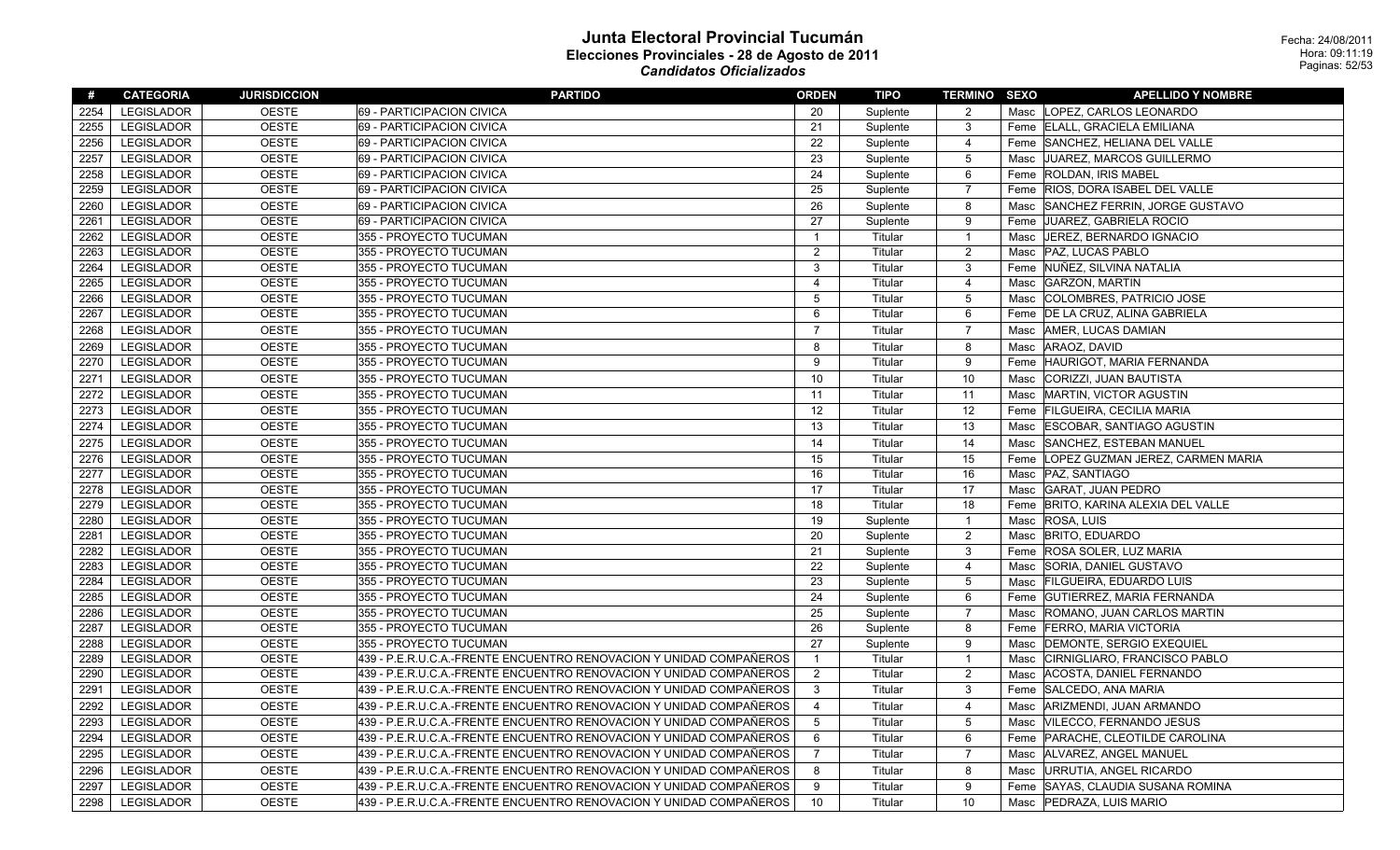|      | <b>LEGISLADOR</b> |              |                                                                    |                |          |                 |                                          |
|------|-------------------|--------------|--------------------------------------------------------------------|----------------|----------|-----------------|------------------------------------------|
| 2254 |                   | <b>OESTE</b> | 69 - PARTICIPACION CIVICA                                          | 20             | Suplente | 2               | Masc LOPEZ. CARLOS LEONARDO              |
| 2255 | LEGISLADOR        | <b>OESTE</b> | 69 - PARTICIPACION CIVICA                                          | 21             | Suplente | $\mathbf{3}$    | Feme ELALL, GRACIELA EMILIANA            |
| 2256 | LEGISLADOR        | <b>OESTE</b> | 69 - PARTICIPACION CIVICA                                          | 22             | Suplente | $\overline{4}$  | Feme SANCHEZ, HELIANA DEL VALLE          |
| 2257 | <b>LEGISLADOR</b> | <b>OESTE</b> | 69 - PARTICIPACION CIVICA                                          | 23             | Suplente | 5               | Masc JUAREZ, MARCOS GUILLERMO            |
| 2258 | <b>LEGISLADOR</b> | <b>OESTE</b> | 69 - PARTICIPACION CIVICA                                          | 24             | Suplente | 6               | <b>ROLDAN, IRIS MABEL</b><br>Feme        |
| 2259 | LEGISLADOR        | <b>OESTE</b> | 69 - PARTICIPACION CIVICA                                          | 25             | Suplente | $\overline{7}$  | Feme RIOS, DORA ISABEL DEL VALLE         |
| 2260 | <b>LEGISLADOR</b> | <b>OESTE</b> | 69 - PARTICIPACION CIVICA                                          | 26             | Suplente | 8               | Masc SANCHEZ FERRIN, JORGE GUSTAVO       |
| 2261 | <b>LEGISLADOR</b> | <b>OESTE</b> | 69 - PARTICIPACION CIVICA                                          | 27             | Suplente | 9               | Feme JUAREZ, GABRIELA ROCIO              |
| 2262 | <b>LEGISLADOR</b> | <b>OESTE</b> | 355 - PROYECTO TUCUMAN                                             | $\mathbf{1}$   | Titular  | $\overline{1}$  | Masc   JEREZ, BERNARDO IGNACIO           |
| 2263 | <b>LEGISLADOR</b> | <b>OESTE</b> | 355 - PROYECTO TUCUMAN                                             | 2              | Titular  | $\overline{2}$  | <b>PAZ, LUCAS PABLO</b><br>Masc          |
| 2264 | <b>LEGISLADOR</b> | <b>OESTE</b> | 355 - PROYECTO TUCUMAN                                             | 3              | Titular  | 3               | Feme NUÑEZ, SILVINA NATALIA              |
| 2265 | <b>LEGISLADOR</b> | <b>OESTE</b> | 355 - PROYECTO TUCUMAN                                             | 4              | Titular  | 4               | Masc GARZON, MARTIN                      |
| 2266 | <b>LEGISLADOR</b> | <b>OESTE</b> | 355 - PROYECTO TUCUMAN                                             | 5              | Titular  | 5               | Masc COLOMBRES, PATRICIO JOSE            |
| 2267 | <b>LEGISLADOR</b> | <b>OESTE</b> | 355 - PROYECTO TUCUMAN                                             | 6              | Titular  | 6               | Feme   DE LA CRUZ, ALINA GABRIELA        |
| 2268 | <b>LEGISLADOR</b> | <b>OESTE</b> | 355 - PROYECTO TUCUMAN                                             | $\overline{7}$ | Titular  | $\overline{7}$  | AMER, LUCAS DAMIAN<br>Masc               |
| 2269 | <b>LEGISLADOR</b> | <b>OESTE</b> | 355 - PROYECTO TUCUMAN                                             | 8              | Titular  | 8               | ARAOZ, DAVID<br>Masc                     |
| 2270 | <b>LEGISLADOR</b> | <b>OESTE</b> | 355 - PROYECTO TUCUMAN                                             | 9              | Titular  | 9               | Feme HAURIGOT, MARIA FERNANDA            |
| 2271 | <b>LEGISLADOR</b> | <b>OESTE</b> | 355 - PROYECTO TUCUMAN                                             | 10             | Titular  | 10              | CORIZZI, JUAN BAUTISTA<br>Masc           |
| 2272 | <b>LEGISLADOR</b> | <b>OESTE</b> | 355 - PROYECTO TUCUMAN                                             | 11             | Titular  | 11              | Masc<br>MARTIN, VICTOR AGUSTIN           |
| 2273 | LEGISLADOR        | <b>OESTE</b> | 355 - PROYECTO TUCUMAN                                             | 12             | Titular  | 12              | Feme FILGUEIRA, CECILIA MARIA            |
| 2274 | <b>LEGISLADOR</b> | <b>OESTE</b> | 355 - PROYECTO TUCUMAN                                             | 13             | Titular  | 13              | <b>ESCOBAR, SANTIAGO AGUSTIN</b><br>Masc |
| 2275 | <b>LEGISLADOR</b> | <b>OESTE</b> | 355 - PROYECTO TUCUMAN                                             | 14             | Titular  | 14              | SANCHEZ, ESTEBAN MANUEL<br>Masc          |
| 2276 | <b>LEGISLADOR</b> | <b>OESTE</b> | 355 - PROYECTO TUCUMAN                                             | 15             | Titular  | 15              | LOPEZ GUZMAN JEREZ, CARMEN MARIA<br>Feme |
| 2277 | <b>LEGISLADOR</b> | <b>OESTE</b> | 355 - PROYECTO TUCUMAN                                             | 16             | Titular  | 16              | Masc<br>PAZ, SANTIAGO                    |
| 2278 | <b>LEGISLADOR</b> | <b>OESTE</b> | 355 - PROYECTO TUCUMAN                                             | 17             | Titular  | 17              | Masc GARAT, JUAN PEDRO                   |
| 2279 | <b>LEGISLADOR</b> | <b>OESTE</b> | 355 - PROYECTO TUCUMAN                                             | 18             | Titular  | 18              | Feme BRITO, KARINA ALEXIA DEL VALLE      |
| 2280 | <b>LEGISLADOR</b> | <b>OESTE</b> | 355 - PROYECTO TUCUMAN                                             | 19             | Suplente | $\overline{1}$  | Masc ROSA, LUIS                          |
| 2281 | <b>LEGISLADOR</b> | <b>OESTE</b> | 355 - PROYECTO TUCUMAN                                             | 20             | Suplente | $\overline{2}$  | <b>BRITO, EDUARDO</b><br>Masc            |
| 2282 | <b>LEGISLADOR</b> | <b>OESTE</b> | 355 - PROYECTO TUCUMAN                                             | 21             | Suplente | $\mathbf{3}$    | <b>ROSA SOLER, LUZ MARIA</b><br>Feme     |
| 2283 | <b>LEGISLADOR</b> | <b>OESTE</b> | 355 - PROYECTO TUCUMAN                                             | 22             | Suplente | $\overline{4}$  | <b>SORIA, DANIEL GUSTAVO</b><br>Masc     |
| 2284 | <b>LEGISLADOR</b> | <b>OESTE</b> | 355 - PROYECTO TUCUMAN                                             | 23             | Suplente | $\overline{5}$  | Masc FILGUEIRA, EDUARDO LUIS             |
| 2285 | <b>LEGISLADOR</b> | <b>OESTE</b> | 355 - PROYECTO TUCUMAN                                             | 24             | Suplente | 6               | Feme   GUTIERREZ, MARIA FERNANDA         |
| 2286 | <b>LEGISLADOR</b> | <b>OESTE</b> | 355 - PROYECTO TUCUMAN                                             | 25             | Suplente | $\overline{7}$  | Masc ROMANO, JUAN CARLOS MARTIN          |
| 2287 | <b>LEGISLADOR</b> | <b>OESTE</b> | 355 - PROYECTO TUCUMAN                                             | 26             | Suplente | 8               | Feme   FERRO, MARIA VICTORIA             |
| 2288 | <b>LEGISLADOR</b> | <b>OESTE</b> | 355 - PROYECTO TUCUMAN                                             | 27             | Suplente | 9               | DEMONTE, SERGIO EXEQUIEL<br>Masc         |
| 2289 | <b>LEGISLADOR</b> | <b>OESTE</b> | 439 - P.E.R.U.C.A.-FRENTE ENCUENTRO RENOVACION Y UNIDAD COMPAÑEROS | $\overline{1}$ | Titular  | $\overline{1}$  | CIRNIGLIARO, FRANCISCO PABLO<br>Masc     |
| 2290 | LEGISLADOR        | <b>OESTE</b> | 439 - P.E.R.U.C.A.-FRENTE ENCUENTRO RENOVACION Y UNIDAD COMPAÑEROS | 2              | Titular  | 2               | ACOSTA, DANIEL FERNANDO<br>Masc          |
| 2291 | <b>LEGISLADOR</b> | <b>OESTE</b> | 439 - P.E.R.U.C.A.-FRENTE ENCUENTRO RENOVACION Y UNIDAD COMPAÑEROS | 3              | Titular  | $\mathbf{3}$    | Feme SALCEDO, ANA MARIA                  |
| 2292 | <b>LEGISLADOR</b> | <b>OESTE</b> | 439 - P.E.R.U.C.A.-FRENTE ENCUENTRO RENOVACION Y UNIDAD COMPAÑEROS | $\overline{4}$ | Titular  | $\overline{4}$  | ARIZMENDI, JUAN ARMANDO<br>Masc          |
| 2293 | <b>LEGISLADOR</b> | <b>OESTE</b> | 439 - P.E.R.U.C.A.-FRENTE ENCUENTRO RENOVACION Y UNIDAD COMPAÑEROS | -5             | Titular  | $5\phantom{.0}$ | Masc VILECCO, FERNANDO JESUS             |
| 2294 | <b>LEGISLADOR</b> | <b>OESTE</b> | 439 - P.E.R.U.C.A.-FRENTE ENCUENTRO RENOVACION Y UNIDAD COMPAÑEROS | 6              | Titular  | 6               | Feme PARACHE, CLEOTILDE CAROLINA         |
| 2295 | LEGISLADOR        | <b>OESTE</b> | 439 - P.E.R.U.C.A.-FRENTE ENCUENTRO RENOVACION Y UNIDAD COMPAÑEROS | $\overline{7}$ | Titular  | $\overline{7}$  | ALVAREZ, ANGEL MANUEL<br>Masc            |
| 2296 | LEGISLADOR        | <b>OESTE</b> | 439 - P.E.R.U.C.A.-FRENTE ENCUENTRO RENOVACION Y UNIDAD COMPAÑEROS | 8              | Titular  | 8               | URRUTIA, ANGEL RICARDO<br>Masc           |
| 2297 | LEGISLADOR        | <b>OESTE</b> | 439 - P.E.R.U.C.A.-FRENTE ENCUENTRO RENOVACION Y UNIDAD COMPAÑEROS | 9              | Titular  | 9               | Feme SAYAS, CLAUDIA SUSANA ROMINA        |
| 2298 | <b>LEGISLADOR</b> | <b>OESTE</b> | 439 - P.E.R.U.C.A.-FRENTE ENCUENTRO RENOVACION Y UNIDAD COMPAÑEROS | 10             | Titular  | 10              | Masc   PEDRAZA, LUIS MARIO               |